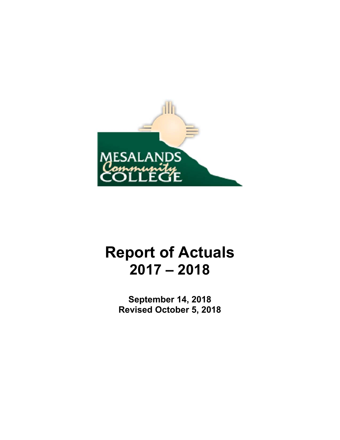

# **Report of Actuals 2017 – 2018**

**September 14, 2018 Revised October 5, 2018**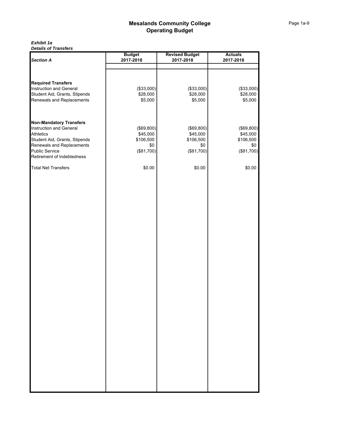#### *Exhibit 1a Details of Transfers*

|                                                            | <b>Budget</b>       | <b>Revised Budget</b> | <b>Actuals</b>      |
|------------------------------------------------------------|---------------------|-----------------------|---------------------|
| <b>Section A</b>                                           | 2017-2018           | 2017-2018             | 2017-2018           |
|                                                            |                     |                       |                     |
|                                                            |                     |                       |                     |
| <b>Required Transfers</b>                                  |                     |                       |                     |
| Instruction and General                                    | (\$33,000)          | (\$33,000)            | (\$33,000)          |
| Student Aid, Grants, Stipends<br>Renewals and Replacements | \$28,000<br>\$5,000 | \$28,000<br>\$5,000   | \$28,000<br>\$5,000 |
|                                                            |                     |                       |                     |
| <b>Non-Mandatory Transfers</b>                             |                     |                       |                     |
| Instruction and General                                    | (\$69,800)          | (\$69,800)            | (\$69,800)          |
| <b>Athletics</b>                                           | \$45,000            | \$45,000              | \$45,000            |
| Student Aid, Grants, Stipends                              | \$106,500           | \$106,500             | \$106,500           |
| Renewals and Replacements                                  | \$0                 | \$0                   | \$0                 |
| <b>Public Service</b><br>Retirement of Indebtedness        | (\$81,700)          | (\$81,700)            | (\$81,700)          |
| <b>Total Net Transfers</b>                                 | \$0.00              | \$0.00                | \$0.00              |
|                                                            |                     |                       |                     |
|                                                            |                     |                       |                     |
|                                                            |                     |                       |                     |
|                                                            |                     |                       |                     |
|                                                            |                     |                       |                     |
|                                                            |                     |                       |                     |
|                                                            |                     |                       |                     |
|                                                            |                     |                       |                     |
|                                                            |                     |                       |                     |
|                                                            |                     |                       |                     |
|                                                            |                     |                       |                     |
|                                                            |                     |                       |                     |
|                                                            |                     |                       |                     |
|                                                            |                     |                       |                     |
|                                                            |                     |                       |                     |
|                                                            |                     |                       |                     |
|                                                            |                     |                       |                     |
|                                                            |                     |                       |                     |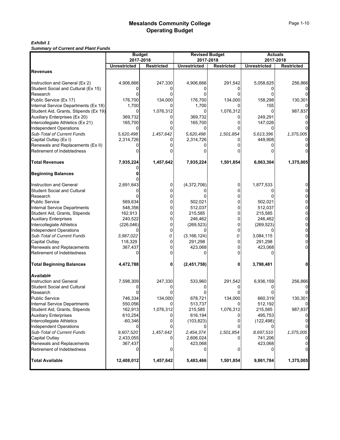# *Exhibit 1*

*Summary of Current and Plant Funds*

|                                             | <b>Budget</b>        |                   | <b>Revised Budget</b> |                   | <b>Actuals</b><br>2017-2018 |                   |  |  |
|---------------------------------------------|----------------------|-------------------|-----------------------|-------------------|-----------------------------|-------------------|--|--|
|                                             | 2017-2018            |                   | 2017-2018             |                   |                             |                   |  |  |
| <b>Revenues</b>                             | <b>Unrestricted</b>  | <b>Restricted</b> | <b>Unrestricted</b>   | <b>Restricted</b> | <b>Unrestricted</b>         | <b>Restricted</b> |  |  |
|                                             |                      |                   |                       |                   |                             |                   |  |  |
| Instruction and General (Ex 2)              | 4,906,666            | 247,330           | 4,906,666             | 291,542           | 5,058,625                   | 256,866           |  |  |
| Student Social and Cultural (Ex 15)         |                      |                   |                       |                   |                             |                   |  |  |
| Research                                    |                      |                   |                       |                   |                             |                   |  |  |
| Public Service (Ex 17)                      | 176,700              | 134,000           | 176,700               | 134,000           | 158,298                     | 130,301           |  |  |
| Internal Service Departments (Ex 18)        | 1,700                |                   | 1,700                 |                   | 155                         |                   |  |  |
| Student Aid, Grants, Stipends (Ex 19)       |                      | 1,076,312         | 0                     | 1,076,312         | U                           | 987,837           |  |  |
| Auxiliary Enterprises (Ex 20)               | 369,732              |                   | 369,732               |                   | 249,291                     |                   |  |  |
| Intercollegiate Athletics (Ex 21)           | 165,700              |                   | 165,700               |                   | 147,026                     |                   |  |  |
| <b>Independent Operations</b>               |                      |                   | 0                     |                   |                             |                   |  |  |
| Sub-Total of Current Funds                  | 5,620,498            | 1,457,642         | 5,620,498             | 1,501,854         | 5,613,396                   | 1,375,005         |  |  |
| Capital Outlay (Ex I)                       | 2,314,726            |                   | 2,314,726             |                   | 449,908                     |                   |  |  |
| Renewals and Replacements (Ex II)           |                      |                   |                       |                   |                             |                   |  |  |
| Retirement of Indebtedness                  |                      |                   |                       |                   |                             |                   |  |  |
|                                             |                      |                   |                       |                   |                             |                   |  |  |
| <b>Total Revenues</b>                       | 7,935,224            | 1,457,642         | 7,935,224             | 1,501,854         | 6,063,304                   | 1,375,005         |  |  |
|                                             |                      |                   |                       |                   |                             |                   |  |  |
| <b>Beginning Balances</b>                   |                      |                   |                       |                   |                             |                   |  |  |
| Instruction and General                     | 2,691,643            | 0                 | (4,372,706)           | 0                 | 1,877,533                   |                   |  |  |
| <b>Student Social and Cultural</b>          |                      |                   |                       |                   |                             |                   |  |  |
| Research                                    |                      | 0                 |                       |                   |                             |                   |  |  |
| Public Service                              | 569,634              |                   | 502,021               |                   | 502,021                     |                   |  |  |
| <b>Internal Service Departments</b>         | 548,356              |                   | 512,037               |                   | 512,037                     |                   |  |  |
| Student Aid, Grants, Stipends               | 162,913              | 0                 | 215,585               | 0                 | 215,585                     |                   |  |  |
| <b>Auxiliary Enterprises</b>                | 240,522              | 0                 | 246,462               | 0                 | 246,462                     |                   |  |  |
| Intercollegiate Athletics                   | (226, 046)           | 0                 | (269, 523)            | 0                 | (269, 523)                  |                   |  |  |
| <b>Independent Operations</b>               |                      | 0                 |                       | 0                 |                             |                   |  |  |
| Sub-Total of Current Funds                  | 3,987,022            | 0                 | (3, 166, 124)         | 0                 | 3,084,115                   |                   |  |  |
| Capital Outlay                              | 118,329              |                   | 291,298               |                   | 291,298                     |                   |  |  |
| Renewals and Replacements                   | 367,437              |                   | 423,068               |                   | 423,068                     |                   |  |  |
| Retirement of Indebtedness                  |                      |                   | 0                     |                   |                             |                   |  |  |
| <b>Total Beginning Balances</b>             | 4,472,788            | 0                 | (2,451,758)           | 0                 | 3,798,481                   |                   |  |  |
|                                             |                      |                   |                       |                   |                             |                   |  |  |
| Available                                   |                      |                   |                       |                   |                             |                   |  |  |
| <b>Instruction and General</b>              | 7,598,309            | 247,330           | 533,960               | 291,542           | 6,936,159                   | 256,866           |  |  |
| Student Social and Cultural                 |                      |                   |                       |                   |                             |                   |  |  |
| Research                                    |                      |                   |                       |                   |                             |                   |  |  |
| <b>Public Service</b>                       | 746,334              | 134,000           | 678,721               | 134,000           | 660,319                     | 130,301           |  |  |
| <b>Internal Service Departments</b>         | 550,056              |                   | 513,737               |                   | 512,192                     |                   |  |  |
| Student Aid, Grants, Stipends               | 162,913              | 1,076,312         | 215,585               | 1,076,312         | 215,585                     | 987,837           |  |  |
| <b>Auxiliary Enterprises</b>                | 610,254              |                   | 616,194               |                   | 495,753                     |                   |  |  |
| Intercollegiate Athletics                   | $-60,346$            |                   | (103, 823)            |                   | (122, 498)                  |                   |  |  |
| <b>Independent Operations</b>               |                      |                   |                       |                   |                             |                   |  |  |
| Sub-Total of Current Funds                  | 9,607,520            | 1,457,642         | 2,454,374             | 1,501,854         | 8,697,510                   | 1,375,005         |  |  |
| Capital Outlay<br>Renewals and Replacements | 2,433,055<br>367,437 |                   | 2,606,024<br>423,068  |                   | 741,206<br>423,068          |                   |  |  |
| Retirement of Indebtedness                  |                      | 0                 | 0                     | 0                 | 0                           |                   |  |  |
|                                             |                      |                   |                       |                   |                             |                   |  |  |
| <b>Total Available</b>                      | 12,408,012           | 1,457,642         | 5,483,466             | 1,501,854         | 9,861,784                   | 1,375,005         |  |  |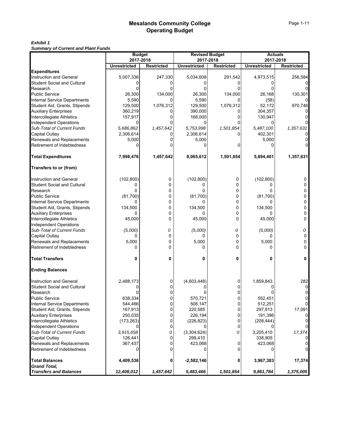# *Exhibit 1*

*Summary of Current and Plant Funds*

|                                              | <b>Budget</b><br>2017-2018 |                   | <b>Revised Budget</b>            |                   | <b>Actuals</b><br>2017-2018 |                   |  |
|----------------------------------------------|----------------------------|-------------------|----------------------------------|-------------------|-----------------------------|-------------------|--|
|                                              | <b>Unrestricted</b>        | <b>Restricted</b> | 2017-2018<br><b>Unrestricted</b> | <b>Restricted</b> | <b>Unrestricted</b>         | <b>Restricted</b> |  |
| <b>Expenditures</b>                          |                            |                   |                                  |                   |                             |                   |  |
| <b>Instruction and General</b>               | 5,007,336                  | 247,330           | 5,034,608                        | 291,542           | 4,973,515                   | 256,584           |  |
| Student Social and Cultural                  | Ω                          | O                 |                                  | O                 |                             |                   |  |
| Research                                     |                            |                   |                                  |                   |                             |                   |  |
| <b>Public Service</b>                        | 26,300                     | 134,000           | 26,300                           | 134,000           | 26,168                      | 130,301           |  |
| <b>Internal Service Departments</b>          | 5,590                      | O                 | 5,590                            |                   | (58)                        |                   |  |
| Student Aid, Grants, Stipends                | 129,500                    | 1,076,312         | 129,500                          | 1,076,312         | 52,172                      | 970,746           |  |
| <b>Auxiliary Enterprises</b>                 | 360,219                    |                   | 390,000                          | 0                 | 304,357                     |                   |  |
| Intercollegiate Athletics                    | 157,917                    | O                 | 168,000                          | 0                 | 130,947                     |                   |  |
| <b>Independent Operations</b>                | 0                          |                   |                                  |                   | 0                           |                   |  |
| Sub-Total of Current Funds                   | 5,686,862                  | 1,457,642         | 5,753,998                        | 1,501,854         | 5,487,100                   | 1,357,631         |  |
| Capital Outlay                               | 2,306,614                  |                   | 2,306,614                        | 0                 | 402,301                     |                   |  |
|                                              |                            |                   |                                  |                   |                             |                   |  |
| Renewals and Replacements                    | 5,000                      | Ω                 | 5,000                            |                   | 5,000                       |                   |  |
| Retirement of Indebtedness                   | ŋ                          |                   |                                  | 0                 |                             |                   |  |
| <b>Total Expenditures</b>                    | 7,998,476                  | 1,457,642         | 8,065,612                        | 1,501,854         | 5,894,401                   | 1,357,631         |  |
| Transfers to or (from)                       |                            |                   |                                  |                   |                             |                   |  |
| <b>Instruction and General</b>               | (102, 800)                 | 0                 | (102, 800)                       | 0                 | (102, 800)                  | 0                 |  |
| <b>Student Social and Cultural</b>           | 0                          | $\Omega$          | 0                                | 0                 |                             | U                 |  |
| Research                                     | 0                          | $\Omega$          | 0                                | 0                 |                             | ŋ                 |  |
| <b>Public Service</b>                        | (81,700)                   | 0                 | (81,700)                         | 0                 | (81,700)                    | 0                 |  |
| Internal Service Departments                 | O                          | 0                 |                                  | 0                 |                             | 0                 |  |
| Student Aid, Grants, Stipends                | 134,500                    | 0                 | 134,500                          | 0                 | 134,500                     | n                 |  |
| <b>Auxiliary Enterprises</b>                 | 0                          | 0                 | 0                                | 0                 |                             | 0                 |  |
| Intercollegiate Athletics                    | 45,000                     | $\mathbf{0}$      | 45,000                           | 0                 | 45,000                      | 0                 |  |
| <b>Independent Operations</b>                |                            |                   |                                  |                   |                             |                   |  |
| Sub-Total of Current Funds                   | (5,000)                    | 0                 | (5,000)                          | 0                 | (5,000)                     | 0                 |  |
| Capital Outlay                               |                            | 0                 |                                  | 0                 |                             | 0                 |  |
| Renewals and Replacements                    | 5,000                      | 0                 | 5,000                            | 0                 | 5,000                       | ŋ                 |  |
| Retirement of Indebtedness                   | 0                          | $\Omega$          | 0                                | 0                 |                             | n                 |  |
|                                              |                            |                   |                                  |                   |                             |                   |  |
| <b>Total Transfers</b>                       | 0                          | 0                 | 0                                | 0                 | 0                           |                   |  |
| <b>Ending Balances</b>                       |                            |                   |                                  |                   |                             |                   |  |
| Instruction and General                      | 2,488,173                  | 0                 | (4,603,448)                      | $\mathbf 0$       | 1,859,843                   | 282               |  |
| Student Social and Cultural                  | U                          | 0                 |                                  | 0                 |                             | $\Omega$          |  |
| Research                                     |                            |                   |                                  |                   |                             |                   |  |
| <b>Public Service</b>                        | 638,334                    | 0                 | 570,721                          | $\Omega$          | 552,451                     |                   |  |
| Internal Service Departments                 | 544,466                    | 0                 | 508,147                          | 0                 | 512,251                     |                   |  |
| Student Aid, Grants, Stipends                | 167,913                    | 0                 | 220,585                          | $\overline{0}$    | 297,913                     | 17,091            |  |
| <b>Auxiliary Enterprises</b>                 | 250,035                    | 0                 | 226,194                          | 0                 | 191,396                     |                   |  |
| Intercollegiate Athletics                    | (173, 263)                 | 0                 | (226, 823)                       | 0                 | (208, 444)                  |                   |  |
| <b>Independent Operations</b>                |                            | 0                 |                                  | $\mathbf 0$       |                             |                   |  |
| Sub-Total of Current Funds                   | 3,915,658                  | 0                 | (3,304,624)                      | 0                 | 3,205,410                   | 17,374            |  |
| Capital Outlay                               | 126,441                    |                   | 299,410                          |                   | 338,905                     |                   |  |
| Renewals and Replacements                    | 367,437                    | 0                 | 423,068                          | 0                 | 423,068                     |                   |  |
| Retirement of Indebtedness                   | 0                          |                   |                                  | 0                 |                             |                   |  |
|                                              |                            |                   |                                  |                   |                             |                   |  |
| <b>Total Balances</b><br><b>Grand Total.</b> | 4,409,536                  | 0                 | $-2,582,146$                     | 0                 | 3,967,383                   | 17,374            |  |
| <b>Transfers and Balances</b>                | 12,408,012                 | 1,457,642         | 5,483,466                        | 1,501,854         | 9,861,784                   | 1,375,005         |  |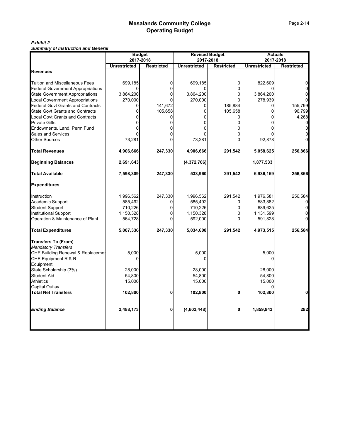# *Exhibit 2*

*Summary of Instruction and General*

| Summary or msuucuon and General              | <b>Budget</b><br>2017-2018 |                   | 2017-2018           | <b>Revised Budget</b> | 2017-2018           | <b>Actuals</b>    |
|----------------------------------------------|----------------------------|-------------------|---------------------|-----------------------|---------------------|-------------------|
|                                              | <b>Unrestricted</b>        | <b>Restricted</b> | <b>Unrestricted</b> | <b>Restricted</b>     | <b>Unrestricted</b> | <b>Restricted</b> |
| <b>Revenues</b>                              |                            |                   |                     |                       |                     |                   |
| <b>Tuition and Miscellaneous Fees</b>        | 699,185                    | 0                 | 699,185             | 0                     | 822,609             |                   |
| <b>Federal Government Appropriations</b>     | U                          | 0                 | 0                   | 0                     |                     |                   |
| <b>State Government Appropriations</b>       | 3,864,200                  | 0                 | 3,864,200           | 0                     | 3,864,200           |                   |
| <b>Local Government Appropriations</b>       | 270,000                    | O                 | 270,000             | O                     | 278,939             |                   |
| <b>Federal Govt Grants and Contracts</b>     | $\Omega$                   | 141,672           | 0                   | 185,884               | 0                   | 155,799           |
| <b>State Govt Grants and Contracts</b>       | 0                          | 105,658           | 0                   | 105,658               | 0                   | 96,799            |
| <b>Local Govt Grants and Contracts</b>       | 0                          | 0                 | 0                   | 0                     | $\Omega$            | 4,268             |
| <b>Private Gifts</b>                         | O                          |                   | O                   | 0                     |                     | $\Omega$          |
| Endowments, Land, Perm Fund                  | U                          |                   | 0                   | 0                     | 0                   |                   |
| <b>Sales and Services</b>                    |                            |                   |                     |                       |                     |                   |
| Other Sources                                | 73,281                     |                   | 73,281              | 0                     | 92,878              |                   |
| <b>Total Revenues</b>                        | 4,906,666                  | 247,330           | 4,906,666           | 291,542               | 5,058,625           | 256,866           |
| <b>Beginning Balances</b>                    | 2,691,643                  |                   | (4,372,706)         |                       | 1,877,533           |                   |
| <b>Total Available</b>                       | 7,598,309                  | 247,330           | 533,960             | 291,542               | 6,936,159           | 256,866           |
| <b>Expenditures</b>                          |                            |                   |                     |                       |                     |                   |
| Instruction                                  | 1,996,562                  | 247,330           | 1,996,562           | 291,542               | 1,976,581           | 256,584           |
| <b>Academic Support</b>                      | 585,492                    |                   | 585,492             |                       | 583,882             |                   |
| <b>Student Support</b>                       | 710,226                    | 0                 | 710,226             | 0                     | 689,625             |                   |
| <b>Institutional Support</b>                 | 1,150,328                  | 0                 | 1,150,328           | 0                     | 1,131,599           |                   |
| Operation & Maintenance of Plant             | 564,728                    |                   | 592,000             | 0                     | 591,828             |                   |
| <b>Total Expenditures</b>                    | 5,007,336                  | 247,330           | 5,034,608           | 291,542               | 4,973,515           | 256,584           |
| <b>Transfers To (From)</b>                   |                            |                   |                     |                       |                     |                   |
| <b>Mandatory Transfers</b>                   |                            |                   |                     |                       |                     |                   |
| <b>CHE Building Renewal &amp; Replacemer</b> | 5,000                      |                   | 5,000               |                       | 5,000               |                   |
| CHE Equipment R & R                          | 0                          |                   | 0                   |                       | 0                   |                   |
| Equipment                                    |                            |                   |                     |                       |                     |                   |
| State Scholarship (3%)                       | 28,000                     |                   | 28,000              |                       | 28,000              |                   |
| <b>Student Aid</b>                           | 54,800                     |                   | 54,800              |                       | 54,800              |                   |
| <b>Athletics</b>                             | 15,000                     |                   | 15,000              |                       | 15,000              |                   |
| Capital Outlay                               |                            |                   |                     |                       |                     |                   |
| <b>Total Net Transfers</b>                   | 102,800                    | 0                 | 102,800             | 0                     | 102,800             | U                 |
| <b>Ending Balance</b>                        | 2,488,173                  | 0                 | (4,603,448)         | 0                     | 1,859,843           | 282               |
|                                              |                            |                   |                     |                       |                     |                   |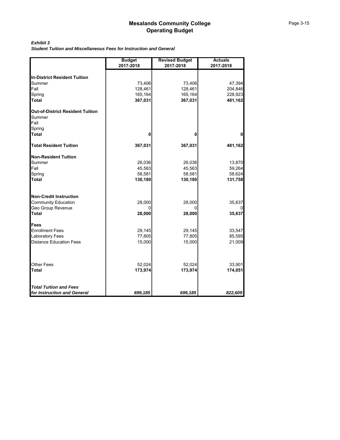#### *Exhibit 3*

*Student Tuition and Miscellaneous Fees for Instruction and General*

|                                                    | <b>Budget</b><br>2017-2018 | <b>Revised Budget</b><br>2017-2018 | <b>Actuals</b><br>2017-2018 |
|----------------------------------------------------|----------------------------|------------------------------------|-----------------------------|
|                                                    |                            |                                    |                             |
| <b>In-District Resident Tuition</b>                |                            |                                    |                             |
| Summer                                             | 73,406                     | 73,406                             | 47,394                      |
| Fall                                               | 128,461                    | 128,461                            | 204,846                     |
| Spring                                             | 165,164                    | 165,164                            | 228,923                     |
| <b>Total</b>                                       | 367,031                    | 367,031                            | 481,162                     |
| Out-of-District Resident Tuition<br>Summer<br>Fall |                            |                                    |                             |
| Spring                                             |                            |                                    |                             |
| <b>Total</b>                                       | 0                          | 0                                  | 0                           |
| <b>Total Resident Tuition</b>                      | 367,031                    | 367,031                            | 481,162                     |
| <b>Non-Resident Tuition</b>                        |                            |                                    |                             |
| Summer                                             | 26,036                     | 26,036                             | 13,870                      |
| Fall                                               | 45,563                     | 45,563                             | 59,264                      |
| Spring                                             | 58,581                     | 58,581                             | 58,624                      |
| <b>Total</b>                                       | 130,180                    | 130,180                            | 131,758                     |
| <b>Non-Credit Instruction</b>                      |                            |                                    |                             |
| <b>Community Education</b>                         | 28,000                     | 28,000                             | 35,637                      |
| Geo Group Revenue                                  | O                          | O                                  |                             |
| <b>Total</b>                                       | 28,000                     | 28,000                             | 35,637                      |
| <b>Fees</b>                                        |                            |                                    |                             |
| <b>Enrollment Fees</b>                             | 29,145                     | 29,145                             | 33,547                      |
| <b>Laboratory Fees</b>                             | 77,805                     | 77,805                             | 85,595                      |
| <b>Distance Education Fees</b>                     | 15,000                     | 15,000                             | 21,009                      |
|                                                    |                            |                                    |                             |
| <b>Other Fees</b><br><b>Total</b>                  | 52,024                     | 52,024                             | 33,901                      |
|                                                    | 173,974                    | 173,974                            | 174,051                     |
| <b>Total Tuition and Fees</b>                      |                            |                                    |                             |
| for Instruction and General                        | 699,185                    | 699,185                            | 822,609                     |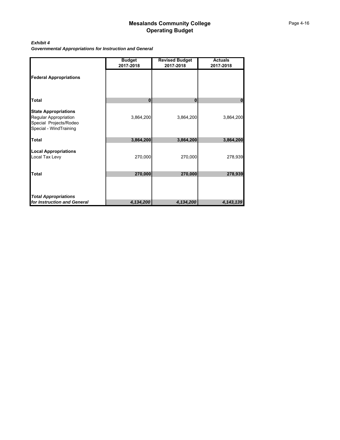#### *Exhibit 4*

*Governmental Appropriations for Instruction and General*

|                                                                                                          | <b>Budget</b><br>2017-2018 | <b>Revised Budget</b><br>2017-2018 | <b>Actuals</b><br>2017-2018 |
|----------------------------------------------------------------------------------------------------------|----------------------------|------------------------------------|-----------------------------|
| <b>Federal Appropriations</b>                                                                            |                            |                                    |                             |
| <b>Total</b>                                                                                             | 0                          | $\bf{0}$                           | 0                           |
| <b>State Appropriations</b><br>Regular Appropriation<br>Special Projects/Rodeo<br>Special - WindTraining | 3,864,200                  | 3,864,200                          | 3,864,200                   |
| <b>Total</b>                                                                                             | 3,864,200                  | 3,864,200                          | 3,864,200                   |
| <b>Local Appropriations</b><br>Local Tax Levy                                                            | 270,000                    | 270,000                            | 278,939                     |
| <b>Total</b>                                                                                             | 270,000                    | 270,000                            | 278,939                     |
|                                                                                                          |                            |                                    |                             |
| <b>Total Appropriations</b>                                                                              |                            |                                    |                             |
| for Instruction and General                                                                              | 4,134,200                  | 4,134,200                          | 4, 143, 139                 |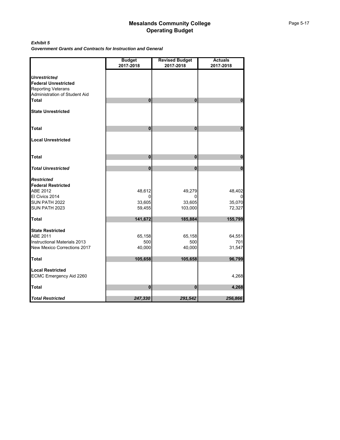#### *Exhibit 5*

*Government Grants and Contracts for Instruction and General*

|                                                                                 | <b>Budget</b><br>2017-2018 | <b>Revised Budget</b><br>2017-2018 | <b>Actuals</b><br>2017-2018 |
|---------------------------------------------------------------------------------|----------------------------|------------------------------------|-----------------------------|
| <b>Unrestricted</b><br><b>Federal Unrestricted</b><br><b>Reporting Veterans</b> |                            |                                    |                             |
| Administration of Student Aid<br><b>Total</b>                                   | $\bf{0}$                   | 0                                  | $\bf{0}$                    |
|                                                                                 |                            |                                    |                             |
| <b>State Unrestricted</b>                                                       |                            |                                    |                             |
| Total                                                                           | $\mathbf{0}$               | 0                                  | $\mathbf 0$                 |
| <b>Local Unrestricted</b>                                                       |                            |                                    |                             |
| <b>Total</b>                                                                    | $\pmb{0}$                  | $\mathbf{0}$                       | $\pmb{0}$                   |
| <b>Total Unrestricted</b>                                                       | $\mathbf{0}$               | $\mathbf{0}$                       | $\mathbf 0$                 |
| <b>Restricted</b><br><b>Federal Restricted</b>                                  |                            |                                    |                             |
| ABE 2012                                                                        | 48,612                     | 49,279                             | 48,402                      |
| El Civics 2014                                                                  | 0                          |                                    | 0                           |
| SUN PATH 2022<br>SUN PATH 2023                                                  | 33,605<br>59,455           | 33,605<br>103,000                  | 35,070<br>72,327            |
|                                                                                 |                            |                                    |                             |
| <b>Total</b>                                                                    | 141,672                    | 185,884                            | 155,799                     |
| <b>State Restricted</b>                                                         |                            |                                    |                             |
| ABE 2011<br>Instructional Materials 2013                                        | 65,158<br>500              | 65,158<br>500                      | 64,551<br>701               |
| <b>New Mexico Corrections 2017</b>                                              | 40,000                     | 40,000                             | 31,547                      |
| <b>Total</b>                                                                    | 105,658                    | 105,658                            | 96,799                      |
| <b>Local Restricted</b><br>ECMC Emergency Aid 2260                              |                            |                                    | 4,268                       |
| Total                                                                           | 0                          | 0                                  | 4,268                       |
| <b>Total Restricted</b>                                                         | 247,330                    | 291,542                            | 256,866                     |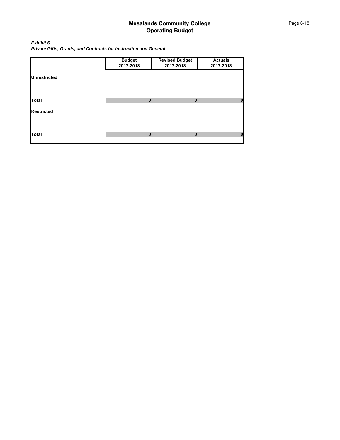*Exhibit 6 Private Gifts, Grants, and Contracts for Instruction and General*

|                     | <b>Budget</b><br>2017-2018 | <b>Revised Budget</b><br>2017-2018 | <b>Actuals</b><br>2017-2018 |
|---------------------|----------------------------|------------------------------------|-----------------------------|
| <b>Unrestricted</b> |                            |                                    |                             |
|                     |                            |                                    |                             |
| <b>Total</b>        | $\Omega$                   | $\mathbf{0}$                       | П                           |
| <b>Restricted</b>   |                            |                                    |                             |
|                     |                            |                                    |                             |
| <b>Total</b>        | $\bf{0}$                   | $\mathbf{0}$                       | Λ                           |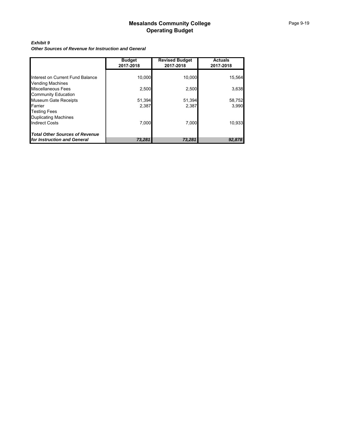#### *Exhibit 9*

*Other Sources of Revenue for Instruction and General*

|                                                             | <b>Budget</b><br>2017-2018 | <b>Revised Budget</b><br>2017-2018 | <b>Actuals</b><br>2017-2018 |
|-------------------------------------------------------------|----------------------------|------------------------------------|-----------------------------|
|                                                             |                            |                                    |                             |
| Interest on Current Fund Balance<br><b>Vending Machines</b> | 10,000                     | 10,000                             | 15,564                      |
| Miscellaneous Fees                                          | 2,500                      | 2,500                              | 3,638                       |
| <b>Community Education</b>                                  |                            |                                    |                             |
| <b>Museum Gate Receipts</b>                                 | 51,394                     | 51,394                             | 58,752                      |
| Farrier                                                     | 2,387                      | 2,387                              | 3,990                       |
| <b>Testing Fees</b>                                         |                            |                                    |                             |
| <b>Duplicating Machines</b>                                 |                            |                                    |                             |
| <b>Indirect Costs</b>                                       | 7.000                      | 7.000                              | 10,933                      |
| <b>Total Other Sources of Revenue</b>                       |                            |                                    |                             |
| for Instruction and General                                 | 73,281                     | 73,281                             | 92,878                      |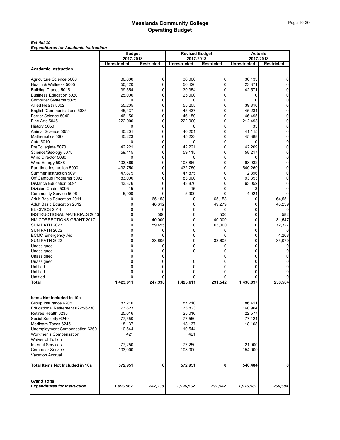#### *Exhibit 10*

*Expenditures for Academic Instruction*

|                                                    | <b>Budget</b>       |                   |                     | <b>Revised Budget</b> | <b>Actuals</b>      |                   |  |  |
|----------------------------------------------------|---------------------|-------------------|---------------------|-----------------------|---------------------|-------------------|--|--|
|                                                    | 2017-2018           |                   |                     | 2017-2018             |                     | 2017-2018         |  |  |
| <b>Academic Instruction</b>                        | <b>Unrestricted</b> | <b>Restricted</b> | <b>Unrestricted</b> | <b>Restricted</b>     | <b>Unrestricted</b> | <b>Restricted</b> |  |  |
|                                                    |                     | 0                 |                     | 0                     |                     |                   |  |  |
| Agriculture Science 5000<br>Health & Wellness 5005 | 36,000<br>50,420    | $\mathbf 0$       | 36,000<br>50,420    | 0                     | 36,133<br>23,871    |                   |  |  |
| <b>Building Trades 5015</b>                        | 39,354              | $\Omega$          | 39,354              | 0                     | 42,571              |                   |  |  |
| <b>Business Education 5020</b>                     | 25,000              | 0                 | 25,000              | 0                     |                     |                   |  |  |
| Computer Systems 5025                              |                     | $\mathbf{0}$      |                     | $\Omega$              |                     |                   |  |  |
| Allied Health 5002                                 | 55,205              | 0                 | 55,205              | 0                     | 39,810              |                   |  |  |
| English/Communications 5035                        | 45,437              | $\Omega$          | 45,437              | 0                     | 45,234              |                   |  |  |
| Farrier Science 5040                               | 46,150              | 0                 | 46,150              | $\mathbf 0$           | 46,495              |                   |  |  |
| Fine Arts 5045                                     | 222,000             | $\mathbf{0}$      | 222,000             | 0                     | 212,493             |                   |  |  |
| History 5050                                       |                     | $\mathbf{0}$      |                     | 0                     | 35                  |                   |  |  |
| Animal Science 5055                                | 40,201              | 0                 | 40,201              | 0                     | 41,115              |                   |  |  |
| Mathematics 5060                                   | 45,223              | $\Omega$          | 45,223              | $\Omega$              | 45,388              |                   |  |  |
| Auto 5010                                          |                     | 0                 |                     | 0                     |                     |                   |  |  |
| PreCollegiate 5070                                 | 42,221              | $\mathbf{0}$      | 42,221              | $\Omega$              | 42,209              |                   |  |  |
|                                                    | 59,115              | 0                 | 59,115              | $\mathbf 0$           | 58,217              |                   |  |  |
| Science/Geology 5075<br>Wind Director 5080         | <sup>0</sup>        | $\Omega$          |                     | $\Omega$              |                     |                   |  |  |
| Wind Energy 5088                                   | 103,869             | $\mathbf{0}$      | 103,869             | 0                     | 98,932              |                   |  |  |
| Part-time Instruction 5090                         | 432,750             | $\Omega$          | 432,750             | 0                     | 540,260             |                   |  |  |
| Summer Instruction 5091                            | 47,875              | $\Omega$          | 47,875              | 0                     | 2,896               |                   |  |  |
| Off Campus Programs 5092                           | 83,000              | $\Omega$          | 83,000              | 0                     | 93,353              |                   |  |  |
| Distance Education 5094                            | 43,876              | $\Omega$          | 43,876              |                       | 63.052              |                   |  |  |
| Division Chairs 5095                               | 15                  | 0                 | 15                  |                       |                     |                   |  |  |
| Community Service 5096                             | 5,900               |                   | 5,900               |                       | 4,024               |                   |  |  |
| <b>Adult Basic Education 2011</b>                  | 0                   | 65,158            | 0                   | 65,158                | 0                   | 64,551            |  |  |
| <b>Adult Basic Education 2012</b>                  |                     | 48,612            | 0                   | 49,279                |                     | 48,239            |  |  |
| EL CIVICS 2014                                     |                     | $\Omega$          | 0                   |                       |                     |                   |  |  |
| <b>INSTRUCTIONAL MATERIALS 2013</b>                |                     | 500               | 0                   | 500                   |                     | 582               |  |  |
| NM CORRECTIONS GRANT 2017                          |                     | 40,000            | 0                   | 40,000                | 0                   | 31,547            |  |  |
| SUN PATH 2023                                      |                     | 59,455            | 0                   | 103,000               | 0                   | 72,327            |  |  |
| SUN PATH 2022                                      |                     | $\Omega$          | $\Omega$            |                       |                     |                   |  |  |
| <b>ECMC Emergency Aid</b>                          |                     | $\Omega$          | 0                   |                       | 0                   | 4,268             |  |  |
| SUN PATH 2022                                      |                     | 33,605            | 0                   | 33,605                | 0                   | 35,070            |  |  |
| Unassigned<br>Unassigned                           |                     | 0                 | 0                   |                       | 0                   |                   |  |  |
|                                                    |                     |                   |                     |                       |                     |                   |  |  |
| Unassigned                                         |                     |                   |                     |                       |                     |                   |  |  |
| Unassigned                                         |                     |                   |                     |                       |                     |                   |  |  |
| <b>Untitled</b>                                    |                     |                   |                     |                       |                     |                   |  |  |
| Untitled                                           |                     |                   |                     |                       |                     |                   |  |  |
| Untitled                                           |                     |                   |                     |                       |                     |                   |  |  |
| <b>Total</b>                                       | 1,423,611           | 247,330           | 1,423,611           | 291,542               | 1,436,097           | 256,584           |  |  |
| Items Not Included in 10a                          |                     |                   |                     |                       |                     |                   |  |  |
| Group Insurance 6205                               | 87,210              |                   | 87,210              |                       | 86,411              |                   |  |  |
| Educational Retirement 6225/6230                   | 173,823             |                   | 173,823             |                       | 160,964             |                   |  |  |
| Retiree Health 6235                                | 25,016              |                   | 25,016              |                       | 22,577              |                   |  |  |
| Social Security 6240                               | 77,550              |                   | 77,550              |                       | 77,424              |                   |  |  |
| Medicare Taxes 6245                                | 18,137              |                   | 18,137              |                       | 18,108              |                   |  |  |
| Unemployment Compensation 6260                     | 10,544              |                   | 10,544              |                       |                     |                   |  |  |
| Workmen's Compensation                             | 421                 |                   | 421                 |                       |                     |                   |  |  |
| Waiver of Tuition                                  |                     |                   |                     |                       |                     |                   |  |  |
| <b>Internal Services</b>                           | 77,250              |                   | 77,250              |                       | 21,000              |                   |  |  |
| <b>Computer Service</b>                            | 103,000             |                   | 103,000             |                       | 154,000             |                   |  |  |
| <b>Vacation Accrual</b>                            |                     |                   |                     |                       |                     |                   |  |  |
| Total Items Not Included in 10a                    | 572,951             | 0                 | 572,951             | 0                     | 540,484             | $\mathbf{0}$      |  |  |
| <b>Grand Total</b>                                 |                     |                   |                     |                       |                     |                   |  |  |
| <b>Expenditures for Instruction</b>                | 1,996,562           | 247,330           | 1,996,562           | 291,542               | 1,976,581           | 256,584           |  |  |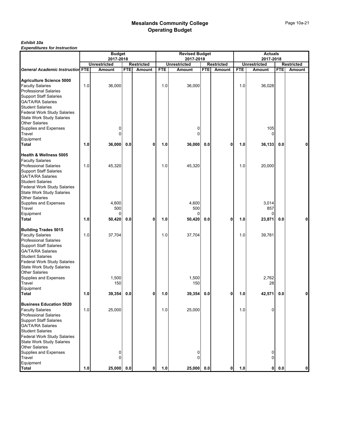#### *Exhibit 10a*

|                                                                                                                                                                                                                                                      |     | <b>Budget</b>                 |            |                             |            | <b>Revised Budget</b>              |            |              |            | <b>Actuals</b>                     |            |             |
|------------------------------------------------------------------------------------------------------------------------------------------------------------------------------------------------------------------------------------------------------|-----|-------------------------------|------------|-----------------------------|------------|------------------------------------|------------|--------------|------------|------------------------------------|------------|-------------|
|                                                                                                                                                                                                                                                      |     | 2017-2018                     |            |                             |            | 2017-2018                          |            |              |            | 2017-2018                          |            |             |
| <b>General Academic Instruction FTE</b>                                                                                                                                                                                                              |     | <b>Unrestricted</b><br>Amount | <b>FTE</b> | <b>Restricted</b><br>Amount | <b>FTE</b> | <b>Unrestricted</b>                |            | Restricted   | <b>FTE</b> | <b>Unrestricted</b>                | <b>FTE</b> | Restricted  |
|                                                                                                                                                                                                                                                      |     |                               |            |                             |            | <b>Amount</b>                      | <b>FTE</b> | Amount       |            | Amount                             |            | Amount      |
| <b>Agriculture Science 5000</b><br><b>Faculty Salaries</b><br><b>Professional Salaries</b><br><b>Support Staff Salaries</b><br><b>GA/TA/RA Salaries</b><br><b>Student Salaries</b>                                                                   | 1.0 | 36,000                        |            |                             | 1.0        | 36,000                             |            |              | 1.0        | 36,028                             |            |             |
| Federal Work Study Salaries<br><b>State Work Study Salaries</b><br><b>Other Salaries</b><br>Supplies and Expenses<br>Travel<br>Equipment                                                                                                             |     | 0                             |            |                             |            | 0<br>$\Omega$                      |            |              |            | 105<br>$\Omega$                    |            |             |
| Total                                                                                                                                                                                                                                                | 1.0 | 36,000                        | 0.0        | 0                           | 1.0        | 36,000                             | 0.0        | $\mathbf 0$  | 1.0        | 36,133                             | 0.0        |             |
| Health & Wellness 5005<br><b>Faculty Salaries</b><br><b>Professional Salaries</b><br><b>Support Staff Salaries</b><br><b>GA/TA/RA Salaries</b><br><b>Student Salaries</b><br>Federal Work Study Salaries<br><b>State Work Study Salaries</b>         | 1.0 | 45,320                        |            |                             | 1.0        | 45,320                             |            |              | 1.0        | 20,000                             |            |             |
| <b>Other Salaries</b><br>Supplies and Expenses<br>Travel<br>Equipment<br><b>Total</b>                                                                                                                                                                | 1.0 | 4,600<br>500<br>0<br>50,420   | 0.0        | 0                           | 1.0        | 4,600<br>500<br>$\Omega$<br>50,420 | 0.0        | 0            | 1.0        | 3,014<br>857<br>$\Omega$<br>23,871 | 0.0        | 0           |
| <b>Building Trades 5015</b><br><b>Faculty Salaries</b><br><b>Professional Salaries</b><br><b>Support Staff Salaries</b><br><b>GA/TA/RA Salaries</b><br><b>Student Salaries</b><br>Federal Work Study Salaries<br><b>State Work Study Salaries</b>    | 1.0 | 37,704                        |            |                             | 1.0        | 37,704                             |            |              | 1.0        | 39,781                             |            |             |
| <b>Other Salaries</b><br>Supplies and Expenses<br>Travel<br>Equipment                                                                                                                                                                                |     | 1,500<br>150                  |            |                             |            | 1,500<br>150                       |            |              |            | 2,762<br>28                        |            |             |
| <b>Total</b>                                                                                                                                                                                                                                         | 1.0 | 39,354                        | 0.0        | 0                           | 1.0        | 39,354                             | 0.0        | $\mathbf{0}$ | 1.0        | 42,571                             | 0.0        | 0           |
| <b>Business Education 5020</b><br><b>Faculty Salaries</b><br><b>Professional Salaries</b><br><b>Support Staff Salaries</b><br><b>GA/TA/RA Salaries</b><br><b>Student Salaries</b><br>Federal Work Study Salaries<br><b>State Work Study Salaries</b> | 1.0 | 25,000                        |            |                             | 1.0        | 25,000                             |            |              | 1.0        | 0                                  |            |             |
| <b>Other Salaries</b><br>Supplies and Expenses<br>Travel<br>Equipment<br><b>Total</b>                                                                                                                                                                | 1.0 | 0<br>0<br>25,000              | 0.0        | 0                           | 1.0        | 0<br>$\Omega$<br>25,000            | 0.0        | $\mathbf{0}$ | 1.0        | 0<br>$\overline{0}$<br>$\mathbf 0$ | 0.0        | $\mathbf 0$ |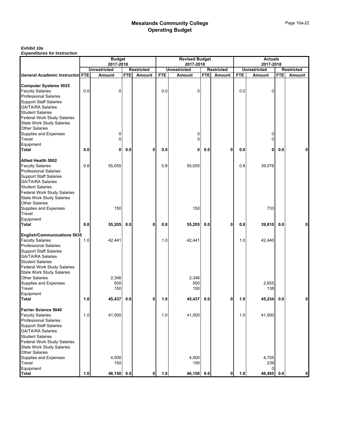#### *Exhibit 10a*

|                                                                                                                                                                                                                           | <b>Budget</b><br>2017-2018 |                     |            | <b>Revised Budget</b><br>2017-2018 |            |                                          |            | <b>Actuals</b><br>2017-2018 |                                          |                   |            |        |
|---------------------------------------------------------------------------------------------------------------------------------------------------------------------------------------------------------------------------|----------------------------|---------------------|------------|------------------------------------|------------|------------------------------------------|------------|-----------------------------|------------------------------------------|-------------------|------------|--------|
|                                                                                                                                                                                                                           |                            | <b>Unrestricted</b> |            | <b>Restricted</b>                  |            | <b>Unrestricted</b><br><b>Restricted</b> |            |                             | <b>Unrestricted</b><br><b>Restricted</b> |                   |            |        |
| <b>General Academic Instruction FTE</b>                                                                                                                                                                                   |                            | Amount              | <b>FTE</b> | Amount                             | <b>FTE</b> | Amount                                   | <b>FTE</b> | Amount                      | <b>FTE</b>                               | Amount            | <b>FTE</b> | Amount |
| <b>Computer Systems 5025</b><br><b>Faculty Salaries</b>                                                                                                                                                                   | 0.0                        | $\Omega$            |            |                                    | 0.0        | 0                                        |            |                             | 0.0                                      | 0                 |            |        |
| <b>Professional Salaries</b><br><b>Support Staff Salaries</b><br><b>GA/TA/RA Salaries</b>                                                                                                                                 |                            |                     |            |                                    |            |                                          |            |                             |                                          |                   |            |        |
| <b>Student Salaries</b><br><b>Federal Work Study Salaries</b><br><b>State Work Study Salaries</b>                                                                                                                         |                            |                     |            |                                    |            |                                          |            |                             |                                          |                   |            |        |
| <b>Other Salaries</b><br>Supplies and Expenses<br>Travel                                                                                                                                                                  |                            | 0<br>$\overline{0}$ |            |                                    |            | 0<br>0                                   |            |                             |                                          | 0<br>$\Omega$     |            |        |
| Equipment<br>Total                                                                                                                                                                                                        | 0.0                        | 0                   | 0.0        | 0                                  | 0.0        | 0                                        | 0.0        | 0                           | 0.0                                      | 0                 | 0.0        | 0      |
| Allied Health 5002                                                                                                                                                                                                        |                            |                     |            |                                    |            |                                          |            |                             |                                          |                   |            |        |
| <b>Faculty Salaries</b><br><b>Professional Salaries</b><br><b>Support Staff Salaries</b><br><b>GA/TA/RA Salaries</b><br><b>Student Salaries</b><br><b>Federal Work Study Salaries</b><br><b>State Work Study Salaries</b> | 0.8                        | 55,055              |            |                                    | 0.8        | 55,055                                   |            |                             | 0.8                                      | 39,076            |            |        |
| <b>Other Salaries</b><br><b>Supplies and Expenses</b><br>Travel                                                                                                                                                           |                            | 150                 |            |                                    |            | 150                                      |            |                             |                                          | 733               |            |        |
| Equipment<br>Total                                                                                                                                                                                                        | 0.8                        | 55,205              | 0.0        | 0                                  | 0.8        | 55,205                                   | 0.0        | 0                           | 0.8                                      | 39,810            | 0.0        | 0      |
| <b>English/Communications 5035</b><br><b>Faculty Salaries</b><br><b>Professional Salaries</b><br><b>Support Staff Salaries</b><br><b>GA/TA/RA Salaries</b><br><b>Student Salaries</b>                                     | 1.0                        | 42,441              |            |                                    | 1.0        | 42,441                                   |            |                             | 1.0                                      | 42,440            |            |        |
| Federal Work Study Salaries<br><b>State Work Study Salaries</b><br><b>Other Salaries</b><br>Supplies and Expenses<br>Travel                                                                                               |                            | 2,346<br>500<br>150 |            |                                    |            | 2,346<br>500<br>150                      |            |                             |                                          | 2,655<br>138      |            |        |
| Equipment<br><b>Total</b>                                                                                                                                                                                                 | 1.0                        | 45,437              | 0.0        | 0                                  | 1.0        | 45,437                                   | 0.0        | 0                           | 1.0                                      | 45,234            | 0.0        | 0      |
| <b>Farrier Science 5040</b><br><b>Faculty Salaries</b><br><b>Professional Salaries</b><br><b>Support Staff Salaries</b><br><b>GA/TA/RA Salaries</b>                                                                       | 1.0                        | 41,500              |            |                                    | 1.0        | 41,500                                   |            |                             | 1.0                                      | 41,500            |            |        |
| <b>Student Salaries</b><br>Federal Work Study Salaries<br><b>State Work Study Salaries</b><br><b>Other Salaries</b>                                                                                                       |                            |                     |            |                                    |            |                                          |            |                             |                                          |                   |            |        |
| Supplies and Expenses<br>Travel<br>Equipment                                                                                                                                                                              |                            | 4,500<br>150        |            |                                    |            | 4,500<br>150                             |            |                             |                                          | 4,755<br>239<br>0 |            |        |
| <b>Total</b>                                                                                                                                                                                                              | 1.0                        | 46,150 0.0          |            | 0                                  | 1.0        | 46,150                                   | 0.0        | 0                           | 1.0                                      | 46,495            | 0.0        | 0      |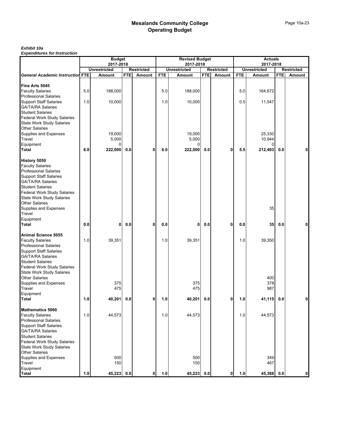#### *Exhibit 10a*

|                                                               |     | <b>Budget</b>                    |            |                   |            | <b>Revised Budget</b>            |            |                             |            | <b>Actuals</b>                   |            |                      |
|---------------------------------------------------------------|-----|----------------------------------|------------|-------------------|------------|----------------------------------|------------|-----------------------------|------------|----------------------------------|------------|----------------------|
|                                                               |     | 2017-2018<br><b>Unrestricted</b> |            | <b>Restricted</b> |            | 2017-2018<br><b>Unrestricted</b> |            |                             |            | 2017-2018<br><b>Unrestricted</b> |            |                      |
| <b>General Academic Instruction FTE</b>                       |     | Amount                           | <b>FTE</b> | Amount            | <b>FTE</b> | Amount                           | <b>FTE</b> | <b>Restricted</b><br>Amount | <b>FTE</b> | Amount                           | <b>FTE</b> | Restricted<br>Amount |
|                                                               |     |                                  |            |                   |            |                                  |            |                             |            |                                  |            |                      |
| Fine Arts 5045                                                |     |                                  |            |                   |            |                                  |            |                             |            |                                  |            |                      |
| <b>Faculty Salaries</b>                                       | 5.0 | 188,000                          |            |                   | 5.0        | 188,000                          |            |                             | 5.0        | 164,672                          |            |                      |
| <b>Professional Salaries</b>                                  |     |                                  |            |                   |            |                                  |            |                             |            |                                  |            |                      |
| <b>Support Staff Salaries</b>                                 | 1.0 | 10,000                           |            |                   | 1.0        | 10,000                           |            |                             | 0.5        | 11,547                           |            |                      |
| <b>GA/TA/RA Salaries</b><br><b>Student Salaries</b>           |     |                                  |            |                   |            |                                  |            |                             |            |                                  |            |                      |
| Federal Work Study Salaries                                   |     |                                  |            |                   |            |                                  |            |                             |            |                                  |            |                      |
| <b>State Work Study Salaries</b>                              |     |                                  |            |                   |            |                                  |            |                             |            |                                  |            |                      |
| <b>Other Salaries</b>                                         |     |                                  |            |                   |            |                                  |            |                             |            |                                  |            |                      |
| <b>Supplies and Expenses</b>                                  |     | 19,000                           |            |                   |            | 19,000                           |            |                             |            | 25,330                           |            |                      |
| Travel                                                        |     | 5,000                            |            |                   |            | 5,000                            |            |                             |            | 10,944                           |            |                      |
| Equipment                                                     |     |                                  |            |                   |            | 0                                |            |                             |            |                                  |            |                      |
| Total                                                         | 6.0 | 222,000                          | 0.0        | 0                 | 6.0        | 222,000                          | 0.0        | $\mathbf 0$                 | 5.5        | 212,493                          | 0.0        |                      |
|                                                               |     |                                  |            |                   |            |                                  |            |                             |            |                                  |            |                      |
| History 5050<br><b>Faculty Salaries</b>                       |     |                                  |            |                   |            |                                  |            |                             |            |                                  |            |                      |
| <b>Professional Salaries</b>                                  |     |                                  |            |                   |            |                                  |            |                             |            |                                  |            |                      |
| <b>Support Staff Salaries</b>                                 |     |                                  |            |                   |            |                                  |            |                             |            |                                  |            |                      |
| <b>GA/TA/RA Salaries</b>                                      |     |                                  |            |                   |            |                                  |            |                             |            |                                  |            |                      |
| <b>Student Salaries</b>                                       |     |                                  |            |                   |            |                                  |            |                             |            |                                  |            |                      |
| <b>Federal Work Study Salaries</b>                            |     |                                  |            |                   |            |                                  |            |                             |            |                                  |            |                      |
| <b>State Work Study Salaries</b>                              |     |                                  |            |                   |            |                                  |            |                             |            |                                  |            |                      |
| <b>Other Salaries</b>                                         |     |                                  |            |                   |            |                                  |            |                             |            |                                  |            |                      |
| Supplies and Expenses<br>Travel                               |     |                                  |            |                   |            |                                  |            |                             |            | 35                               |            |                      |
| Equipment                                                     |     |                                  |            |                   |            |                                  |            |                             |            |                                  |            |                      |
| Total                                                         | 0.0 | 0                                | 0.0        | 0                 | 0.0        | $\mathbf{0}$                     | 0.0        | $\mathbf 0$                 | 0.0        | 35                               | 0.0        |                      |
|                                                               |     |                                  |            |                   |            |                                  |            |                             |            |                                  |            |                      |
| Animal Science 5055                                           |     |                                  |            |                   |            |                                  |            |                             |            |                                  |            |                      |
| <b>Faculty Salaries</b>                                       | 1.0 | 39,351                           |            |                   | 1.0        | 39,351                           |            |                             | 1.0        | 39,350                           |            |                      |
| <b>Professional Salaries</b><br><b>Support Staff Salaries</b> |     |                                  |            |                   |            |                                  |            |                             |            |                                  |            |                      |
| <b>GA/TA/RA Salaries</b>                                      |     |                                  |            |                   |            |                                  |            |                             |            |                                  |            |                      |
| <b>Student Salaries</b>                                       |     |                                  |            |                   |            |                                  |            |                             |            |                                  |            |                      |
| Federal Work Study Salaries                                   |     |                                  |            |                   |            |                                  |            |                             |            |                                  |            |                      |
| <b>State Work Study Salaries</b>                              |     |                                  |            |                   |            |                                  |            |                             |            |                                  |            |                      |
| Other Salaries                                                |     |                                  |            |                   |            |                                  |            |                             |            | 400                              |            |                      |
| Supplies and Expenses                                         |     | 375                              |            |                   |            | 375                              |            |                             |            | 378                              |            |                      |
| Travel                                                        |     | 475                              |            |                   |            | 475                              |            |                             |            | 987                              |            |                      |
| Equipment<br>Total                                            | 1.0 | 40,201                           | 0.0        | 0                 | 1.0        | 40,201                           | 0.0        | 0                           | 1.0        | 41,115                           | 0.0        |                      |
|                                                               |     |                                  |            |                   |            |                                  |            |                             |            |                                  |            |                      |
| <b>Mathematics 5060</b>                                       |     |                                  |            |                   |            |                                  |            |                             |            |                                  |            |                      |
| <b>Faculty Salaries</b>                                       | 1.0 | 44,573                           |            |                   | 1.0        | 44,573                           |            |                             | 1.0        | 44,573                           |            |                      |
| <b>Professional Salaries</b>                                  |     |                                  |            |                   |            |                                  |            |                             |            |                                  |            |                      |
| <b>Support Staff Salaries</b>                                 |     |                                  |            |                   |            |                                  |            |                             |            |                                  |            |                      |
| <b>GA/TA/RA Salaries</b><br><b>Student Salaries</b>           |     |                                  |            |                   |            |                                  |            |                             |            |                                  |            |                      |
| Federal Work Study Salaries                                   |     |                                  |            |                   |            |                                  |            |                             |            |                                  |            |                      |
| <b>State Work Study Salaries</b>                              |     |                                  |            |                   |            |                                  |            |                             |            |                                  |            |                      |
| <b>Other Salaries</b>                                         |     |                                  |            |                   |            |                                  |            |                             |            |                                  |            |                      |
| Supplies and Expenses                                         |     | 500                              |            |                   |            | 500                              |            |                             |            | 349                              |            |                      |
| Travel                                                        |     | 150                              |            |                   |            | 150                              |            |                             |            | 467                              |            |                      |
| Equipment                                                     |     |                                  |            |                   |            |                                  |            |                             |            |                                  |            |                      |
| <b>Total</b>                                                  | 1.0 | 45,223                           | 0.0        | 0                 | 1.0        | 45,223                           | 0.0        | 0                           | 1.0        | 45,388                           | 0.0        | 0                    |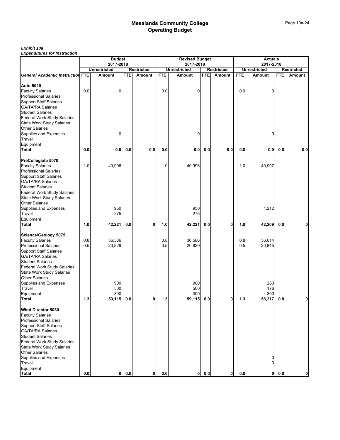#### *Exhibit 10a*

|                                                     |         | <b>Budget</b>                    |            |                   |            | <b>Revised Budget</b>            |            |                   |            | <b>Actuals</b>            |            |                   |
|-----------------------------------------------------|---------|----------------------------------|------------|-------------------|------------|----------------------------------|------------|-------------------|------------|---------------------------|------------|-------------------|
|                                                     |         | 2017-2018<br><b>Unrestricted</b> |            | <b>Restricted</b> |            | 2017-2018<br><b>Unrestricted</b> |            | <b>Restricted</b> |            | 2017-2018<br>Unrestricted |            | <b>Restricted</b> |
| <b>General Academic Instruction FTE</b>             |         | <b>Amount</b>                    | <b>FTE</b> | Amount            | <b>FTE</b> | Amount                           | <b>FTE</b> | Amount            | <b>FTE</b> | Amount                    | <b>FTE</b> | Amount            |
|                                                     |         |                                  |            |                   |            |                                  |            |                   |            |                           |            |                   |
| <b>Auto 5010</b>                                    |         |                                  |            |                   |            |                                  |            |                   |            |                           |            |                   |
| <b>Faculty Salaries</b>                             | 0.0     | 0                                |            |                   | 0.0        | 0                                |            |                   | 0.0        | 0                         |            |                   |
| <b>Professional Salaries</b>                        |         |                                  |            |                   |            |                                  |            |                   |            |                           |            |                   |
| <b>Support Staff Salaries</b>                       |         |                                  |            |                   |            |                                  |            |                   |            |                           |            |                   |
| <b>GA/TA/RA Salaries</b><br><b>Student Salaries</b> |         |                                  |            |                   |            |                                  |            |                   |            |                           |            |                   |
| <b>Federal Work Study Salaries</b>                  |         |                                  |            |                   |            |                                  |            |                   |            |                           |            |                   |
| <b>State Work Study Salaries</b>                    |         |                                  |            |                   |            |                                  |            |                   |            |                           |            |                   |
| <b>Other Salaries</b>                               |         |                                  |            |                   |            |                                  |            |                   |            |                           |            |                   |
| Supplies and Expenses                               |         | 0                                |            |                   |            | $\mathbf 0$                      |            |                   |            | 0                         |            |                   |
| Travel                                              |         |                                  |            |                   |            |                                  |            |                   |            |                           |            |                   |
| Equipment                                           |         |                                  |            |                   |            |                                  |            |                   |            |                           |            |                   |
| <b>Total</b>                                        | 0.0     | 0.0                              | 0.0        | 0.0               | 0.0        | 0.0                              | 0.0        | 0.0               | 0.0        | 0.0                       | 0.0        | 0.0               |
|                                                     |         |                                  |            |                   |            |                                  |            |                   |            |                           |            |                   |
| PreCollegiate 5070                                  |         |                                  |            |                   |            |                                  |            |                   |            |                           |            |                   |
| <b>Faculty Salaries</b>                             | 1.0     | 40,996                           |            |                   | 1.0        | 40,996                           |            |                   | 1.0        | 40,997                    |            |                   |
| <b>Professional Salaries</b>                        |         |                                  |            |                   |            |                                  |            |                   |            |                           |            |                   |
| <b>Support Staff Salaries</b>                       |         |                                  |            |                   |            |                                  |            |                   |            |                           |            |                   |
| <b>GA/TA/RA Salaries</b>                            |         |                                  |            |                   |            |                                  |            |                   |            |                           |            |                   |
| <b>Student Salaries</b>                             |         |                                  |            |                   |            |                                  |            |                   |            |                           |            |                   |
| Federal Work Study Salaries                         |         |                                  |            |                   |            |                                  |            |                   |            |                           |            |                   |
| <b>State Work Study Salaries</b>                    |         |                                  |            |                   |            |                                  |            |                   |            |                           |            |                   |
| <b>Other Salaries</b>                               |         |                                  |            |                   |            |                                  |            |                   |            |                           |            |                   |
| Supplies and Expenses                               |         | 950                              |            |                   |            | 950                              |            |                   |            | 1,212                     |            |                   |
| Travel                                              |         | 275                              |            |                   |            | 275                              |            |                   |            |                           |            |                   |
| Equipment                                           |         |                                  |            |                   |            |                                  |            |                   |            |                           |            |                   |
| <b>Total</b>                                        | 1.0     | 42,221                           | 0.0        | 0                 | 1.0        | 42,221                           | 0.0        | 0                 | 1.0        | 42,209                    | 0.0        | 0                 |
| Science/Geology 5075                                |         |                                  |            |                   |            |                                  |            |                   |            |                           |            |                   |
| <b>Faculty Salaries</b>                             | 0.8     | 36,586                           |            |                   | 0.8        | 36,586                           |            |                   | 0.8        | 36,614                    |            |                   |
| <b>Professional Salaries</b>                        | 0.5     | 20,829                           |            |                   | 0.5        | 20,829                           |            |                   | 0.5        | 20,845                    |            |                   |
| <b>Support Staff Salaries</b>                       |         |                                  |            |                   |            |                                  |            |                   |            |                           |            |                   |
| <b>GA/TA/RA Salaries</b>                            |         |                                  |            |                   |            |                                  |            |                   |            |                           |            |                   |
| <b>Student Salaries</b>                             |         |                                  |            |                   |            |                                  |            |                   |            |                           |            |                   |
| Federal Work Study Salaries                         |         |                                  |            |                   |            |                                  |            |                   |            |                           |            |                   |
| <b>State Work Study Salaries</b>                    |         |                                  |            |                   |            |                                  |            |                   |            |                           |            |                   |
| <b>Other Salaries</b>                               |         |                                  |            |                   |            |                                  |            |                   |            |                           |            |                   |
| Supplies and Expenses                               |         | 900                              |            |                   |            | 900                              |            |                   |            | 283                       |            |                   |
| Travel                                              |         | 500                              |            |                   |            | 500                              |            |                   |            | 176                       |            |                   |
| Equipment                                           |         | 300                              |            |                   |            | 300                              |            |                   |            | 300                       |            |                   |
| Total                                               | 1.3     | 59,115                           | 0.0        | 0                 | 1.3        | 59,115                           | 0.0        | 0                 | 1.3        | 58,217                    | 0.0        | 0                 |
| Wind Director 5080                                  |         |                                  |            |                   |            |                                  |            |                   |            |                           |            |                   |
| <b>Faculty Salaries</b>                             |         |                                  |            |                   |            |                                  |            |                   |            |                           |            |                   |
| <b>Professional Salaries</b>                        |         |                                  |            |                   |            |                                  |            |                   |            |                           |            |                   |
| <b>Support Staff Salaries</b>                       |         |                                  |            |                   |            |                                  |            |                   |            |                           |            |                   |
| <b>GA/TA/RA Salaries</b>                            |         |                                  |            |                   |            |                                  |            |                   |            |                           |            |                   |
| <b>Student Salaries</b>                             |         |                                  |            |                   |            |                                  |            |                   |            |                           |            |                   |
| Federal Work Study Salaries                         |         |                                  |            |                   |            |                                  |            |                   |            |                           |            |                   |
| <b>State Work Study Salaries</b>                    |         |                                  |            |                   |            |                                  |            |                   |            |                           |            |                   |
| <b>Other Salaries</b>                               |         |                                  |            |                   |            |                                  |            |                   |            |                           |            |                   |
| Supplies and Expenses                               |         |                                  |            |                   |            |                                  |            |                   |            | $\overline{0}$            |            |                   |
| Travel                                              |         |                                  |            |                   |            |                                  |            |                   |            | $\mathbf 0$               |            |                   |
| Equipment                                           |         |                                  |            |                   |            |                                  |            |                   |            |                           |            |                   |
| <b>Total</b>                                        | $0.0\,$ | 0                                | 0.0        | $\mathbf 0$       | 0.0        | 0                                | 0.0        | 0                 | 0.0        |                           | $0$ 0.0    | $\mathbf{0}$      |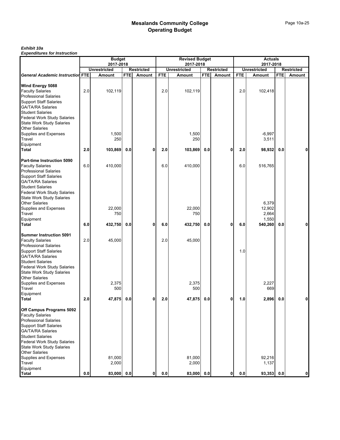*Exhibit 10a Expenditures for Instruction*

|                                                                                                                                                  |         | <b>Budget</b><br>2017-2018 |            |                   |            | <b>Revised Budget</b><br>2017-2018 |            |                   |            | <b>Actuals</b><br>2017-2018       |            |                   |
|--------------------------------------------------------------------------------------------------------------------------------------------------|---------|----------------------------|------------|-------------------|------------|------------------------------------|------------|-------------------|------------|-----------------------------------|------------|-------------------|
|                                                                                                                                                  |         | <b>Unrestricted</b>        |            | <b>Restricted</b> |            | <b>Unrestricted</b>                |            | <b>Restricted</b> |            | <b>Unrestricted</b>               |            | <b>Restricted</b> |
| <b>General Academic Instruction FTE</b>                                                                                                          |         | Amount                     | <b>FTE</b> | Amount            | <b>FTE</b> | Amount                             | <b>FTE</b> | Amount            | <b>FTE</b> | Amount                            | <b>FTE</b> | Amount            |
| Wind Energy 5088                                                                                                                                 |         |                            |            |                   |            |                                    |            |                   |            |                                   |            |                   |
| <b>Faculty Salaries</b><br><b>Professional Salaries</b><br><b>Support Staff Salaries</b>                                                         | 2.0     | 102,119                    |            |                   | 2.0        | 102,119                            |            |                   | 2.0        | 102,418                           |            |                   |
| <b>GA/TA/RA Salaries</b><br><b>Student Salaries</b>                                                                                              |         |                            |            |                   |            |                                    |            |                   |            |                                   |            |                   |
| <b>Federal Work Study Salaries</b><br><b>State Work Study Salaries</b><br><b>Other Salaries</b>                                                  |         |                            |            |                   |            |                                    |            |                   |            |                                   |            |                   |
| Supplies and Expenses<br>Travel                                                                                                                  |         | 1,500<br>250               |            |                   |            | 1,500<br>250                       |            |                   |            | $-6,997$<br>3,511                 |            |                   |
| Equipment<br>Total                                                                                                                               | 2.0     | 103,869                    | 0.0        | 0                 | 2.0        | 103,869                            | 0.0        | 0                 | 2.0        | 98,932                            | 0.0        | 0                 |
| Part-time Instruction 5090<br><b>Faculty Salaries</b><br><b>Professional Salaries</b><br><b>Support Staff Salaries</b>                           | $6.0\,$ | 410,000                    |            |                   | 6.0        | 410,000                            |            |                   | 6.0        | 516,765                           |            |                   |
| <b>GA/TA/RA Salaries</b><br><b>Student Salaries</b><br>Federal Work Study Salaries<br><b>State Work Study Salaries</b>                           |         |                            |            |                   |            |                                    |            |                   |            |                                   |            |                   |
| <b>Other Salaries</b><br>Supplies and Expenses<br>Travel                                                                                         |         | 22,000<br>750              |            |                   |            | 22,000<br>750                      |            |                   |            | 6,379<br>12,902<br>2,664<br>1,550 |            |                   |
| Equipment<br><b>Total</b>                                                                                                                        | 6.0     | 432,750                    | 0.0        | 0                 | 6.0        | 432,750                            | 0.0        | 0                 | 6.0        | 540,260                           | 0.0        | 0                 |
| <b>Summer Instruction 5091</b><br><b>Faculty Salaries</b><br><b>Professional Salaries</b>                                                        | 2.0     | 45,000                     |            |                   | 2.0        | 45,000                             |            |                   |            |                                   |            |                   |
| <b>Support Staff Salaries</b><br><b>GA/TA/RA Salaries</b><br><b>Student Salaries</b><br>Federal Work Study Salaries                              |         |                            |            |                   |            |                                    |            |                   | 1.0        |                                   |            |                   |
| <b>State Work Study Salaries</b><br><b>Other Salaries</b><br>Supplies and Expenses<br>Travel                                                     |         | 2,375<br>500               |            |                   |            | 2,375<br>500                       |            |                   |            | 2,227<br>669                      |            |                   |
| Equipment<br><b>Total</b>                                                                                                                        | 2.0     | 47,875                     | 0.0        | 0                 | 2.0        | 47,875                             | 0.0        | 0                 | 1.0        | 2,896                             | 0.0        | $\mathbf{0}$      |
| Off Campus Programs 5092<br><b>Faculty Salaries</b><br><b>Professional Salaries</b><br><b>Support Staff Salaries</b><br><b>GA/TA/RA Salaries</b> |         |                            |            |                   |            |                                    |            |                   |            |                                   |            |                   |
| <b>Student Salaries</b><br>Federal Work Study Salaries<br><b>State Work Study Salaries</b>                                                       |         |                            |            |                   |            |                                    |            |                   |            |                                   |            |                   |
| <b>Other Salaries</b><br>Supplies and Expenses<br>Travel                                                                                         |         | 81,000<br>2,000            |            |                   |            | 81,000<br>2,000                    |            |                   |            | 92,216<br>1,137                   |            |                   |
| Equipment<br><b>Total</b>                                                                                                                        | $0.0\,$ | 83,000 0.0                 |            | 0                 | 0.0        | 83,000 0.0                         |            | 0                 | 0.0        | 93,353 0.0                        |            | $\mathbf{0}$      |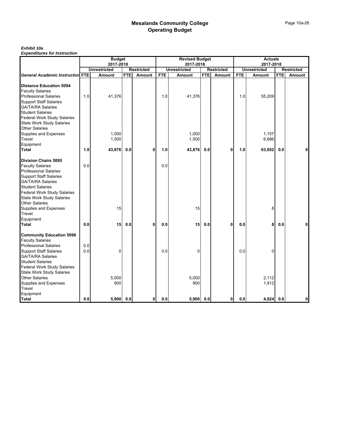#### *Exhibit 10a*

|                                                           |     | <b>Budget</b>       |            |                   |            | <b>Revised Budget</b> |            |                   |            | <b>Actuals</b>      |            |                   |
|-----------------------------------------------------------|-----|---------------------|------------|-------------------|------------|-----------------------|------------|-------------------|------------|---------------------|------------|-------------------|
|                                                           |     | 2017-2018           |            |                   |            | 2017-2018             |            |                   |            | 2017-2018           |            |                   |
|                                                           |     | <b>Unrestricted</b> |            | <b>Restricted</b> |            | <b>Unrestricted</b>   |            | <b>Restricted</b> |            | <b>Unrestricted</b> |            | <b>Restricted</b> |
| <b>General Academic Instruction FTE</b>                   |     | Amount              | <b>FTE</b> | Amount            | <b>FTE</b> | Amount                | <b>FTE</b> | Amount            | <b>FTE</b> | Amount              | <b>FTE</b> | Amount            |
| <b>Distance Education 5094</b>                            |     |                     |            |                   |            |                       |            |                   |            |                     |            |                   |
| <b>Faculty Salaries</b>                                   |     |                     |            |                   |            |                       |            |                   |            |                     |            |                   |
| <b>Professional Salaries</b>                              | 1.0 | 41,376              |            |                   | 1.0        | 41,376                |            |                   | 1.0        | 55,209              |            |                   |
| <b>Support Staff Salaries</b>                             |     |                     |            |                   |            |                       |            |                   |            |                     |            |                   |
| <b>GA/TA/RA Salaries</b>                                  |     |                     |            |                   |            |                       |            |                   |            |                     |            |                   |
| <b>Student Salaries</b>                                   |     |                     |            |                   |            |                       |            |                   |            |                     |            |                   |
| Federal Work Study Salaries                               |     |                     |            |                   |            |                       |            |                   |            |                     |            |                   |
| <b>State Work Study Salaries</b><br><b>Other Salaries</b> |     |                     |            |                   |            |                       |            |                   |            |                     |            |                   |
| Supplies and Expenses                                     |     | 1,000               |            |                   |            | 1,000                 |            |                   |            | 1,157               |            |                   |
| Travel                                                    |     | 1,500               |            |                   |            | 1,500                 |            |                   |            | 6,686               |            |                   |
| Equipment                                                 |     |                     |            |                   |            |                       |            |                   |            |                     |            |                   |
| <b>Total</b>                                              | 1.0 | 43,876              | 0.0        | 0                 | 1.0        | 43,876                | 0.0        | 0                 | 1.0        | 63,052              | 0.0        |                   |
|                                                           |     |                     |            |                   |            |                       |            |                   |            |                     |            |                   |
| <b>Division Chairs 5095</b>                               |     |                     |            |                   |            |                       |            |                   |            |                     |            |                   |
| <b>Faculty Salaries</b>                                   | 0.0 |                     |            |                   | 0.0        |                       |            |                   |            |                     |            |                   |
| <b>Professional Salaries</b>                              |     |                     |            |                   |            |                       |            |                   |            |                     |            |                   |
| <b>Support Staff Salaries</b>                             |     |                     |            |                   |            |                       |            |                   |            |                     |            |                   |
| <b>GA/TA/RA Salaries</b>                                  |     |                     |            |                   |            |                       |            |                   |            |                     |            |                   |
| <b>Student Salaries</b>                                   |     |                     |            |                   |            |                       |            |                   |            |                     |            |                   |
| <b>Federal Work Study Salaries</b>                        |     |                     |            |                   |            |                       |            |                   |            |                     |            |                   |
| <b>State Work Study Salaries</b>                          |     |                     |            |                   |            |                       |            |                   |            |                     |            |                   |
| <b>Other Salaries</b>                                     |     |                     |            |                   |            |                       |            |                   |            |                     |            |                   |
| Supplies and Expenses                                     |     | 15                  |            |                   |            | 15                    |            |                   |            | 8                   |            |                   |
| Travel                                                    |     |                     |            |                   |            |                       |            |                   |            |                     |            |                   |
| Equipment                                                 |     |                     |            |                   |            |                       |            |                   |            |                     |            |                   |
| <b>Total</b>                                              | 0.0 | 15                  | 0.0        | 0                 | 0.0        | 15                    | 0.0        | 0                 | 0.0        | 8                   | 0.0        |                   |
| <b>Community Education 5096</b>                           |     |                     |            |                   |            |                       |            |                   |            |                     |            |                   |
| <b>Faculty Salaries</b>                                   |     |                     |            |                   |            |                       |            |                   |            |                     |            |                   |
| <b>Professional Salaries</b>                              | 0.0 |                     |            |                   |            |                       |            |                   |            |                     |            |                   |
| <b>Support Staff Salaries</b>                             | 0.0 | 0                   |            |                   | 0.0        | 0                     |            |                   | 0.0        | 0                   |            |                   |
| <b>GA/TA/RA Salaries</b>                                  |     |                     |            |                   |            |                       |            |                   |            |                     |            |                   |
| <b>Student Salaries</b>                                   |     |                     |            |                   |            |                       |            |                   |            |                     |            |                   |
| Federal Work Study Salaries                               |     |                     |            |                   |            |                       |            |                   |            |                     |            |                   |
| <b>State Work Study Salaries</b>                          |     |                     |            |                   |            |                       |            |                   |            |                     |            |                   |
| <b>Other Salaries</b>                                     |     | 5,000               |            |                   |            | 5,000                 |            |                   |            | 2,112               |            |                   |
| Supplies and Expenses                                     |     | 900                 |            |                   |            | 900                   |            |                   |            | 1,912               |            |                   |
| Travel                                                    |     |                     |            |                   |            |                       |            |                   |            |                     |            |                   |
| Equipment                                                 |     |                     |            |                   |            |                       |            |                   |            |                     |            |                   |
| Total                                                     | 0.0 | 5,900 0.0           |            | 0                 | 0.0        | 5,900                 | 0.0        | 0                 | 0.0        | $4,024$ 0.0         |            | 0                 |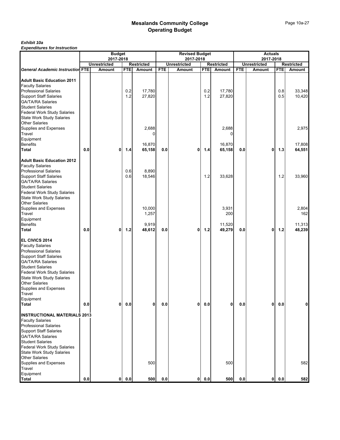# *Exhibit 10a*

|                                                                                                                                                                                                                                                                                                                               |         | <b>Budget</b><br>2017-2018 |            |                                    |            | <b>Revised Budget</b><br>2017-2018 |              |                                  |            | <b>Actuals</b><br>2017-2018 |            |                                  |
|-------------------------------------------------------------------------------------------------------------------------------------------------------------------------------------------------------------------------------------------------------------------------------------------------------------------------------|---------|----------------------------|------------|------------------------------------|------------|------------------------------------|--------------|----------------------------------|------------|-----------------------------|------------|----------------------------------|
|                                                                                                                                                                                                                                                                                                                               |         | <b>Unrestricted</b>        |            | <b>Restricted</b>                  |            | <b>Unrestricted</b>                |              | <b>Restricted</b>                |            | <b>Unrestricted</b>         |            | <b>Restricted</b>                |
| <b>General Academic Instruction FTE</b>                                                                                                                                                                                                                                                                                       |         | Amount                     | <b>FTE</b> | Amount                             | <b>FTE</b> | <b>Amount</b>                      | <b>FTE</b>   | Amount                           | <b>FTE</b> | Amount                      | <b>FTE</b> | Amount                           |
| <b>Adult Basic Education 2011</b><br><b>Faculty Salaries</b><br><b>Professional Salaries</b><br><b>Support Staff Salaries</b><br><b>GA/TA/RA Salaries</b><br><b>Student Salaries</b><br><b>Federal Work Study Salaries</b>                                                                                                    |         |                            | 0.2<br>1.2 | 17,780<br>27,820                   |            |                                    | 0.2<br>$1.2$ | 17,780<br>27,820                 |            |                             | 0.8<br>0.5 | 33,348<br>10,420                 |
| <b>State Work Study Salaries</b><br><b>Other Salaries</b><br>Supplies and Expenses<br>Travel<br>Equipment                                                                                                                                                                                                                     |         |                            |            | 2,688                              |            |                                    |              | 2,688                            |            |                             |            | 2,975                            |
| <b>Benefits</b>                                                                                                                                                                                                                                                                                                               |         |                            |            | 16,870                             |            |                                    |              | 16,870                           |            |                             |            | 17,808                           |
| Total                                                                                                                                                                                                                                                                                                                         | $0.0\,$ | 0                          | $1.4$      | 65,158                             | 0.0        | 0                                  | $1.4$        | 65,158                           | 0.0        | 0                           | 1.3        | 64,551                           |
| <b>Adult Basic Education 2012</b><br><b>Faculty Salaries</b><br><b>Professional Salaries</b><br><b>Support Staff Salaries</b><br><b>GA/TA/RA Salaries</b><br><b>Student Salaries</b><br>Federal Work Study Salaries<br>State Work Study Salaries                                                                              |         |                            | 0.6<br>0.6 | 8,890<br>18,546                    |            |                                    | 1.2          | 33,628                           |            |                             | 1.2        | 33,960                           |
| <b>Other Salaries</b><br>Supplies and Expenses<br>Travel<br>Equipment<br><b>Benefits</b><br>Total                                                                                                                                                                                                                             | 0.0     | 0                          | $1.2$      | 10,000<br>1,257<br>9,919<br>48,612 | 0.0        | 0                                  | $1.2$        | 3,931<br>200<br>11,520<br>49,279 | 0.0        | 0                           | $1.2$      | 2,804<br>162<br>11,313<br>48,239 |
| EL CIVICS 2014<br><b>Faculty Salaries</b><br><b>Professional Salaries</b><br><b>Support Staff Salaries</b><br><b>GA/TA/RA Salaries</b><br><b>Student Salaries</b><br>Federal Work Study Salaries<br><b>State Work Study Salaries</b><br><b>Other Salaries</b><br>Supplies and Expenses<br>Travel<br>Equipment<br><b>Total</b> | 0.0     | 0                          | 0.0        | $\mathbf{0}$                       | 0.0        | 0                                  | $0.0\,$      | 0                                | $0.0\,$    | $\mathbf{0}$                | 0.0        | 0                                |
| <b>INSTRUCTIONAL MATERIALS 2013</b><br><b>Faculty Salaries</b><br><b>Professional Salaries</b><br><b>Support Staff Salaries</b><br><b>GA/TA/RA Salaries</b><br><b>Student Salaries</b><br>Federal Work Study Salaries<br><b>State Work Study Salaries</b><br><b>Other Salaries</b><br>Supplies and Expenses                   |         |                            |            | 500                                |            |                                    |              | 500                              |            |                             |            | 582                              |
| Travel<br>Equipment<br><b>Total</b>                                                                                                                                                                                                                                                                                           | $0.0\,$ | $\mathbf{0}$               | 0.0        | 500                                | 0.0        | 0                                  | $0.0\,$      | 500                              | 0.0        | $\mathbf{0}$                | 0.0        | 582                              |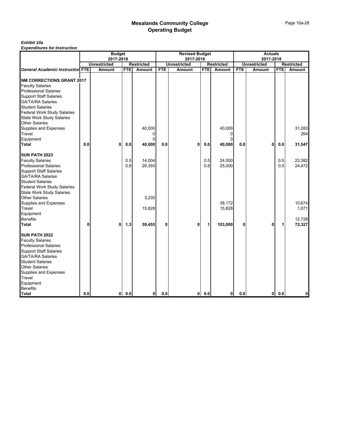#### *Exhibit 10a*

|                                         |     | <b>Budget</b>       |            |                   |              | <b>Revised Budget</b> |            |                   |            | <b>Actuals</b>      |            |                   |
|-----------------------------------------|-----|---------------------|------------|-------------------|--------------|-----------------------|------------|-------------------|------------|---------------------|------------|-------------------|
|                                         |     | 2017-2018           |            |                   |              | 2017-2018             |            |                   |            | 2017-2018           |            |                   |
|                                         |     | <b>Unrestricted</b> |            | <b>Restricted</b> |              | <b>Unrestricted</b>   |            | <b>Restricted</b> |            | <b>Unrestricted</b> |            | <b>Restricted</b> |
| <b>General Academic Instruction FTE</b> |     | Amount              | <b>FTE</b> | Amount            | <b>FTE</b>   | Amount                | <b>FTE</b> | <b>Amount</b>     | <b>FTE</b> | Amount              | <b>FTE</b> | Amount            |
|                                         |     |                     |            |                   |              |                       |            |                   |            |                     |            |                   |
| <b>NM CORRECTIONS GRANT 2017</b>        |     |                     |            |                   |              |                       |            |                   |            |                     |            |                   |
| <b>Faculty Salaries</b>                 |     |                     |            |                   |              |                       |            |                   |            |                     |            |                   |
| <b>Professional Salaries</b>            |     |                     |            |                   |              |                       |            |                   |            |                     |            |                   |
| <b>Support Staff Salaries</b>           |     |                     |            |                   |              |                       |            |                   |            |                     |            |                   |
| <b>GA/TA/RA Salaries</b>                |     |                     |            |                   |              |                       |            |                   |            |                     |            |                   |
| <b>Student Salaries</b>                 |     |                     |            |                   |              |                       |            |                   |            |                     |            |                   |
| <b>Federal Work Study Salaries</b>      |     |                     |            |                   |              |                       |            |                   |            |                     |            |                   |
| <b>State Work Study Salaries</b>        |     |                     |            |                   |              |                       |            |                   |            |                     |            |                   |
| <b>Other Salaries</b>                   |     |                     |            |                   |              |                       |            |                   |            |                     |            |                   |
| <b>Supplies and Expenses</b>            |     |                     |            | 40,000            |              |                       |            | 40,000            |            |                     |            | 31,283            |
| Travel                                  |     |                     |            |                   |              |                       |            | $\Omega$          |            |                     |            | 264               |
| Equipment                               |     |                     |            | $\Omega$          |              |                       |            | $\mathbf{0}$      |            |                     |            |                   |
| Total                                   | 0.0 | 0                   | 0.0        | 40,000            | 0.0          | 0                     | 0.0        | 40,000            | 0.0        | 0                   | 0.0        | 31,547            |
| <b>SUN PATH 2023</b>                    |     |                     |            |                   |              |                       |            |                   |            |                     |            |                   |
| <b>Faculty Salaries</b>                 |     |                     | 0.5        | 14,004            |              |                       | 0.5        | 24,000            |            |                     | 0.5        | 23,382            |
| <b>Professional Salaries</b>            |     |                     | 0.8        | 26,393            |              |                       | 0.8        | 25,000            |            |                     | 0.5        | 24,472            |
| <b>Support Staff Salaries</b>           |     |                     |            |                   |              |                       |            |                   |            |                     |            |                   |
| <b>GA/TA/RA Salaries</b>                |     |                     |            |                   |              |                       |            |                   |            |                     |            |                   |
| <b>Student Salaries</b>                 |     |                     |            |                   |              |                       |            |                   |            |                     |            |                   |
| Federal Work Study Salaries             |     |                     |            |                   |              |                       |            |                   |            |                     |            |                   |
| <b>State Work Study Salaries</b>        |     |                     |            |                   |              |                       |            |                   |            |                     |            |                   |
| <b>Other Salaries</b>                   |     |                     |            | 3,230             |              |                       |            |                   |            |                     |            |                   |
| Supplies and Expenses                   |     |                     |            |                   |              |                       |            | 38,172            |            |                     |            | 10,674            |
| Travel                                  |     |                     |            | 15,828            |              |                       |            | 15,828            |            |                     |            | 1,071             |
| Equipment                               |     |                     |            |                   |              |                       |            |                   |            |                     |            |                   |
| <b>Benefits</b>                         |     |                     |            |                   |              |                       |            |                   |            |                     |            | 12,728            |
| <b>Total</b>                            | 0   | $\mathbf{0}$        | 1.3        | 59,455            | $\mathbf{0}$ | 0                     | 1          | 103,000           | 0          | 0                   | 1          | 72,327            |
|                                         |     |                     |            |                   |              |                       |            |                   |            |                     |            |                   |
| SUN PATH 2022                           |     |                     |            |                   |              |                       |            |                   |            |                     |            |                   |
| <b>Faculty Salaries</b>                 |     |                     |            |                   |              |                       |            |                   |            |                     |            |                   |
| <b>Professional Salaries</b>            |     |                     |            |                   |              |                       |            |                   |            |                     |            |                   |
| <b>Support Staff Salaries</b>           |     |                     |            |                   |              |                       |            |                   |            |                     |            |                   |
| <b>GA/TA/RA Salaries</b>                |     |                     |            |                   |              |                       |            |                   |            |                     |            |                   |
| <b>Student Salaries</b>                 |     |                     |            |                   |              |                       |            |                   |            |                     |            |                   |
| <b>Other Salaries</b>                   |     |                     |            |                   |              |                       |            |                   |            |                     |            |                   |
| <b>Supplies and Expenses</b>            |     |                     |            |                   |              |                       |            |                   |            |                     |            |                   |
| Travel                                  |     |                     |            |                   |              |                       |            |                   |            |                     |            |                   |
| Equipment                               |     |                     |            |                   |              |                       |            |                   |            |                     |            |                   |
| <b>Benefits</b>                         |     |                     |            |                   |              |                       |            |                   |            |                     |            |                   |
| <b>Total</b>                            | 0.0 | $\mathbf{0}$        | 0.0        | $\mathbf{0}$      | 0.0          | 0l                    | 0.0        | $\mathbf{0}$      | 0.0        | 0                   | 0.0        | 0                 |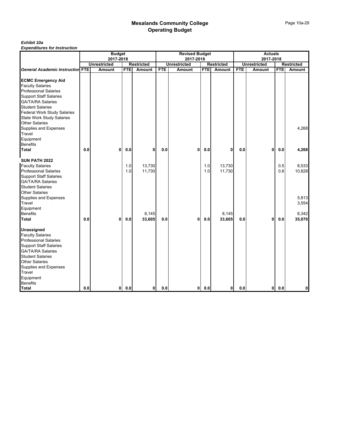#### *Exhibit 10a*

|                                         |     | <b>Budget</b>       |            |                   |            | <b>Revised Budget</b> |            |                   |            | <b>Actuals</b>      |            |                   |
|-----------------------------------------|-----|---------------------|------------|-------------------|------------|-----------------------|------------|-------------------|------------|---------------------|------------|-------------------|
|                                         |     | 2017-2018           |            |                   |            | 2017-2018             |            |                   |            | 2017-2018           |            |                   |
|                                         |     | <b>Unrestricted</b> |            | <b>Restricted</b> |            | <b>Unrestricted</b>   |            | <b>Restricted</b> |            | <b>Unrestricted</b> |            | <b>Restricted</b> |
| <b>General Academic Instruction FTE</b> |     | Amount              | <b>FTE</b> | Amount            | <b>FTE</b> | Amount                | <b>FTE</b> | Amount            | <b>FTE</b> | Amount              | <b>FTE</b> | Amount            |
|                                         |     |                     |            |                   |            |                       |            |                   |            |                     |            |                   |
| <b>ECMC Emergency Aid</b>               |     |                     |            |                   |            |                       |            |                   |            |                     |            |                   |
| <b>Faculty Salaries</b>                 |     |                     |            |                   |            |                       |            |                   |            |                     |            |                   |
| <b>Professional Salaries</b>            |     |                     |            |                   |            |                       |            |                   |            |                     |            |                   |
| <b>Support Staff Salaries</b>           |     |                     |            |                   |            |                       |            |                   |            |                     |            |                   |
| <b>GA/TA/RA Salaries</b>                |     |                     |            |                   |            |                       |            |                   |            |                     |            |                   |
| <b>Student Salaries</b>                 |     |                     |            |                   |            |                       |            |                   |            |                     |            |                   |
| <b>Federal Work Study Salaries</b>      |     |                     |            |                   |            |                       |            |                   |            |                     |            |                   |
| State Work Study Salaries               |     |                     |            |                   |            |                       |            |                   |            |                     |            |                   |
| <b>Other Salaries</b>                   |     |                     |            |                   |            |                       |            |                   |            |                     |            |                   |
| Supplies and Expenses                   |     |                     |            |                   |            |                       |            |                   |            |                     |            | 4,268             |
| Travel                                  |     |                     |            |                   |            |                       |            |                   |            |                     |            |                   |
| Equipment                               |     |                     |            |                   |            |                       |            |                   |            |                     |            |                   |
| Benefits                                |     |                     |            |                   |            |                       |            |                   |            |                     |            |                   |
| <b>Total</b>                            | 0.0 | 0                   | 0.0        | 0                 | 0.0        | $\mathbf{0}$          | 0.0        | $\mathbf 0$       | $0.0\,$    | 0                   | $0.0\,$    | 4,268             |
| SUN PATH 2022                           |     |                     |            |                   |            |                       |            |                   |            |                     |            |                   |
| <b>Faculty Salaries</b>                 |     |                     | 1.0        | 13,730            |            |                       | 1.0        | 13,730            |            |                     | 0.5        | 8,533             |
| <b>Professional Salaries</b>            |     |                     | 1.0        | 11,730            |            |                       | 1.0        | 11,730            |            |                     | 0.8        | 10,828            |
| <b>Support Staff Salaries</b>           |     |                     |            |                   |            |                       |            |                   |            |                     |            |                   |
| <b>GA/TA/RA Salaries</b>                |     |                     |            |                   |            |                       |            |                   |            |                     |            |                   |
| <b>Student Salaries</b>                 |     |                     |            |                   |            |                       |            |                   |            |                     |            |                   |
| <b>Other Salaries</b>                   |     |                     |            |                   |            |                       |            |                   |            |                     |            |                   |
| <b>Supplies and Expenses</b>            |     |                     |            |                   |            |                       |            |                   |            |                     |            | 5,813             |
| <b>Travel</b>                           |     |                     |            |                   |            |                       |            |                   |            |                     |            | 3,554             |
| Equipment                               |     |                     |            |                   |            |                       |            |                   |            |                     |            |                   |
| <b>Benefits</b>                         |     |                     |            | 8,145             |            |                       |            | 8,145             |            |                     |            | 6,342             |
| Total                                   | 0.0 | 0                   | 0.0        | 33,605            | 0.0        | 0                     | 0.0        | 33,605            | 0.0        | 0                   | 0.0        | 35,070            |
|                                         |     |                     |            |                   |            |                       |            |                   |            |                     |            |                   |
| Unassigned                              |     |                     |            |                   |            |                       |            |                   |            |                     |            |                   |
| <b>Faculty Salaries</b>                 |     |                     |            |                   |            |                       |            |                   |            |                     |            |                   |
| <b>Professional Salaries</b>            |     |                     |            |                   |            |                       |            |                   |            |                     |            |                   |
| <b>Support Staff Salaries</b>           |     |                     |            |                   |            |                       |            |                   |            |                     |            |                   |
| <b>GA/TA/RA Salaries</b>                |     |                     |            |                   |            |                       |            |                   |            |                     |            |                   |
| <b>Student Salaries</b>                 |     |                     |            |                   |            |                       |            |                   |            |                     |            |                   |
| <b>Other Salaries</b>                   |     |                     |            |                   |            |                       |            |                   |            |                     |            |                   |
| Supplies and Expenses                   |     |                     |            |                   |            |                       |            |                   |            |                     |            |                   |
| Travel                                  |     |                     |            |                   |            |                       |            |                   |            |                     |            |                   |
| Equipment                               |     |                     |            |                   |            |                       |            |                   |            |                     |            |                   |
| <b>Benefits</b>                         |     |                     |            |                   |            |                       |            |                   |            |                     |            |                   |
| <b>Total</b>                            | 0.0 | $\mathbf{0}$        | 0.0        | οI                | 0.0        | 0                     | 0.0        | $\mathbf{0}$      | 0.0        | 0                   | 0.0        | 0                 |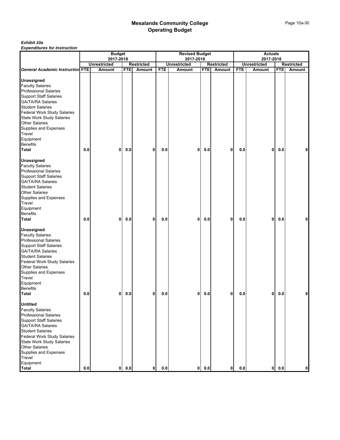#### *Exhibit 10a*

|                                                           |         | <b>Budget</b>                 |            |                                    |            | <b>Revised Budget</b>         |            |                             |            | <b>Actuals</b>                |            |                             |
|-----------------------------------------------------------|---------|-------------------------------|------------|------------------------------------|------------|-------------------------------|------------|-----------------------------|------------|-------------------------------|------------|-----------------------------|
|                                                           |         | 2017-2018                     |            |                                    |            | 2017-2018                     |            |                             |            | 2017-2018                     |            |                             |
| <b>General Academic Instruction FTE</b>                   |         | <b>Unrestricted</b><br>Amount | <b>FTE</b> | <b>Restricted</b><br><b>Amount</b> | <b>FTE</b> | <b>Unrestricted</b><br>Amount | <b>FTE</b> | <b>Restricted</b><br>Amount | <b>FTE</b> | <b>Unrestricted</b><br>Amount | <b>FTE</b> | <b>Restricted</b><br>Amount |
|                                                           |         |                               |            |                                    |            |                               |            |                             |            |                               |            |                             |
| Unassigned                                                |         |                               |            |                                    |            |                               |            |                             |            |                               |            |                             |
| <b>Faculty Salaries</b>                                   |         |                               |            |                                    |            |                               |            |                             |            |                               |            |                             |
| <b>Professional Salaries</b>                              |         |                               |            |                                    |            |                               |            |                             |            |                               |            |                             |
| <b>Support Staff Salaries</b>                             |         |                               |            |                                    |            |                               |            |                             |            |                               |            |                             |
| <b>GA/TA/RA Salaries</b>                                  |         |                               |            |                                    |            |                               |            |                             |            |                               |            |                             |
| <b>Student Salaries</b>                                   |         |                               |            |                                    |            |                               |            |                             |            |                               |            |                             |
| Federal Work Study Salaries                               |         |                               |            |                                    |            |                               |            |                             |            |                               |            |                             |
| <b>State Work Study Salaries</b>                          |         |                               |            |                                    |            |                               |            |                             |            |                               |            |                             |
| <b>Other Salaries</b>                                     |         |                               |            |                                    |            |                               |            |                             |            |                               |            |                             |
| Supplies and Expenses                                     |         |                               |            |                                    |            |                               |            |                             |            |                               |            |                             |
| Travel                                                    |         |                               |            |                                    |            |                               |            |                             |            |                               |            |                             |
| Equipment                                                 |         |                               |            |                                    |            |                               |            |                             |            |                               |            |                             |
| <b>Benefits</b>                                           |         |                               |            |                                    |            |                               |            |                             |            |                               |            |                             |
| Total                                                     | 0.0     | 0                             | 0.0        | 0                                  | 0.0        | 0                             | 0.0        | 0                           | 0.0        | 0                             | 0.0        | 0                           |
|                                                           |         |                               |            |                                    |            |                               |            |                             |            |                               |            |                             |
| <b>Unassigned</b>                                         |         |                               |            |                                    |            |                               |            |                             |            |                               |            |                             |
| <b>Faculty Salaries</b><br><b>Professional Salaries</b>   |         |                               |            |                                    |            |                               |            |                             |            |                               |            |                             |
|                                                           |         |                               |            |                                    |            |                               |            |                             |            |                               |            |                             |
| <b>Support Staff Salaries</b><br><b>GA/TA/RA Salaries</b> |         |                               |            |                                    |            |                               |            |                             |            |                               |            |                             |
| <b>Student Salaries</b>                                   |         |                               |            |                                    |            |                               |            |                             |            |                               |            |                             |
| <b>Other Salaries</b>                                     |         |                               |            |                                    |            |                               |            |                             |            |                               |            |                             |
| Supplies and Expenses                                     |         |                               |            |                                    |            |                               |            |                             |            |                               |            |                             |
| Travel                                                    |         |                               |            |                                    |            |                               |            |                             |            |                               |            |                             |
| Equipment                                                 |         |                               |            |                                    |            |                               |            |                             |            |                               |            |                             |
| <b>Benefits</b>                                           |         |                               |            |                                    |            |                               |            |                             |            |                               |            |                             |
| Total                                                     | $0.0\,$ | 0                             | 0.0        | 0                                  | 0.0        | 0                             | 0.0        | 0                           | 0.0        | 0                             | 0.0        | 0                           |
|                                                           |         |                               |            |                                    |            |                               |            |                             |            |                               |            |                             |
| <b>Unassigned</b>                                         |         |                               |            |                                    |            |                               |            |                             |            |                               |            |                             |
| <b>Faculty Salaries</b>                                   |         |                               |            |                                    |            |                               |            |                             |            |                               |            |                             |
| <b>Professional Salaries</b>                              |         |                               |            |                                    |            |                               |            |                             |            |                               |            |                             |
| <b>Support Staff Salaries</b>                             |         |                               |            |                                    |            |                               |            |                             |            |                               |            |                             |
| <b>GA/TA/RA Salaries</b>                                  |         |                               |            |                                    |            |                               |            |                             |            |                               |            |                             |
| <b>Student Salaries</b>                                   |         |                               |            |                                    |            |                               |            |                             |            |                               |            |                             |
| Federal Work Study Salaries                               |         |                               |            |                                    |            |                               |            |                             |            |                               |            |                             |
| <b>Other Salaries</b>                                     |         |                               |            |                                    |            |                               |            |                             |            |                               |            |                             |
| Supplies and Expenses                                     |         |                               |            |                                    |            |                               |            |                             |            |                               |            |                             |
| Travel                                                    |         |                               |            |                                    |            |                               |            |                             |            |                               |            |                             |
| Equipment                                                 |         |                               |            |                                    |            |                               |            |                             |            |                               |            |                             |
| <b>Benefits</b>                                           |         |                               |            |                                    |            |                               |            |                             |            |                               |            |                             |
| <b>Total</b>                                              | $0.0\,$ | 0                             | 0.0        | 0                                  | 0.0        | 0                             | 0.0        | 0                           | 0.0        | $\mathbf{0}$                  | 0.0        | 0                           |
|                                                           |         |                               |            |                                    |            |                               |            |                             |            |                               |            |                             |
| <b>Untitled</b>                                           |         |                               |            |                                    |            |                               |            |                             |            |                               |            |                             |
| <b>Faculty Salaries</b>                                   |         |                               |            |                                    |            |                               |            |                             |            |                               |            |                             |
| <b>Professional Salaries</b>                              |         |                               |            |                                    |            |                               |            |                             |            |                               |            |                             |
| <b>Support Staff Salaries</b>                             |         |                               |            |                                    |            |                               |            |                             |            |                               |            |                             |
| <b>GA/TA/RA Salaries</b>                                  |         |                               |            |                                    |            |                               |            |                             |            |                               |            |                             |
| <b>Student Salaries</b>                                   |         |                               |            |                                    |            |                               |            |                             |            |                               |            |                             |
| Federal Work Study Salaries                               |         |                               |            |                                    |            |                               |            |                             |            |                               |            |                             |
| <b>State Work Study Salaries</b>                          |         |                               |            |                                    |            |                               |            |                             |            |                               |            |                             |
| <b>Other Salaries</b>                                     |         |                               |            |                                    |            |                               |            |                             |            |                               |            |                             |
| Supplies and Expenses                                     |         |                               |            |                                    |            |                               |            |                             |            |                               |            |                             |
| Travel                                                    |         |                               |            |                                    |            |                               |            |                             |            |                               |            |                             |
| Equipment                                                 |         |                               |            |                                    |            |                               |            |                             |            |                               |            |                             |
| <b>Total</b>                                              | $0.0\,$ |                               | 0 0.0      | $\mathbf{0}$                       | 0.0        | 0                             | $0.0\,$    | $\mathbf 0$                 | 0.0        | 0                             | 0.0        | 0                           |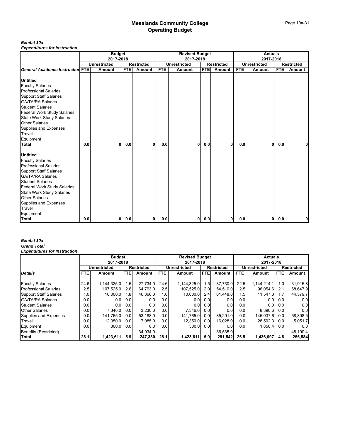#### *Exhibit 10a*

*Expenditures for Instruction*

|                                         |     | <b>Budget</b>       |            |                   |            | <b>Revised Budget</b> |            |                   |     | <b>Actuals</b>      |            |                   |
|-----------------------------------------|-----|---------------------|------------|-------------------|------------|-----------------------|------------|-------------------|-----|---------------------|------------|-------------------|
|                                         |     | 2017-2018           |            |                   |            | 2017-2018             |            |                   |     | 2017-2018           |            |                   |
|                                         |     | <b>Unrestricted</b> |            | <b>Restricted</b> |            | <b>Unrestricted</b>   |            | <b>Restricted</b> |     | <b>Unrestricted</b> |            | <b>Restricted</b> |
| <b>General Academic Instruction FTE</b> |     | Amount              | <b>FTE</b> | Amount            | <b>FTE</b> | Amount                | <b>FTE</b> | Amount            | FTE | Amount              | <b>FTE</b> | Amount            |
|                                         |     |                     |            |                   |            |                       |            |                   |     |                     |            |                   |
| <b>Untitled</b>                         |     |                     |            |                   |            |                       |            |                   |     |                     |            |                   |
| <b>Faculty Salaries</b>                 |     |                     |            |                   |            |                       |            |                   |     |                     |            |                   |
| <b>Professional Salaries</b>            |     |                     |            |                   |            |                       |            |                   |     |                     |            |                   |
| <b>Support Staff Salaries</b>           |     |                     |            |                   |            |                       |            |                   |     |                     |            |                   |
| <b>GA/TA/RA Salaries</b>                |     |                     |            |                   |            |                       |            |                   |     |                     |            |                   |
| <b>Student Salaries</b>                 |     |                     |            |                   |            |                       |            |                   |     |                     |            |                   |
| <b>Federal Work Study Salaries</b>      |     |                     |            |                   |            |                       |            |                   |     |                     |            |                   |
| <b>State Work Study Salaries</b>        |     |                     |            |                   |            |                       |            |                   |     |                     |            |                   |
| <b>Other Salaries</b>                   |     |                     |            |                   |            |                       |            |                   |     |                     |            |                   |
| Supplies and Expenses                   |     |                     |            |                   |            |                       |            |                   |     |                     |            |                   |
| Travel                                  |     |                     |            |                   |            |                       |            |                   |     |                     |            |                   |
| Equipment                               |     |                     |            |                   |            |                       |            |                   |     |                     |            |                   |
| <b>Total</b>                            | 0.0 | 0                   | 0.0        | $\mathbf{0}$      | 0.0        | 0                     | 0.0        | 0                 | 0.0 | 0                   | 0.0        | 0                 |
| <b>Untitled</b>                         |     |                     |            |                   |            |                       |            |                   |     |                     |            |                   |
| <b>Faculty Salaries</b>                 |     |                     |            |                   |            |                       |            |                   |     |                     |            |                   |
| <b>Professional Salaries</b>            |     |                     |            |                   |            |                       |            |                   |     |                     |            |                   |
| <b>Support Staff Salaries</b>           |     |                     |            |                   |            |                       |            |                   |     |                     |            |                   |
| <b>GA/TA/RA Salaries</b>                |     |                     |            |                   |            |                       |            |                   |     |                     |            |                   |
| <b>Student Salaries</b>                 |     |                     |            |                   |            |                       |            |                   |     |                     |            |                   |
| <b>Federal Work Study Salaries</b>      |     |                     |            |                   |            |                       |            |                   |     |                     |            |                   |
| <b>State Work Study Salaries</b>        |     |                     |            |                   |            |                       |            |                   |     |                     |            |                   |
| <b>Other Salaries</b>                   |     |                     |            |                   |            |                       |            |                   |     |                     |            |                   |
| Supplies and Expenses                   |     |                     |            |                   |            |                       |            |                   |     |                     |            |                   |
| <b>Travel</b>                           |     |                     |            |                   |            |                       |            |                   |     |                     |            |                   |
| Equipment                               |     |                     |            |                   |            |                       |            |                   |     |                     |            |                   |
| Total                                   | 0.0 | 01                  | 0.0        | 01                | 0.0        | 01                    | 0.0        | $\mathbf{0}$      | 0.0 | 01                  | 0.0        | 0                 |

#### *Exhibit 10a Grand Total*

|                               |                  | <b>Budget</b>       |                  |                   |                  | <b>Revised Budget</b> |                  |                   |                  | <b>Actuals</b>      |            |                   |
|-------------------------------|------------------|---------------------|------------------|-------------------|------------------|-----------------------|------------------|-------------------|------------------|---------------------|------------|-------------------|
|                               |                  | 2017-2018           |                  |                   |                  | 2017-2018             |                  |                   |                  | 2017-2018           |            |                   |
|                               |                  | <b>Unrestricted</b> |                  | <b>Restricted</b> |                  | <b>Unrestricted</b>   |                  | <b>Restricted</b> |                  | <b>Unrestricted</b> |            | <b>Restricted</b> |
| <b>Details</b>                | <b>FTE</b>       | Amount              | <b>FTE</b>       | Amount            | <b>FTE</b>       | Amount                | <b>FTE</b>       | <b>Amount</b>     | <b>FTE</b>       | Amount              | <b>FTE</b> | <b>Amount</b>     |
|                               |                  |                     |                  |                   |                  |                       |                  |                   |                  |                     |            |                   |
| <b>Faculty Salaries</b>       | 24.6             | 1,144,325.0         | .5 <sub>1</sub>  | 27.734.0          | 24.6             | 1,144,325.0           | 1.5              | 37,730.0          | 22.5             | 1,144,214.1         | 1.0        | 31,915.8          |
| <b>Professional Salaries</b>  | 2.5              | 107.525.0           | 2.6              | 64.793.0          | 2.5              | 107.525.0             | 2.0              | 54.510.0          | 2.5              | 96.054.6            | 2.1        | 68.647.9          |
| <b>Support Staff Salaries</b> | 1.0 <sub>l</sub> | 10.000.0            | 1.8              | 46.366.0          | 1.0 <sub>l</sub> | 10.000.0              | 2.4              | 61.448.0          | 1.5              | 11,547.3            | 1.7        | 44,379.7          |
| <b>GA/TA/RA Salaries</b>      | 0.0              | 0.01                | 0.01             | 0.0               | 0.0              | 0.0                   | 0.0              | 0.0               | 0.01             | 0.01                | 0.0        | 0.0               |
| <b>Student Salaries</b>       | 0.0              | 0.01                | 0.0              | 0.0               | 0.0              | 0.01                  | 0.0              | 0.01              | 0.0 <sub>1</sub> | 0.01                | 0.0        | 0.0               |
| <b>Other Salaries</b>         | 0.0              | 7.346.0             | 0.0 <sub>l</sub> | 3.230.0           | 0.0              | 7,346.0               | 0.0 <sub>l</sub> | 0.01              | 0.0 <sub>1</sub> | 8.890.6             | 0.0        | 0.0               |
| Supplies and Expenses         | 0.0              | 141,765.0           | 0.0              | 53.188.0          | 0.0              | 141,765.0             | 0.0 <sub>l</sub> | 85.291.0          | 0.0              | 145.037.6           | 0.0        | 58,398.5          |
| Travel                        | 0.0              | 12.350.0            | 0.01             | 17.085.0          | 0.0              | 12,350.0              | 0.0 <sub>l</sub> | 16.028.0          | 0.0 <sub>1</sub> | 28,502.3            | 0.0        | 5,051.7           |
| Equipment                     | 0.0              | 300.0               | 0.01             | 0.0               | 0.0              | 300.0                 | 0.0 <sub>l</sub> | 0.01              | 0.0 <sub>1</sub> | 1.850.4             | 0.01       | 0.0 <sub>l</sub>  |
| Benefits (Restricted)         |                  |                     |                  | 34.934.0          |                  |                       |                  | 36.535.0          |                  |                     |            | 48,190.4          |
| Total                         | 28.1             | 1,423,611           | 5.9              | 247,330           | 28.1             | 1,423,611             | 5.91             | 291,542           | 26.5             | 1,436,097           | 4.81       | 256,584           |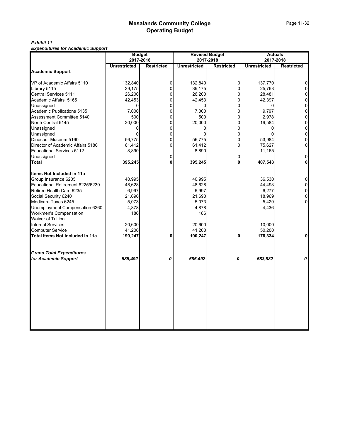*Exhibit 11 Expenditures for Academic Support*

| <b>Lybenatures for Academic Support</b> | <b>Budget</b>       | 2017-2018         |                     | <b>Revised Budget</b><br>2017-2018 |                     | <b>Actuals</b><br>2017-2018 |
|-----------------------------------------|---------------------|-------------------|---------------------|------------------------------------|---------------------|-----------------------------|
|                                         | <b>Unrestricted</b> | <b>Restricted</b> | <b>Unrestricted</b> | <b>Restricted</b>                  | <b>Unrestricted</b> | <b>Restricted</b>           |
| <b>Academic Support</b>                 |                     |                   |                     |                                    |                     |                             |
| VP of Academic Affairs 5110             | 132,840             | 0                 | 132,840             | $\overline{0}$                     | 137,770             | $\Omega$                    |
| Library 5115                            | 39,175              | $\Omega$          | 39,175              | $\overline{0}$                     | 25,763              | $\overline{0}$              |
| Central Services 5111                   | 26,200              | 0                 | 26,200              | $\overline{0}$                     | 28,481              | 0                           |
| Academic Affairs 5165                   | 42,453              | 0                 | 42,453              | $\Omega$                           | 42,397              | $\mathbf 0$                 |
| Unassigned                              | 0                   | $\Omega$          | 0                   | $\Omega$                           | $\Omega$            | $\mathbf 0$                 |
| Academic Publications 5135              | 7,000               | $\Omega$          | 7,000               | $\Omega$                           | 9.797               | $\mathbf 0$                 |
| Assessment Committee 5140               | 500                 | $\Omega$          | 500                 | $\overline{0}$                     | 2,978               | $\mathbf 0$                 |
| North Central 5145                      | 20,000              | 0                 | 20,000              | $\Omega$                           | 19,584              | $\mathbf 0$                 |
| Unassigned                              | $\Omega$            | 0                 | 0                   | $\overline{0}$                     | 0                   | $\mathbf 0$                 |
| Unassigned                              | $\Omega$            | $\Omega$          | $\mathbf{0}$        | $\Omega$                           | $\Omega$            | $\overline{0}$              |
| Dinosaur Museum 5160                    | 56,775              | 0                 | 56,775              | $\Omega$                           | 53,984              | $\overline{0}$              |
| Director of Academic Affairs 5180       | 61,412              | $\Omega$          | 61,412              | $\Omega$                           | 75,627              | $\overline{0}$              |
| <b>Educational Services 5112</b>        | 8,890               |                   | 8,890               |                                    | 11,165              |                             |
| Unassigned                              |                     | 0                 |                     | $\Omega$                           |                     | 0                           |
| Total                                   | 395,245             | O                 | 395,245             | $\Omega$                           | 407,548             | <sup>0</sup>                |
| Items Not Included in 11a               |                     |                   |                     |                                    |                     |                             |
| Group Insurance 6205                    | 40,995              |                   | 40,995              |                                    | 36,530              | 0                           |
| Educational Retirement 6225/6230        | 48,628              |                   | 48,628              |                                    | 44,493              | $\mathbf 0$                 |
| Retiree Health Care 6235                | 6,997               |                   | 6,997               |                                    | 6,277               | 0                           |
| Social Security 6240                    | 21,690              |                   | 21,690              |                                    | 18,969              | $\mathbf 0$                 |
| Medicare Taxes 6245                     | 5,073               |                   | 5,073               |                                    | 5,429               | $\overline{0}$              |
| Unemployment Compensation 6260          | 4,878               |                   | 4,878               |                                    | 4,436               |                             |
| <b>Workmen's Compensation</b>           | 186                 |                   | 186                 |                                    |                     |                             |
| <b>Waiver of Tuition</b>                |                     |                   |                     |                                    |                     |                             |
| <b>Internal Services</b>                | 20,600              |                   | 20,600              |                                    | 10.000              |                             |
| <b>Computer Service</b>                 | 41,200              |                   | 41,200              |                                    | 50,200              |                             |
| Total Items Not Included in 11a         | 190,247             | 0                 | 190,247             | 0                                  | 176,334             | $\mathbf 0$                 |
|                                         |                     |                   |                     |                                    |                     |                             |
| <b>Grand Total Expenditures</b>         |                     |                   |                     |                                    |                     |                             |
| for Academic Support                    | 585,492             | 0                 | 585,492             | 0                                  | 583,882             | 0                           |
|                                         |                     |                   |                     |                                    |                     |                             |
|                                         |                     |                   |                     |                                    |                     |                             |
|                                         |                     |                   |                     |                                    |                     |                             |
|                                         |                     |                   |                     |                                    |                     |                             |
|                                         |                     |                   |                     |                                    |                     |                             |
|                                         |                     |                   |                     |                                    |                     |                             |
|                                         |                     |                   |                     |                                    |                     |                             |
|                                         |                     |                   |                     |                                    |                     |                             |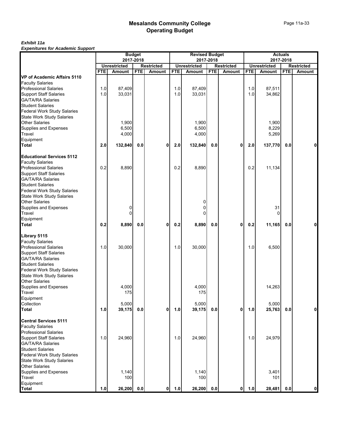#### *Exhibit 11a Expenitures for Academic Support*

|                                                                            |            |                                      | <b>Budget</b> |                                    |            | <b>Revised Budget</b>                |            |                             |            | <b>Actuals</b>                |            |                                    |
|----------------------------------------------------------------------------|------------|--------------------------------------|---------------|------------------------------------|------------|--------------------------------------|------------|-----------------------------|------------|-------------------------------|------------|------------------------------------|
|                                                                            |            | 2017-2018                            |               |                                    |            | 2017-2018                            |            |                             |            | 2017-2018                     |            |                                    |
|                                                                            | <b>FTE</b> | <b>Unrestricted</b><br><b>Amount</b> | <b>FTE</b>    | <b>Restricted</b><br><b>Amount</b> | <b>FTE</b> | <b>Unrestricted</b><br><b>Amount</b> | <b>FTE</b> | <b>Restricted</b><br>Amount | <b>FTE</b> | <b>Unrestricted</b><br>Amount | <b>FTE</b> | <b>Restricted</b><br><b>Amount</b> |
| VP of Academic Affairs 5110                                                |            |                                      |               |                                    |            |                                      |            |                             |            |                               |            |                                    |
| <b>Faculty Salaries</b>                                                    |            |                                      |               |                                    |            |                                      |            |                             |            |                               |            |                                    |
| <b>Professional Salaries</b>                                               | 1.0        | 87,409                               |               |                                    | 1.0        | 87,409                               |            |                             | 1.0        | 87,511                        |            |                                    |
|                                                                            | 1.0        | 33,031                               |               |                                    | 1.0        | 33,031                               |            |                             | 1.0        | 34,862                        |            |                                    |
| Support Staff Salaries<br>GA/TA/RA Salaries                                |            |                                      |               |                                    |            |                                      |            |                             |            |                               |            |                                    |
| <b>Student Salaries</b>                                                    |            |                                      |               |                                    |            |                                      |            |                             |            |                               |            |                                    |
| Federal Work Study Salaries<br>State Work Study Salaries<br>Other Salaries |            |                                      |               |                                    |            |                                      |            |                             |            |                               |            |                                    |
|                                                                            |            |                                      |               |                                    |            |                                      |            |                             |            |                               |            |                                    |
|                                                                            |            | 1,900                                |               |                                    |            | 1,900                                |            |                             |            | 1,900                         |            |                                    |
| Supplies and Expenses                                                      |            | 6,500                                |               |                                    |            | 6,500                                |            |                             |            | 8,229                         |            |                                    |
| Travel<br>Equipment                                                        |            | 4,000                                |               |                                    |            | 4,000                                |            |                             |            | 5,269                         |            |                                    |
|                                                                            |            |                                      |               |                                    |            |                                      |            |                             |            |                               |            |                                    |
| <b>Total</b>                                                               | 2.0        | 132,840                              | 0.0           | 0                                  | 2.0        | 132,840                              | 0.0        | 0                           | 2.0        | 137,770                       | 0.0        | 0                                  |
| <b>Educational Services 5112</b>                                           |            |                                      |               |                                    |            |                                      |            |                             |            |                               |            |                                    |
| <b>Faculty Salaries</b>                                                    |            |                                      |               |                                    |            |                                      |            |                             |            |                               |            |                                    |
| <b>Professional Salaries</b>                                               | 0.2        | 8,890                                |               |                                    | 0.2        | 8,890                                |            |                             | 0.2        | 11,134                        |            |                                    |
|                                                                            |            |                                      |               |                                    |            |                                      |            |                             |            |                               |            |                                    |
| Support Staff Salaries<br>GA/TA/RA Salaries                                |            |                                      |               |                                    |            |                                      |            |                             |            |                               |            |                                    |
| <b>Student Salaries</b>                                                    |            |                                      |               |                                    |            |                                      |            |                             |            |                               |            |                                    |
| <b>Federal Work Study Salaries</b>                                         |            |                                      |               |                                    |            |                                      |            |                             |            |                               |            |                                    |
| State Work Study Salaries                                                  |            |                                      |               |                                    |            |                                      |            |                             |            |                               |            |                                    |
| <b>Other Salaries</b>                                                      |            |                                      |               |                                    |            | 0                                    |            |                             |            |                               |            |                                    |
| Supplies and Expenses<br>Travel                                            |            | 0                                    |               |                                    |            | 0                                    |            |                             |            | 31                            |            |                                    |
|                                                                            |            | 0                                    |               |                                    |            | 0                                    |            |                             |            | 0                             |            |                                    |
| Equipment                                                                  |            |                                      |               |                                    |            |                                      |            |                             |            |                               |            |                                    |
| <b>Total</b>                                                               | 0.2        | 8,890                                | 0.0           | 0                                  | 0.2        | 8,890                                | 0.0        | 0                           | 0.2        | 11,165                        | 0.0        | 0                                  |
| Library 5115                                                               |            |                                      |               |                                    |            |                                      |            |                             |            |                               |            |                                    |
| <b>Faculty Salaries</b>                                                    |            |                                      |               |                                    |            |                                      |            |                             |            |                               |            |                                    |
| <b>Professional Salaries</b>                                               | 1.0        | 30,000                               |               |                                    | 1.0        | 30,000                               |            |                             | 1.0        | 6,500                         |            |                                    |
| <b>Support Staff Salaries</b>                                              |            |                                      |               |                                    |            |                                      |            |                             |            |                               |            |                                    |
| GA/TA/RA Salaries                                                          |            |                                      |               |                                    |            |                                      |            |                             |            |                               |            |                                    |
|                                                                            |            |                                      |               |                                    |            |                                      |            |                             |            |                               |            |                                    |
| Student Salaries<br>Federal Work Study Salaries                            |            |                                      |               |                                    |            |                                      |            |                             |            |                               |            |                                    |
| <b>State Work Study Salaries</b>                                           |            |                                      |               |                                    |            |                                      |            |                             |            |                               |            |                                    |
| <b>Other Salaries</b>                                                      |            |                                      |               |                                    |            |                                      |            |                             |            |                               |            |                                    |
| Supplies and Expenses<br>Travel                                            |            | 4,000                                |               |                                    |            | 4,000                                |            |                             |            | 14,263                        |            |                                    |
|                                                                            |            | 175                                  |               |                                    |            | 175                                  |            |                             |            |                               |            |                                    |
| Equipment                                                                  |            |                                      |               |                                    |            |                                      |            |                             |            |                               |            |                                    |
| Collection<br>Total                                                        |            | 5,000                                |               |                                    |            | 5,000                                |            |                             |            | 5,000                         |            |                                    |
|                                                                            | 1.0        | 39,175                               | $0.0\,$       | $\mathbf 0$                        | 1.0        | 39,175                               | 0.0        | $\mathbf 0$                 | 1.0        | 25,763                        | 0.0        | $\mathbf 0$                        |
| <b>Central Services 5111</b>                                               |            |                                      |               |                                    |            |                                      |            |                             |            |                               |            |                                    |
| <b>Faculty Salaries</b>                                                    |            |                                      |               |                                    |            |                                      |            |                             |            |                               |            |                                    |
| <b>Professional Salaries</b>                                               |            |                                      |               |                                    |            |                                      |            |                             |            |                               |            |                                    |
| <b>Support Staff Salaries</b>                                              | 1.0        | 24,960                               |               |                                    | 1.0        | 24,960                               |            |                             | 1.0        | 24,979                        |            |                                    |
| <b>GA/TA/RA Salaries</b>                                                   |            |                                      |               |                                    |            |                                      |            |                             |            |                               |            |                                    |
| <b>Student Salaries</b>                                                    |            |                                      |               |                                    |            |                                      |            |                             |            |                               |            |                                    |
| <b>Federal Work Study Salaries</b>                                         |            |                                      |               |                                    |            |                                      |            |                             |            |                               |            |                                    |
|                                                                            |            |                                      |               |                                    |            |                                      |            |                             |            |                               |            |                                    |
| State Work Study Salaries<br>Other Salaries                                |            |                                      |               |                                    |            |                                      |            |                             |            |                               |            |                                    |
| Supplies and Expenses                                                      |            | 1,140                                |               |                                    |            | 1,140                                |            |                             |            | 3,401                         |            |                                    |
| Travel                                                                     |            | 100                                  |               |                                    |            | 100                                  |            |                             |            | 101                           |            |                                    |
| Equipment                                                                  |            |                                      |               |                                    |            |                                      |            |                             |            |                               |            |                                    |
| <b>Total</b>                                                               | 1.0        | 26,200                               | $0.0\,$       | $\mathbf 0$                        | 1.0        | 26,200                               | 0.0        | $\mathbf 0$                 | 1.0        | 28,481                        | 0.0        | $\mathbf 0$                        |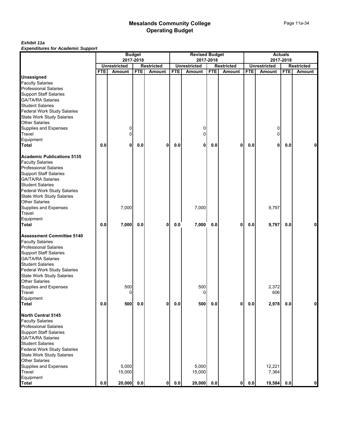#### *Exhibit 11a Expenditures for Academic Support*

|                                    |            |                     | <b>Budget</b> |                             |                | <b>Revised Budget</b> |            |                             |            |                     | <b>Actuals</b> |                             |
|------------------------------------|------------|---------------------|---------------|-----------------------------|----------------|-----------------------|------------|-----------------------------|------------|---------------------|----------------|-----------------------------|
|                                    |            | <b>Unrestricted</b> | 2017-2018     |                             |                | <b>Unrestricted</b>   | 2017-2018  |                             |            | <b>Unrestricted</b> | 2017-2018      |                             |
|                                    | <b>FTE</b> | Amount              | <b>FTE</b>    | <b>Restricted</b><br>Amount | <b>FTE</b>     | Amount                | <b>FTE</b> | <b>Restricted</b><br>Amount | <b>FTE</b> | Amount              | <b>FTE</b>     | <b>Restricted</b><br>Amount |
| <b>Unassigned</b>                  |            |                     |               |                             |                |                       |            |                             |            |                     |                |                             |
| <b>Faculty Salaries</b>            |            |                     |               |                             |                |                       |            |                             |            |                     |                |                             |
| <b>Professional Salaries</b>       |            |                     |               |                             |                |                       |            |                             |            |                     |                |                             |
| <b>Support Staff Salaries</b>      |            |                     |               |                             |                |                       |            |                             |            |                     |                |                             |
| <b>GA/TA/RA Salaries</b>           |            |                     |               |                             |                |                       |            |                             |            |                     |                |                             |
| <b>Student Salaries</b>            |            |                     |               |                             |                |                       |            |                             |            |                     |                |                             |
| <b>Federal Work Study Salaries</b> |            |                     |               |                             |                |                       |            |                             |            |                     |                |                             |
| <b>State Work Study Salaries</b>   |            |                     |               |                             |                |                       |            |                             |            |                     |                |                             |
| <b>Other Salaries</b>              |            |                     |               |                             |                |                       |            |                             |            |                     |                |                             |
| Supplies and Expenses              |            | 0                   |               |                             |                | 0                     |            |                             |            | 0                   |                |                             |
|                                    |            | 0                   |               |                             |                | $\Omega$              |            |                             |            | $\Omega$            |                |                             |
| Travel                             |            |                     |               |                             |                |                       |            |                             |            |                     |                |                             |
| Equipment                          |            |                     |               |                             |                |                       |            |                             |            |                     |                |                             |
| <b>Total</b>                       | 0.0        | 0                   | 0.0           | 0                           | 0.0            | 0                     | 0.0        | $\mathbf{0}$                | 0.0        | 0                   | 0.0            | 0                           |
| <b>Academic Publications 5135</b>  |            |                     |               |                             |                |                       |            |                             |            |                     |                |                             |
| <b>Faculty Salaries</b>            |            |                     |               |                             |                |                       |            |                             |            |                     |                |                             |
| <b>Professional Salaries</b>       |            |                     |               |                             |                |                       |            |                             |            |                     |                |                             |
| <b>Support Staff Salaries</b>      |            |                     |               |                             |                |                       |            |                             |            |                     |                |                             |
| <b>GA/TA/RA Salaries</b>           |            |                     |               |                             |                |                       |            |                             |            |                     |                |                             |
| <b>Student Salaries</b>            |            |                     |               |                             |                |                       |            |                             |            |                     |                |                             |
| <b>Federal Work Study Salaries</b> |            |                     |               |                             |                |                       |            |                             |            |                     |                |                             |
| <b>State Work Study Salaries</b>   |            |                     |               |                             |                |                       |            |                             |            |                     |                |                             |
| <b>Other Salaries</b>              |            |                     |               |                             |                |                       |            |                             |            |                     |                |                             |
| Supplies and Expenses              |            | 7,000               |               |                             |                | 7,000                 |            |                             |            | 9,797               |                |                             |
| Travel                             |            |                     |               |                             |                |                       |            |                             |            |                     |                |                             |
| Equipment                          |            |                     |               |                             |                |                       |            |                             |            |                     |                |                             |
| <b>Total</b>                       | 0.0        | 7,000               | $0.0\,$       | 0                           | 0.0            | 7,000                 | 0.0        | $\mathbf 0$                 | 0.0        | 9,797               | 0.0            |                             |
|                                    |            |                     |               |                             |                |                       |            |                             |            |                     |                |                             |
| <b>Assessment Committee 5140</b>   |            |                     |               |                             |                |                       |            |                             |            |                     |                |                             |
| <b>Faculty Salaries</b>            |            |                     |               |                             |                |                       |            |                             |            |                     |                |                             |
| <b>Professional Salaries</b>       |            |                     |               |                             |                |                       |            |                             |            |                     |                |                             |
| <b>Support Staff Salaries</b>      |            |                     |               |                             |                |                       |            |                             |            |                     |                |                             |
| <b>GA/TA/RA Salaries</b>           |            |                     |               |                             |                |                       |            |                             |            |                     |                |                             |
| <b>Student Salaries</b>            |            |                     |               |                             |                |                       |            |                             |            |                     |                |                             |
| Federal Work Study Salaries        |            |                     |               |                             |                |                       |            |                             |            |                     |                |                             |
| <b>State Work Study Salaries</b>   |            |                     |               |                             |                |                       |            |                             |            |                     |                |                             |
| <b>Other Salaries</b>              |            |                     |               |                             |                |                       |            |                             |            |                     |                |                             |
| Supplies and Expenses              |            | 500                 |               |                             |                | 500                   |            |                             |            | 2,372               |                |                             |
| Travel                             |            | 0                   |               |                             |                | 0                     |            |                             |            | 606                 |                |                             |
| Equipment                          |            |                     |               |                             |                |                       |            |                             |            |                     |                |                             |
| <b>Total</b>                       | 0.0        | 500                 | $0.0\,$       | $\mathbf{0}$                | $\mathbf{0.0}$ | 500                   | 0.0        | $\mathbf 0$                 | $0.0\,$    | 2,978               | 0.0            | $\mathbf 0$                 |
|                                    |            |                     |               |                             |                |                       |            |                             |            |                     |                |                             |
| North Central 5145                 |            |                     |               |                             |                |                       |            |                             |            |                     |                |                             |
| <b>Faculty Salaries</b>            |            |                     |               |                             |                |                       |            |                             |            |                     |                |                             |
| <b>Professional Salaries</b>       |            |                     |               |                             |                |                       |            |                             |            |                     |                |                             |
| <b>Support Staff Salaries</b>      |            |                     |               |                             |                |                       |            |                             |            |                     |                |                             |
| <b>GA/TA/RA Salaries</b>           |            |                     |               |                             |                |                       |            |                             |            |                     |                |                             |
| <b>Student Salaries</b>            |            |                     |               |                             |                |                       |            |                             |            |                     |                |                             |
| <b>Federal Work Study Salaries</b> |            |                     |               |                             |                |                       |            |                             |            |                     |                |                             |
| <b>State Work Study Salaries</b>   |            |                     |               |                             |                |                       |            |                             |            |                     |                |                             |
| <b>Other Salaries</b>              |            |                     |               |                             |                |                       |            |                             |            |                     |                |                             |
| Supplies and Expenses              |            | 5,000               |               |                             |                | 5,000                 |            |                             |            | 12,221              |                |                             |
| Travel                             |            | 15,000              |               |                             |                | 15,000                |            |                             |            | 7,364               |                |                             |
| Equipment                          |            |                     |               |                             |                |                       |            |                             |            |                     |                |                             |
| <b>Total</b>                       | 0.0        | 20,000              | $0.0\,$       | $\mathbf{0}$                | 0.0            | 20,000                | 0.0        | $\mathbf{0}$                | 0.0        | 19,584              | 0.0            | 0                           |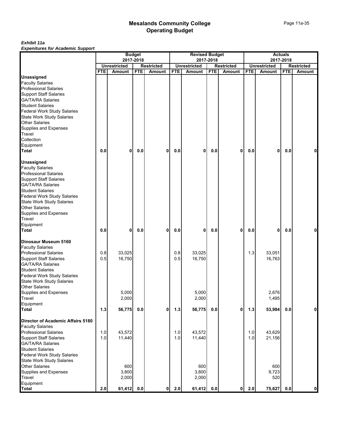#### *Exhibit 11a Expenitures for Academic Support*

|                                    |            | 2017-2018           | <b>Budget</b> |                   |            | <b>Revised Budget</b><br>2017-2018 |            |                   |            | 2017-2018           | <b>Actuals</b> |                   |
|------------------------------------|------------|---------------------|---------------|-------------------|------------|------------------------------------|------------|-------------------|------------|---------------------|----------------|-------------------|
|                                    |            | <b>Unrestricted</b> |               | <b>Restricted</b> |            | <b>Unrestricted</b>                |            | <b>Restricted</b> |            | <b>Unrestricted</b> |                | <b>Restricted</b> |
|                                    | <b>FTE</b> | Amount              | <b>FTE</b>    | Amount            | <b>FTE</b> | Amount                             | <b>FTE</b> | <b>Amount</b>     | <b>FTE</b> | Amount              | <b>FTE</b>     | Amount            |
| <b>Unassigned</b>                  |            |                     |               |                   |            |                                    |            |                   |            |                     |                |                   |
| <b>Faculty Salaries</b>            |            |                     |               |                   |            |                                    |            |                   |            |                     |                |                   |
| <b>Professional Salaries</b>       |            |                     |               |                   |            |                                    |            |                   |            |                     |                |                   |
| <b>Support Staff Salaries</b>      |            |                     |               |                   |            |                                    |            |                   |            |                     |                |                   |
| <b>GA/TA/RA Salaries</b>           |            |                     |               |                   |            |                                    |            |                   |            |                     |                |                   |
| <b>Student Salaries</b>            |            |                     |               |                   |            |                                    |            |                   |            |                     |                |                   |
| <b>Federal Work Study Salaries</b> |            |                     |               |                   |            |                                    |            |                   |            |                     |                |                   |
| <b>State Work Study Salaries</b>   |            |                     |               |                   |            |                                    |            |                   |            |                     |                |                   |
| <b>Other Salaries</b>              |            |                     |               |                   |            |                                    |            |                   |            |                     |                |                   |
| Supplies and Expenses              |            |                     |               |                   |            |                                    |            |                   |            |                     |                |                   |
| Travel                             |            |                     |               |                   |            |                                    |            |                   |            |                     |                |                   |
| Collection                         |            |                     |               |                   |            |                                    |            |                   |            |                     |                |                   |
| Equipment                          |            |                     |               |                   |            |                                    |            |                   |            |                     |                |                   |
| <b>Total</b>                       | 0.0        | 0                   | 0.0           | 0                 | 0.0        | 0                                  | 0.0        | $\mathbf 0$       | 0.0        | 0                   | 0.0            | 0                 |
| <b>Unassigned</b>                  |            |                     |               |                   |            |                                    |            |                   |            |                     |                |                   |
| <b>Faculty Salaries</b>            |            |                     |               |                   |            |                                    |            |                   |            |                     |                |                   |
| <b>Professional Salaries</b>       |            |                     |               |                   |            |                                    |            |                   |            |                     |                |                   |
| <b>Support Staff Salaries</b>      |            |                     |               |                   |            |                                    |            |                   |            |                     |                |                   |
| <b>GA/TA/RA Salaries</b>           |            |                     |               |                   |            |                                    |            |                   |            |                     |                |                   |
| <b>Student Salaries</b>            |            |                     |               |                   |            |                                    |            |                   |            |                     |                |                   |
| <b>Federal Work Study Salaries</b> |            |                     |               |                   |            |                                    |            |                   |            |                     |                |                   |
| <b>State Work Study Salaries</b>   |            |                     |               |                   |            |                                    |            |                   |            |                     |                |                   |
| Other Salaries                     |            |                     |               |                   |            |                                    |            |                   |            |                     |                |                   |
| Supplies and Expenses              |            |                     |               |                   |            |                                    |            |                   |            |                     |                |                   |
| Travel                             |            |                     |               |                   |            |                                    |            |                   |            |                     |                |                   |
| Equipment                          |            |                     |               |                   |            |                                    |            |                   |            |                     |                |                   |
| <b>Total</b>                       | 0.0        | 0                   | 0.0           | 0                 | 0.0        | 0                                  | 0.0        | 0                 | 0.0        | 0                   | 0.0            | 0                 |
| Dinosaur Museum 5160               |            |                     |               |                   |            |                                    |            |                   |            |                     |                |                   |
| <b>Faculty Salaries</b>            |            |                     |               |                   |            |                                    |            |                   |            |                     |                |                   |
| <b>Professional Salaries</b>       | 0.8        | 33,025              |               |                   | 0.8        | 33,025                             |            |                   | 1.3        | 33,051              |                |                   |
| <b>Support Staff Salaries</b>      | 0.5        | 16,750              |               |                   | 0.5        | 16,750                             |            |                   |            | 16,763              |                |                   |
| <b>GA/TA/RA Salaries</b>           |            |                     |               |                   |            |                                    |            |                   |            |                     |                |                   |
| <b>Student Salaries</b>            |            |                     |               |                   |            |                                    |            |                   |            |                     |                |                   |
| <b>Federal Work Study Salaries</b> |            |                     |               |                   |            |                                    |            |                   |            |                     |                |                   |
| <b>State Work Study Salaries</b>   |            |                     |               |                   |            |                                    |            |                   |            |                     |                |                   |
| <b>Other Salaries</b>              |            |                     |               |                   |            |                                    |            |                   |            |                     |                |                   |
| Supplies and Expenses              |            | 5,000               |               |                   |            | 5,000                              |            |                   |            | 2,676               |                |                   |
| Travel                             |            | 2,000               |               |                   |            | 2,000                              |            |                   |            | 1,495               |                |                   |
| Equipment                          |            |                     |               |                   |            |                                    |            |                   |            |                     |                |                   |
| <b>Total</b>                       | 1.3        | 56,775              | 0.0           | $\mathbf 0$       | $1.3$      | 56,775                             | 0.0        | $\mathbf{0}$      | $1.3$      | 53,984              | 0.0            | $\mathbf{0}$      |
| Director of Academic Affairs 5180  |            |                     |               |                   |            |                                    |            |                   |            |                     |                |                   |
| <b>Faculty Salaries</b>            |            |                     |               |                   |            |                                    |            |                   |            |                     |                |                   |
| <b>Professional Salaries</b>       | 1.0        | 43,572              |               |                   | 1.0        | 43,572                             |            |                   | 1.0        | 43,629              |                |                   |
| <b>Support Staff Salaries</b>      | 1.0        | 11,440              |               |                   | 1.0        | 11,440                             |            |                   | $1.0$      | 21,156              |                |                   |
| <b>GA/TA/RA Salaries</b>           |            |                     |               |                   |            |                                    |            |                   |            |                     |                |                   |
| <b>Student Salaries</b>            |            |                     |               |                   |            |                                    |            |                   |            |                     |                |                   |
| <b>Federal Work Study Salaries</b> |            |                     |               |                   |            |                                    |            |                   |            |                     |                |                   |
| <b>State Work Study Salaries</b>   |            |                     |               |                   |            |                                    |            |                   |            |                     |                |                   |
| <b>Other Salaries</b>              |            | 600                 |               |                   |            | 600                                |            |                   |            | 600                 |                |                   |
| Supplies and Expenses              |            | 3,800               |               |                   |            | 3,800                              |            |                   |            | 9,723               |                |                   |
| Travel                             |            | 2,000               |               |                   |            | 2,000                              |            |                   |            | 520                 |                |                   |
| Equipment                          |            |                     |               |                   |            |                                    |            |                   |            |                     |                |                   |
| <b>Total</b>                       | 2.0        | 61,412              | 0.0           | $\mathbf 0$       | 2.0        | 61,412                             | 0.0        | $\mathbf{0}$      | 2.0        | 75,627              | 0.0            | $\mathbf 0$       |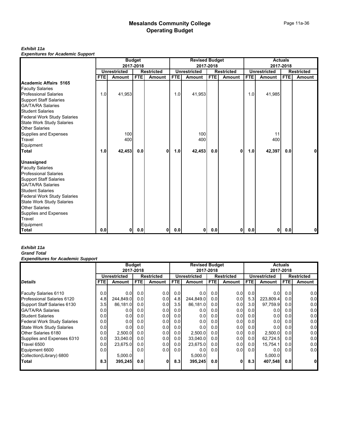#### *Exhibit 11a*

*Expenitures for Academic Support*

|                                    |                  |                     | <b>Budget</b> |                   |            | <b>Revised Budget</b> |            |                   |                  |                     | <b>Actuals</b> |                   |
|------------------------------------|------------------|---------------------|---------------|-------------------|------------|-----------------------|------------|-------------------|------------------|---------------------|----------------|-------------------|
|                                    |                  |                     | 2017-2018     |                   |            |                       | 2017-2018  |                   |                  |                     | 2017-2018      |                   |
|                                    |                  | <b>Unrestricted</b> |               | <b>Restricted</b> |            | <b>Unrestricted</b>   |            | <b>Restricted</b> |                  | <b>Unrestricted</b> |                | <b>Restricted</b> |
|                                    | FTE <sub>I</sub> | Amount              | <b>FTE</b>    | Amount            | <b>FTE</b> | Amount                | <b>FTE</b> | <b>Amount</b>     | FTE.             | Amount              | <b>FTE</b>     | <b>Amount</b>     |
| Academic Affairs 5165              |                  |                     |               |                   |            |                       |            |                   |                  |                     |                |                   |
| <b>Faculty Salaries</b>            |                  |                     |               |                   |            |                       |            |                   |                  |                     |                |                   |
| <b>Professional Salaries</b>       | 1.0              | 41,953              |               |                   | 1.0        | 41,953                |            |                   | 1.0 <sub>l</sub> | 41,985              |                |                   |
| <b>Support Staff Salaries</b>      |                  |                     |               |                   |            |                       |            |                   |                  |                     |                |                   |
| <b>GA/TA/RA Salaries</b>           |                  |                     |               |                   |            |                       |            |                   |                  |                     |                |                   |
| <b>Student Salaries</b>            |                  |                     |               |                   |            |                       |            |                   |                  |                     |                |                   |
| <b>Federal Work Study Salaries</b> |                  |                     |               |                   |            |                       |            |                   |                  |                     |                |                   |
| <b>State Work Study Salaries</b>   |                  |                     |               |                   |            |                       |            |                   |                  |                     |                |                   |
| <b>Other Salaries</b>              |                  |                     |               |                   |            |                       |            |                   |                  |                     |                |                   |
| Supplies and Expenses              |                  | 100                 |               |                   |            | 100                   |            |                   |                  | 11                  |                |                   |
| Travel                             |                  | 400                 |               |                   |            | 400                   |            |                   |                  | 400                 |                |                   |
| Equipment                          |                  |                     |               |                   |            |                       |            |                   |                  |                     |                |                   |
| Total                              | 1.0              | 42,453              | 0.0           | 0                 | 1.0        | 42,453                | 0.0        | $\mathbf{0}$      | 1.0              | 42,397              | 0.0            | 0                 |
| <b>Unassigned</b>                  |                  |                     |               |                   |            |                       |            |                   |                  |                     |                |                   |
| <b>Faculty Salaries</b>            |                  |                     |               |                   |            |                       |            |                   |                  |                     |                |                   |
| <b>Professional Salaries</b>       |                  |                     |               |                   |            |                       |            |                   |                  |                     |                |                   |
| <b>Support Staff Salaries</b>      |                  |                     |               |                   |            |                       |            |                   |                  |                     |                |                   |
| <b>GA/TA/RA Salaries</b>           |                  |                     |               |                   |            |                       |            |                   |                  |                     |                |                   |
| <b>Student Salaries</b>            |                  |                     |               |                   |            |                       |            |                   |                  |                     |                |                   |
| <b>Federal Work Study Salaries</b> |                  |                     |               |                   |            |                       |            |                   |                  |                     |                |                   |
| <b>State Work Study Salaries</b>   |                  |                     |               |                   |            |                       |            |                   |                  |                     |                |                   |
| <b>Other Salaries</b>              |                  |                     |               |                   |            |                       |            |                   |                  |                     |                |                   |
| Supplies and Expenses              |                  |                     |               |                   |            |                       |            |                   |                  |                     |                |                   |
| Travel                             |                  |                     |               |                   |            |                       |            |                   |                  |                     |                |                   |
| Equipment                          |                  |                     |               |                   |            |                       |            |                   |                  |                     |                |                   |
| <b>Total</b>                       | 0.0              | $\mathbf{0}$        | 0.0           | 0                 | 0.0        | 0                     | 0.0        | 01                | 0.0              | 0                   | 0.0            | 0                 |

# *Exhibit 11a*

#### *Grand Total Expenditures for Academic Support*

|                                    |                  | <b>Budget</b>       |                  |                   |                  | <b>Revised Budget</b> |            |                   |      |              | <b>Actuals</b> |                   |
|------------------------------------|------------------|---------------------|------------------|-------------------|------------------|-----------------------|------------|-------------------|------|--------------|----------------|-------------------|
|                                    |                  | 2017-2018           |                  |                   |                  |                       | 2017-2018  |                   |      |              | 2017-2018      |                   |
|                                    |                  | <b>Unrestricted</b> |                  | <b>Restricted</b> |                  | <b>Unrestricted</b>   |            | <b>Restricted</b> |      | Unrestricted |                | <b>Restricted</b> |
| <b>Details</b>                     | <b>FTEI</b>      | Amount              | FTE.             | <b>Amount</b>     | FTE.             | Amount                | <b>FTE</b> | Amount            | FTE. | Amount       | <b>FTE</b>     | Amount            |
|                                    |                  |                     |                  |                   |                  |                       |            |                   |      |              |                |                   |
| Faculty Salaries 6110              | 0.0              | 0.0                 | 0.0              | 0.0               | 0.0              | 0.0 <sub>l</sub>      | 0.0        | 0.0               | 0.0  | 0.0          | 0.0            | 0.0               |
| Professional Salaries 6120         | 4.8              | 244,849.0           | 0.0              | 0.0               | 4.8              | 244,849.0             | 0.01       | 0.0               | 5.3  | 223,809.4    | 0.0            | 0.0               |
| Support Staff Salaries 6130        | 3.5              | 86,181.0            | 0.0              | 0.0               | 3.5              | 86,181.0              | 0.01       | 0.0               | 3.0  | 97,759.9     | 0.0            | 0.0               |
| <b>GA/TA/RA Salaries</b>           | 0.0              | 0.0                 | 0.0              | 0.0               | 0.01             | 0.0                   | 0.01       | 0.0               | 0.0  | 0.0          | 0.0            | 0.0               |
| <b>Student Salaries</b>            | 0.01             | 0.0                 | 0.01             | 0.0               | 0.0 <sub>l</sub> | 0.0                   | 0.01       | 0.01              | 0.0  | 0.0          | 0.0            | 0.0               |
| <b>Federal Work Study Salaries</b> | 0.01             | 0.0                 | 0.01             | 0.0               | 0.0 <sub>l</sub> | 0.0                   | 0.01       | 0.0 <sub>l</sub>  | 0.0  | 0.0          | 0.0            | 0.0               |
| <b>State Work Study Salaries</b>   | 0.01             | 0.0                 | 0.0              | 0.0               | 0.0 <sub>l</sub> | 0.0                   | 0.01       | 0.0 <sub>l</sub>  | 0.0  | 0.0          | 0.0            | 0.0               |
| Other Salaries 6180                | 0.01             | 2,500.0             | 0.0              | 0.0               | 0.0              | 2.500.0               | 0.01       | 0.0               | 0.0  | 2,500.0      | 0.0            | 0.0               |
| Supplies and Expenses 6310         | 0.01             | 33.040.0            | 0.0 <sub>l</sub> | 0.0               | 0.0              | 33.040.0              | 0.01       | 0.0               | 0.0  | 62,724.5     | 0.0            | 0.0               |
| Travel 6500                        | 0.01             | 23.675.0            | 0.0 <sub>l</sub> | 0.0               | 0.0 <sub>l</sub> | 23.675.0              | 0.01       | 0.0               | 0.0  | 15,754.1     | 0.0            | 0.0               |
| Equipment 6600                     | 0.01             |                     | 0.0              | 0.0               | 0.0 <sub>l</sub> | 0.0                   | 0.01       | 0.0               | 0.01 | 0.0          | 0.0            | 0.0               |
| Collection(Library) 6800           |                  | 5.000.0             |                  |                   |                  | 5.000.0               |            |                   |      | 5,000.0      |                |                   |
| Total                              | 8.3 <sub>l</sub> | 395,245             | 0.0              | 0                 | 8.3 <sub>l</sub> | 395,245               | 0.0        | 0                 | 8.3  | 407,548      | 0.0            | 0                 |
|                                    |                  |                     |                  |                   |                  |                       |            |                   |      |              |                |                   |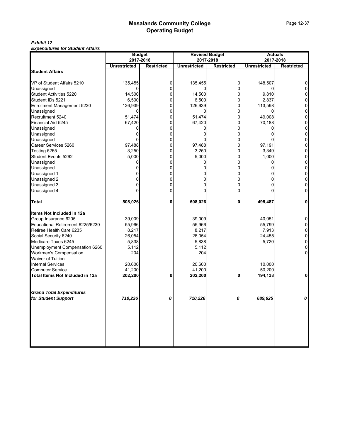#### *Exhibit 12 Expenditures for Student Affairs*

| Lypenulules for Student Andre    | <b>Budget</b>       |                   |                     | <b>Revised Budget</b> |                     | <b>Actuals</b>    |
|----------------------------------|---------------------|-------------------|---------------------|-----------------------|---------------------|-------------------|
|                                  | 2017-2018           |                   | 2017-2018           |                       |                     | 2017-2018         |
|                                  | <b>Unrestricted</b> | <b>Restricted</b> | <b>Unrestricted</b> | <b>Restricted</b>     | <b>Unrestricted</b> | <b>Restricted</b> |
| <b>Student Affairs</b>           |                     |                   |                     |                       |                     |                   |
| VP of Student Affairs 5210       | 135,455             | 0                 | 135,455             | $\overline{0}$        | 148,507             |                   |
| Unassigned                       | 0                   | 0                 | 0                   | 0                     | 0                   |                   |
| <b>Student Activities 5220</b>   | 14,500              | 0                 | 14,500              | 0                     | 9,810               |                   |
| Student IDs 5221                 | 6,500               | 0                 | 6,500               | 0                     | 2,837               | U                 |
| Enrollment Management 5230       | 126,939             | 0                 | 126,939             | 0                     | 113,598             | 0                 |
| Unassigned                       | 0                   | 0                 | 0                   | $\Omega$              |                     | 0                 |
| Recruitment 5240                 | 51,474              | 0                 | 51,474              | $\Omega$              | 49,008              |                   |
| Financial Aid 5245               | 67,420              | 0                 | 67,420              | 0                     | 70,188              | 0                 |
| Unassigned                       | 0                   |                   |                     | 0                     |                     | 0                 |
| Unassigned                       |                     |                   |                     | 0                     |                     |                   |
| Unassigned                       |                     | 0                 |                     | 0                     |                     | 0                 |
| Career Services 5260             | 97,488              | 0                 | 97,488              | 0                     | 97,191              | 0                 |
| Testing 5265                     | 3,250               | 0                 | 3,250               | 0                     | 3,349               | 0                 |
| Student Events 5262              | 5,000               | 0                 | 5,000               | $\Omega$              | 1,000               | 0                 |
| Unassigned                       | 0                   | 0                 | 0                   | 0                     | 0                   | 0                 |
| Unassigned                       |                     | 0                 |                     | 0                     |                     | 0                 |
| Unassigned 1                     |                     | O                 |                     | 0                     |                     |                   |
| Unassigned 2                     | 0                   | 0                 | 0                   | 0                     |                     | 0                 |
| Unassigned 3                     |                     | 0                 |                     | 0                     |                     | 0                 |
| Unassigned 4                     |                     |                   |                     | 0                     |                     |                   |
| <b>Total</b>                     | 508,026             | 0                 | 508,026             | 0                     | 495,487             | 0                 |
| ltems Not Included in 12a        |                     |                   |                     |                       |                     |                   |
| Group Insurance 6205             | 39,009              |                   | 39,009              |                       | 40,051              | 0                 |
| Educational Retirement 6225/6230 | 55,966              |                   | 55,966              |                       | 55,799              | 0                 |
| Retiree Health Care 6235         | 8,217               |                   | 8,217               |                       | 7,913               | 0                 |
| Social Security 6240             | 26,054              |                   | 26,054              |                       | 24,455              | $\Omega$          |
| Medicare Taxes 6245              | 5,838               |                   | 5,838               |                       | 5,720               | 0                 |
| Unemployment Compensation 6260   | 5,112               |                   | 5,112               |                       |                     | 0                 |
| Workmen's Compensation           | 204                 |                   | 204                 |                       |                     |                   |
| Waiver of Tuition                |                     |                   |                     |                       |                     |                   |
| <b>Internal Services</b>         | 20,600              |                   | 20,600              |                       | 10,000              |                   |
| Computer Service                 | 41,200              |                   | 41,200              |                       | 50,200              |                   |
| Total Items Not Included in 12a  | 202,200             | 0                 | 202,200             | 0                     | 194,138             | $\mathbf{0}$      |
|                                  |                     |                   |                     |                       |                     |                   |
| <b>Grand Total Expenditures</b>  |                     |                   |                     |                       |                     |                   |
| for Student Support              | 710,226             | n                 | 710,226             | <sup>n</sup>          | 689,625             |                   |
|                                  |                     |                   |                     |                       |                     |                   |
|                                  |                     |                   |                     |                       |                     |                   |
|                                  |                     |                   |                     |                       |                     |                   |
|                                  |                     |                   |                     |                       |                     |                   |
|                                  |                     |                   |                     |                       |                     |                   |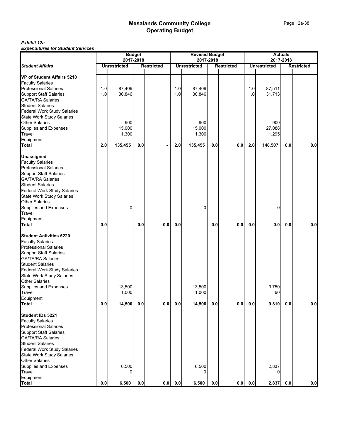|                                                                        |     | 2017-2018           | <b>Budget</b> |                   |     | <b>Revised Budget</b><br>2017-2018 |     |                   |         | <b>Actuals</b><br>2017-2018 |     |                   |
|------------------------------------------------------------------------|-----|---------------------|---------------|-------------------|-----|------------------------------------|-----|-------------------|---------|-----------------------------|-----|-------------------|
| <b>Student Affairs</b>                                                 |     | <b>Unrestricted</b> |               | <b>Restricted</b> |     | <b>Unrestricted</b>                |     | <b>Restricted</b> |         | <b>Unrestricted</b>         |     | <b>Restricted</b> |
|                                                                        |     |                     |               |                   |     |                                    |     |                   |         |                             |     |                   |
| VP of Student Affairs 5210                                             |     |                     |               |                   |     |                                    |     |                   |         |                             |     |                   |
| <b>Faculty Salaries</b><br><b>Professional Salaries</b>                | 1.0 | 87,409              |               |                   | 1.0 | 87,409                             |     |                   | 1.0     | 87,511                      |     |                   |
| <b>Support Staff Salaries</b>                                          | 1.0 | 30,846              |               |                   | 1.0 | 30,846                             |     |                   | 1.0     | 31,713                      |     |                   |
| GA/TA/RA Salaries                                                      |     |                     |               |                   |     |                                    |     |                   |         |                             |     |                   |
| <b>Student Salaries</b>                                                |     |                     |               |                   |     |                                    |     |                   |         |                             |     |                   |
| Federal Work Study Salaries                                            |     |                     |               |                   |     |                                    |     |                   |         |                             |     |                   |
| <b>State Work Study Salaries</b>                                       |     |                     |               |                   |     |                                    |     |                   |         |                             |     |                   |
| <b>Other Salaries</b>                                                  |     | 900                 |               |                   |     | 900                                |     |                   |         | 900                         |     |                   |
| Supplies and Expenses                                                  |     | 15,000              |               |                   |     | 15,000                             |     |                   |         | 27,088                      |     |                   |
| Travel                                                                 |     | 1,300               |               |                   |     | 1,300                              |     |                   |         | 1,295                       |     |                   |
| Equipment                                                              |     |                     |               |                   |     |                                    |     |                   |         |                             |     |                   |
| <b>Total</b>                                                           | 2.0 | 135,455             | 0.0           |                   | 2.0 | 135,455                            | 0.0 | 0.0               | 2.0     | 148,507                     | 0.0 | 0.0               |
| <b>Unassigned</b>                                                      |     |                     |               |                   |     |                                    |     |                   |         |                             |     |                   |
| <b>Faculty Salaries</b>                                                |     |                     |               |                   |     |                                    |     |                   |         |                             |     |                   |
| <b>Professional Salaries</b>                                           |     |                     |               |                   |     |                                    |     |                   |         |                             |     |                   |
| <b>Support Staff Salaries</b>                                          |     |                     |               |                   |     |                                    |     |                   |         |                             |     |                   |
| <b>GA/TA/RA Salaries</b>                                               |     |                     |               |                   |     |                                    |     |                   |         |                             |     |                   |
| <b>Student Salaries</b>                                                |     |                     |               |                   |     |                                    |     |                   |         |                             |     |                   |
| Federal Work Study Salaries                                            |     |                     |               |                   |     |                                    |     |                   |         |                             |     |                   |
| <b>State Work Study Salaries</b>                                       |     |                     |               |                   |     |                                    |     |                   |         |                             |     |                   |
| <b>Other Salaries</b>                                                  |     |                     |               |                   |     |                                    |     |                   |         |                             |     |                   |
| Supplies and Expenses                                                  |     | 0                   |               |                   |     | 0                                  |     |                   |         | 0                           |     |                   |
| Travel                                                                 |     |                     |               |                   |     |                                    |     |                   |         |                             |     |                   |
| Equipment                                                              |     |                     |               |                   |     |                                    |     |                   |         |                             |     |                   |
| <b>Total</b>                                                           | 0.0 |                     | 0.0           | 0.0               | 0.0 |                                    | 0.0 | 0.0               | 0.0     | 0.0                         | 0.0 | 0.0               |
| <b>Student Activities 5220</b>                                         |     |                     |               |                   |     |                                    |     |                   |         |                             |     |                   |
| <b>Faculty Salaries</b>                                                |     |                     |               |                   |     |                                    |     |                   |         |                             |     |                   |
| <b>Professional Salaries</b>                                           |     |                     |               |                   |     |                                    |     |                   |         |                             |     |                   |
| <b>Support Staff Salaries</b>                                          |     |                     |               |                   |     |                                    |     |                   |         |                             |     |                   |
| <b>GA/TA/RA Salaries</b>                                               |     |                     |               |                   |     |                                    |     |                   |         |                             |     |                   |
| <b>Student Salaries</b>                                                |     |                     |               |                   |     |                                    |     |                   |         |                             |     |                   |
| <b>Federal Work Study Salaries</b>                                     |     |                     |               |                   |     |                                    |     |                   |         |                             |     |                   |
| <b>State Work Study Salaries</b>                                       |     |                     |               |                   |     |                                    |     |                   |         |                             |     |                   |
| <b>Other Salaries</b>                                                  |     |                     |               |                   |     |                                    |     |                   |         |                             |     |                   |
| Supplies and Expenses                                                  |     | 13,500              |               |                   |     | 13,500                             |     |                   |         | 9,750                       |     |                   |
| Travel<br>Equipment                                                    |     | 1,000               |               |                   |     | 1,000                              |     |                   |         | 60                          |     |                   |
| <b>Total</b>                                                           | 0.0 | 14,500              | 0.0           | 0.0               | 0.0 | 14,500                             | 0.0 | 0.0               | $0.0\,$ | 9,810                       | 0.0 | 0.0               |
|                                                                        |     |                     |               |                   |     |                                    |     |                   |         |                             |     |                   |
| <b>Student IDs 5221</b>                                                |     |                     |               |                   |     |                                    |     |                   |         |                             |     |                   |
| <b>Faculty Salaries</b>                                                |     |                     |               |                   |     |                                    |     |                   |         |                             |     |                   |
| <b>Professional Salaries</b>                                           |     |                     |               |                   |     |                                    |     |                   |         |                             |     |                   |
| <b>Support Staff Salaries</b>                                          |     |                     |               |                   |     |                                    |     |                   |         |                             |     |                   |
| <b>GA/TA/RA Salaries</b>                                               |     |                     |               |                   |     |                                    |     |                   |         |                             |     |                   |
| <b>Student Salaries</b>                                                |     |                     |               |                   |     |                                    |     |                   |         |                             |     |                   |
| <b>Federal Work Study Salaries</b><br><b>State Work Study Salaries</b> |     |                     |               |                   |     |                                    |     |                   |         |                             |     |                   |
| <b>Other Salaries</b>                                                  |     |                     |               |                   |     |                                    |     |                   |         |                             |     |                   |
| Supplies and Expenses                                                  |     | 6,500               |               |                   |     | 6,500                              |     |                   |         | 2,837                       |     |                   |
| Travel                                                                 |     |                     |               |                   |     |                                    |     |                   |         |                             |     |                   |
| Equipment                                                              |     |                     |               |                   |     |                                    |     |                   |         |                             |     |                   |
| <b>Total</b>                                                           | 0.0 | 6,500               | 0.0           | 0.0               | 0.0 | 6,500                              | 0.0 | 0.0               | $0.0\,$ | 2,837                       | 0.0 | 0.0               |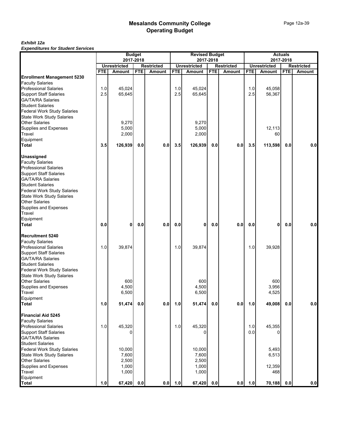|                                    |            |                     | <b>Budget</b><br>2017-2018 |                   |            | <b>Revised Budget</b> | 2017-2018  |                   |            |                     | <b>Actuals</b><br>2017-2018 |                   |
|------------------------------------|------------|---------------------|----------------------------|-------------------|------------|-----------------------|------------|-------------------|------------|---------------------|-----------------------------|-------------------|
|                                    |            | <b>Unrestricted</b> |                            | <b>Restricted</b> |            | <b>Unrestricted</b>   |            | <b>Restricted</b> |            | <b>Unrestricted</b> |                             | <b>Restricted</b> |
|                                    | <b>FTE</b> | <b>Amount</b>       | <b>FTE</b>                 | <b>Amount</b>     | <b>FTE</b> | <b>Amount</b>         | <b>FTE</b> | <b>Amount</b>     | <b>FTE</b> | Amount              | <b>FTE</b>                  | Amount            |
| <b>Enrollment Management 5230</b>  |            |                     |                            |                   |            |                       |            |                   |            |                     |                             |                   |
| <b>Faculty Salaries</b>            |            |                     |                            |                   |            |                       |            |                   |            |                     |                             |                   |
| <b>Professional Salaries</b>       | 1.0        | 45,024              |                            |                   | 1.0        | 45,024                |            |                   | 1.0        | 45,058              |                             |                   |
| <b>Support Staff Salaries</b>      | 2.5        | 65,645              |                            |                   | 2.5        | 65,645                |            |                   | 2.5        | 56,367              |                             |                   |
| <b>GA/TA/RA Salaries</b>           |            |                     |                            |                   |            |                       |            |                   |            |                     |                             |                   |
| <b>Student Salaries</b>            |            |                     |                            |                   |            |                       |            |                   |            |                     |                             |                   |
| <b>Federal Work Study Salaries</b> |            |                     |                            |                   |            |                       |            |                   |            |                     |                             |                   |
| <b>State Work Study Salaries</b>   |            |                     |                            |                   |            |                       |            |                   |            |                     |                             |                   |
| <b>Other Salaries</b>              |            | 9,270               |                            |                   |            | 9,270                 |            |                   |            |                     |                             |                   |
| Supplies and Expenses              |            | 5,000               |                            |                   |            | 5,000                 |            |                   |            | 12.113              |                             |                   |
| Travel                             |            | 2,000               |                            |                   |            | 2,000                 |            |                   |            | 60                  |                             |                   |
| Equipment                          |            |                     |                            |                   |            |                       |            |                   |            |                     |                             |                   |
| <b>Total</b>                       | 3.5        | 126,939             | 0.0                        | 0.0               | 3.5        | 126,939               | 0.0        | 0.0               | 3.5        | 113,598             | 0.0                         | 0.0               |
| <b>Unassigned</b>                  |            |                     |                            |                   |            |                       |            |                   |            |                     |                             |                   |
| <b>Faculty Salaries</b>            |            |                     |                            |                   |            |                       |            |                   |            |                     |                             |                   |
| Professional Salaries              |            |                     |                            |                   |            |                       |            |                   |            |                     |                             |                   |
| <b>Support Staff Salaries</b>      |            |                     |                            |                   |            |                       |            |                   |            |                     |                             |                   |
| <b>GA/TA/RA Salaries</b>           |            |                     |                            |                   |            |                       |            |                   |            |                     |                             |                   |
| <b>Student Salaries</b>            |            |                     |                            |                   |            |                       |            |                   |            |                     |                             |                   |
| Federal Work Study Salaries        |            |                     |                            |                   |            |                       |            |                   |            |                     |                             |                   |
| <b>State Work Study Salaries</b>   |            |                     |                            |                   |            |                       |            |                   |            |                     |                             |                   |
| <b>Other Salaries</b>              |            |                     |                            |                   |            |                       |            |                   |            |                     |                             |                   |
| Supplies and Expenses              |            |                     |                            |                   |            |                       |            |                   |            |                     |                             |                   |
| Travel                             |            |                     |                            |                   |            |                       |            |                   |            |                     |                             |                   |
| Equipment                          |            |                     |                            |                   |            |                       |            |                   |            |                     |                             |                   |
| <b>Total</b>                       | 0.0        | 0                   | 0.0                        | 0.0               | 0.0        | 0                     | 0.0        | 0.0               | 0.0        | 0                   | 0.0                         | 0.0               |
| <b>Recruitment 5240</b>            |            |                     |                            |                   |            |                       |            |                   |            |                     |                             |                   |
| <b>Faculty Salaries</b>            |            |                     |                            |                   |            |                       |            |                   |            |                     |                             |                   |
| <b>Professional Salaries</b>       | 1.0        | 39,874              |                            |                   | 1.0        | 39,874                |            |                   | 1.0        | 39,928              |                             |                   |
| <b>Support Staff Salaries</b>      |            |                     |                            |                   |            |                       |            |                   |            |                     |                             |                   |
| <b>GA/TA/RA Salaries</b>           |            |                     |                            |                   |            |                       |            |                   |            |                     |                             |                   |
| <b>Student Salaries</b>            |            |                     |                            |                   |            |                       |            |                   |            |                     |                             |                   |
| Federal Work Study Salaries        |            |                     |                            |                   |            |                       |            |                   |            |                     |                             |                   |
| <b>State Work Study Salaries</b>   |            |                     |                            |                   |            |                       |            |                   |            |                     |                             |                   |
| <b>Other Salaries</b>              |            | 600                 |                            |                   |            | 600                   |            |                   |            | 600                 |                             |                   |
| Supplies and Expenses              |            | 4,500               |                            |                   |            | 4,500                 |            |                   |            | 3,956               |                             |                   |
| Travel                             |            | 6,500               |                            |                   |            | 6,500                 |            |                   |            | 4,525               |                             |                   |
| Equipment                          |            |                     |                            |                   |            |                       |            |                   |            |                     |                             |                   |
| <b>Total</b>                       | 1.0        | 51,474              | $0.0\,$                    | 0.0               | 1.0        | 51,474                | 0.0        | 0.0               | 1.0        | 49,008              | 0.0                         | 0.0               |
| <b>Financial Aid 5245</b>          |            |                     |                            |                   |            |                       |            |                   |            |                     |                             |                   |
| <b>Faculty Salaries</b>            |            |                     |                            |                   |            |                       |            |                   |            |                     |                             |                   |
| <b>Professional Salaries</b>       | 1.0        | 45,320              |                            |                   | 1.0        | 45,320                |            |                   | 1.0        | 45,355              |                             |                   |
| <b>Support Staff Salaries</b>      |            |                     |                            |                   |            |                       |            |                   | 0.0        |                     |                             |                   |
| GA/TA/RA Salaries                  |            |                     |                            |                   |            |                       |            |                   |            |                     |                             |                   |
| <b>Student Salaries</b>            |            |                     |                            |                   |            |                       |            |                   |            |                     |                             |                   |
| <b>Federal Work Study Salaries</b> |            | 10,000              |                            |                   |            | 10,000                |            |                   |            | 5,493               |                             |                   |
| <b>State Work Study Salaries</b>   |            | 7,600               |                            |                   |            | 7,600                 |            |                   |            | 6,513               |                             |                   |
| <b>Other Salaries</b>              |            | 2,500               |                            |                   |            | 2,500                 |            |                   |            |                     |                             |                   |
| Supplies and Expenses              |            | 1,000               |                            |                   |            | 1,000                 |            |                   |            | 12,359              |                             |                   |
| <b>Travel</b>                      |            | 1,000               |                            |                   |            | 1,000                 |            |                   |            | 468                 |                             |                   |
| Equipment                          |            |                     |                            |                   |            |                       |            |                   |            |                     |                             |                   |
| <b>Total</b>                       | 1.0        | 67,420              | 0.0                        | 0.0               | 1.0        | 67,420                | 0.0        | 0.0               | 1.0        | 70,188              | 0.0                         | 0.0               |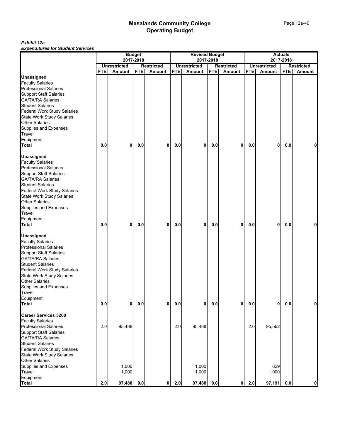|                                        |            | <b>Budget</b>                        |            |                                    |            | <b>Revised Budget</b>                |            |                                    |                |                               | <b>Actuals</b> |                                    |
|----------------------------------------|------------|--------------------------------------|------------|------------------------------------|------------|--------------------------------------|------------|------------------------------------|----------------|-------------------------------|----------------|------------------------------------|
|                                        |            | 2017-2018                            |            |                                    |            | 2017-2018                            |            |                                    |                |                               | 2017-2018      |                                    |
|                                        | <b>FTE</b> | <b>Unrestricted</b><br><b>Amount</b> | <b>FTE</b> | <b>Restricted</b><br><b>Amount</b> | <b>FTE</b> | <b>Unrestricted</b><br><b>Amount</b> | <b>FTE</b> | <b>Restricted</b><br><b>Amount</b> | <b>FTE</b>     | <b>Unrestricted</b><br>Amount | <b>FTE</b>     | <b>Restricted</b><br><b>Amount</b> |
| <b>Unassigned</b>                      |            |                                      |            |                                    |            |                                      |            |                                    |                |                               |                |                                    |
| <b>Faculty Salaries</b>                |            |                                      |            |                                    |            |                                      |            |                                    |                |                               |                |                                    |
| <b>Professional Salaries</b>           |            |                                      |            |                                    |            |                                      |            |                                    |                |                               |                |                                    |
| <b>Support Staff Salaries</b>          |            |                                      |            |                                    |            |                                      |            |                                    |                |                               |                |                                    |
| <b>GA/TA/RA Salaries</b>               |            |                                      |            |                                    |            |                                      |            |                                    |                |                               |                |                                    |
| <b>Student Salaries</b>                |            |                                      |            |                                    |            |                                      |            |                                    |                |                               |                |                                    |
| <b>Federal Work Study Salaries</b>     |            |                                      |            |                                    |            |                                      |            |                                    |                |                               |                |                                    |
| State Work Study Salaries              |            |                                      |            |                                    |            |                                      |            |                                    |                |                               |                |                                    |
| <b>Other Salaries</b>                  |            |                                      |            |                                    |            |                                      |            |                                    |                |                               |                |                                    |
| Supplies and Expenses                  |            |                                      |            |                                    |            |                                      |            |                                    |                |                               |                |                                    |
|                                        |            |                                      |            |                                    |            |                                      |            |                                    |                |                               |                |                                    |
| Travel                                 |            |                                      |            |                                    |            |                                      |            |                                    |                |                               |                |                                    |
| Equipment                              |            |                                      |            |                                    |            |                                      |            |                                    |                |                               |                |                                    |
| <b>Total</b>                           | 0.0        | 0                                    | 0.0        | 0                                  | 0.0        | 0                                    | 0.0        | 0                                  | 0.0            | 0                             | 0.0            | 0                                  |
| <b>Unassigned</b>                      |            |                                      |            |                                    |            |                                      |            |                                    |                |                               |                |                                    |
| <b>Faculty Salaries</b>                |            |                                      |            |                                    |            |                                      |            |                                    |                |                               |                |                                    |
| <b>Professional Salaries</b>           |            |                                      |            |                                    |            |                                      |            |                                    |                |                               |                |                                    |
| <b>Support Staff Salaries</b>          |            |                                      |            |                                    |            |                                      |            |                                    |                |                               |                |                                    |
| <b>GA/TA/RA Salaries</b>               |            |                                      |            |                                    |            |                                      |            |                                    |                |                               |                |                                    |
| <b>Student Salaries</b>                |            |                                      |            |                                    |            |                                      |            |                                    |                |                               |                |                                    |
| <b>Federal Work Study Salaries</b>     |            |                                      |            |                                    |            |                                      |            |                                    |                |                               |                |                                    |
| State Work Study Salaries              |            |                                      |            |                                    |            |                                      |            |                                    |                |                               |                |                                    |
| <b>Other Salaries</b>                  |            |                                      |            |                                    |            |                                      |            |                                    |                |                               |                |                                    |
| Supplies and Expenses                  |            |                                      |            |                                    |            |                                      |            |                                    |                |                               |                |                                    |
| Travel                                 |            |                                      |            |                                    |            |                                      |            |                                    |                |                               |                |                                    |
| Equipment                              |            |                                      |            |                                    |            |                                      |            |                                    |                |                               |                |                                    |
| <b>Total</b>                           | 0.0        | 0                                    | 0.0        | 0                                  | 0.0        | 0                                    | 0.0        | 0                                  | 0.0            | 0                             | 0.0            | 0                                  |
|                                        |            |                                      |            |                                    |            |                                      |            |                                    |                |                               |                |                                    |
| <b>Unassigned</b>                      |            |                                      |            |                                    |            |                                      |            |                                    |                |                               |                |                                    |
| <b>Faculty Salaries</b>                |            |                                      |            |                                    |            |                                      |            |                                    |                |                               |                |                                    |
| <b>Professional Salaries</b>           |            |                                      |            |                                    |            |                                      |            |                                    |                |                               |                |                                    |
| <b>Support Staff Salaries</b>          |            |                                      |            |                                    |            |                                      |            |                                    |                |                               |                |                                    |
| <b>GA/TA/RA Salaries</b>               |            |                                      |            |                                    |            |                                      |            |                                    |                |                               |                |                                    |
| <b>Student Salaries</b>                |            |                                      |            |                                    |            |                                      |            |                                    |                |                               |                |                                    |
| <b>Federal Work Study Salaries</b>     |            |                                      |            |                                    |            |                                      |            |                                    |                |                               |                |                                    |
| <b>State Work Study Salaries</b>       |            |                                      |            |                                    |            |                                      |            |                                    |                |                               |                |                                    |
| <b>Other Salaries</b>                  |            |                                      |            |                                    |            |                                      |            |                                    |                |                               |                |                                    |
| Supplies and Expenses                  |            |                                      |            |                                    |            |                                      |            |                                    |                |                               |                |                                    |
| Travel                                 |            |                                      |            |                                    |            |                                      |            |                                    |                |                               |                |                                    |
| Equipment                              |            |                                      |            |                                    |            |                                      |            |                                    |                |                               |                |                                    |
| <b>Total</b>                           | 0.0        | $\mathbf{0}$                         | 0.0        | $\mathbf 0$                        | 0.0        | 0                                    | 0.0        | 0                                  | $\mathbf{0.0}$ | 0                             | 0.0            | $\mathbf 0$                        |
| <b>Career Services 5260</b>            |            |                                      |            |                                    |            |                                      |            |                                    |                |                               |                |                                    |
| <b>Faculty Salaries</b>                |            |                                      |            |                                    |            |                                      |            |                                    |                |                               |                |                                    |
| <b>Professional Salaries</b>           | 2.0        | 95,488                               |            |                                    | 2.0        | 95,488                               |            |                                    | 2.0            | 95,562                        |                |                                    |
| <b>Support Staff Salaries</b>          |            |                                      |            |                                    |            |                                      |            |                                    |                |                               |                |                                    |
| GA/TA/RA Salaries                      |            |                                      |            |                                    |            |                                      |            |                                    |                |                               |                |                                    |
| <b>Student Salaries</b>                |            |                                      |            |                                    |            |                                      |            |                                    |                |                               |                |                                    |
| <b>Federal Work Study Salaries</b>     |            |                                      |            |                                    |            |                                      |            |                                    |                |                               |                |                                    |
|                                        |            |                                      |            |                                    |            |                                      |            |                                    |                |                               |                |                                    |
| <b>State Work Study Salaries</b>       |            |                                      |            |                                    |            |                                      |            |                                    |                |                               |                |                                    |
| <b>Other Salaries</b>                  |            | 1,000                                |            |                                    |            | 1,000                                |            |                                    |                | 629                           |                |                                    |
| Supplies and Expenses<br><b>Travel</b> |            | 1,000                                |            |                                    |            | 1,000                                |            |                                    |                | 1,000                         |                |                                    |
| Equipment                              |            |                                      |            |                                    |            |                                      |            |                                    |                |                               |                |                                    |
| Total                                  | 2.0        | 97,488                               | $0.0\,$    | $\mathbf{0}$                       | 2.0        | 97,488                               | 0.0        | 0l                                 | 2.0            | 97,191                        | 0.0            | $\mathbf{0}$                       |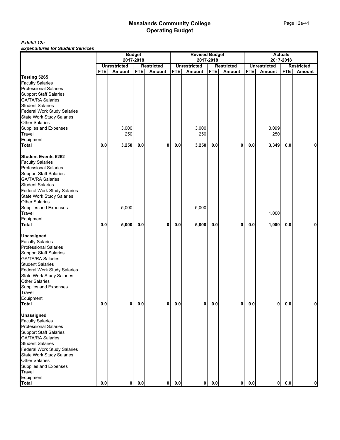|                                    |            |                               | <b>Budget</b> |                                    |            | <b>Revised Budget</b>                |            |                                    |            |                                      | <b>Actuals</b> |                                    |
|------------------------------------|------------|-------------------------------|---------------|------------------------------------|------------|--------------------------------------|------------|------------------------------------|------------|--------------------------------------|----------------|------------------------------------|
|                                    |            |                               | 2017-2018     |                                    |            |                                      | 2017-2018  |                                    |            | 2017-2018                            |                |                                    |
|                                    | <b>FTE</b> | <b>Unrestricted</b><br>Amount | <b>FTE</b>    | <b>Restricted</b><br><b>Amount</b> | <b>FTE</b> | <b>Unrestricted</b><br><b>Amount</b> | <b>FTE</b> | <b>Restricted</b><br><b>Amount</b> | <b>FTE</b> | <b>Unrestricted</b><br><b>Amount</b> | <b>FTE</b>     | <b>Restricted</b><br><b>Amount</b> |
| Testing 5265                       |            |                               |               |                                    |            |                                      |            |                                    |            |                                      |                |                                    |
| <b>Faculty Salaries</b>            |            |                               |               |                                    |            |                                      |            |                                    |            |                                      |                |                                    |
| <b>Professional Salaries</b>       |            |                               |               |                                    |            |                                      |            |                                    |            |                                      |                |                                    |
| <b>Support Staff Salaries</b>      |            |                               |               |                                    |            |                                      |            |                                    |            |                                      |                |                                    |
| <b>GA/TA/RA Salaries</b>           |            |                               |               |                                    |            |                                      |            |                                    |            |                                      |                |                                    |
| <b>Student Salaries</b>            |            |                               |               |                                    |            |                                      |            |                                    |            |                                      |                |                                    |
| <b>Federal Work Study Salaries</b> |            |                               |               |                                    |            |                                      |            |                                    |            |                                      |                |                                    |
| <b>State Work Study Salaries</b>   |            |                               |               |                                    |            |                                      |            |                                    |            |                                      |                |                                    |
| <b>Other Salaries</b>              |            |                               |               |                                    |            |                                      |            |                                    |            |                                      |                |                                    |
| Supplies and Expenses              |            | 3,000                         |               |                                    |            | 3,000                                |            |                                    |            | 3,099                                |                |                                    |
| Travel                             |            | 250                           |               |                                    |            | 250                                  |            |                                    |            | 250                                  |                |                                    |
| Equipment                          |            |                               |               |                                    |            |                                      |            |                                    |            |                                      |                |                                    |
| <b>Total</b>                       | 0.0        | 3,250                         | 0.0           | 0                                  | 0.0        | 3,250                                | 0.0        | 0                                  | 0.0        | 3,349                                | 0.0            | 0                                  |
|                                    |            |                               |               |                                    |            |                                      |            |                                    |            |                                      |                |                                    |
| <b>Student Events 5262</b>         |            |                               |               |                                    |            |                                      |            |                                    |            |                                      |                |                                    |
| <b>Faculty Salaries</b>            |            |                               |               |                                    |            |                                      |            |                                    |            |                                      |                |                                    |
| <b>Professional Salaries</b>       |            |                               |               |                                    |            |                                      |            |                                    |            |                                      |                |                                    |
| <b>Support Staff Salaries</b>      |            |                               |               |                                    |            |                                      |            |                                    |            |                                      |                |                                    |
| <b>GA/TA/RA Salaries</b>           |            |                               |               |                                    |            |                                      |            |                                    |            |                                      |                |                                    |
| <b>Student Salaries</b>            |            |                               |               |                                    |            |                                      |            |                                    |            |                                      |                |                                    |
| <b>Federal Work Study Salaries</b> |            |                               |               |                                    |            |                                      |            |                                    |            |                                      |                |                                    |
| <b>State Work Study Salaries</b>   |            |                               |               |                                    |            |                                      |            |                                    |            |                                      |                |                                    |
| <b>Other Salaries</b>              |            |                               |               |                                    |            |                                      |            |                                    |            |                                      |                |                                    |
| Supplies and Expenses              |            | 5,000                         |               |                                    |            | 5,000                                |            |                                    |            |                                      |                |                                    |
| Travel                             |            |                               |               |                                    |            |                                      |            |                                    |            | 1,000                                |                |                                    |
| Equipment                          |            |                               |               |                                    |            |                                      |            |                                    |            |                                      |                |                                    |
| <b>Total</b>                       | 0.0        | 5,000                         | 0.0           | 0                                  | 0.0        | 5,000                                | 0.0        | $\mathbf{0}$                       | 0.0        | 1,000                                | 0.0            | 0                                  |
|                                    |            |                               |               |                                    |            |                                      |            |                                    |            |                                      |                |                                    |
| <b>Unassigned</b>                  |            |                               |               |                                    |            |                                      |            |                                    |            |                                      |                |                                    |
| <b>Faculty Salaries</b>            |            |                               |               |                                    |            |                                      |            |                                    |            |                                      |                |                                    |
| <b>Professional Salaries</b>       |            |                               |               |                                    |            |                                      |            |                                    |            |                                      |                |                                    |
| <b>Support Staff Salaries</b>      |            |                               |               |                                    |            |                                      |            |                                    |            |                                      |                |                                    |
| <b>GA/TA/RA Salaries</b>           |            |                               |               |                                    |            |                                      |            |                                    |            |                                      |                |                                    |
| <b>Student Salaries</b>            |            |                               |               |                                    |            |                                      |            |                                    |            |                                      |                |                                    |
| Federal Work Study Salaries        |            |                               |               |                                    |            |                                      |            |                                    |            |                                      |                |                                    |
| <b>State Work Study Salaries</b>   |            |                               |               |                                    |            |                                      |            |                                    |            |                                      |                |                                    |
| <b>Other Salaries</b>              |            |                               |               |                                    |            |                                      |            |                                    |            |                                      |                |                                    |
| Supplies and Expenses              |            |                               |               |                                    |            |                                      |            |                                    |            |                                      |                |                                    |
| Travel                             |            |                               |               |                                    |            |                                      |            |                                    |            |                                      |                |                                    |
| Equipment                          |            |                               |               |                                    |            |                                      |            |                                    |            |                                      |                |                                    |
| <b>Total</b>                       | 0.0        | 0                             | $0.0\,$       | 0                                  | 0.0        | 0                                    | 0.0        | 0                                  | $0.0\,$    | $\mathbf{0}$                         | 0.0            | $\mathbf{0}$                       |
|                                    |            |                               |               |                                    |            |                                      |            |                                    |            |                                      |                |                                    |
| <b>Unassigned</b>                  |            |                               |               |                                    |            |                                      |            |                                    |            |                                      |                |                                    |
| <b>Faculty Salaries</b>            |            |                               |               |                                    |            |                                      |            |                                    |            |                                      |                |                                    |
| <b>Professional Salaries</b>       |            |                               |               |                                    |            |                                      |            |                                    |            |                                      |                |                                    |
| <b>Support Staff Salaries</b>      |            |                               |               |                                    |            |                                      |            |                                    |            |                                      |                |                                    |
| <b>GA/TA/RA Salaries</b>           |            |                               |               |                                    |            |                                      |            |                                    |            |                                      |                |                                    |
| <b>Student Salaries</b>            |            |                               |               |                                    |            |                                      |            |                                    |            |                                      |                |                                    |
| <b>Federal Work Study Salaries</b> |            |                               |               |                                    |            |                                      |            |                                    |            |                                      |                |                                    |
| <b>State Work Study Salaries</b>   |            |                               |               |                                    |            |                                      |            |                                    |            |                                      |                |                                    |
| <b>Other Salaries</b>              |            |                               |               |                                    |            |                                      |            |                                    |            |                                      |                |                                    |
| Supplies and Expenses              |            |                               |               |                                    |            |                                      |            |                                    |            |                                      |                |                                    |
| Travel                             |            |                               |               |                                    |            |                                      |            |                                    |            |                                      |                |                                    |
| Equipment                          |            |                               |               |                                    |            |                                      |            |                                    |            |                                      |                |                                    |
| <b>Total</b>                       | $0.0\,$    | 0                             | 0.0           | 0                                  | 0.0        | $\mathbf{0}$                         | 0.0        | 0                                  | 0.0        | 0                                    | 0.0            | $\mathbf 0$                        |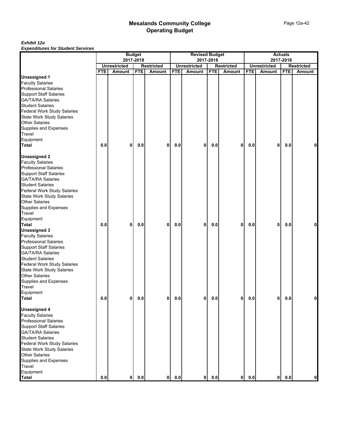|                                    |            |                     | <b>Budget</b> |                   |            | <b>Revised Budget</b> |            |                   |            |                     | <b>Actuals</b> |                   |
|------------------------------------|------------|---------------------|---------------|-------------------|------------|-----------------------|------------|-------------------|------------|---------------------|----------------|-------------------|
|                                    |            | 2017-2018           |               |                   |            |                       | 2017-2018  |                   |            |                     | 2017-2018      |                   |
|                                    |            | <b>Unrestricted</b> |               | <b>Restricted</b> |            | <b>Unrestricted</b>   |            | <b>Restricted</b> |            | <b>Unrestricted</b> |                | <b>Restricted</b> |
|                                    | <b>FTE</b> | <b>Amount</b>       | <b>FTE</b>    | <b>Amount</b>     | <b>FTE</b> | <b>Amount</b>         | <b>FTE</b> | Amount            | <b>FTE</b> | Amount              | <b>FTE</b>     | Amount            |
| <b>Unassigned 1</b>                |            |                     |               |                   |            |                       |            |                   |            |                     |                |                   |
| <b>Faculty Salaries</b>            |            |                     |               |                   |            |                       |            |                   |            |                     |                |                   |
| <b>Professional Salaries</b>       |            |                     |               |                   |            |                       |            |                   |            |                     |                |                   |
| <b>Support Staff Salaries</b>      |            |                     |               |                   |            |                       |            |                   |            |                     |                |                   |
| <b>GA/TA/RA Salaries</b>           |            |                     |               |                   |            |                       |            |                   |            |                     |                |                   |
| <b>Student Salaries</b>            |            |                     |               |                   |            |                       |            |                   |            |                     |                |                   |
| <b>Federal Work Study Salaries</b> |            |                     |               |                   |            |                       |            |                   |            |                     |                |                   |
| <b>State Work Study Salaries</b>   |            |                     |               |                   |            |                       |            |                   |            |                     |                |                   |
| <b>Other Salaries</b>              |            |                     |               |                   |            |                       |            |                   |            |                     |                |                   |
| Supplies and Expenses              |            |                     |               |                   |            |                       |            |                   |            |                     |                |                   |
| Travel                             |            |                     |               |                   |            |                       |            |                   |            |                     |                |                   |
| Equipment                          |            |                     |               |                   |            |                       |            |                   |            |                     |                |                   |
| <b>Total</b>                       | 0.0        | 0                   | 0.0           | 0                 | 0.0        | 0                     | 0.0        | 0                 | 0.0        | 0                   | 0.0            | 0                 |
|                                    |            |                     |               |                   |            |                       |            |                   |            |                     |                |                   |
| <b>Unassigned 2</b>                |            |                     |               |                   |            |                       |            |                   |            |                     |                |                   |
| <b>Faculty Salaries</b>            |            |                     |               |                   |            |                       |            |                   |            |                     |                |                   |
| <b>Professional Salaries</b>       |            |                     |               |                   |            |                       |            |                   |            |                     |                |                   |
| <b>Support Staff Salaries</b>      |            |                     |               |                   |            |                       |            |                   |            |                     |                |                   |
| <b>GA/TA/RA Salaries</b>           |            |                     |               |                   |            |                       |            |                   |            |                     |                |                   |
| <b>Student Salaries</b>            |            |                     |               |                   |            |                       |            |                   |            |                     |                |                   |
| <b>Federal Work Study Salaries</b> |            |                     |               |                   |            |                       |            |                   |            |                     |                |                   |
|                                    |            |                     |               |                   |            |                       |            |                   |            |                     |                |                   |
| <b>State Work Study Salaries</b>   |            |                     |               |                   |            |                       |            |                   |            |                     |                |                   |
| <b>Other Salaries</b>              |            |                     |               |                   |            |                       |            |                   |            |                     |                |                   |
| Supplies and Expenses              |            |                     |               |                   |            |                       |            |                   |            |                     |                |                   |
| Travel                             |            |                     |               |                   |            |                       |            |                   |            |                     |                |                   |
| Equipment                          |            |                     |               |                   |            |                       |            |                   |            |                     |                |                   |
| <b>Total</b>                       | 0.0        | 0                   | 0.0           | 0                 | 0.0        | 0                     | 0.0        | 0                 | 0.0        | 0                   | 0.0            | 0                 |
| <b>Unassigned 3</b>                |            |                     |               |                   |            |                       |            |                   |            |                     |                |                   |
| <b>Faculty Salaries</b>            |            |                     |               |                   |            |                       |            |                   |            |                     |                |                   |
| <b>Professional Salaries</b>       |            |                     |               |                   |            |                       |            |                   |            |                     |                |                   |
| <b>Support Staff Salaries</b>      |            |                     |               |                   |            |                       |            |                   |            |                     |                |                   |
| <b>GA/TA/RA Salaries</b>           |            |                     |               |                   |            |                       |            |                   |            |                     |                |                   |
| <b>Student Salaries</b>            |            |                     |               |                   |            |                       |            |                   |            |                     |                |                   |
| <b>Federal Work Study Salaries</b> |            |                     |               |                   |            |                       |            |                   |            |                     |                |                   |
| <b>State Work Study Salaries</b>   |            |                     |               |                   |            |                       |            |                   |            |                     |                |                   |
| <b>Other Salaries</b>              |            |                     |               |                   |            |                       |            |                   |            |                     |                |                   |
| Supplies and Expenses              |            |                     |               |                   |            |                       |            |                   |            |                     |                |                   |
| Travel                             |            |                     |               |                   |            |                       |            |                   |            |                     |                |                   |
| Equipment                          |            |                     |               |                   |            |                       |            |                   |            |                     |                |                   |
| Total                              | 0.0        | 0                   | 0.0           | 0                 | 0.0        | 01                    | 0.0        | 0                 | $0.0\,$    | $\mathbf{0}$        | 0.0            | 0                 |
|                                    |            |                     |               |                   |            |                       |            |                   |            |                     |                |                   |
| <b>Unassigned 4</b>                |            |                     |               |                   |            |                       |            |                   |            |                     |                |                   |
| <b>Faculty Salaries</b>            |            |                     |               |                   |            |                       |            |                   |            |                     |                |                   |
| <b>Professional Salaries</b>       |            |                     |               |                   |            |                       |            |                   |            |                     |                |                   |
|                                    |            |                     |               |                   |            |                       |            |                   |            |                     |                |                   |
| <b>Support Staff Salaries</b>      |            |                     |               |                   |            |                       |            |                   |            |                     |                |                   |
| <b>GA/TA/RA Salaries</b>           |            |                     |               |                   |            |                       |            |                   |            |                     |                |                   |
| <b>Student Salaries</b>            |            |                     |               |                   |            |                       |            |                   |            |                     |                |                   |
| <b>Federal Work Study Salaries</b> |            |                     |               |                   |            |                       |            |                   |            |                     |                |                   |
| <b>State Work Study Salaries</b>   |            |                     |               |                   |            |                       |            |                   |            |                     |                |                   |
| <b>Other Salaries</b>              |            |                     |               |                   |            |                       |            |                   |            |                     |                |                   |
| Supplies and Expenses              |            |                     |               |                   |            |                       |            |                   |            |                     |                |                   |
| Travel                             |            |                     |               |                   |            |                       |            |                   |            |                     |                |                   |
| Equipment                          |            |                     |               |                   |            |                       |            |                   |            |                     |                |                   |
| <b>Total</b>                       | 0.0        | $\mathbf 0$         | 0.0           | $\mathbf{0}$      | 0.0        | $\mathbf{0}$          | 0.0        | 01                | 0.0        | 0                   | 0.0            | $\mathbf{0}$      |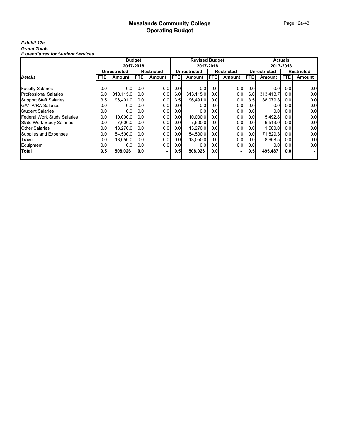#### Page 12a-43

#### *Exhibit 12a Grand Totals Expenditures for Student Services*

|                                    |      |                     | <b>Budget</b>    |                   |            | <b>Revised Budget</b> |           |                   |      |                  | <b>Actuals</b>   |            |
|------------------------------------|------|---------------------|------------------|-------------------|------------|-----------------------|-----------|-------------------|------|------------------|------------------|------------|
|                                    |      | 2017-2018           |                  |                   |            |                       | 2017-2018 |                   |      |                  | 2017-2018        |            |
|                                    |      | <b>Unrestricted</b> |                  | <b>Restricted</b> |            | Unrestricted          |           | <b>Restricted</b> |      | Unrestricted     |                  | Restricted |
| <b>Details</b>                     | FTE. | Amount              | <b>FTE</b>       | Amount            | <b>FTE</b> | Amount                | FTE.      | Amount            | FTE. | Amount           | FTE.             | Amount     |
|                                    |      |                     |                  |                   |            |                       |           |                   |      |                  |                  |            |
| <b>Faculty Salaries</b>            | 0.0  | 0.0                 | 0.0              | 0.0               | 0.0        | 0.0                   | 0.0       | 0.0               | 0.0  | 0.0              | 0.01             | 0.0        |
| <b>Professional Salaries</b>       | 6.01 | 313,115.0           | 0.0 <sub>l</sub> | 0.0               | 6.0        | 313.115.0             | 0.01      | 0.0               | 6.0  | 313,413.7        | 0.0              | 0.0        |
| <b>Support Staff Salaries</b>      | 3.5  | 96,491.0            | 0.0 <sub>l</sub> | 0.0               | 3.5        | 96,491.0              | 0.01      | 0.0               | 3.5  | 88,079.8         | 0.01             | 0.0        |
| <b>GA/TA/RA Salaries</b>           | 0.01 | 0.0                 | 0.0              | 0.0               | 0.0        | 0.0                   | 0.01      | 0.0               | 0.0  | 0.0              | 0.0              | 0.0        |
| <b>Student Salaries</b>            | 0.0  | 0.0                 | 0.0              | 0.0               | 0.0        | 0.0                   | 0.01      | 0.0               | 0.0  | 0.0              | 0.0              | 0.0        |
| <b>Federal Work Study Salaries</b> | 0.0  | 10,000.0            | 0.0 <sub>l</sub> | 0.0               | 0.0        | 10.000.0              | 0.01      | 0.0               | 0.01 | 5,492.8          | 0.0              | 0.0        |
| <b>State Work Study Salaries</b>   | 0.0  | 7,600.0             | 0.0 <sub>l</sub> | 0.0               | 0.0        | 7.600.0               | 0.01      | 0.0               | 0.01 | 6,513.0          | 0.0              | 0.0        |
| <b>Other Salaries</b>              | 0.0  | 13,270.0            | 0.0              | 0.0               | 0.0        | 13,270.0              | 0.01      | 0.0               | 0.0  | 1,500.0          | 0.01             | 0.0        |
| Supplies and Expenses              | 0.0  | 54,500.0            | 0.0              | 0.0               | 0.0        | 54,500.0              | 0.01      | 0.0               | 0.0  | 71,829.3         | 0.0 <sub>l</sub> | 0.0        |
| Travel                             | 0.0  | 13.050.0            | 0.0              | 0.0               | 0.0        | 13.050.0              | 0.01      | 0.0               | 0.01 | 8,658.5          | 0.0              | 0.0        |
| Equipment                          | 0.0  | 0.0                 | 0.0 <sub>l</sub> | 0.0               | 0.0        | 0.0                   | 0.01      | 0.0               | 0.0  | 0.0 <sub>l</sub> | 0.0 <sub>l</sub> | 0.0        |
| <b>Total</b>                       | 9.5  | 508,026             | 0.0              |                   | 9.5        | 508,026               | 0.0       | ۰                 | 9.5  | 495,487          | 0.0              |            |
|                                    |      |                     |                  |                   |            |                       |           |                   |      |                  |                  |            |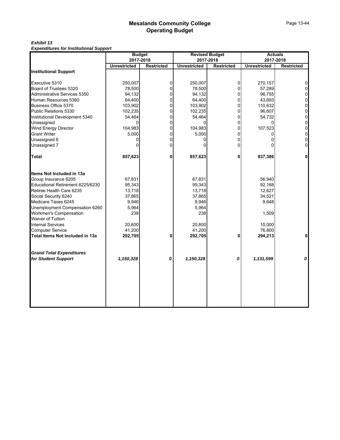#### *Exhibit 13 Expenditures for Institutional Support*

| 2017-2018<br><b>Restricted</b><br>0<br>0<br>0<br>0<br>0<br>0<br>0<br>0<br>0<br>0<br>0<br>0<br>0 | 2017-2018<br><b>Unrestricted</b><br>250,007<br>78,500<br>94,132<br>64,400<br>103,902<br>102,235<br>54,464<br>104,983<br>5,000<br>857,623<br>67,831<br>95,343<br>13,718<br>37,865 | <b>Restricted</b><br>$\Omega$<br>$\Omega$<br>$\overline{0}$<br>$\Omega$<br>$\Omega$<br>$\overline{0}$<br>$\overline{0}$<br>$\Omega$<br>$\overline{0}$<br>$\Omega$<br>0<br>0<br>0 | <b>Unrestricted</b><br>270,157<br>57,289<br>96,755<br>43,693<br>110,632<br>96,607<br>54,732<br>107,523<br>837,386<br>56,940<br>92,168<br>12,627 | 2017-2018<br><b>Restricted</b><br>0<br>0<br>0<br>$\mathsf{O}\xspace$<br>0<br>$\overline{0}$<br>0<br>0<br>0<br>0<br>$\Omega$ |
|-------------------------------------------------------------------------------------------------|----------------------------------------------------------------------------------------------------------------------------------------------------------------------------------|----------------------------------------------------------------------------------------------------------------------------------------------------------------------------------|-------------------------------------------------------------------------------------------------------------------------------------------------|-----------------------------------------------------------------------------------------------------------------------------|
|                                                                                                 |                                                                                                                                                                                  |                                                                                                                                                                                  |                                                                                                                                                 |                                                                                                                             |
|                                                                                                 |                                                                                                                                                                                  |                                                                                                                                                                                  |                                                                                                                                                 |                                                                                                                             |
|                                                                                                 |                                                                                                                                                                                  |                                                                                                                                                                                  |                                                                                                                                                 |                                                                                                                             |
|                                                                                                 |                                                                                                                                                                                  |                                                                                                                                                                                  |                                                                                                                                                 |                                                                                                                             |
|                                                                                                 |                                                                                                                                                                                  |                                                                                                                                                                                  |                                                                                                                                                 |                                                                                                                             |
|                                                                                                 |                                                                                                                                                                                  |                                                                                                                                                                                  |                                                                                                                                                 |                                                                                                                             |
|                                                                                                 |                                                                                                                                                                                  |                                                                                                                                                                                  |                                                                                                                                                 |                                                                                                                             |
|                                                                                                 |                                                                                                                                                                                  |                                                                                                                                                                                  |                                                                                                                                                 |                                                                                                                             |
|                                                                                                 |                                                                                                                                                                                  |                                                                                                                                                                                  |                                                                                                                                                 |                                                                                                                             |
|                                                                                                 |                                                                                                                                                                                  |                                                                                                                                                                                  |                                                                                                                                                 |                                                                                                                             |
|                                                                                                 |                                                                                                                                                                                  |                                                                                                                                                                                  |                                                                                                                                                 |                                                                                                                             |
|                                                                                                 |                                                                                                                                                                                  |                                                                                                                                                                                  |                                                                                                                                                 |                                                                                                                             |
|                                                                                                 |                                                                                                                                                                                  |                                                                                                                                                                                  |                                                                                                                                                 |                                                                                                                             |
|                                                                                                 |                                                                                                                                                                                  |                                                                                                                                                                                  |                                                                                                                                                 |                                                                                                                             |
|                                                                                                 |                                                                                                                                                                                  |                                                                                                                                                                                  |                                                                                                                                                 |                                                                                                                             |
|                                                                                                 |                                                                                                                                                                                  |                                                                                                                                                                                  |                                                                                                                                                 |                                                                                                                             |
|                                                                                                 |                                                                                                                                                                                  |                                                                                                                                                                                  |                                                                                                                                                 |                                                                                                                             |
|                                                                                                 |                                                                                                                                                                                  |                                                                                                                                                                                  |                                                                                                                                                 |                                                                                                                             |
|                                                                                                 |                                                                                                                                                                                  |                                                                                                                                                                                  |                                                                                                                                                 |                                                                                                                             |
|                                                                                                 |                                                                                                                                                                                  |                                                                                                                                                                                  | 34,521                                                                                                                                          |                                                                                                                             |
|                                                                                                 | 9,946                                                                                                                                                                            |                                                                                                                                                                                  | 9,648                                                                                                                                           |                                                                                                                             |
|                                                                                                 | 5,964                                                                                                                                                                            |                                                                                                                                                                                  |                                                                                                                                                 |                                                                                                                             |
|                                                                                                 | 238                                                                                                                                                                              |                                                                                                                                                                                  | 1,509                                                                                                                                           |                                                                                                                             |
|                                                                                                 |                                                                                                                                                                                  |                                                                                                                                                                                  |                                                                                                                                                 |                                                                                                                             |
|                                                                                                 |                                                                                                                                                                                  |                                                                                                                                                                                  |                                                                                                                                                 |                                                                                                                             |
| 0                                                                                               | 292,705                                                                                                                                                                          | 0                                                                                                                                                                                | 294,213                                                                                                                                         | $\Omega$                                                                                                                    |
|                                                                                                 |                                                                                                                                                                                  |                                                                                                                                                                                  |                                                                                                                                                 |                                                                                                                             |
| 0                                                                                               | 1,150,328                                                                                                                                                                        | 0                                                                                                                                                                                | 1,131,599                                                                                                                                       | 0                                                                                                                           |
|                                                                                                 |                                                                                                                                                                                  | 20,600<br>41,200                                                                                                                                                                 |                                                                                                                                                 | 10,000<br>76,800                                                                                                            |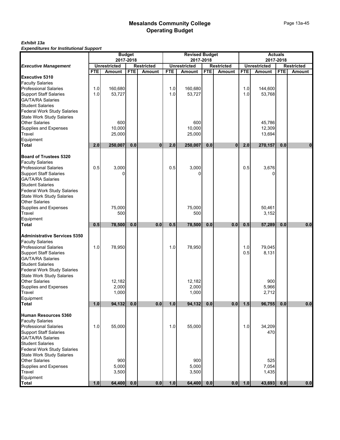#### *Exhibit 13a Expenditures for Institutional Support*

|                                                                                                                                                                                         | <b>Budget</b>                                         |                          |            |               | <b>Revised Budget</b><br>2017-2018<br><b>Unrestricted</b><br><b>Restricted</b> |                          |            |               | <b>Actuals</b><br>2017-2018<br><b>Unrestricted</b><br><b>Restricted</b> |                            |            |             |
|-----------------------------------------------------------------------------------------------------------------------------------------------------------------------------------------|-------------------------------------------------------|--------------------------|------------|---------------|--------------------------------------------------------------------------------|--------------------------|------------|---------------|-------------------------------------------------------------------------|----------------------------|------------|-------------|
|                                                                                                                                                                                         | 2017-2018<br><b>Unrestricted</b><br><b>Restricted</b> |                          |            |               |                                                                                |                          |            |               |                                                                         |                            |            |             |
| <b>Executive Management</b>                                                                                                                                                             | <b>FTE</b>                                            | Amount                   | <b>FTE</b> | <b>Amount</b> | <b>FTE</b>                                                                     | <b>Amount</b>            | <b>FTE</b> | <b>Amount</b> | <b>FTE</b>                                                              | Amount                     | <b>FTE</b> | Amount      |
| <b>Executive 5310</b><br><b>Faculty Salaries</b><br><b>Professional Salaries</b>                                                                                                        | 1.0                                                   | 160,680                  |            |               | 1.0                                                                            | 160,680                  |            |               | 1.0                                                                     | 144,600                    |            |             |
| <b>Support Staff Salaries</b><br>GA/TA/RA Salaries                                                                                                                                      | 1.0                                                   | 53,727                   |            |               | 1.0                                                                            | 53,727                   |            |               | 1.0                                                                     | 53,768                     |            |             |
| <b>Student Salaries</b><br><b>Federal Work Study Salaries</b><br><b>State Work Study Salaries</b>                                                                                       |                                                       |                          |            |               |                                                                                |                          |            |               |                                                                         |                            |            |             |
| <b>Other Salaries</b><br>Supplies and Expenses<br>Travel                                                                                                                                |                                                       | 600<br>10,000<br>25,000  |            |               |                                                                                | 600<br>10,000<br>25,000  |            |               |                                                                         | 45,786<br>12,309<br>13,694 |            |             |
| Equipment<br>Total                                                                                                                                                                      | 2.0                                                   | 250,007                  | 0.0        | $\mathbf{0}$  | 2.0                                                                            | 250,007                  | 0.0        | $\bf{0}$      | 2.0                                                                     | 270,157                    | 0.0        | $\mathbf 0$ |
| <b>Board of Trustees 5320</b><br><b>Faculty Salaries</b>                                                                                                                                |                                                       |                          |            |               |                                                                                |                          |            |               |                                                                         |                            |            |             |
| <b>Professional Salaries</b><br><b>Support Staff Salaries</b><br><b>GA/TA/RA Salaries</b><br><b>Student Salaries</b><br><b>Federal Work Study Salaries</b><br>State Work Study Salaries | 0.5                                                   | 3,000                    |            |               | 0.5                                                                            | 3,000                    |            |               | 0.5                                                                     | 3,676                      |            |             |
| <b>Other Salaries</b><br>Supplies and Expenses<br>Travel                                                                                                                                |                                                       | 75,000<br>500            |            |               |                                                                                | 75,000<br>500            |            |               |                                                                         | 50,461<br>3,152            |            |             |
| Equipment<br>Total                                                                                                                                                                      | 0.5                                                   | 78,500                   | 0.0        | 0.0           | 0.5                                                                            | 78,500                   | 0.0        | 0.0           | 0.5                                                                     | 57,289                     | 0.0        | 0.0         |
| <b>Administrative Services 5350</b><br><b>Faculty Salaries</b>                                                                                                                          |                                                       |                          |            |               |                                                                                |                          |            |               |                                                                         |                            |            |             |
| <b>Professional Salaries</b><br><b>Support Staff Salaries</b><br><b>GA/TA/RA Salaries</b><br><b>Student Salaries</b><br><b>Federal Work Study Salaries</b>                              | 1.0                                                   | 78,950                   |            |               | 1.0                                                                            | 78,950                   |            |               | 1.0<br>0.5                                                              | 79,045<br>8,131            |            |             |
| <b>State Work Study Salaries</b><br><b>Other Salaries</b><br>Supplies and Expenses<br>Travel<br>Equipment                                                                               |                                                       | 12,182<br>2,000<br>1,000 |            |               |                                                                                | 12,182<br>2,000<br>1,000 |            |               |                                                                         | 900<br>5,966<br>2,712      |            |             |
| <b>Total</b>                                                                                                                                                                            | 1.0                                                   | 94,132                   | 0.0        | 0.0           | 1.0                                                                            | 94,132                   | 0.0        | 0.0           | 1.5                                                                     | 96,755                     | 0.0        | 0.0         |
| Human Resources 5360<br><b>Faculty Salaries</b><br><b>Professional Salaries</b>                                                                                                         | 1.0                                                   | 55,000                   |            |               | 1.0                                                                            | 55,000                   |            |               | 1.0                                                                     | 34,209                     |            |             |
| <b>Support Staff Salaries</b><br><b>GA/TA/RA Salaries</b><br><b>Student Salaries</b><br><b>Federal Work Study Salaries</b>                                                              |                                                       |                          |            |               |                                                                                |                          |            |               |                                                                         | 470                        |            |             |
| State Work Study Salaries<br><b>Other Salaries</b><br>Supplies and Expenses<br>Travel<br>Equipment                                                                                      |                                                       | 900<br>5,000<br>3,500    |            |               |                                                                                | 900<br>5,000<br>3,500    |            |               |                                                                         | 525<br>7,054<br>1,435      |            |             |
| Total                                                                                                                                                                                   | 1.0                                                   | 64,400                   | 0.0        | 0.0           | 1.0                                                                            | 64,400                   | 0.0        | 0.0           | 1.0                                                                     | 43,693                     | 0.0        | 0.0         |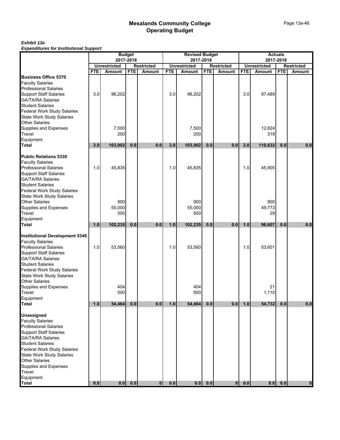# Page 13a-46

*Exhibit 13a Expenditures for Institutional Support*

|                                                                                                                                                                                                                                                                                       |            |                                  | <b>Budget</b> |                   |            | <b>Revised Budget</b>            |            |                   | <b>Actuals</b><br>2017-2018 |                          |            |                   |
|---------------------------------------------------------------------------------------------------------------------------------------------------------------------------------------------------------------------------------------------------------------------------------------|------------|----------------------------------|---------------|-------------------|------------|----------------------------------|------------|-------------------|-----------------------------|--------------------------|------------|-------------------|
|                                                                                                                                                                                                                                                                                       |            | 2017-2018<br><b>Unrestricted</b> |               | <b>Restricted</b> |            | 2017-2018<br><b>Unrestricted</b> |            | <b>Restricted</b> |                             | <b>Unrestricted</b>      |            | <b>Restricted</b> |
|                                                                                                                                                                                                                                                                                       | <b>FTE</b> | Amount                           | <b>FTE</b>    | <b>Amount</b>     | <b>FTE</b> | <b>Amount</b>                    | <b>FTE</b> | <b>Amount</b>     | <b>FTE</b>                  | Amount                   | <b>FTE</b> | Amount            |
| <b>Business Office 5370</b><br><b>Faculty Salaries</b><br><b>Professional Salaries</b><br>Support Staff Salaries<br>GA/TA/RA Salaries<br><b>Student Salaries</b>                                                                                                                      | 3.0        | 96,202                           |               |                   | 3.0        | 96,202                           |            |                   | 3.0                         | 97,489                   |            |                   |
| Federal Work Study Salaries<br>State Work Study Salaries<br><b>Other Salaries</b><br>Supplies and Expenses<br>Travel<br>Equipment<br><b>Total</b>                                                                                                                                     | 3.0        | 7,500<br>200<br>103,902          | 0.0           | 0.0               | 3.0        | 7,500<br>200<br>103,902          | 0.0        | 0.0               | 3.0                         | 12,824<br>319<br>110,632 | 0.0        | 0.0               |
| <b>Public Relations 5330</b><br><b>Faculty Salaries</b><br><b>Professional Salaries</b><br><b>Support Staff Salaries</b><br><b>GA/TA/RA Salaries</b><br>Student Salaries<br>Federal Work Study Salaries<br>State Work Study Salaries                                                  | 1.0        | 45,835                           |               |                   | 1.0        | 45,835                           |            |                   | 1.0                         | 45,905                   |            |                   |
| <b>Other Salaries</b><br>Supplies and Expenses<br>Travel<br>Equipment                                                                                                                                                                                                                 |            | 900<br>55,000<br>500             |               |                   |            | 900<br>55,000<br>500             |            |                   |                             | 900<br>49,773<br>29      |            |                   |
| <b>Total</b>                                                                                                                                                                                                                                                                          | 1.0        | 102,235                          | 0.0           | 0.0               | 1.0        | 102,235                          | 0.0        | 0.0               | 1.0                         | 96,607                   | 0.0        | 0.0               |
| <b>Institutional Development 5340</b><br><b>Faculty Salaries</b><br>Professional Salaries<br><b>Support Staff Salaries</b><br>GA/TA/RA Salaries<br><b>Student Salaries</b><br>Federal Work Study Salaries<br><b>State Work Study Salaries</b><br><b>Other Salaries</b>                | 1.0        | 53,560                           |               |                   | 1.0        | 53,560                           |            |                   | 1.0                         | 53,601                   |            |                   |
| Supplies and Expenses<br>Travel<br>Equipment                                                                                                                                                                                                                                          |            | 404<br>500                       |               |                   |            | 404<br>500                       |            |                   |                             | 21<br>1,110              |            |                   |
| <b>Total</b>                                                                                                                                                                                                                                                                          | 1.0        | 54,464                           | 0.0           | 0.0               | 1.0        | 54,464                           | $0.0\,$    | 0.0               | 1.0                         | 54,732                   | 0.0        | 0.0               |
| <b>Unassigned</b><br><b>Faculty Salaries</b><br>Professional Salaries<br><b>Support Staff Salaries</b><br><b>GA/TA/RA Salaries</b><br><b>Student Salaries</b><br><b>Federal Work Study Salaries</b><br>State Work Study Salaries<br>Other Salaries<br>Supplies and Expenses<br>Travel |            |                                  |               |                   |            |                                  |            |                   |                             |                          |            |                   |
| Equipment<br>Total                                                                                                                                                                                                                                                                    | 0.0        | 0.0                              | 0.0           | $\bf{0}$          | 0.0        | 0.0                              | 0.0        | $\overline{0}$    | 0.0                         | 0.0                      | 0.0        |                   |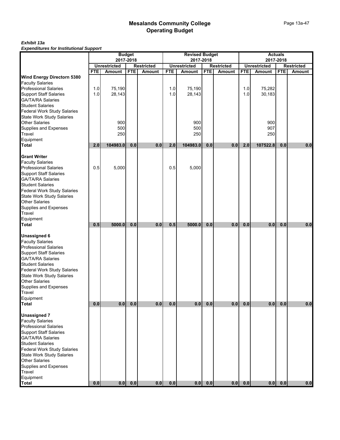#### *Exhibit 13a Expenditures for Institutional Support*

|                                                           |            |                                      | <b>Budget</b> |                             | <b>Revised Budget</b><br>2017-2018 |                                      |            |                                    | <b>Actuals</b> |                               |            |                                    |
|-----------------------------------------------------------|------------|--------------------------------------|---------------|-----------------------------|------------------------------------|--------------------------------------|------------|------------------------------------|----------------|-------------------------------|------------|------------------------------------|
|                                                           |            |                                      | 2017-2018     |                             |                                    |                                      |            |                                    |                |                               | 2017-2018  |                                    |
|                                                           | <b>FTE</b> | <b>Unrestricted</b><br><b>Amount</b> | <b>FTE</b>    | <b>Restricted</b><br>Amount | <b>FTE</b>                         | <b>Unrestricted</b><br><b>Amount</b> | <b>FTE</b> | <b>Restricted</b><br><b>Amount</b> | <b>FTE</b>     | <b>Unrestricted</b><br>Amount | <b>FTE</b> | <b>Restricted</b><br><b>Amount</b> |
| Wind Energy Directorn 5380                                |            |                                      |               |                             |                                    |                                      |            |                                    |                |                               |            |                                    |
| <b>Faculty Salaries</b>                                   |            |                                      |               |                             |                                    |                                      |            |                                    |                |                               |            |                                    |
| <b>Professional Salaries</b>                              | 1.0        | 75,190                               |               |                             | 1.0                                | 75,190                               |            |                                    | 1.0            | 75,282                        |            |                                    |
| <b>Support Staff Salaries</b>                             | 1.0        | 28,143                               |               |                             | 1.0                                | 28,143                               |            |                                    | 1.0            | 30,183                        |            |                                    |
| <b>GA/TA/RA Salaries</b>                                  |            |                                      |               |                             |                                    |                                      |            |                                    |                |                               |            |                                    |
| <b>Student Salaries</b>                                   |            |                                      |               |                             |                                    |                                      |            |                                    |                |                               |            |                                    |
| <b>Federal Work Study Salaries</b>                        |            |                                      |               |                             |                                    |                                      |            |                                    |                |                               |            |                                    |
| <b>State Work Study Salaries</b><br><b>Other Salaries</b> |            | 900                                  |               |                             |                                    | 900                                  |            |                                    |                | 900                           |            |                                    |
| Supplies and Expenses                                     |            | 500                                  |               |                             |                                    | 500                                  |            |                                    |                | 907                           |            |                                    |
| Travel                                                    |            | 250                                  |               |                             |                                    | 250                                  |            |                                    |                | 250                           |            |                                    |
| Equipment                                                 |            |                                      |               |                             |                                    |                                      |            |                                    |                |                               |            |                                    |
| <b>Total</b>                                              | 2.0        | 104983.0                             | 0.0           | 0.0                         | 2.0                                | 104983.0                             | 0.0        | 0.0                                | 2.0            | 107522.8                      | 0.0        | 0.0                                |
| <b>Grant Writer</b>                                       |            |                                      |               |                             |                                    |                                      |            |                                    |                |                               |            |                                    |
| <b>Faculty Salaries</b>                                   |            |                                      |               |                             |                                    |                                      |            |                                    |                |                               |            |                                    |
| <b>Professional Salaries</b>                              | 0.5        | 5.000                                |               |                             | 0.5                                | 5,000                                |            |                                    |                |                               |            |                                    |
| <b>Support Staff Salaries</b>                             |            |                                      |               |                             |                                    |                                      |            |                                    |                |                               |            |                                    |
| <b>GA/TA/RA Salaries</b>                                  |            |                                      |               |                             |                                    |                                      |            |                                    |                |                               |            |                                    |
| <b>Student Salaries</b>                                   |            |                                      |               |                             |                                    |                                      |            |                                    |                |                               |            |                                    |
| Federal Work Study Salaries                               |            |                                      |               |                             |                                    |                                      |            |                                    |                |                               |            |                                    |
| <b>State Work Study Salaries</b><br><b>Other Salaries</b> |            |                                      |               |                             |                                    |                                      |            |                                    |                |                               |            |                                    |
| Supplies and Expenses                                     |            |                                      |               |                             |                                    |                                      |            |                                    |                |                               |            |                                    |
| Travel                                                    |            |                                      |               |                             |                                    |                                      |            |                                    |                |                               |            |                                    |
| Equipment                                                 |            |                                      |               |                             |                                    |                                      |            |                                    |                |                               |            |                                    |
| <b>Total</b>                                              | 0.5        | 5000.0                               | 0.0           | 0.0                         | 0.5                                | 5000.0                               | 0.0        | 0.0                                | 0.0            | 0.0                           | 0.0        | 0.0                                |
| <b>Unassigned 6</b>                                       |            |                                      |               |                             |                                    |                                      |            |                                    |                |                               |            |                                    |
| <b>Faculty Salaries</b>                                   |            |                                      |               |                             |                                    |                                      |            |                                    |                |                               |            |                                    |
| <b>Professional Salaries</b>                              |            |                                      |               |                             |                                    |                                      |            |                                    |                |                               |            |                                    |
| <b>Support Staff Salaries</b>                             |            |                                      |               |                             |                                    |                                      |            |                                    |                |                               |            |                                    |
| <b>GA/TA/RA Salaries</b>                                  |            |                                      |               |                             |                                    |                                      |            |                                    |                |                               |            |                                    |
| <b>Student Salaries</b>                                   |            |                                      |               |                             |                                    |                                      |            |                                    |                |                               |            |                                    |
| Federal Work Study Salaries                               |            |                                      |               |                             |                                    |                                      |            |                                    |                |                               |            |                                    |
| State Work Study Salaries<br><b>Other Salaries</b>        |            |                                      |               |                             |                                    |                                      |            |                                    |                |                               |            |                                    |
| Supplies and Expenses                                     |            |                                      |               |                             |                                    |                                      |            |                                    |                |                               |            |                                    |
| Travel                                                    |            |                                      |               |                             |                                    |                                      |            |                                    |                |                               |            |                                    |
| Equipment                                                 |            |                                      |               |                             |                                    |                                      |            |                                    |                |                               |            |                                    |
| <b>Total</b>                                              | $0.0\,$    | 0.0                                  | 0.0           | 0.0                         | 0.0                                | 0.0                                  | 0.0        | 0.0                                | 0.0            | 0.0                           | 0.0        | 0.0                                |
| <b>Unassigned 7</b>                                       |            |                                      |               |                             |                                    |                                      |            |                                    |                |                               |            |                                    |
| <b>Faculty Salaries</b>                                   |            |                                      |               |                             |                                    |                                      |            |                                    |                |                               |            |                                    |
| <b>Professional Salaries</b>                              |            |                                      |               |                             |                                    |                                      |            |                                    |                |                               |            |                                    |
| <b>Support Staff Salaries</b>                             |            |                                      |               |                             |                                    |                                      |            |                                    |                |                               |            |                                    |
| <b>GA/TA/RA Salaries</b>                                  |            |                                      |               |                             |                                    |                                      |            |                                    |                |                               |            |                                    |
| <b>Student Salaries</b>                                   |            |                                      |               |                             |                                    |                                      |            |                                    |                |                               |            |                                    |
| <b>Federal Work Study Salaries</b>                        |            |                                      |               |                             |                                    |                                      |            |                                    |                |                               |            |                                    |
| <b>State Work Study Salaries</b>                          |            |                                      |               |                             |                                    |                                      |            |                                    |                |                               |            |                                    |
| Other Salaries                                            |            |                                      |               |                             |                                    |                                      |            |                                    |                |                               |            |                                    |
| Supplies and Expenses                                     |            |                                      |               |                             |                                    |                                      |            |                                    |                |                               |            |                                    |
| Travel                                                    |            |                                      |               |                             |                                    |                                      |            |                                    |                |                               |            |                                    |
| Equipment<br>Total                                        | 0.0        | 0.0                                  | $0.0\,$       | 0.0                         | $0.0\,$                            | 0.0                                  | 0.0        | 0.0                                | 0.0            | 0.0                           | 0.0        | 0.0                                |
|                                                           |            |                                      |               |                             |                                    |                                      |            |                                    |                |                               |            |                                    |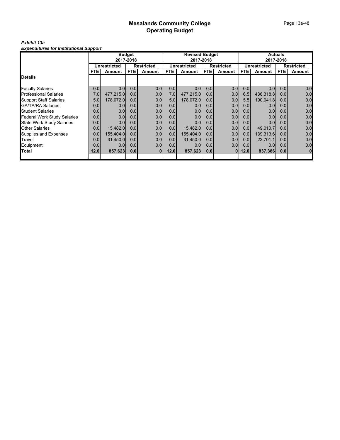#### *Exhibit 13a Expenditures for Institutional Support*

|                                    |                  | <b>Budget</b>       |                  |                   | <b>Revised Budget</b> |                     |                  |                   | <b>Actuals</b>   |                  |                  |                |
|------------------------------------|------------------|---------------------|------------------|-------------------|-----------------------|---------------------|------------------|-------------------|------------------|------------------|------------------|----------------|
|                                    |                  |                     | 2017-2018        |                   |                       | 2017-2018           |                  |                   |                  |                  | 2017-2018        |                |
|                                    |                  | <b>Unrestricted</b> |                  | <b>Restricted</b> |                       | <b>Unrestricted</b> |                  | <b>Restricted</b> |                  | Unrestricted     |                  | Restricted     |
|                                    | FTE.             | Amount              | <b>FTE</b>       | Amount            | <b>FTE</b>            | Amount              | FTE.             | Amount            | <b>FTE</b>       | <b>Amount</b>    | <b>FTE</b>       | Amount         |
| Details                            |                  |                     |                  |                   |                       |                     |                  |                   |                  |                  |                  |                |
| <b>Faculty Salaries</b>            | 0.0              | 0.0 <sub>l</sub>    | 0.0              | 0.0               | 0.0                   | 0.0                 | 0.0              | 0.0               | 0.0              | 0.0 <sub>l</sub> | 0.0              | 0.0            |
|                                    |                  |                     |                  |                   | 7.0                   |                     |                  |                   |                  |                  |                  |                |
| Professional Salaries              | 7.0              | 477,215.0           | 0.0 <sub>l</sub> | 0.0               |                       | 477,215.0           | 0.0              | 0.0               | 6.5              | 436,318.8        | 0.0 <sub>l</sub> | 0.0            |
| <b>Support Staff Salaries</b>      | 5.0              | 178,072.0           | 0.0 <sub>l</sub> | 0.0               | 5.0                   | 178,072.0           | 0.0              | 0.0               | 5.5              | 190,041.8        | 0.0 <sub>l</sub> | 0.0            |
| GA/TA/RA Salaries                  | 0.0              | 0.0                 | 0.0 <sub>l</sub> | 0.0               | 0.0                   | 0.0                 | 0.0 <sub>l</sub> | 0.0               | 0.0              | 0.0              | 0.0 <sub>l</sub> | 0.0            |
| <b>Student Salaries</b>            | 0.0 <sub>l</sub> | 0.0                 | 0.0              | 0.0               | 0.0                   | 0.0                 | 0.0 <sub>l</sub> | 0.0               | 0.0              | 0.0              | 0.0 <sub>1</sub> | 0.0            |
| <b>Federal Work Study Salaries</b> | 0.0              | 0.0                 | 0.0 <sub>l</sub> | 0.0               | 0.0                   | 0.0                 | 0.0 <sub>l</sub> | 0.0               | 0.0              | 0.0              | 0.0 <sub>1</sub> | 0.0            |
| <b>State Work Study Salaries</b>   | 0.0              | 0.0 <sub>l</sub>    | 0.0              | 0.0               | 0.0                   | 0.0                 | 0.0 <sub>l</sub> | 0.0               | 0.0 <sub>l</sub> | 0.0 <sub>l</sub> | 0.0 <sub>l</sub> | 0.0            |
| Other Salaries                     | 0.0              | 15,482.0            | 0.0 <sub>l</sub> | 0.0               | 0.0                   | 15,482.0            | 0.0 <sub>l</sub> | 0.0               | 0.0 <sub>l</sub> | 49.010.7         | 0.0 <sub>l</sub> | 0.0            |
| Supplies and Expenses              | 0.0              | 155,404.0           | 0.0              | 0.0               | 0.0                   | 155,404.0           | 0.0              | 0.0               | 0.0              | 139,313.6        | 0.0 <sub>l</sub> | 0.0            |
| Travel                             | 0.0              | 31,450.0            | 0.0 <sub>l</sub> | 0.0               | 0.0                   | 31,450.0            | 0.0              | 0.0               | 0.0              | 22,701.1         | 0.0 <sub>l</sub> | 0.0            |
| Equipment                          | 0.0              | 0.01                | 0.0              | 0.01              | 0.0                   | 0.0                 | 0.0              | 0.01              | 0.0              | 0.0 <sub>l</sub> | 0.0              | 0.0            |
| Total                              | 12.0             | 857,623             | 0.0              | <b>01</b>         | 12.0                  | 857,623             | 0.0              | 01                | 12.0             | 837,386          | 0.0              | $\overline{0}$ |
|                                    |                  |                     |                  |                   |                       |                     |                  |                   |                  |                  |                  |                |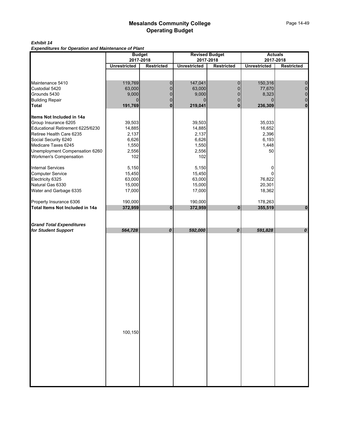### *Exhibit 14*

*Expenditures for Operation and Maintenance of Plant*

|                                  |                     | <b>Budget</b>                  |                     | <b>Revised Budget</b>          |                     | <b>Actuals</b>                 |
|----------------------------------|---------------------|--------------------------------|---------------------|--------------------------------|---------------------|--------------------------------|
|                                  | <b>Unrestricted</b> | 2017-2018<br><b>Restricted</b> | <b>Unrestricted</b> | 2017-2018<br><b>Restricted</b> | <b>Unrestricted</b> | 2017-2018<br><b>Restricted</b> |
|                                  |                     |                                |                     |                                |                     |                                |
|                                  |                     |                                |                     |                                |                     |                                |
| Maintenance 5410                 | 119,769             | $\mathbf 0$                    | 147,041             | $\pmb{0}$                      | 150,316             | $\pmb{0}$                      |
| Custodial 5420                   | 63,000              | $\pmb{0}$                      | 63,000              | $\pmb{0}$                      | 77,670              | $\pmb{0}$                      |
| Grounds 5430                     | 9,000               | $\pmb{0}$                      | 9,000               | $\overline{0}$                 | 8,323               | $\mathbf 0$                    |
| <b>Building Repair</b>           |                     | $\pmb{0}$                      |                     | $\mathbf 0$                    | $\Omega$            | $\mathbf 0$                    |
| Total                            | 191,769             | $\mathbf 0$                    | 219,041             | $\mathbf 0$                    | 236,309             | $\mathbf 0$                    |
|                                  |                     |                                |                     |                                |                     |                                |
| Items Not Included in 14a        |                     |                                |                     |                                |                     |                                |
| Group Insurance 6205             | 39,503              |                                | 39,503              |                                | 35,033              |                                |
| Educational Retirement 6225/6230 | 14,885              |                                | 14,885              |                                | 16,652              |                                |
| Retiree Health Care 6235         | 2,137               |                                | 2,137               |                                | 2,396               |                                |
| Social Security 6240             | 6,626               |                                | 6,626               |                                | 6,193               |                                |
| Medicare Taxes 6245              | 1,550               |                                | 1,550               |                                | 1,448               |                                |
| Unemployment Compensation 6260   | 2,556               |                                | 2,556               |                                | 50                  |                                |
| <b>Workmen's Compensation</b>    | 102                 |                                | 102                 |                                |                     |                                |
| <b>Internal Services</b>         | 5,150               |                                | 5,150               |                                | 0                   |                                |
| <b>Computer Service</b>          | 15,450              |                                | 15,450              |                                | $\Omega$            |                                |
| Electricity 6325                 | 63,000              |                                | 63,000              |                                | 76,822              |                                |
| Natural Gas 6330                 | 15,000              |                                | 15,000              |                                | 20,301              |                                |
| Water and Garbage 6335           | 17,000              |                                | 17,000              |                                | 18,362              |                                |
|                                  |                     |                                |                     |                                |                     |                                |
| Property Insurance 6306          | 190,000             |                                | 190,000             |                                | 178,263             |                                |
| Total Items Not Included in 14a  | 372,959             | $\mathbf 0$                    | 372,959             | $\mathbf{0}$                   | 355,519             | $\pmb{0}$                      |
|                                  |                     |                                |                     |                                |                     |                                |
|                                  |                     |                                |                     |                                |                     |                                |
| <b>Grand Total Expenditures</b>  |                     |                                |                     |                                |                     |                                |
| for Student Support              | 564,728             | $\boldsymbol{o}$               | 592,000             | 0                              | 591,828             | $\pmb{\mathit{o}}$             |
|                                  |                     |                                |                     |                                |                     |                                |
|                                  |                     |                                |                     |                                |                     |                                |
|                                  |                     |                                |                     |                                |                     |                                |
|                                  |                     |                                |                     |                                |                     |                                |
|                                  |                     |                                |                     |                                |                     |                                |
|                                  |                     |                                |                     |                                |                     |                                |
|                                  |                     |                                |                     |                                |                     |                                |
|                                  |                     |                                |                     |                                |                     |                                |
|                                  |                     |                                |                     |                                |                     |                                |
|                                  |                     |                                |                     |                                |                     |                                |
|                                  |                     |                                |                     |                                |                     |                                |
|                                  |                     |                                |                     |                                |                     |                                |
|                                  |                     |                                |                     |                                |                     |                                |
|                                  |                     |                                |                     |                                |                     |                                |
|                                  |                     |                                |                     |                                |                     |                                |
|                                  |                     |                                |                     |                                |                     |                                |
|                                  |                     |                                |                     |                                |                     |                                |
|                                  |                     |                                |                     |                                |                     |                                |
|                                  | 100,150             |                                |                     |                                |                     |                                |
|                                  |                     |                                |                     |                                |                     |                                |
|                                  |                     |                                |                     |                                |                     |                                |
|                                  |                     |                                |                     |                                |                     |                                |
|                                  |                     |                                |                     |                                |                     |                                |
|                                  |                     |                                |                     |                                |                     |                                |
|                                  |                     |                                |                     |                                |                     |                                |
|                                  |                     |                                |                     |                                |                     |                                |
|                                  |                     |                                |                     |                                |                     |                                |
|                                  |                     |                                |                     |                                |                     |                                |
|                                  |                     |                                |                     |                                |                     |                                |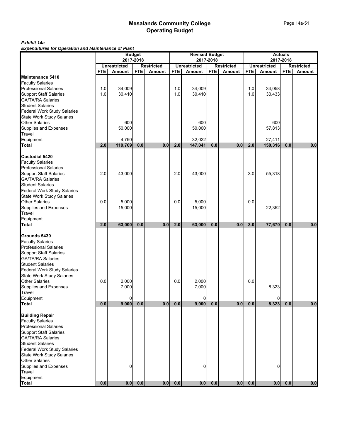### *Exhibit 14a*

*Expenditures for Operation and Maintenance of Plant*

|                                                          | <b>Budget</b><br>2017-2018 |                                      |            |                             | <b>Revised Budget</b><br>2017-2018 |                               |            |                                    | <b>Actuals</b><br>2017-2018 |                               |            |                                    |
|----------------------------------------------------------|----------------------------|--------------------------------------|------------|-----------------------------|------------------------------------|-------------------------------|------------|------------------------------------|-----------------------------|-------------------------------|------------|------------------------------------|
|                                                          |                            |                                      |            |                             |                                    |                               |            |                                    |                             |                               |            |                                    |
|                                                          | <b>FTE</b>                 | <b>Unrestricted</b><br><b>Amount</b> | <b>FTE</b> | <b>Restricted</b><br>Amount | <b>FTE</b>                         | <b>Unrestricted</b><br>Amount | <b>FTE</b> | <b>Restricted</b><br><b>Amount</b> | <b>FTE</b>                  | <b>Unrestricted</b><br>Amount | <b>FTE</b> | <b>Restricted</b><br><b>Amount</b> |
| Maintenance 5410                                         |                            |                                      |            |                             |                                    |                               |            |                                    |                             |                               |            |                                    |
| <b>Faculty Salaries</b>                                  |                            |                                      |            |                             |                                    |                               |            |                                    |                             |                               |            |                                    |
| <b>Professional Salaries</b>                             | 1.0                        | 34,009                               |            |                             | 1.0                                | 34,009                        |            |                                    | 1.0                         | 34,058                        |            |                                    |
|                                                          | 1.0                        | 30,410                               |            |                             | 1.0                                | 30,410                        |            |                                    | 1.0                         | 30,433                        |            |                                    |
| Support Staff Salaries<br>GA/TA/RA Salaries              |                            |                                      |            |                             |                                    |                               |            |                                    |                             |                               |            |                                    |
| <b>Student Salaries</b>                                  |                            |                                      |            |                             |                                    |                               |            |                                    |                             |                               |            |                                    |
| <b>Federal Work Study Salaries</b>                       |                            |                                      |            |                             |                                    |                               |            |                                    |                             |                               |            |                                    |
|                                                          |                            |                                      |            |                             |                                    |                               |            |                                    |                             |                               |            |                                    |
| State Work Study Salaries<br>Other Salaries              |                            | 600                                  |            |                             |                                    | 600                           |            |                                    |                             | 600                           |            |                                    |
| Supplies and Expenses                                    |                            | 50,000                               |            |                             |                                    | 50,000                        |            |                                    |                             | 57,813                        |            |                                    |
| Travel                                                   |                            |                                      |            |                             |                                    |                               |            |                                    |                             |                               |            |                                    |
| Equipment                                                |                            | 4,750                                |            |                             |                                    | 32,022                        |            |                                    |                             | 27,411                        |            |                                    |
| <b>Total</b>                                             | 2.0                        | 119,769                              | 0.0        | 0.0                         | 2.0                                | 147,041                       | 0.0        | 0.0                                | 2.0                         | 150,316                       | 0.0        | 0.0                                |
| Custodial 5420                                           |                            |                                      |            |                             |                                    |                               |            |                                    |                             |                               |            |                                    |
| <b>Faculty Salaries</b>                                  |                            |                                      |            |                             |                                    |                               |            |                                    |                             |                               |            |                                    |
| <b>Professional Salaries</b>                             |                            |                                      |            |                             |                                    |                               |            |                                    |                             |                               |            |                                    |
| <b>Support Staff Salaries</b>                            | 2.0                        | 43,000                               |            |                             | 2.0                                | 43,000                        |            |                                    | 3.0                         | 55,318                        |            |                                    |
| GA/TA/RA Salaries                                        |                            |                                      |            |                             |                                    |                               |            |                                    |                             |                               |            |                                    |
| <b>Student Salaries</b>                                  |                            |                                      |            |                             |                                    |                               |            |                                    |                             |                               |            |                                    |
| Federal Work Study Salaries<br>State Work Study Salaries |                            |                                      |            |                             |                                    |                               |            |                                    |                             |                               |            |                                    |
|                                                          |                            |                                      |            |                             |                                    |                               |            |                                    |                             |                               |            |                                    |
| <b>Other Salaries</b>                                    | 0.0                        | 5,000                                |            |                             | 0.0                                | 5,000                         |            |                                    | 0.0                         |                               |            |                                    |
| Supplies and Expenses<br>Travel                          |                            | 15,000                               |            |                             |                                    | 15,000                        |            |                                    |                             | 22,352                        |            |                                    |
|                                                          |                            |                                      |            |                             |                                    |                               |            |                                    |                             |                               |            |                                    |
| Equipment                                                |                            |                                      |            |                             |                                    |                               |            |                                    |                             |                               |            |                                    |
| <b>Total</b>                                             | 2.0                        | 63,000                               | 0.0        | 0.0                         | 2.0                                | 63,000                        | 0.0        | 0.0                                | 3.0                         | 77,670                        | 0.0        | 0.0                                |
| Grounds 5430                                             |                            |                                      |            |                             |                                    |                               |            |                                    |                             |                               |            |                                    |
| <b>Faculty Salaries</b>                                  |                            |                                      |            |                             |                                    |                               |            |                                    |                             |                               |            |                                    |
| <b>Professional Salaries</b>                             |                            |                                      |            |                             |                                    |                               |            |                                    |                             |                               |            |                                    |
| <b>Support Staff Salaries</b>                            |                            |                                      |            |                             |                                    |                               |            |                                    |                             |                               |            |                                    |
| <b>GA/TA/RA Salaries</b>                                 |                            |                                      |            |                             |                                    |                               |            |                                    |                             |                               |            |                                    |
| Student Salaries<br>Federal Work Study Salaries          |                            |                                      |            |                             |                                    |                               |            |                                    |                             |                               |            |                                    |
|                                                          |                            |                                      |            |                             |                                    |                               |            |                                    |                             |                               |            |                                    |
| <b>State Work Study Salaries</b>                         |                            |                                      |            |                             |                                    |                               |            |                                    |                             |                               |            |                                    |
| <b>Other Salaries</b>                                    | 0.0                        | 2,000                                |            |                             | 0.0                                | 2,000                         |            |                                    | 0.0                         |                               |            |                                    |
| Supplies and Expenses<br>Travel                          |                            | 7,000                                |            |                             |                                    | 7,000                         |            |                                    |                             | 8,323                         |            |                                    |
|                                                          |                            |                                      |            |                             |                                    |                               |            |                                    |                             |                               |            |                                    |
| Equipment<br>Total                                       | 0.0                        | 0<br>9,000                           | 0.0        | 0.0                         | $0.0\,$                            | 0<br>9,000                    | 0.0        | 0.0                                | $0.0\,$                     | 0<br>8,323                    | 0.0        | 0.0                                |
|                                                          |                            |                                      |            |                             |                                    |                               |            |                                    |                             |                               |            |                                    |
| <b>Building Repair</b>                                   |                            |                                      |            |                             |                                    |                               |            |                                    |                             |                               |            |                                    |
| <b>Faculty Salaries</b>                                  |                            |                                      |            |                             |                                    |                               |            |                                    |                             |                               |            |                                    |
| <b>Professional Salaries</b>                             |                            |                                      |            |                             |                                    |                               |            |                                    |                             |                               |            |                                    |
| <b>Support Staff Salaries</b>                            |                            |                                      |            |                             |                                    |                               |            |                                    |                             |                               |            |                                    |
| <b>GA/TA/RA Salaries</b>                                 |                            |                                      |            |                             |                                    |                               |            |                                    |                             |                               |            |                                    |
| <b>Student Salaries</b>                                  |                            |                                      |            |                             |                                    |                               |            |                                    |                             |                               |            |                                    |
| Federal Work Study Salaries                              |                            |                                      |            |                             |                                    |                               |            |                                    |                             |                               |            |                                    |
| <b>State Work Study Salaries</b>                         |                            |                                      |            |                             |                                    |                               |            |                                    |                             |                               |            |                                    |
| <b>Other Salaries</b><br>Supplies and Expenses           |                            | 0                                    |            |                             |                                    | 0                             |            |                                    |                             | 0                             |            |                                    |
| Travel                                                   |                            |                                      |            |                             |                                    |                               |            |                                    |                             |                               |            |                                    |
| Equipment                                                |                            |                                      |            |                             |                                    |                               |            |                                    |                             |                               |            |                                    |
| <b>Total</b>                                             | 0.0                        | 0.0                                  | $0.0$      | 0.0                         | 0.0                                | 0.0                           | $0.0\,$    | 0.0                                | 0.0                         | 0.0                           | 0.0        | 0.0                                |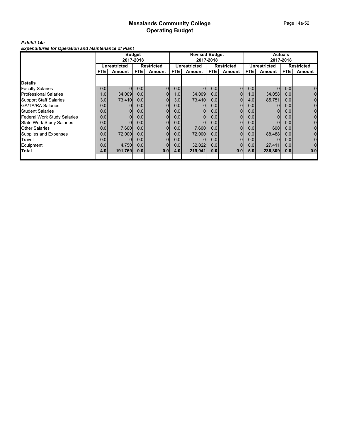### *Exhibit 14a*

*Expenditures for Operation and Maintenance of Plant*

|                                    | <b>Budget</b>    |                |            |                   | <b>Revised Budget</b> |                     |                  |                   | <b>Actuals</b>   |              |                  |                   |
|------------------------------------|------------------|----------------|------------|-------------------|-----------------------|---------------------|------------------|-------------------|------------------|--------------|------------------|-------------------|
|                                    |                  |                | 2017-2018  |                   |                       |                     | 2017-2018        |                   |                  |              | 2017-2018        |                   |
|                                    | Unrestricted     |                |            | <b>Restricted</b> |                       | <b>Unrestricted</b> |                  | <b>Restricted</b> |                  | Unrestricted |                  | <b>Restricted</b> |
|                                    | <b>FTE</b>       | Amount         | <b>FTE</b> | <b>Amount</b>     | FTE.                  | Amount              | <b>FTEI</b>      | Amount            | FTE.             | Amount       | FTE.             | Amount            |
|                                    |                  |                |            |                   |                       |                     |                  |                   |                  |              |                  |                   |
| <b>Details</b>                     |                  |                |            |                   |                       |                     |                  |                   |                  |              |                  |                   |
| <b>Faculty Salaries</b>            | 0.0              |                | 0.0        | $\overline{0}$    | 0.0                   |                     | 0.0              | $\Omega$          | 0.0              |              | 0.0              | 0                 |
| <b>Professional Salaries</b>       | 1.0              | 34,009         | 0.0        | $\overline{0}$    | 1.0                   | 34,009              | 0.0 <sub>l</sub> |                   | 1.0 <sub>l</sub> | 34,058       | 0.0              | $\mathbf{0}$      |
| <b>Support Staff Salaries</b>      | 3.0 <sub>l</sub> | 73,410         | 0.0        | $\overline{0}$    | 3.0                   | 73,410              | 0.0 <sub>l</sub> |                   | 4.0              | 85,751       | 0.0              | 0                 |
| <b>GA/TA/RA Salaries</b>           | 0.0              |                | 0.0        | $\overline{0}$    | 0.0                   |                     | 0.0              |                   | 0.0 <sub>l</sub> |              | 0.0 <sub>l</sub> | 0                 |
| <b>Student Salaries</b>            | 0.0              |                | 0.0        | $\overline{0}$    | 0.0                   |                     | 0.0 <sub>l</sub> | $\Omega$          | 0.0 <sub>l</sub> |              | 0.0              | 0                 |
| <b>Federal Work Study Salaries</b> | 0.0              | $\overline{0}$ | 0.0        | $\overline{0}$    | 0.0                   | $\Omega$            | 0.0 <sub>l</sub> | 0                 | 0.0 <sub>l</sub> | 0            | 0.0              | 0                 |
| <b>State Work Study Salaries</b>   | 0.0              |                | 0.0        | $\overline{0}$    | 0.0                   |                     | 0.0 <sub>l</sub> | 0                 | 0.0              |              | 0.0              | 0                 |
| <b>Other Salaries</b>              | 0.0              | 7,600          | 0.0        | $\overline{0}$    | 0.0                   | 7,600               | 0.0 <sub>l</sub> | 0                 | 0.0              | 600          | 0.0 <sub>l</sub> | 0                 |
| Supplies and Expenses              | 0.0              | 72,000         | 0.0        | 0                 | 0.0                   | 72,000              | 0.0 <sub>l</sub> | 0                 | 0.0              | 88,488       | 0.0              | $\overline{0}$    |
| Travel                             | 0.0              |                | 0.0        | 01                | 0.0                   | $\Omega$            | 0.0              | $\Omega$          | 0.0 <sub>l</sub> |              | 0.0              | $\mathbf 0$       |
| Equipment                          | 0.0              | 4,750          | 0.0        |                   | 0.0                   | 32,022              | 0.0              | 0                 | 0.0              | 27,411       | 0.0              | $\mathbf 0$       |
| <b>Total</b>                       | 4.0              | 191,769        | 0.0        | 0.0               | 4.0                   | 219,041             | 0.0              | 0.0               | 5.0 <sub>1</sub> | 236,309      | 0.0              | 0.0               |
|                                    |                  |                |            |                   |                       |                     |                  |                   |                  |              |                  |                   |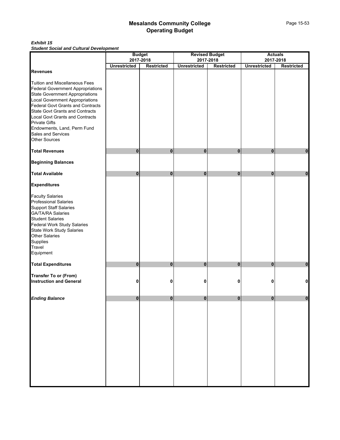#### *Exhibit 15 Student Social and Cultural Development*

|                                                                                                                                                                                                                                                                                                                                                    |                     | <b>Budget</b>                  |                     | <b>Revised Budget</b><br>2017-2018 |                     | <b>Actuals</b>                 |
|----------------------------------------------------------------------------------------------------------------------------------------------------------------------------------------------------------------------------------------------------------------------------------------------------------------------------------------------------|---------------------|--------------------------------|---------------------|------------------------------------|---------------------|--------------------------------|
|                                                                                                                                                                                                                                                                                                                                                    | <b>Unrestricted</b> | 2017-2018<br><b>Restricted</b> | <b>Unrestricted</b> | <b>Restricted</b>                  | <b>Unrestricted</b> | 2017-2018<br><b>Restricted</b> |
| <b>Revenues</b>                                                                                                                                                                                                                                                                                                                                    |                     |                                |                     |                                    |                     |                                |
| Tuition and Miscellaneous Fees<br>Federal Government Appropriations<br>State Government Appropriations<br>Local Government Appropriations<br>Federal Govt Grants and Contracts<br>State Govt Grants and Contracts<br>Local Govt Grants and Contracts<br><b>Private Gifts</b><br>Endowments, Land, Perm Fund<br>Sales and Services<br>Other Sources |                     |                                |                     |                                    |                     |                                |
| <b>Total Revenues</b>                                                                                                                                                                                                                                                                                                                              | 0                   | $\mathbf{0}$                   | $\bf{0}$            | 0                                  | 0                   | 0                              |
| <b>Beginning Balances</b>                                                                                                                                                                                                                                                                                                                          |                     |                                |                     |                                    |                     |                                |
| <b>Total Available</b>                                                                                                                                                                                                                                                                                                                             | 0                   | $\mathbf{0}$                   | $\bf{0}$            | 0                                  | $\mathbf 0$         | $\bf{0}$                       |
| <b>Expenditures</b>                                                                                                                                                                                                                                                                                                                                |                     |                                |                     |                                    |                     |                                |
| <b>Faculty Salaries</b><br><b>Professional Salaries</b><br>Support Staff Salaries<br>GA/TA/RA Salaries<br><b>Student Salaries</b><br>Federal Work Study Salaries<br>State Work Study Salaries<br>Other Salaries<br>Supplies<br>Travel<br>Equipment                                                                                                 |                     |                                |                     |                                    |                     |                                |
| <b>Total Expenditures</b>                                                                                                                                                                                                                                                                                                                          | 0                   | $\mathbf 0$                    | $\bf{0}$            | 0                                  | 0                   | $\bf{0}$                       |
| <b>Transfer To or (From)</b><br><b>Instruction and General</b>                                                                                                                                                                                                                                                                                     | 0                   | 0                              | 0                   | 0                                  | 0                   | $\mathbf 0$                    |
| <b>Ending Balance</b>                                                                                                                                                                                                                                                                                                                              | $\overline{0}$      | $\mathbf{0}$                   | $\mathbf{0}$        | $\mathbf{0}$                       | $\overline{0}$      | $\bf{0}$                       |
|                                                                                                                                                                                                                                                                                                                                                    |                     |                                |                     |                                    |                     |                                |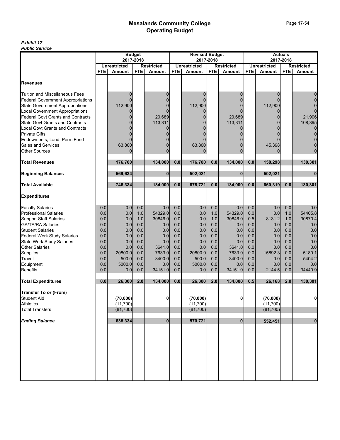|                                          | <b>Budget</b> |                     |            |                                    | <b>Revised Budget</b> |                     |            |                   | <b>Actuals</b> |                               |            |                   |
|------------------------------------------|---------------|---------------------|------------|------------------------------------|-----------------------|---------------------|------------|-------------------|----------------|-------------------------------|------------|-------------------|
|                                          |               | 2017-2018           |            |                                    |                       |                     | 2017-2018  |                   |                | 2017-2018                     |            |                   |
|                                          | <b>FTE</b>    | <b>Unrestricted</b> | <b>FTE</b> | <b>Restricted</b><br><b>Amount</b> | <b>FTE</b>            | <b>Unrestricted</b> | <b>FTE</b> | <b>Restricted</b> | <b>FTE</b>     | <b>Unrestricted</b><br>Amount | <b>FTE</b> | <b>Restricted</b> |
|                                          |               | <b>Amount</b>       |            |                                    |                       | <b>Amount</b>       |            | Amount            |                |                               |            | Amount            |
| <b>Revenues</b>                          |               |                     |            |                                    |                       |                     |            |                   |                |                               |            |                   |
| Tuition and Miscellaneous Fees           |               | 0                   |            | 0                                  |                       | 0                   |            |                   |                | 0                             |            | 0                 |
| <b>Federal Government Appropriations</b> |               |                     |            | $\overline{0}$                     |                       |                     |            |                   |                |                               |            | $\overline{0}$    |
| <b>State Government Appropriations</b>   |               | 112,900             |            | $\Omega$                           |                       | 112,900             |            |                   |                | 112,900                       |            | $\mathbf{0}$      |
| <b>Local Government Appropriations</b>   |               | 0                   |            | $\Omega$                           |                       | 0                   |            |                   |                |                               |            | $\mathbf 0$       |
| Federal Govt Grants and Contracts        |               | 0                   |            | 20,689                             |                       |                     |            | 20,689            |                |                               |            | 21,906            |
| <b>State Govt Grants and Contracts</b>   |               |                     |            | 113,311                            |                       |                     |            | 113,311           |                |                               |            | 108,395           |
| <b>Local Govt Grants and Contracts</b>   |               | $\Omega$            |            | 0                                  |                       | 0                   |            |                   |                | 0                             |            | $\mathbf 0$       |
| <b>Private Gifts</b>                     |               |                     |            | O                                  |                       |                     |            |                   |                |                               |            | $\mathbf 0$       |
| Endowments, Land, Perm Fund              |               |                     |            |                                    |                       |                     |            |                   |                |                               |            | $\mathbf 0$       |
| Sales and Services                       |               | 63,800              |            | $\Omega$                           |                       | 63,800              |            |                   |                | 45,398                        |            | $\mathbf 0$       |
| <b>Other Sources</b>                     |               | 0                   |            | $\Omega$                           |                       |                     |            |                   |                |                               |            | $\overline{0}$    |
| <b>Total Revenues</b>                    |               | 176,700             |            | 134.000                            | 0.0                   | 176,700             | 0.0        | 134,000           | 0.0            | 158,298                       |            | 130,301           |
| <b>Beginning Balances</b>                |               | 569.634             |            | $\bf{0}$                           |                       | 502,021             |            | $\mathbf{0}$      |                | 502,021                       |            | $\mathbf 0$       |
| <b>Total Available</b>                   |               | 746,334             |            | 134,000                            | 0.0                   | 678,721             | 0.0        | 134,000           | 0.0            | 660,319                       | 0.0        | 130,301           |
| <b>Expenditures</b>                      |               |                     |            |                                    |                       |                     |            |                   |                |                               |            |                   |
| <b>Faculty Salaries</b>                  | 0.0           | 0.0                 | 0.0        | 0.0                                | 0.0                   | 0.0                 | 0.0        | 0.0               | 0.0            | 0.0                           | 0.0        | 0.0               |
| <b>Professional Salaries</b>             | 0.0           | 0.0                 | 1.0        | 54329.0                            | 0.0                   | 0.0                 | 1.0        | 54329.0           | 0.0            | 0.0                           | 1.0        | 54405.8           |
| <b>Support Staff Salaries</b>            | 0.0           | 0.0                 | 1.0        | 30846.0                            | 0.0                   | 0.0                 | 1.0        | 30846.0           | 0.5            | 8131.2                        | 1.0        | 30870.4           |
| <b>GA/TA/RA Salaries</b>                 | 0.0           | 0.0                 | 0.0        | 0.0                                | 0.0                   | 0.0                 | 0.0        | 0.0               | 0.0            | 0.0                           | 0.0        | 0.0               |
| <b>Student Salaries</b>                  | 0.0           | 0.0                 | 0.0        | 0.0                                | 0.0                   | 0.0                 | 0.0        | 0.0               | 0.0            | 0.0                           | 0.0        | 0.0               |
| <b>Federal Work Study Salaries</b>       | 0.0           | 0.0                 | 0.0        | 0.0                                | 0.0                   | 0.0                 | 0.0        | 0.0               | 0.0            | 0.0                           | 0.0        | 0.0               |
| <b>State Work Study Salaries</b>         | 0.0           | 0.0                 | 0.0        | 0.0                                | 0.0                   | 0.0                 | 0.0        | 0.0               | 0.0            | 0.0                           | 0.0        | 0.0               |
| Other Salaries                           | 0.0           | 0.0                 | 0.0        | 3641.0                             | 0.0                   | 0.0                 | 0.0        | 3641.0            | 0.0            | 0.0                           | 0.0        | 0.0               |
| Supplies                                 | 0.0           | 20800.0             | 0.0        | 7633.0                             | 0.0                   | 20800.0             | 0.0        | 7633.0            | 0.0            | 15892.3                       | 0.0        | 5180.1            |
| Travel                                   | 0.0           | 500.0               | 0.0        | 3400.0                             | 0.0<br>0.0            | 500.0<br>5000.0     | 0.0<br>0.0 | 3400.0            | 0.0            | 0.0                           | 0.0        | 5404.2            |
| Equipment<br><b>Benefits</b>             | 0.0<br>0.0    | 5000.0<br>0.0       | 0.0<br>0.0 | 0.0<br>34151.0                     | 0.0                   | 0.0                 | 0.0        | 0.0<br>34151.0    | 0.0<br>0.0     | 0.0<br>2144.5                 | 0.0<br>0.0 | 0.0<br>34440.9    |
|                                          |               |                     |            |                                    |                       |                     |            |                   |                |                               |            |                   |
| <b>Total Expenditures</b>                | 0.0           | 26,300              | 2.0        | 134,000                            | 0.0                   | 26,300              | 2.0        | 134,000           | 0.5            | 26,168                        | 2.0        | 130,301           |
| <b>Transfer To or (From)</b>             |               |                     |            |                                    |                       |                     |            |                   |                |                               |            |                   |
| <b>Student Aid</b>                       |               | (70,000)            |            | 0                                  |                       | (70,000)            |            | $\mathbf{0}$      |                | (70,000)                      |            | $\mathbf 0$       |
| <b>Athletics</b>                         |               | (11,700)            |            |                                    |                       | (11,700)            |            |                   |                | (11,700)                      |            |                   |
| <b>Total Transfers</b>                   |               | (81,700)            |            |                                    |                       | (81,700)            |            |                   |                | (81,700)                      |            |                   |
| <b>Ending Balance</b>                    |               | 638,334             |            | $\mathbf 0$                        |                       | 570,721             |            | $\mathbf{0}$      |                | 552,451                       |            | $\mathbf{0}$      |
|                                          |               |                     |            |                                    |                       |                     |            |                   |                |                               |            |                   |
|                                          |               |                     |            |                                    |                       |                     |            |                   |                |                               |            |                   |
|                                          |               |                     |            |                                    |                       |                     |            |                   |                |                               |            |                   |
|                                          |               |                     |            |                                    |                       |                     |            |                   |                |                               |            |                   |
|                                          |               |                     |            |                                    |                       |                     |            |                   |                |                               |            |                   |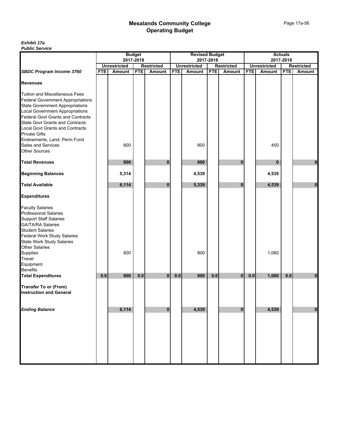|                                                                                                                                                                                                                                        | <b>Budget</b><br>2017-2018 |                     |            |                   | <b>Revised Budget</b> |                     |            |                   | <b>Actuals</b><br>2017-2018 |                     |            |                   |
|----------------------------------------------------------------------------------------------------------------------------------------------------------------------------------------------------------------------------------------|----------------------------|---------------------|------------|-------------------|-----------------------|---------------------|------------|-------------------|-----------------------------|---------------------|------------|-------------------|
|                                                                                                                                                                                                                                        |                            |                     |            |                   |                       |                     | 2017-2018  |                   |                             |                     |            |                   |
|                                                                                                                                                                                                                                        |                            | <b>Unrestricted</b> |            | <b>Restricted</b> |                       | <b>Unrestricted</b> |            | <b>Restricted</b> |                             | <b>Unrestricted</b> |            | <b>Restricted</b> |
| <b>SBDC Program Income 3760</b>                                                                                                                                                                                                        | <b>FTE</b>                 | <b>Amount</b>       | <b>FTE</b> | Amount            | <b>FTE</b>            | Amount              | <b>FTE</b> | <b>Amount</b>     | <b>FTE</b>                  | Amount              | <b>FTE</b> | <b>Amount</b>     |
| <b>Revenues</b>                                                                                                                                                                                                                        |                            |                     |            |                   |                       |                     |            |                   |                             |                     |            |                   |
| <b>Tuition and Miscellaneous Fees</b><br><b>Federal Government Appropriations</b><br>State Government Appropriations<br>Local Government Appropriations<br>Federal Govt Grants and Contracts<br><b>State Govt Grants and Contracts</b> |                            |                     |            |                   |                       |                     |            |                   |                             |                     |            |                   |
| <b>Local Govt Grants and Contracts</b><br><b>Private Gifts</b>                                                                                                                                                                         |                            |                     |            |                   |                       |                     |            |                   |                             |                     |            |                   |
| Endowments, Land, Perm Fund<br>Sales and Services<br>Other Sources                                                                                                                                                                     |                            | 800                 |            |                   |                       | 800                 |            |                   |                             | 450                 |            |                   |
| <b>Total Revenues</b>                                                                                                                                                                                                                  |                            | 800                 |            | $\bf{0}$          |                       | 800                 |            | $\bf{0}$          |                             | $\mathbf{0}$        |            | $\mathbf{0}$      |
| <b>Beginning Balances</b>                                                                                                                                                                                                              |                            | 5,314               |            |                   |                       | 4,539               |            |                   |                             | 4,539               |            |                   |
| <b>Total Available</b>                                                                                                                                                                                                                 |                            | 6,114               |            | $\bf{0}$          |                       | 5,339               |            | $\bf{0}$          |                             | 4,539               |            | 0                 |
| <b>Expenditures</b>                                                                                                                                                                                                                    |                            |                     |            |                   |                       |                     |            |                   |                             |                     |            |                   |
| <b>Faculty Salaries</b><br><b>Professional Salaries</b><br>Support Staff Salaries<br>GA/TA/RA Salaries<br>Student Salaries<br>Federal Work Study Salaries<br>State Work Study Salaries<br>Other Salaries                               |                            |                     |            |                   |                       |                     |            |                   |                             |                     |            |                   |
| Supplies<br>Travel<br>Equipment                                                                                                                                                                                                        |                            | 800                 |            |                   |                       | 800                 |            |                   |                             | 1,060               |            |                   |
| Benefits                                                                                                                                                                                                                               |                            |                     |            |                   |                       |                     |            |                   |                             |                     |            |                   |
| <b>Total Expenditures</b>                                                                                                                                                                                                              | 0.0                        | 800                 | 0.0        | $\mathbf{0}$      | 0.0                   | 800                 | 0.0        | $\bf{0}$          | $0.0\,$                     | 1,060               | 0.0        | $\bf{0}$          |
| <b>Transfer To or (From)</b><br><b>Instruction and General</b>                                                                                                                                                                         |                            |                     |            |                   |                       |                     |            |                   |                             |                     |            |                   |
| <b>Ending Balance</b>                                                                                                                                                                                                                  |                            | 6,114               |            | $\bf{0}$          |                       | 4,539               |            | $\bf{0}$          |                             | 4,539               |            | $\pmb{0}$         |
|                                                                                                                                                                                                                                        |                            |                     |            |                   |                       |                     |            |                   |                             |                     |            |                   |
|                                                                                                                                                                                                                                        |                            |                     |            |                   |                       |                     |            |                   |                             |                     |            |                   |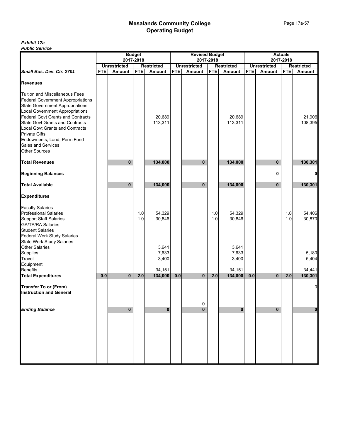|                                                                                                                                                                                                                                                                                                                                                                                | <b>Budget</b> |                     |            |                         |            | <b>Revised Budget</b> |            |                         |            | <b>Actuals</b>      |            |                   |  |  |
|--------------------------------------------------------------------------------------------------------------------------------------------------------------------------------------------------------------------------------------------------------------------------------------------------------------------------------------------------------------------------------|---------------|---------------------|------------|-------------------------|------------|-----------------------|------------|-------------------------|------------|---------------------|------------|-------------------|--|--|
|                                                                                                                                                                                                                                                                                                                                                                                | 2017-2018     |                     |            |                         |            |                       | 2017-2018  |                         |            |                     | 2017-2018  |                   |  |  |
|                                                                                                                                                                                                                                                                                                                                                                                |               | <b>Unrestricted</b> |            | <b>Restricted</b>       |            | <b>Unrestricted</b>   |            | <b>Restricted</b>       |            | <b>Unrestricted</b> |            | <b>Restricted</b> |  |  |
| Small Bus. Dev. Ctr. 2701                                                                                                                                                                                                                                                                                                                                                      | <b>FTE</b>    | <b>Amount</b>       | <b>FTE</b> | Amount                  | <b>FTE</b> | <b>Amount</b>         | <b>FTE</b> | Amount                  | <b>FTE</b> | Amount              | <b>FTE</b> | Amount            |  |  |
| <b>Revenues</b>                                                                                                                                                                                                                                                                                                                                                                |               |                     |            |                         |            |                       |            |                         |            |                     |            |                   |  |  |
| <b>Tuition and Miscellaneous Fees</b><br><b>Federal Government Appropriations</b><br>State Government Appropriations<br>Local Government Appropriations<br><b>Federal Govt Grants and Contracts</b><br>State Govt Grants and Contracts<br>Local Govt Grants and Contracts<br><b>Private Gifts</b><br>Endowments, Land, Perm Fund<br>Sales and Services<br><b>Other Sources</b> |               |                     |            | 20,689<br>113,311       |            |                       |            | 20,689<br>113,311       |            |                     |            | 21,906<br>108,395 |  |  |
| <b>Total Revenues</b>                                                                                                                                                                                                                                                                                                                                                          |               | $\bf{0}$            |            | 134,000                 |            | $\mathbf{0}$          |            | 134,000                 |            | 0                   |            | 130,301           |  |  |
|                                                                                                                                                                                                                                                                                                                                                                                |               |                     |            |                         |            |                       |            |                         |            |                     |            |                   |  |  |
| <b>Beginning Balances</b>                                                                                                                                                                                                                                                                                                                                                      |               |                     |            |                         |            |                       |            |                         |            | 0                   |            |                   |  |  |
| <b>Total Available</b>                                                                                                                                                                                                                                                                                                                                                         |               | 0                   |            | 134,000                 |            | $\mathbf{0}$          |            | 134,000                 |            | $\bf{0}$            |            | 130,301           |  |  |
| <b>Expenditures</b>                                                                                                                                                                                                                                                                                                                                                            |               |                     |            |                         |            |                       |            |                         |            |                     |            |                   |  |  |
| <b>Faculty Salaries</b><br><b>Professional Salaries</b><br>Support Staff Salaries<br>GA/TA/RA Salaries<br><b>Student Salaries</b>                                                                                                                                                                                                                                              |               |                     | 1.0<br>1.0 | 54,329<br>30,846        |            |                       | 1.0<br>1.0 | 54,329<br>30,846        |            |                     | 1.0<br>1.0 | 54,406<br>30,870  |  |  |
| Federal Work Study Salaries<br>State Work Study Salaries<br>Other Salaries<br>Supplies<br>Travel<br>Equipment                                                                                                                                                                                                                                                                  |               |                     |            | 3,641<br>7,633<br>3,400 |            |                       |            | 3,641<br>7,633<br>3,400 |            |                     |            | 5,180<br>5,404    |  |  |
| <b>Benefits</b>                                                                                                                                                                                                                                                                                                                                                                |               |                     |            | 34,151                  |            |                       |            | 34.151                  |            |                     |            | 34,441            |  |  |
| <b>Total Expenditures</b>                                                                                                                                                                                                                                                                                                                                                      | 0.0           | $\mathbf{0}$        | 2.0        | 134,000                 | 0.0        | $\mathbf{0}$          | 2.0        | 134,000                 | 0.0        | $\mathbf{0}$        | 2.0        | 130,301           |  |  |
| <b>Transfer To or (From)</b><br><b>Instruction and General</b>                                                                                                                                                                                                                                                                                                                 |               |                     |            |                         |            |                       |            |                         |            |                     |            |                   |  |  |
| <b>Ending Balance</b>                                                                                                                                                                                                                                                                                                                                                          |               | $\bf{0}$            |            | $\mathbf{0}$            |            | 0<br>$\mathbf{0}$     |            | $\bf{0}$                |            | 0                   |            | 0                 |  |  |
|                                                                                                                                                                                                                                                                                                                                                                                |               |                     |            |                         |            |                       |            |                         |            |                     |            |                   |  |  |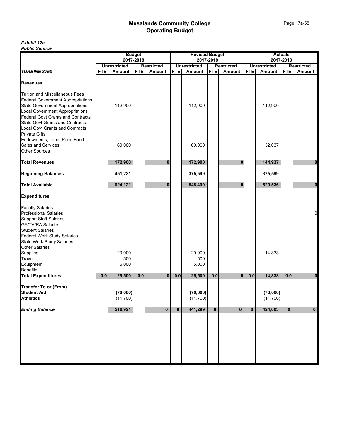|                                                                                                                                                                                                                                                                                  | <b>Budget</b><br>2017-2018 |                        |            |                   | <b>Revised Budget</b> |                        |            |                   | <b>Actuals</b> |                      |              |                   |
|----------------------------------------------------------------------------------------------------------------------------------------------------------------------------------------------------------------------------------------------------------------------------------|----------------------------|------------------------|------------|-------------------|-----------------------|------------------------|------------|-------------------|----------------|----------------------|--------------|-------------------|
|                                                                                                                                                                                                                                                                                  |                            |                        |            |                   |                       |                        | 2017-2018  |                   |                | 2017-2018            |              |                   |
|                                                                                                                                                                                                                                                                                  |                            | <b>Unrestricted</b>    |            | <b>Restricted</b> |                       | <b>Unrestricted</b>    |            | <b>Restricted</b> |                | <b>Unrestricted</b>  |              | <b>Restricted</b> |
| <b>TURBINE 3750</b>                                                                                                                                                                                                                                                              | <b>FTE</b>                 | <b>Amount</b>          | <b>FTE</b> | Amount            | <b>FTE</b>            | Amount                 | <b>FTE</b> | Amount            | <b>FTE</b>     | Amount               | <b>FTE</b>   | Amount            |
| <b>Revenues</b>                                                                                                                                                                                                                                                                  |                            |                        |            |                   |                       |                        |            |                   |                |                      |              |                   |
| <b>Tuition and Miscellaneous Fees</b><br><b>Federal Government Appropriations</b><br>State Government Appropriations<br>Local Government Appropriations<br>Federal Govt Grants and Contracts<br><b>State Govt Grants and Contracts</b><br><b>Local Govt Grants and Contracts</b> |                            | 112,900                |            |                   |                       | 112,900                |            |                   |                | 112,900              |              |                   |
| <b>Private Gifts</b><br>Endowments, Land, Perm Fund<br>Sales and Services<br>Other Sources                                                                                                                                                                                       |                            | 60,000                 |            |                   |                       | 60,000                 |            |                   |                | 32,037               |              |                   |
| <b>Total Revenues</b>                                                                                                                                                                                                                                                            |                            | 172,900                |            | $\bf{0}$          |                       | 172,900                |            | $\bf{0}$          |                | 144,937              |              | $\mathbf{0}$      |
|                                                                                                                                                                                                                                                                                  |                            |                        |            |                   |                       |                        |            |                   |                |                      |              |                   |
| <b>Beginning Balances</b>                                                                                                                                                                                                                                                        |                            | 451,221                |            |                   |                       | 375,599                |            |                   |                | 375,599              |              |                   |
| <b>Total Available</b>                                                                                                                                                                                                                                                           |                            | 624,121                |            | 0                 |                       | 548,499                |            | $\bf{0}$          |                | 520,536              |              | $\mathbf 0$       |
| <b>Expenditures</b>                                                                                                                                                                                                                                                              |                            |                        |            |                   |                       |                        |            |                   |                |                      |              |                   |
| <b>Faculty Salaries</b><br>Professional Salaries<br>Support Staff Salaries<br>GA/TA/RA Salaries<br><b>Student Salaries</b><br>Federal Work Study Salaries<br>State Work Study Salaries<br>Other Salaries                                                                         |                            |                        |            |                   |                       |                        |            |                   |                |                      |              | $\overline{0}$    |
| Supplies<br>Travel<br>Equipment<br>Benefits                                                                                                                                                                                                                                      |                            | 20,000<br>500<br>5,000 |            |                   |                       | 20,000<br>500<br>5,000 |            |                   |                | 14,833               |              |                   |
| <b>Total Expenditures</b>                                                                                                                                                                                                                                                        | 0.0                        | 25,500                 | 0.0        | $\mathbf{0}$      | 0.0                   | 25,500                 | 0.0        | $\mathbf{0}$      | 0.0            | 14,833               | 0.0          | $\mathbf{0}$      |
| <b>Transfer To or (From)</b><br><b>Student Aid</b><br><b>Athletics</b>                                                                                                                                                                                                           |                            | (70,000)<br>(11, 700)  |            |                   |                       | (70,000)<br>(11, 700)  |            |                   |                | (70,000)<br>(11,700) |              |                   |
| <b>Ending Balance</b>                                                                                                                                                                                                                                                            |                            | 516,921                |            | $\bf{0}$          | 0                     | 441,299                | $\bf{0}$   | 0                 | $\mathbf{0}$   | 424,003              | $\mathbf{0}$ | $\mathbf 0$       |
|                                                                                                                                                                                                                                                                                  |                            |                        |            |                   |                       |                        |            |                   |                |                      |              |                   |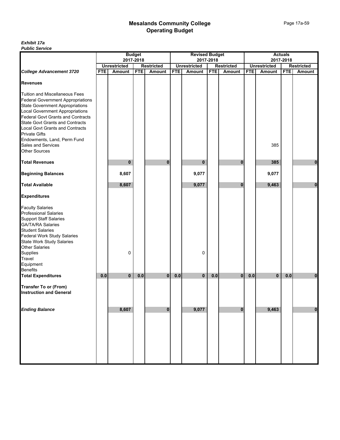|                                                                                                                                                                                                                                                                                                                                                                                | <b>Budget</b> |                     |            |                   | <b>Revised Budget</b> |                     |            |                   | <b>Actuals</b> |                     |            |                   |
|--------------------------------------------------------------------------------------------------------------------------------------------------------------------------------------------------------------------------------------------------------------------------------------------------------------------------------------------------------------------------------|---------------|---------------------|------------|-------------------|-----------------------|---------------------|------------|-------------------|----------------|---------------------|------------|-------------------|
|                                                                                                                                                                                                                                                                                                                                                                                |               |                     | 2017-2018  |                   |                       |                     | 2017-2018  |                   |                |                     | 2017-2018  |                   |
|                                                                                                                                                                                                                                                                                                                                                                                |               | <b>Unrestricted</b> |            | <b>Restricted</b> |                       | <b>Unrestricted</b> |            | <b>Restricted</b> |                | <b>Unrestricted</b> |            | <b>Restricted</b> |
| <b>College Advancement 3720</b>                                                                                                                                                                                                                                                                                                                                                | <b>FTE</b>    | <b>Amount</b>       | <b>FTE</b> | Amount            | <b>FTE</b>            | Amount              | <b>FTE</b> | Amount            | <b>FTE</b>     | Amount              | <b>FTE</b> | <b>Amount</b>     |
| <b>Revenues</b>                                                                                                                                                                                                                                                                                                                                                                |               |                     |            |                   |                       |                     |            |                   |                |                     |            |                   |
| <b>Tuition and Miscellaneous Fees</b><br><b>Federal Government Appropriations</b><br>State Government Appropriations<br>Local Government Appropriations<br>Federal Govt Grants and Contracts<br><b>State Govt Grants and Contracts</b><br><b>Local Govt Grants and Contracts</b><br><b>Private Gifts</b><br>Endowments, Land, Perm Fund<br>Sales and Services<br>Other Sources |               |                     |            |                   |                       |                     |            |                   |                | 385                 |            |                   |
| <b>Total Revenues</b>                                                                                                                                                                                                                                                                                                                                                          |               | 0                   |            | $\mathbf 0$       |                       | 0                   |            | 0                 |                | 385                 |            | 0                 |
| <b>Beginning Balances</b>                                                                                                                                                                                                                                                                                                                                                      |               | 8,607               |            |                   |                       | 9,077               |            |                   |                | 9,077               |            |                   |
| <b>Total Available</b>                                                                                                                                                                                                                                                                                                                                                         |               | 8,607               |            |                   |                       | 9,077               |            | $\bf{0}$          |                | 9,463               |            | $\bf{0}$          |
| <b>Expenditures</b>                                                                                                                                                                                                                                                                                                                                                            |               |                     |            |                   |                       |                     |            |                   |                |                     |            |                   |
| <b>Faculty Salaries</b><br>Professional Salaries<br>Support Staff Salaries<br>GA/TA/RA Salaries<br>Student Salaries<br>Federal Work Study Salaries<br>State Work Study Salaries<br>Other Salaries<br>Supplies<br>Travel<br>Equipment<br>Benefits                                                                                                                               |               | 0                   |            |                   |                       | 0                   |            |                   |                |                     |            |                   |
| <b>Total Expenditures</b>                                                                                                                                                                                                                                                                                                                                                      | 0.0           | $\bf{0}$            | 0.0        | $\mathbf{0}$      | 0.0                   | 0                   | 0.0        | $\bf{0}$          | 0.0            | $\bf{0}$            | 0.0        | 0                 |
| <b>Transfer To or (From)</b><br><b>Instruction and General</b>                                                                                                                                                                                                                                                                                                                 |               |                     |            |                   |                       |                     |            |                   |                |                     |            |                   |
| <b>Ending Balance</b>                                                                                                                                                                                                                                                                                                                                                          |               | 8,607               |            | $\bf{0}$          |                       | 9,077               |            | $\bf{0}$          |                | 9,463               |            | $\pmb{0}$         |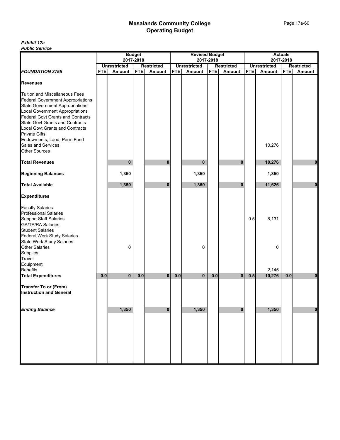| 2017-2018<br><b>Restricted</b><br><b>FTE</b><br><b>Amount</b> |
|---------------------------------------------------------------|
|                                                               |
|                                                               |
|                                                               |
|                                                               |
|                                                               |
|                                                               |
|                                                               |
| $\bf{0}$                                                      |
|                                                               |
| $\mathbf{0}$                                                  |
|                                                               |
|                                                               |
|                                                               |
|                                                               |
| 0.0<br>$\mathbf 0$                                            |
|                                                               |
| $\mathbf 0$                                                   |
|                                                               |
|                                                               |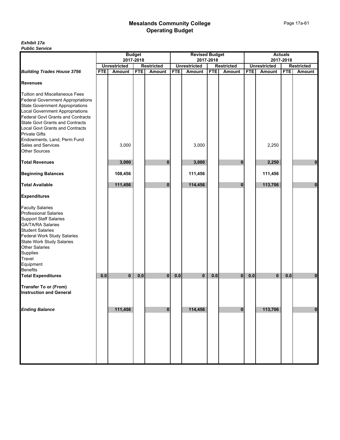| יטעו וטט טוועוט ו                                                                                       | <b>Budget</b><br>2017-2018 |                     |            |                   |            | <b>Revised Budget</b> |            |                   |            | <b>Actuals</b>      |            |                   |  |
|---------------------------------------------------------------------------------------------------------|----------------------------|---------------------|------------|-------------------|------------|-----------------------|------------|-------------------|------------|---------------------|------------|-------------------|--|
|                                                                                                         |                            |                     |            |                   |            |                       | 2017-2018  |                   |            |                     | 2017-2018  |                   |  |
|                                                                                                         |                            | <b>Unrestricted</b> |            | <b>Restricted</b> |            | <b>Unrestricted</b>   |            | <b>Restricted</b> |            | <b>Unrestricted</b> |            | <b>Restricted</b> |  |
| <b>Building Trades House 3756</b>                                                                       | <b>FTE</b>                 | Amount              | <b>FTE</b> | Amount            | <b>FTE</b> | Amount                | <b>FTE</b> | Amount            | <b>FTE</b> | Amount              | <b>FTE</b> | Amount            |  |
| <b>Revenues</b>                                                                                         |                            |                     |            |                   |            |                       |            |                   |            |                     |            |                   |  |
| Tuition and Miscellaneous Fees                                                                          |                            |                     |            |                   |            |                       |            |                   |            |                     |            |                   |  |
|                                                                                                         |                            |                     |            |                   |            |                       |            |                   |            |                     |            |                   |  |
| Federal Government Appropriations<br>State Government Appropriations<br>Local Government Appropriations |                            |                     |            |                   |            |                       |            |                   |            |                     |            |                   |  |
|                                                                                                         |                            |                     |            |                   |            |                       |            |                   |            |                     |            |                   |  |
| <b>Federal Govt Grants and Contracts</b>                                                                |                            |                     |            |                   |            |                       |            |                   |            |                     |            |                   |  |
| State Govt Grants and Contracts<br>Local Govt Grants and Contracts                                      |                            |                     |            |                   |            |                       |            |                   |            |                     |            |                   |  |
|                                                                                                         |                            |                     |            |                   |            |                       |            |                   |            |                     |            |                   |  |
| <b>Private Gifts</b>                                                                                    |                            |                     |            |                   |            |                       |            |                   |            |                     |            |                   |  |
| Endowments, Land, Perm Fund<br>Sales and Services                                                       |                            |                     |            |                   |            |                       |            |                   |            |                     |            |                   |  |
|                                                                                                         |                            | 3,000               |            |                   |            | 3,000                 |            |                   |            | 2,250               |            |                   |  |
| <b>Other Sources</b>                                                                                    |                            |                     |            |                   |            |                       |            |                   |            |                     |            |                   |  |
|                                                                                                         |                            |                     |            |                   |            |                       |            |                   |            |                     |            |                   |  |
| <b>Total Revenues</b>                                                                                   |                            | 3,000               |            | 0                 |            | 3,000                 |            | 0                 |            | 2,250               |            | $\mathbf{0}$      |  |
| <b>Beginning Balances</b>                                                                               |                            | 108,456             |            |                   |            | 111,456               |            |                   |            | 111,456             |            |                   |  |
| <b>Total Available</b>                                                                                  |                            | 111,456             |            | $\bf{0}$          |            | 114,456               |            | $\bf{0}$          |            | 113,706             |            | $\mathbf{0}$      |  |
| <b>Expenditures</b>                                                                                     |                            |                     |            |                   |            |                       |            |                   |            |                     |            |                   |  |
| <b>Faculty Salaries</b>                                                                                 |                            |                     |            |                   |            |                       |            |                   |            |                     |            |                   |  |
|                                                                                                         |                            |                     |            |                   |            |                       |            |                   |            |                     |            |                   |  |
|                                                                                                         |                            |                     |            |                   |            |                       |            |                   |            |                     |            |                   |  |
| Professional Salaries<br>Support Staff Salaries<br>GA/TA/RA Salaries                                    |                            |                     |            |                   |            |                       |            |                   |            |                     |            |                   |  |
| <b>Student Salaries</b>                                                                                 |                            |                     |            |                   |            |                       |            |                   |            |                     |            |                   |  |
|                                                                                                         |                            |                     |            |                   |            |                       |            |                   |            |                     |            |                   |  |
| Federal Work Study Salaries<br>State Work Study Salaries                                                |                            |                     |            |                   |            |                       |            |                   |            |                     |            |                   |  |
| <b>Other Salaries</b>                                                                                   |                            |                     |            |                   |            |                       |            |                   |            |                     |            |                   |  |
|                                                                                                         |                            |                     |            |                   |            |                       |            |                   |            |                     |            |                   |  |
| Supplies<br>Travel                                                                                      |                            |                     |            |                   |            |                       |            |                   |            |                     |            |                   |  |
| Equipment                                                                                               |                            |                     |            |                   |            |                       |            |                   |            |                     |            |                   |  |
| Benefits                                                                                                |                            |                     |            |                   |            |                       |            |                   |            |                     |            |                   |  |
| <b>Total Expenditures</b>                                                                               | 0.0                        | 0                   | 0.0        | $\overline{0}$    | 0.0        | $\mathbf{0}$          | 0.0        | $\mathbf{0}$      | 0.0        | $\mathbf 0$         | 0.0        | $\bf{0}$          |  |
| <b>Transfer To or (From)</b>                                                                            |                            |                     |            |                   |            |                       |            |                   |            |                     |            |                   |  |
| <b>Instruction and General</b>                                                                          |                            |                     |            |                   |            |                       |            |                   |            |                     |            |                   |  |
|                                                                                                         |                            |                     |            |                   |            |                       |            |                   |            |                     |            |                   |  |
| <b>Ending Balance</b>                                                                                   |                            | 111,456             |            | $\mathbf{0}$      |            | 114,456               |            | $\mathbf{0}$      |            | 113,706             |            | $\mathbf{0}$      |  |
|                                                                                                         |                            |                     |            |                   |            |                       |            |                   |            |                     |            |                   |  |
|                                                                                                         |                            |                     |            |                   |            |                       |            |                   |            |                     |            |                   |  |
|                                                                                                         |                            |                     |            |                   |            |                       |            |                   |            |                     |            |                   |  |
|                                                                                                         |                            |                     |            |                   |            |                       |            |                   |            |                     |            |                   |  |
|                                                                                                         |                            |                     |            |                   |            |                       |            |                   |            |                     |            |                   |  |
|                                                                                                         |                            |                     |            |                   |            |                       |            |                   |            |                     |            |                   |  |
|                                                                                                         |                            |                     |            |                   |            |                       |            |                   |            |                     |            |                   |  |
|                                                                                                         |                            |                     |            |                   |            |                       |            |                   |            |                     |            |                   |  |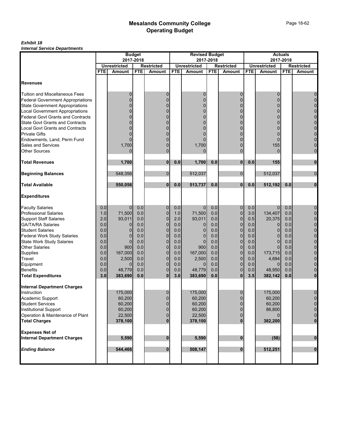|                                                                      | <b>Budget</b><br>2017-2018 |                     |            |                   | <b>Revised Budget</b> |                     |            |                   |            | <b>Actuals</b>      |            |                   |  |
|----------------------------------------------------------------------|----------------------------|---------------------|------------|-------------------|-----------------------|---------------------|------------|-------------------|------------|---------------------|------------|-------------------|--|
|                                                                      |                            |                     |            |                   |                       |                     | 2017-2018  |                   |            | 2017-2018           |            |                   |  |
|                                                                      |                            | <b>Unrestricted</b> |            | <b>Restricted</b> |                       | <b>Unrestricted</b> |            | <b>Restricted</b> |            | <b>Unrestricted</b> |            | <b>Restricted</b> |  |
|                                                                      | FTE                        | <b>Amount</b>       | <b>FTE</b> | <b>Amount</b>     | <b>FTE</b>            | Amount              | <b>FTE</b> | <b>Amount</b>     | <b>FTE</b> | <b>Amount</b>       | <b>FTE</b> | Amount            |  |
| <b>Revenues</b>                                                      |                            |                     |            |                   |                       |                     |            |                   |            |                     |            |                   |  |
| <b>Tuition and Miscellaneous Fees</b>                                |                            | 0                   |            | 0                 |                       | 0                   |            | 0                 |            | $\mathbf 0$         |            | $\mathbf 0$       |  |
| <b>Federal Government Appropriations</b>                             |                            | 0                   |            | $\overline{0}$    |                       | $\Omega$            |            |                   |            | 0                   |            | $\mathbf 0$       |  |
| <b>State Government Appropriations</b>                               |                            | 0                   |            | $\Omega$          |                       | 0                   |            |                   |            | 0                   |            | $\mathbf 0$       |  |
|                                                                      |                            | 0                   |            | $\overline{0}$    |                       | $\Omega$            |            |                   |            | 0                   |            | $\mathbf 0$       |  |
| Local Government Appropriations<br>Federal Govt Grants and Contracts |                            | 0                   |            | $\Omega$          |                       |                     |            |                   |            |                     |            | $\mathbf 0$       |  |
| <b>State Govt Grants and Contracts</b>                               |                            | 0                   |            | $\Omega$          |                       |                     |            |                   |            |                     |            | $\mathbf 0$       |  |
| <b>Local Govt Grants and Contracts</b>                               |                            | 0                   |            | $\Omega$          |                       |                     |            |                   |            | n                   |            | $\overline{0}$    |  |
| <b>Private Gifts</b>                                                 |                            | 0                   |            | 0                 |                       |                     |            |                   |            | 0                   |            | $\pmb{0}$         |  |
| Endowments, Land, Perm Fund                                          |                            | 0                   |            | $\Omega$          |                       |                     |            |                   |            |                     |            | $\mathbf 0$       |  |
| Sales and Services                                                   |                            | 1,700               |            | $\Omega$          |                       | 1,700               |            |                   |            | 155                 |            | $\mathbf 0$       |  |
| <b>Other Sources</b>                                                 |                            | $\Omega$            |            | $\overline{0}$    |                       |                     |            | $\Omega$          |            | $\Omega$            |            | $\mathbf 0$       |  |
|                                                                      |                            |                     |            |                   |                       |                     |            |                   |            |                     |            |                   |  |
| <b>Total Revenues</b>                                                |                            | 1,700               |            | 0                 | 0.0                   | 1,700               | 0.0        | $\mathbf 0$       | 0.0        | 155                 |            | $\mathbf{0}$      |  |
| <b>Beginning Balances</b>                                            |                            | 548,356             |            | $\mathbf 0$       |                       | 512,037             |            | $\overline{0}$    |            | 512,037             |            | $\mathbf 0$       |  |
| <b>Total Available</b>                                               |                            | 550,056             |            | 0                 | 0.0                   | 513,737             | 0.0        | $\mathbf{0}$      | 0.0        | 512,192             | 0.0        | $\bf{0}$          |  |
| <b>Expenditures</b>                                                  |                            |                     |            |                   |                       |                     |            |                   |            |                     |            |                   |  |
| <b>Faculty Salaries</b>                                              | 0.0                        | $\overline{0}$      | 0.0        | $\mathbf 0$       | 0.0                   | $\mathbf{0}$        | 0.0        | $\overline{0}$    | 0.0        | $\mathbf{0}$        | 0.0        | $\boldsymbol{0}$  |  |
| Professional Salaries                                                | 1.0                        | 71,500              | 0.0        | $\mathbf 0$       | 1.0                   | 71,500              | 0.0        | $\mathbf 0$       | 3.0        | 134,407             | 0.0        | $\pmb{0}$         |  |
| <b>Support Staff Salaries</b>                                        | 2.0                        | 93,011              | 0.0        | $\mathbf 0$       | 2.0                   | 93,011              | 0.0        | $\mathbf 0$       | 0.5        | 20,375              | 0.0        | $\pmb{0}$         |  |
| <b>GA/TA/RA Salaries</b>                                             | 0.0                        | 0                   | 0.0        | $\overline{0}$    | 0.0                   | 0                   | 0.0        | $\mathbf 0$       | 0.0        | 0                   | 0.0        | $\mathbf 0$       |  |
| <b>Student Salaries</b>                                              | 0.0                        | $\mathbf{0}$        | 0.0        | $\mathbf 0$       | 0.0                   | 0                   | 0.0        | $\mathbf 0$       | 0.0        | $\mathbf 0$         | 0.0        | $\mathbf 0$       |  |
| <b>Federal Work Study Salaries</b>                                   | 0.0                        | $\Omega$            | 0.0        | $\overline{0}$    | 0.0                   | 0                   | 0.0        | $\overline{0}$    | 0.0        | $\Omega$            | 0.0        | $\mathbf 0$       |  |
| <b>State Work Study Salaries</b>                                     | 0.0                        | $\Omega$            | 0.0        | $\overline{0}$    | 0.0                   | $\mathbf 0$         | 0.0        | $\overline{0}$    | 0.0        | $\Omega$            | 0.0        | $\mathbf 0$       |  |
| <b>Other Salaries</b>                                                | 0.0                        | 900                 | 0.0        | $\mathbf 0$       | 0.0                   | 900                 | 0.0        | 0                 | 0.0        | $\Omega$            | 0.0        | $\pmb{0}$         |  |
| Supplies                                                             | 0.0                        | 167,000             | 0.0        | $\overline{0}$    | 0.0                   | 167,000             | 0.0        | $\mathbf 0$       | 0.0        | 173,715             | 0.0        | $\pmb{0}$         |  |
| Travel                                                               | 0.0                        | 2,500               | 0.0        | $\overline{0}$    | 0.0                   | 2,500               | 0.0        | $\overline{0}$    | 0.0        | 4,694               | 0.0        | $\pmb{0}$         |  |
| Equipment                                                            | 0.0                        | $\overline{0}$      | 0.0        | $\overline{0}$    | 0.0                   | $\Omega$            | 0.0        | 0                 | 0.0        | $\Omega$            | 0.0        | $\mathbf 0$       |  |
| <b>Benefits</b>                                                      | 0.0                        | 48,779              | 0.0        | $\overline{0}$    | 0.0                   | 48,779              | 0.0        | $\overline{0}$    | 0.0        | 48,950              | 0.0        | $\mathbf 0$       |  |
| <b>Total Expenditures</b>                                            | 3.0                        | 383,690             | 0.0        | $\mathbf{0}$      | 3.0                   | 383,690             | 0.0        | $\mathbf{0}$      | 3.5        | 382,142             | 0.0        | $\bf{0}$          |  |
| <b>Internal Department Charges</b>                                   |                            |                     |            |                   |                       |                     |            |                   |            |                     |            |                   |  |
| Instruction                                                          |                            | 175,000             |            | 0                 |                       | 175,000             |            | $\mathbf{0}$      |            | 175,000             |            | $\mathbf 0$       |  |
| Academic Support                                                     |                            | 60,200              |            | $\overline{0}$    |                       | 60,200              |            | $\Omega$          |            | 60,200              |            | $\overline{0}$    |  |
| <b>Student Services</b>                                              |                            | 60,200              |            | 0                 |                       | 60,200              |            | 0                 |            | 60,200              |            | $\mathbf 0$       |  |
| Institutional Support                                                |                            | 60,200              |            | $\overline{0}$    |                       | 60,200              |            |                   |            | 86,800              |            | $\mathbf 0$       |  |
| Operation & Maintenance of Plant                                     |                            | 22,500              |            | $\overline{0}$    |                       | 22,500              |            |                   |            |                     |            | $\mathbf 0$       |  |
| <b>Total Charges</b>                                                 |                            | 378,100             |            | $\mathbf{0}$      |                       | 378,100             |            |                   |            | 382,200             |            | $\mathbf 0$       |  |
| <b>Expenses Net of</b>                                               |                            |                     |            |                   |                       |                     |            |                   |            |                     |            |                   |  |
| <b>Internal Department Charges</b>                                   |                            | 5,590               |            | 0                 |                       | 5,590               |            | $\bf{0}$          |            | (58)                |            | $\boldsymbol{0}$  |  |
| <b>Ending Balance</b>                                                |                            | 544,466             |            | $\bf{0}$          |                       | 508,147             |            | $\bf{0}$          |            | 512,251             |            | $\mathbf 0$       |  |
|                                                                      |                            |                     |            |                   |                       |                     |            |                   |            |                     |            |                   |  |
|                                                                      |                            |                     |            |                   |                       |                     |            |                   |            |                     |            |                   |  |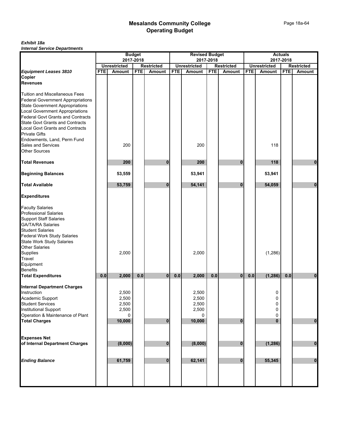|                                                                      |            |                                      | <b>Budget</b> |                             |            | <b>Revised Budget</b> |            |                             |            |                     | <b>Actuals</b> |                   |
|----------------------------------------------------------------------|------------|--------------------------------------|---------------|-----------------------------|------------|-----------------------|------------|-----------------------------|------------|---------------------|----------------|-------------------|
|                                                                      |            |                                      | 2017-2018     |                             |            |                       | 2017-2018  |                             |            |                     | 2017-2018      |                   |
|                                                                      |            | <b>Unrestricted</b><br><b>Amount</b> | <b>FTE</b>    | <b>Restricted</b><br>Amount | <b>FTE</b> | <b>Unrestricted</b>   | <b>FTE</b> | <b>Restricted</b><br>Amount | <b>FTE</b> | <b>Unrestricted</b> | <b>FTE</b>     | <b>Restricted</b> |
| Equipment Leases 3810<br>Copier                                      | <b>FTE</b> |                                      |               |                             |            | Amount                |            |                             |            | <b>Amount</b>       |                | Amount            |
| Revenues                                                             |            |                                      |               |                             |            |                       |            |                             |            |                     |                |                   |
|                                                                      |            |                                      |               |                             |            |                       |            |                             |            |                     |                |                   |
| <b>Tuition and Miscellaneous Fees</b>                                |            |                                      |               |                             |            |                       |            |                             |            |                     |                |                   |
| <b>Federal Government Appropriations</b>                             |            |                                      |               |                             |            |                       |            |                             |            |                     |                |                   |
| <b>State Government Appropriations</b>                               |            |                                      |               |                             |            |                       |            |                             |            |                     |                |                   |
|                                                                      |            |                                      |               |                             |            |                       |            |                             |            |                     |                |                   |
| Local Government Appropriations<br>Federal Govt Grants and Contracts |            |                                      |               |                             |            |                       |            |                             |            |                     |                |                   |
| <b>State Govt Grants and Contracts</b>                               |            |                                      |               |                             |            |                       |            |                             |            |                     |                |                   |
| <b>Local Govt Grants and Contracts</b>                               |            |                                      |               |                             |            |                       |            |                             |            |                     |                |                   |
| <b>Private Gifts</b>                                                 |            |                                      |               |                             |            |                       |            |                             |            |                     |                |                   |
| Endowments, Land, Perm Fund                                          |            |                                      |               |                             |            |                       |            |                             |            |                     |                |                   |
| Sales and Services                                                   |            | 200                                  |               |                             |            | 200                   |            |                             |            | 118                 |                |                   |
| <b>Other Sources</b>                                                 |            |                                      |               |                             |            |                       |            |                             |            |                     |                |                   |
|                                                                      |            |                                      |               |                             |            |                       |            |                             |            |                     |                |                   |
| <b>Total Revenues</b>                                                |            | 200                                  |               | O                           |            | 200                   |            | $\bf{0}$                    |            | 118                 |                | 0                 |
|                                                                      |            |                                      |               |                             |            |                       |            |                             |            |                     |                |                   |
| <b>Beginning Balances</b>                                            |            | 53,559                               |               |                             |            | 53,941                |            |                             |            | 53,941              |                |                   |
| <b>Total Available</b>                                               |            | 53,759                               |               | $\bf{0}$                    |            | 54,141                |            | $\bf{0}$                    |            | 54,059              |                | $\mathbf{0}$      |
| <b>Expenditures</b>                                                  |            |                                      |               |                             |            |                       |            |                             |            |                     |                |                   |
|                                                                      |            |                                      |               |                             |            |                       |            |                             |            |                     |                |                   |
| <b>Faculty Salaries<br/>Professional Salaries</b>                    |            |                                      |               |                             |            |                       |            |                             |            |                     |                |                   |
| <b>Support Staff Salaries</b>                                        |            |                                      |               |                             |            |                       |            |                             |            |                     |                |                   |
|                                                                      |            |                                      |               |                             |            |                       |            |                             |            |                     |                |                   |
| GA/TA/RA Salaries<br>Student Salaries                                |            |                                      |               |                             |            |                       |            |                             |            |                     |                |                   |
| <b>Federal Work Study Salaries</b>                                   |            |                                      |               |                             |            |                       |            |                             |            |                     |                |                   |
| <b>State Work Study Salaries</b>                                     |            |                                      |               |                             |            |                       |            |                             |            |                     |                |                   |
| <b>Other Salaries</b>                                                |            |                                      |               |                             |            |                       |            |                             |            |                     |                |                   |
| Supplies                                                             |            | 2,000                                |               |                             |            | 2,000                 |            |                             |            | (1, 286)            |                |                   |
| Travel                                                               |            |                                      |               |                             |            |                       |            |                             |            |                     |                |                   |
| Equipment                                                            |            |                                      |               |                             |            |                       |            |                             |            |                     |                |                   |
| Benefits                                                             |            |                                      |               |                             |            |                       |            |                             |            |                     |                |                   |
| <b>Total Expenditures</b>                                            | 0.0        | 2,000                                | 0.0           | $\bf{0}$                    | 0.0        | 2,000                 | 0.0        | $\bf{0}$                    | 0.0        | (1, 286)            | 0.0            | 0                 |
|                                                                      |            |                                      |               |                             |            |                       |            |                             |            |                     |                |                   |
| <b>Internal Department Charges</b>                                   |            |                                      |               |                             |            |                       |            |                             |            |                     |                |                   |
| Instruction                                                          |            | 2,500                                |               |                             |            | 2,500                 |            |                             |            | 0                   |                |                   |
| Academic Support                                                     |            | 2,500                                |               |                             |            | 2,500                 |            |                             |            | 0                   |                |                   |
| Student Services                                                     |            | 2,500                                |               |                             |            | 2,500                 |            |                             |            | 0                   |                |                   |
| Institutional Support                                                |            | 2,500                                |               |                             |            | 2,500                 |            |                             |            | 0                   |                |                   |
| Operation & Maintenance of Plant                                     |            | 0                                    |               |                             |            | 0                     |            |                             |            | 0                   |                |                   |
| <b>Total Charges</b>                                                 |            | 10,000                               |               | $\bf{0}$                    |            | 10,000                |            | $\bf{0}$                    |            | $\bf{0}$            |                | $\bf{0}$          |
|                                                                      |            |                                      |               |                             |            |                       |            |                             |            |                     |                |                   |
|                                                                      |            |                                      |               |                             |            |                       |            |                             |            |                     |                |                   |
| <b>Expenses Net</b>                                                  |            |                                      |               |                             |            |                       |            |                             |            |                     |                |                   |
| of Internal Department Charges                                       |            | (8,000)                              |               | 0                           |            | (8,000)               |            | $\bf{0}$                    |            | (1, 286)            |                | $\bf{0}$          |
|                                                                      |            |                                      |               |                             |            |                       |            |                             |            |                     |                |                   |
| <b>Ending Balance</b>                                                |            | 61,759                               |               | $\bf{0}$                    |            | 62,141                |            | $\bf{0}$                    |            | 55,345              |                | $\pmb{0}$         |
|                                                                      |            |                                      |               |                             |            |                       |            |                             |            |                     |                |                   |
|                                                                      |            |                                      |               |                             |            |                       |            |                             |            |                     |                |                   |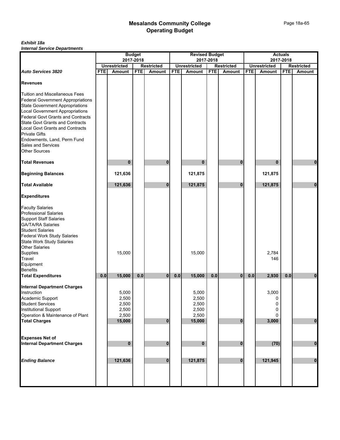|                                                                      |            |                                  | <b>Budget</b> |                                    |            | <b>Revised Budget</b> |            |                                    |            | <b>Actuals</b>                   |            |                                    |
|----------------------------------------------------------------------|------------|----------------------------------|---------------|------------------------------------|------------|-----------------------|------------|------------------------------------|------------|----------------------------------|------------|------------------------------------|
|                                                                      |            | 2017-2018<br><b>Unrestricted</b> |               |                                    |            | <b>Unrestricted</b>   | 2017-2018  |                                    |            | 2017-2018<br><b>Unrestricted</b> |            |                                    |
| <b>Auto Services 3820</b>                                            | <b>FTE</b> | Amount                           | <b>FTE</b>    | <b>Restricted</b><br><b>Amount</b> | <b>FTE</b> | Amount                | <b>FTE</b> | <b>Restricted</b><br><b>Amount</b> | <b>FTE</b> | <b>Amount</b>                    | <b>FTE</b> | <b>Restricted</b><br><b>Amount</b> |
|                                                                      |            |                                  |               |                                    |            |                       |            |                                    |            |                                  |            |                                    |
| <b>Revenues</b>                                                      |            |                                  |               |                                    |            |                       |            |                                    |            |                                  |            |                                    |
| Tuition and Miscellaneous Fees                                       |            |                                  |               |                                    |            |                       |            |                                    |            |                                  |            |                                    |
| <b>Federal Government Appropriations</b>                             |            |                                  |               |                                    |            |                       |            |                                    |            |                                  |            |                                    |
| <b>State Government Appropriations</b>                               |            |                                  |               |                                    |            |                       |            |                                    |            |                                  |            |                                    |
|                                                                      |            |                                  |               |                                    |            |                       |            |                                    |            |                                  |            |                                    |
| Local Government Appropriations<br>Federal Govt Grants and Contracts |            |                                  |               |                                    |            |                       |            |                                    |            |                                  |            |                                    |
| <b>State Govt Grants and Contracts</b>                               |            |                                  |               |                                    |            |                       |            |                                    |            |                                  |            |                                    |
|                                                                      |            |                                  |               |                                    |            |                       |            |                                    |            |                                  |            |                                    |
| <b>Local Govt Grants and Contracts</b><br><b>Private Gifts</b>       |            |                                  |               |                                    |            |                       |            |                                    |            |                                  |            |                                    |
| Endowments, Land, Perm Fund                                          |            |                                  |               |                                    |            |                       |            |                                    |            |                                  |            |                                    |
| Sales and Services                                                   |            |                                  |               |                                    |            |                       |            |                                    |            |                                  |            |                                    |
| <b>Other Sources</b>                                                 |            |                                  |               |                                    |            |                       |            |                                    |            |                                  |            |                                    |
| <b>Total Revenues</b>                                                |            | $\mathbf{0}$                     |               | 0                                  |            | $\bf{0}$              |            | $\bf{0}$                           |            | $\bf{0}$                         |            | $\mathbf 0$                        |
|                                                                      |            |                                  |               |                                    |            |                       |            |                                    |            |                                  |            |                                    |
| <b>Beginning Balances</b>                                            |            | 121,636                          |               |                                    |            | 121,875               |            |                                    |            | 121,875                          |            |                                    |
| <b>Total Available</b>                                               |            | 121,636                          |               | 0                                  |            | 121,875               |            | $\bf{0}$                           |            | 121,875                          |            | $\mathbf{0}$                       |
| <b>Expenditures</b>                                                  |            |                                  |               |                                    |            |                       |            |                                    |            |                                  |            |                                    |
|                                                                      |            |                                  |               |                                    |            |                       |            |                                    |            |                                  |            |                                    |
| <b>Faculty Salaries<br/>Professional Salaries</b>                    |            |                                  |               |                                    |            |                       |            |                                    |            |                                  |            |                                    |
| <b>Support Staff Salaries</b>                                        |            |                                  |               |                                    |            |                       |            |                                    |            |                                  |            |                                    |
|                                                                      |            |                                  |               |                                    |            |                       |            |                                    |            |                                  |            |                                    |
| GA/TA/RA Salaries<br>Student Salaries                                |            |                                  |               |                                    |            |                       |            |                                    |            |                                  |            |                                    |
| <b>Federal Work Study Salaries</b>                                   |            |                                  |               |                                    |            |                       |            |                                    |            |                                  |            |                                    |
| <b>State Work Study Salaries</b>                                     |            |                                  |               |                                    |            |                       |            |                                    |            |                                  |            |                                    |
|                                                                      |            |                                  |               |                                    |            |                       |            |                                    |            |                                  |            |                                    |
| Other Salaries<br>Supplies                                           |            | 15,000                           |               |                                    |            | 15,000                |            |                                    |            | 2,784                            |            |                                    |
| Travel                                                               |            |                                  |               |                                    |            |                       |            |                                    |            | 146                              |            |                                    |
| Equipment                                                            |            |                                  |               |                                    |            |                       |            |                                    |            |                                  |            |                                    |
| <b>Benefits</b>                                                      |            |                                  |               |                                    |            |                       |            |                                    |            |                                  |            |                                    |
| <b>Total Expenditures</b>                                            | 0.0        | 15,000                           | 0.0           | $\mathbf{0}$                       | 0.0        | 15,000                | 0.0        | $\mathbf{0}$                       | 0.0        | 2,930                            | 0.0        | $\bf{0}$                           |
|                                                                      |            |                                  |               |                                    |            |                       |            |                                    |            |                                  |            |                                    |
| <b>Internal Department Charges</b>                                   |            |                                  |               |                                    |            |                       |            |                                    |            |                                  |            |                                    |
| Instruction                                                          |            | 5,000                            |               |                                    |            | 5,000                 |            |                                    |            | 3,000                            |            |                                    |
| Academic Support                                                     |            | 2,500                            |               |                                    |            | 2,500                 |            |                                    |            | 0                                |            |                                    |
| Student Services                                                     |            | 2,500                            |               |                                    |            | 2,500                 |            |                                    |            | 0                                |            |                                    |
| <b>Institutional Support</b>                                         |            | 2,500                            |               |                                    |            | 2,500                 |            |                                    |            | 0                                |            |                                    |
| Operation & Maintenance of Plant                                     |            | 2,500                            |               |                                    |            | 2,500                 |            |                                    |            | 0                                |            |                                    |
| <b>Total Charges</b>                                                 |            | 15,000                           |               | $\mathbf{0}$                       |            | 15,000                |            | $\overline{0}$                     |            | 3,000                            |            | $\mathbf 0$                        |
|                                                                      |            |                                  |               |                                    |            |                       |            |                                    |            |                                  |            |                                    |
| <b>Expenses Net of</b>                                               |            |                                  |               |                                    |            |                       |            |                                    |            |                                  |            |                                    |
| <b>Internal Department Charges</b>                                   |            | $\mathbf 0$                      |               | 0                                  |            | $\bf{0}$              |            | $\bf{0}$                           |            | (70)                             |            | $\pmb{0}$                          |
|                                                                      |            |                                  |               |                                    |            |                       |            |                                    |            |                                  |            |                                    |
| <b>Ending Balance</b>                                                |            | 121,636                          |               | $\bf{0}$                           |            | 121,875               |            | $\bf{0}$                           |            | 121,945                          |            | $\bf{0}$                           |
|                                                                      |            |                                  |               |                                    |            |                       |            |                                    |            |                                  |            |                                    |
|                                                                      |            |                                  |               |                                    |            |                       |            |                                    |            |                                  |            |                                    |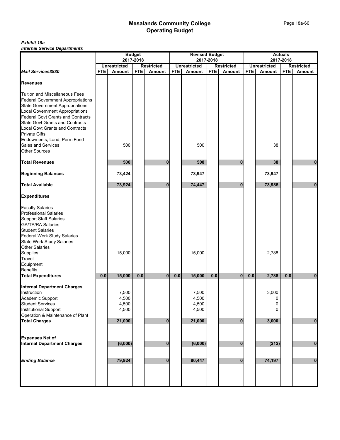|                                                                                    | <b>Budget</b><br><b>Revised Budget</b><br><b>Actuals</b><br>2017-2018<br>2017-2018<br>2017-2018<br><b>Unrestricted</b><br><b>Restricted</b><br><b>Unrestricted</b><br><b>Restricted</b><br><b>Unrestricted</b><br><b>Restricted</b> |         |            |          |            |         |            |              |            |        |            |               |
|------------------------------------------------------------------------------------|-------------------------------------------------------------------------------------------------------------------------------------------------------------------------------------------------------------------------------------|---------|------------|----------|------------|---------|------------|--------------|------------|--------|------------|---------------|
|                                                                                    |                                                                                                                                                                                                                                     |         |            |          |            |         |            |              |            |        |            |               |
| <b>Mail Services3830</b>                                                           | <b>FTE</b>                                                                                                                                                                                                                          | Amount  | <b>FTE</b> | Amount   | <b>FTE</b> | Amount  | <b>FTE</b> | Amount       | <b>FTE</b> | Amount | <b>FTE</b> | <b>Amount</b> |
|                                                                                    |                                                                                                                                                                                                                                     |         |            |          |            |         |            |              |            |        |            |               |
| <b>Revenues</b>                                                                    |                                                                                                                                                                                                                                     |         |            |          |            |         |            |              |            |        |            |               |
|                                                                                    |                                                                                                                                                                                                                                     |         |            |          |            |         |            |              |            |        |            |               |
| <b>Tuition and Miscellaneous Fees</b>                                              |                                                                                                                                                                                                                                     |         |            |          |            |         |            |              |            |        |            |               |
| <b>Federal Government Appropriations</b>                                           |                                                                                                                                                                                                                                     |         |            |          |            |         |            |              |            |        |            |               |
| <b>State Government Appropriations</b>                                             |                                                                                                                                                                                                                                     |         |            |          |            |         |            |              |            |        |            |               |
| <b>Local Government Appropriations</b>                                             |                                                                                                                                                                                                                                     |         |            |          |            |         |            |              |            |        |            |               |
| <b>Federal Govt Grants and Contracts</b><br><b>State Govt Grants and Contracts</b> |                                                                                                                                                                                                                                     |         |            |          |            |         |            |              |            |        |            |               |
| <b>Local Govt Grants and Contracts</b>                                             |                                                                                                                                                                                                                                     |         |            |          |            |         |            |              |            |        |            |               |
|                                                                                    |                                                                                                                                                                                                                                     |         |            |          |            |         |            |              |            |        |            |               |
| <b>Private Gifts</b>                                                               |                                                                                                                                                                                                                                     |         |            |          |            |         |            |              |            |        |            |               |
| Endowments, Land, Perm Fund<br>Sales and Services                                  |                                                                                                                                                                                                                                     | 500     |            |          |            | 500     |            |              |            | 38     |            |               |
| <b>Other Sources</b>                                                               |                                                                                                                                                                                                                                     |         |            |          |            |         |            |              |            |        |            |               |
|                                                                                    |                                                                                                                                                                                                                                     |         |            |          |            |         |            |              |            |        |            |               |
| <b>Total Revenues</b>                                                              |                                                                                                                                                                                                                                     | 500     |            | 0        |            | 500     |            | $\bf{0}$     |            | 38     |            | 0             |
|                                                                                    |                                                                                                                                                                                                                                     |         |            |          |            |         |            |              |            |        |            |               |
| <b>Beginning Balances</b>                                                          |                                                                                                                                                                                                                                     | 73,424  |            |          |            | 73,947  |            |              |            | 73,947 |            |               |
| <b>Total Available</b>                                                             |                                                                                                                                                                                                                                     | 73,924  |            | 0        |            | 74,447  |            | $\mathbf{0}$ |            | 73,985 |            | $\mathbf{0}$  |
| <b>Expenditures</b>                                                                |                                                                                                                                                                                                                                     |         |            |          |            |         |            |              |            |        |            |               |
| <b>Faculty Salaries</b>                                                            |                                                                                                                                                                                                                                     |         |            |          |            |         |            |              |            |        |            |               |
| <b>Professional Salaries</b>                                                       |                                                                                                                                                                                                                                     |         |            |          |            |         |            |              |            |        |            |               |
| <b>Support Staff Salaries</b>                                                      |                                                                                                                                                                                                                                     |         |            |          |            |         |            |              |            |        |            |               |
| <b>GA/TA/RA Salaries</b>                                                           |                                                                                                                                                                                                                                     |         |            |          |            |         |            |              |            |        |            |               |
| <b>Student Salaries</b>                                                            |                                                                                                                                                                                                                                     |         |            |          |            |         |            |              |            |        |            |               |
| <b>Federal Work Study Salaries</b>                                                 |                                                                                                                                                                                                                                     |         |            |          |            |         |            |              |            |        |            |               |
| <b>State Work Study Salaries</b>                                                   |                                                                                                                                                                                                                                     |         |            |          |            |         |            |              |            |        |            |               |
| Other Salaries                                                                     |                                                                                                                                                                                                                                     |         |            |          |            |         |            |              |            |        |            |               |
| Supplies                                                                           |                                                                                                                                                                                                                                     | 15,000  |            |          |            | 15,000  |            |              |            | 2,788  |            |               |
| Travel                                                                             |                                                                                                                                                                                                                                     |         |            |          |            |         |            |              |            |        |            |               |
| Equipment                                                                          |                                                                                                                                                                                                                                     |         |            |          |            |         |            |              |            |        |            |               |
| <b>Benefits</b>                                                                    |                                                                                                                                                                                                                                     |         |            |          |            |         |            |              |            |        |            |               |
| <b>Total Expenditures</b>                                                          | 0.0                                                                                                                                                                                                                                 | 15,000  | 0.0        | 0        | 0.0        | 15,000  | 0.0        | $\bf{0}$     | 0.0        | 2,788  | 0.0        | 0             |
| <b>Internal Department Charges</b>                                                 |                                                                                                                                                                                                                                     |         |            |          |            |         |            |              |            |        |            |               |
| Instruction                                                                        |                                                                                                                                                                                                                                     | 7,500   |            |          |            | 7,500   |            |              |            | 3,000  |            |               |
| Academic Support                                                                   |                                                                                                                                                                                                                                     | 4,500   |            |          |            | 4,500   |            |              |            | 0      |            |               |
| <b>Student Services</b>                                                            |                                                                                                                                                                                                                                     | 4,500   |            |          |            | 4,500   |            |              |            | 0      |            |               |
| Institutional Support                                                              |                                                                                                                                                                                                                                     | 4,500   |            |          |            | 4,500   |            |              |            | 0      |            |               |
| Operation & Maintenance of Plant                                                   |                                                                                                                                                                                                                                     |         |            |          |            |         |            |              |            |        |            |               |
| <b>Total Charges</b>                                                               |                                                                                                                                                                                                                                     | 21,000  |            | $\bf{0}$ |            | 21,000  |            | $\bf{0}$     |            | 3,000  |            | $\pmb{0}$     |
|                                                                                    |                                                                                                                                                                                                                                     |         |            |          |            |         |            |              |            |        |            |               |
| <b>Expenses Net of</b>                                                             |                                                                                                                                                                                                                                     |         |            |          |            |         |            |              |            |        |            |               |
| <b>Internal Department Charges</b>                                                 |                                                                                                                                                                                                                                     | (6,000) |            | $\bf{0}$ |            | (6,000) |            | $\mathbf{0}$ |            | (212)  |            | $\bf{0}$      |
|                                                                                    |                                                                                                                                                                                                                                     |         |            |          |            |         |            |              |            |        |            |               |
| <b>Ending Balance</b>                                                              |                                                                                                                                                                                                                                     | 79,924  |            | $\bf{0}$ |            | 80,447  |            | $\bf{0}$     |            | 74,197 |            | $\mathbf 0$   |
|                                                                                    |                                                                                                                                                                                                                                     |         |            |          |            |         |            |              |            |        |            |               |
|                                                                                    |                                                                                                                                                                                                                                     |         |            |          |            |         |            |              |            |        |            |               |
|                                                                                    |                                                                                                                                                                                                                                     |         |            |          |            |         |            |              |            |        |            |               |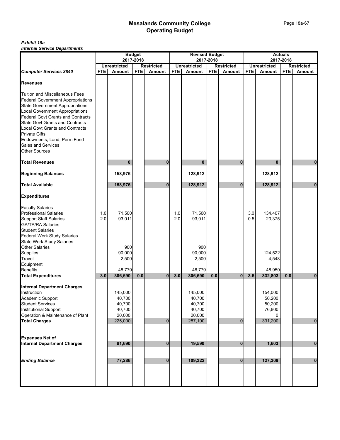|                                                                                    |            |                     | <b>Budget</b> |                   |            | <b>Revised Budget</b> |            |                   |            |                     | <b>Actuals</b> |                   |
|------------------------------------------------------------------------------------|------------|---------------------|---------------|-------------------|------------|-----------------------|------------|-------------------|------------|---------------------|----------------|-------------------|
|                                                                                    |            | <b>Unrestricted</b> | 2017-2018     | <b>Restricted</b> |            | <b>Unrestricted</b>   | 2017-2018  | <b>Restricted</b> |            | <b>Unrestricted</b> | 2017-2018      | <b>Restricted</b> |
| <b>Computer Services 3840</b>                                                      | <b>FTE</b> | <b>Amount</b>       | <b>FTE</b>    | Amount            | <b>FTE</b> | Amount                | <b>FTE</b> | <b>Amount</b>     | <b>FTE</b> | <b>Amount</b>       | <b>FTE</b>     | <b>Amount</b>     |
| <b>Revenues</b>                                                                    |            |                     |               |                   |            |                       |            |                   |            |                     |                |                   |
| <b>Tuition and Miscellaneous Fees</b>                                              |            |                     |               |                   |            |                       |            |                   |            |                     |                |                   |
| <b>Federal Government Appropriations</b><br><b>State Government Appropriations</b> |            |                     |               |                   |            |                       |            |                   |            |                     |                |                   |
|                                                                                    |            |                     |               |                   |            |                       |            |                   |            |                     |                |                   |
| Local Government Appropriations<br>Federal Govt Grants and Contracts               |            |                     |               |                   |            |                       |            |                   |            |                     |                |                   |
| <b>State Govt Grants and Contracts</b>                                             |            |                     |               |                   |            |                       |            |                   |            |                     |                |                   |
| <b>Local Govt Grants and Contracts</b>                                             |            |                     |               |                   |            |                       |            |                   |            |                     |                |                   |
| <b>Private Gifts</b>                                                               |            |                     |               |                   |            |                       |            |                   |            |                     |                |                   |
| Endowments, Land, Perm Fund                                                        |            |                     |               |                   |            |                       |            |                   |            |                     |                |                   |
| Sales and Services<br><b>Other Sources</b>                                         |            |                     |               |                   |            |                       |            |                   |            |                     |                |                   |
| <b>Total Revenues</b>                                                              |            |                     |               | $\bf{0}$          |            |                       |            |                   |            |                     |                |                   |
|                                                                                    |            | $\bf{0}$            |               |                   |            | 0                     |            | $\bf{0}$          |            | 0                   |                | 0                 |
| <b>Beginning Balances</b>                                                          |            | 158,976             |               |                   |            | 128,912               |            |                   |            | 128,912             |                |                   |
| <b>Total Available</b>                                                             |            | 158,976             |               | $\bf{0}$          |            | 128,912               |            | $\bf{0}$          |            | 128,912             |                | $\mathbf{0}$      |
| <b>Expenditures</b>                                                                |            |                     |               |                   |            |                       |            |                   |            |                     |                |                   |
| <b>Faculty Salaries</b>                                                            |            |                     |               |                   |            |                       |            |                   |            |                     |                |                   |
| <b>Professional Salaries</b>                                                       | 1.0        | 71,500              |               |                   | 1.0        | 71,500                |            |                   | 3.0        | 134,407             |                |                   |
| <b>Support Staff Salaries</b>                                                      | 2.0        | 93,011              |               |                   | 2.0        | 93,011                |            |                   | 0.5        | 20,375              |                |                   |
| GA/TA/RA Salaries<br>Student Salaries                                              |            |                     |               |                   |            |                       |            |                   |            |                     |                |                   |
|                                                                                    |            |                     |               |                   |            |                       |            |                   |            |                     |                |                   |
| <b>Federal Work Study Salaries</b><br><b>State Work Study Salaries</b>             |            |                     |               |                   |            |                       |            |                   |            |                     |                |                   |
| Other Salaries                                                                     |            | 900                 |               |                   |            | 900                   |            |                   |            |                     |                |                   |
| Supplies                                                                           |            | 90,000              |               |                   |            | 90,000                |            |                   |            | 124,522             |                |                   |
| Travel<br>Equipment                                                                |            | 2,500               |               |                   |            | 2,500                 |            |                   |            | 4,548               |                |                   |
|                                                                                    |            |                     |               |                   |            |                       |            |                   |            |                     |                |                   |
| Benefits                                                                           | 3.0        | 48,779              | 0.0           | $\mathbf{0}$      | 3.0        | 48,779                | 0.0        |                   | 3.5        | 48,950              | 0.0            |                   |
| <b>Total Expenditures</b>                                                          |            | 306,690             |               |                   |            | 306,690               |            | $\bf{0}$          |            | 332,803             |                | $\bf{0}$          |
| <b>Internal Department Charges</b>                                                 |            |                     |               |                   |            |                       |            |                   |            |                     |                |                   |
| Instruction                                                                        |            | 145,000             |               |                   |            | 145,000               |            |                   |            | 154,000             |                |                   |
| Academic Support                                                                   |            | 40,700              |               |                   |            | 40,700                |            |                   |            | 50,200              |                |                   |
| <b>Student Services</b>                                                            |            | 40,700              |               |                   |            | 40,700                |            |                   |            | 50,200              |                |                   |
| Institutional Support<br>Operation & Maintenance of Plant                          |            | 40,700<br>20,000    |               |                   |            | 40,700<br>20,000      |            |                   |            | 76,800<br>$\Omega$  |                |                   |
| <b>Total Charges</b>                                                               |            | 225,000             |               | $\mathbf 0$       |            | 287,100               |            | $\mathbf{0}$      |            | 331,200             |                | $\pmb{0}$         |
|                                                                                    |            |                     |               |                   |            |                       |            |                   |            |                     |                |                   |
| <b>Expenses Net of</b>                                                             |            |                     |               |                   |            |                       |            |                   |            |                     |                |                   |
| <b>Internal Department Charges</b>                                                 |            | 81,690              |               | 0                 |            | 19,590                |            | $\mathbf{0}$      |            | 1,603               |                | $\pmb{0}$         |
|                                                                                    |            |                     |               |                   |            |                       |            |                   |            |                     |                |                   |
| <b>Ending Balance</b>                                                              |            | 77,286              |               | $\bf{0}$          |            | 109,322               |            | $\mathbf{0}$      |            | 127,309             |                | $\pmb{0}$         |
|                                                                                    |            |                     |               |                   |            |                       |            |                   |            |                     |                |                   |
|                                                                                    |            |                     |               |                   |            |                       |            |                   |            |                     |                |                   |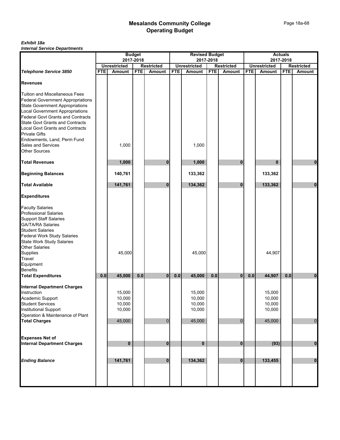|                                                                                   | <b>Revised Budget</b><br><b>Budget</b><br>2017-2018<br>2017-2018 |                     |            |                   |            |                     |            | <b>Actuals</b>    |            |                     |            |                   |
|-----------------------------------------------------------------------------------|------------------------------------------------------------------|---------------------|------------|-------------------|------------|---------------------|------------|-------------------|------------|---------------------|------------|-------------------|
|                                                                                   |                                                                  |                     |            |                   |            |                     |            |                   |            |                     | 2017-2018  |                   |
|                                                                                   |                                                                  | <b>Unrestricted</b> |            | <b>Restricted</b> |            | <b>Unrestricted</b> |            | <b>Restricted</b> |            | <b>Unrestricted</b> |            | <b>Restricted</b> |
| <b>Telephone Service 3850</b>                                                     | <b>FTE</b>                                                       | <b>Amount</b>       | <b>FTE</b> | Amount            | <b>FTE</b> | Amount              | <b>FTE</b> | Amount            | <b>FTE</b> | <b>Amount</b>       | <b>FTE</b> | Amount            |
| <b>Revenues</b>                                                                   |                                                                  |                     |            |                   |            |                     |            |                   |            |                     |            |                   |
| <b>Tuition and Miscellaneous Fees</b><br><b>Federal Government Appropriations</b> |                                                                  |                     |            |                   |            |                     |            |                   |            |                     |            |                   |
| <b>State Government Appropriations</b>                                            |                                                                  |                     |            |                   |            |                     |            |                   |            |                     |            |                   |
|                                                                                   |                                                                  |                     |            |                   |            |                     |            |                   |            |                     |            |                   |
| Local Government Appropriations<br>Federal Govt Grants and Contracts              |                                                                  |                     |            |                   |            |                     |            |                   |            |                     |            |                   |
| <b>State Govt Grants and Contracts</b>                                            |                                                                  |                     |            |                   |            |                     |            |                   |            |                     |            |                   |
| <b>Local Govt Grants and Contracts</b>                                            |                                                                  |                     |            |                   |            |                     |            |                   |            |                     |            |                   |
| <b>Private Gifts</b>                                                              |                                                                  |                     |            |                   |            |                     |            |                   |            |                     |            |                   |
| Endowments, Land, Perm Fund                                                       |                                                                  |                     |            |                   |            |                     |            |                   |            |                     |            |                   |
| Sales and Services                                                                |                                                                  | 1,000               |            |                   |            | 1,000               |            |                   |            |                     |            |                   |
| <b>Other Sources</b>                                                              |                                                                  |                     |            |                   |            |                     |            |                   |            |                     |            |                   |
| <b>Total Revenues</b>                                                             |                                                                  | 1,000               |            | O                 |            | 1,000               |            | $\bf{0}$          |            | 0                   |            | 0                 |
| <b>Beginning Balances</b>                                                         |                                                                  | 140,761             |            |                   |            | 133,362             |            |                   |            | 133,362             |            |                   |
| <b>Total Available</b>                                                            |                                                                  | 141,761             |            | $\bf{0}$          |            | 134,362             |            | $\bf{0}$          |            | 133,362             |            | $\bf{0}$          |
| <b>Expenditures</b>                                                               |                                                                  |                     |            |                   |            |                     |            |                   |            |                     |            |                   |
|                                                                                   |                                                                  |                     |            |                   |            |                     |            |                   |            |                     |            |                   |
| <b>Faculty Salaries<br/>Professional Salaries</b>                                 |                                                                  |                     |            |                   |            |                     |            |                   |            |                     |            |                   |
| <b>Support Staff Salaries</b>                                                     |                                                                  |                     |            |                   |            |                     |            |                   |            |                     |            |                   |
|                                                                                   |                                                                  |                     |            |                   |            |                     |            |                   |            |                     |            |                   |
| GA/TA/RA Salaries<br>Student Salaries                                             |                                                                  |                     |            |                   |            |                     |            |                   |            |                     |            |                   |
| <b>Federal Work Study Salaries</b>                                                |                                                                  |                     |            |                   |            |                     |            |                   |            |                     |            |                   |
| <b>State Work Study Salaries</b>                                                  |                                                                  |                     |            |                   |            |                     |            |                   |            |                     |            |                   |
| <b>Other Salaries</b>                                                             |                                                                  |                     |            |                   |            |                     |            |                   |            |                     |            |                   |
| Supplies                                                                          |                                                                  | 45,000              |            |                   |            | 45,000              |            |                   |            | 44,907              |            |                   |
| Travel                                                                            |                                                                  |                     |            |                   |            |                     |            |                   |            |                     |            |                   |
| Equipment                                                                         |                                                                  |                     |            |                   |            |                     |            |                   |            |                     |            |                   |
| Benefits                                                                          |                                                                  |                     |            |                   |            |                     |            |                   |            |                     |            |                   |
| <b>Total Expenditures</b>                                                         | 0.0                                                              | 45,000              | 0.0        | $\bf{0}$          | 0.0        | 45,000              | 0.0        | $\bf{0}$          | 0.0        | 44,907              | 0.0        | 0                 |
|                                                                                   |                                                                  |                     |            |                   |            |                     |            |                   |            |                     |            |                   |
| <b>Internal Department Charges</b>                                                |                                                                  |                     |            |                   |            |                     |            |                   |            |                     |            |                   |
| Instruction                                                                       |                                                                  | 15,000              |            |                   |            | 15,000              |            |                   |            | 15,000              |            |                   |
| Academic Support                                                                  |                                                                  | 10,000              |            |                   |            | 10,000              |            |                   |            | 10,000              |            |                   |
| <b>Student Services</b>                                                           |                                                                  | 10,000              |            |                   |            | 10,000              |            |                   |            | 10,000              |            |                   |
| <b>Institutional Support</b>                                                      |                                                                  | 10,000              |            |                   |            | 10,000              |            |                   |            | 10,000              |            |                   |
| Operation & Maintenance of Plant                                                  |                                                                  |                     |            |                   |            |                     |            |                   |            |                     |            |                   |
| <b>Total Charges</b>                                                              |                                                                  | 45,000              |            | $\overline{0}$    |            | 45,000              |            | $\overline{0}$    |            | 45,000              |            | $\mathbf 0$       |
|                                                                                   |                                                                  |                     |            |                   |            |                     |            |                   |            |                     |            |                   |
| <b>Expenses Net of</b>                                                            |                                                                  |                     |            |                   |            |                     |            |                   |            |                     |            |                   |
| <b>Internal Department Charges</b>                                                |                                                                  | $\bf{0}$            |            | 0                 |            | $\bf{0}$            |            | $\mathbf{0}$      |            | (93)                |            | $\pmb{0}$         |
|                                                                                   |                                                                  |                     |            |                   |            |                     |            |                   |            |                     |            |                   |
| <b>Ending Balance</b>                                                             |                                                                  | 141,761             |            | $\bf{0}$          |            | 134,362             |            | $\mathbf{0}$      |            | 133,455             |            | $\pmb{0}$         |
|                                                                                   |                                                                  |                     |            |                   |            |                     |            |                   |            |                     |            |                   |
|                                                                                   |                                                                  |                     |            |                   |            |                     |            |                   |            |                     |            |                   |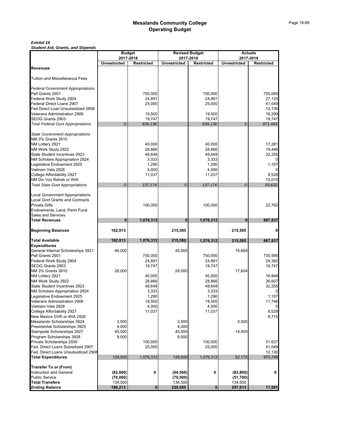#### *Exhibit 19*

*Student Aid, Grants, and Stipends*

|                                                                |                     | <b>Budget</b>                  |                     | <b>Revised Budget</b>          |                     | <b>Actuals</b>                 |
|----------------------------------------------------------------|---------------------|--------------------------------|---------------------|--------------------------------|---------------------|--------------------------------|
|                                                                | <b>Unrestricted</b> | 2017-2018<br><b>Restricted</b> | <b>Unrestricted</b> | 2017-2018<br><b>Restricted</b> | <b>Unrestricted</b> | 2017-2018<br><b>Restricted</b> |
| <b>Revenues</b>                                                |                     |                                |                     |                                |                     |                                |
|                                                                |                     |                                |                     |                                |                     |                                |
| <b>Tuition and Miscellaneous Fees</b>                          |                     |                                |                     |                                |                     |                                |
|                                                                |                     |                                |                     |                                |                     |                                |
| <b>Federal Government Appropriations</b>                       |                     |                                |                     |                                |                     |                                |
| Pell Grants 2901                                               |                     | 750,000                        |                     | 750,000                        |                     | 755,085                        |
| Federal Work Study 2904                                        |                     | 24,891                         |                     | 24,891                         |                     | 27,133                         |
| Federal Direct Loans 2907<br>Fed Direct Loan Unsubsidized 2908 |                     | 25,000                         |                     | 25,000                         |                     | 41,049<br>12,130               |
| Veterans Administration 2906                                   |                     | 19,500                         |                     | 19,500                         |                     | 16,299                         |
| SEOG Grants 2903                                               |                     | 19,747                         |                     | 19,747                         |                     | 19,747                         |
| <b>Total Federal Govt Appropriations</b>                       | 0                   | 839,138                        |                     | 839,138                        | 0                   | 871,443                        |
|                                                                |                     |                                |                     |                                |                     |                                |
| <b>State Government Appropriations</b>                         |                     |                                |                     |                                |                     |                                |
| NM 3% Grants 3910                                              |                     |                                |                     |                                |                     |                                |
| NM Lottery 2921                                                |                     | 40,000                         |                     | 40,000                         |                     | 17,281                         |
| NM Work Study 2922                                             |                     | 28,866                         |                     | 28,866                         |                     | 19,446                         |
| State Student Incentives 2923                                  |                     | 48,648<br>3,333                |                     | 48,648<br>3,333                |                     | 32,255                         |
| NM Scholars Appropriation 2924<br>Legislative Endowment 2925   |                     | 1,290                          |                     | 1,290                          |                     | 1,107                          |
| Vietnam Vets 2926                                              |                     | 4,000                          |                     | 4,000                          |                     |                                |
| College Affordability 2927                                     |                     | 11,037                         |                     | 11,037                         |                     | 8,528                          |
| NM Div Voc Rehab or WIA                                        |                     |                                |                     |                                |                     | 15,015                         |
| <b>Total State Govt Appropriations</b>                         | 0                   | 137,174                        | 0                   | 137,174                        | 0                   | 93,632                         |
|                                                                |                     |                                |                     |                                |                     |                                |
| <b>Local Government Appropriations</b>                         |                     |                                |                     |                                |                     |                                |
| <b>Local Govt Grants and Contracts</b>                         |                     |                                |                     |                                |                     |                                |
| <b>Private Gifts</b>                                           |                     | 100,000                        |                     | 100,000                        |                     | 22,762                         |
| Endowments, Land, Perm Fund<br>Sales and Services              |                     |                                |                     |                                |                     |                                |
| <b>Total Revenues</b>                                          | $\bf{0}$            | 1,076,312                      | $\bf{0}$            | 1,076,312                      | $\bf{0}$            | 987,837                        |
|                                                                |                     |                                |                     |                                |                     |                                |
| <b>Beginning Balances</b>                                      | 162,913             |                                | 215,585             |                                | 215,585             | $\mathbf{0}$                   |
| <b>Total Available</b>                                         | 162,913             | 1,076,312                      | 215,585             | 1,076,312                      | 215,585             | 987,837                        |
| <b>Expenditures</b>                                            |                     |                                |                     |                                |                     |                                |
| General Internal Scholarships 3921                             | 40,000              |                                | 40,000              |                                | 16,668              |                                |
| Pell Grants 2901                                               |                     | 750,000                        |                     | 750,000                        |                     | 735,995                        |
| Federal Work Study 2904<br>SEOG Grants 2903                    |                     | 24,891                         |                     | 24,891                         |                     | 24,382                         |
| NM 3% Grants 3910                                              | 28,000              | 19,747                         | 28,000              | 19,747                         | 17,604              | 19,747                         |
| NM Lottery 2921                                                |                     | 40,000                         |                     | 40,000                         |                     | 16,848                         |
| NM Work Study 2922                                             |                     | 28,866                         |                     | 28,866                         |                     | 26,607                         |
| State Student Incentives 2923                                  |                     | 48,648                         |                     | 48,648                         |                     | 32,255                         |
| NM Scholars Appropriation 2924                                 |                     | 3,333                          |                     | 3,333                          |                     | $\mathbf 0$                    |
| Legislative Endowment 2925                                     |                     | 1,290                          |                     | 1,290                          |                     | 1,107                          |
| Veterans Administration 2906                                   |                     | 19,500                         |                     | 19,500                         |                     | 11,746                         |
| Vietnam Vets 2926                                              |                     | 4,000                          |                     | 4,000                          |                     |                                |
| College Affordability 2927<br>New Mexico DVR or WIA 2928       |                     | 11,037                         |                     | 11,037                         |                     | 8,528<br>8,715                 |
|                                                                |                     |                                |                     |                                |                     |                                |
| Mesalands Scholarships 3924<br>Presidential Scholarships 3925  | 3,500<br>4,000      |                                | 3,500<br>4,000      |                                | 3,500               |                                |
| Stampede Scholarships 3927                                     | 45,000              |                                | 45,000              |                                | 14,400              |                                |
| Program Scholarships 3928                                      | 9,000               |                                | 9,000               |                                |                     |                                |
| Private Scholarships 2930                                      |                     | 100,000                        |                     | 100,000                        |                     | 31,637                         |
| Fed. Direct Loans Subsidized 2907                              |                     | 25,000                         |                     | 25,000                         |                     | 41,049                         |
| Fed. Direct Loans Unsubsidized 2908                            |                     |                                |                     |                                |                     | 12,130                         |
| <b>Total Expenditures</b>                                      | 129,500             | 1,076,312                      | 129,500             | 1,076,312                      | 52,172              | 970,746                        |
| <b>Transfer To or (From)</b>                                   |                     |                                |                     |                                |                     |                                |
| <b>Instruction and General</b>                                 | (82, 800)           | 0                              | (64, 500)           | 0                              | (82, 800)           | 0                              |
| <b>Public Service</b>                                          | (70,000)            |                                | (70,000)            |                                | (51, 700)           |                                |
| <b>Total Transfers</b>                                         | 134,500             |                                | 134,500             |                                | 134,500             |                                |
| <b>Ending Balance</b>                                          | 186,213             | $\mathbf 0$                    | 220,585             | $\bf{0}$                       | 297,913             | 17,091                         |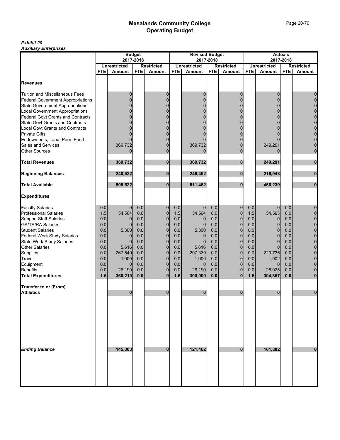#### *Exhibit 20 Auxiliary Enterprises*

|                                           |            |                         | <b>Budget</b> |                            |            | <b>Revised Budget</b> |            |                             |            |                         | <b>Actuals</b> |                               |
|-------------------------------------------|------------|-------------------------|---------------|----------------------------|------------|-----------------------|------------|-----------------------------|------------|-------------------------|----------------|-------------------------------|
|                                           |            | 2017-2018               |               |                            |            |                       | 2017-2018  |                             |            |                         | 2017-2018      |                               |
|                                           |            | <b>Unrestricted</b>     |               | <b>Restricted</b>          |            | <b>Unrestricted</b>   |            | <b>Restricted</b>           |            | <b>Unrestricted</b>     |                | <b>Restricted</b>             |
|                                           | <b>FTE</b> | <b>Amount</b>           | <b>FTE</b>    | <b>Amount</b>              | <b>FTE</b> | Amount                | <b>FTE</b> | Amount                      | <b>FTE</b> | <b>Amount</b>           | <b>FTE</b>     | <b>Amount</b>                 |
| <b>Revenues</b>                           |            |                         |               |                            |            |                       |            |                             |            |                         |                |                               |
| <b>Tuition and Miscellaneous Fees</b>     |            | 0                       |               | 0                          |            | 0                     |            | 0                           |            | 0                       |                | 0                             |
| <b>Federal Government Appropriations</b>  |            | $\Omega$                |               | $\overline{0}$             |            | 0                     |            | $\Omega$                    |            | 0                       |                | $\mathbf 0$                   |
| <b>State Government Appropriations</b>    |            |                         |               | $\Omega$                   |            | 0                     |            |                             |            | 0                       |                | $\mathbf 0$                   |
| <b>Local Government Appropriations</b>    |            | $\Omega$                |               | $\Omega$                   |            | 0                     |            | $\Omega$                    |            | 0                       |                | $\pmb{0}$                     |
| <b>Federal Govt Grants and Contracts</b>  |            |                         |               | $\Omega$                   |            | 0                     |            | $\Omega$                    |            | $\Omega$                |                | $\mathbf 0$                   |
| <b>State Govt Grants and Contracts</b>    |            | 0                       |               | $\Omega$                   |            | 0                     |            | $\Omega$                    |            | 0                       |                | $\mathbf 0$                   |
| Local Govt Grants and Contracts           |            |                         |               | $\Omega$                   |            |                       |            | $\Omega$                    |            | $\Omega$                |                | $\mathbf 0$                   |
| <b>Private Gifts</b>                      |            | 0                       |               | O                          |            |                       |            | $\Omega$                    |            | 0                       |                | $\mathbf 0$                   |
| Endowments, Land, Perm Fund               |            | 0                       |               | $\Omega$                   |            |                       |            | $\Omega$                    |            |                         |                | $\mathbf 0$                   |
| <b>Sales and Services</b>                 |            | 369,732                 |               | $\Omega$                   |            | 369,732               |            | $\Omega$                    |            | 249,291                 |                | $\mathbf 0$                   |
| <b>Other Sources</b>                      |            | $\Omega$                |               | $\overline{0}$             |            | $\Omega$              |            | $\mathbf{0}$                |            | 0                       |                | $\mathbf 0$                   |
| <b>Total Revenues</b>                     |            | 369,732                 |               | 0                          |            | 369,732               |            | $\bf{0}$                    |            | 249,291                 |                | 0                             |
| <b>Beginning Balances</b>                 |            | 240,522                 |               | $\bf{0}$                   |            | 246,462               |            | $\bf{0}$                    |            | 216,948                 |                | $\bf{0}$                      |
| <b>Total Available</b>                    |            | 505,522                 |               | $\bf{0}$                   |            | 511,462               |            | $\bf{0}$                    |            | 466,239                 |                | $\bf{0}$                      |
| <b>Expenditures</b>                       |            |                         |               |                            |            |                       |            |                             |            |                         |                |                               |
| <b>Faculty Salaries</b>                   | 0.0        | $\overline{0}$          | 0.0           | 0                          | 0.0        | $\mathbf 0$           | 0.0        | $\mathbf 0$                 | 0.0        | $\overline{0}$          | 0.0            | 0                             |
| <b>Professional Salaries</b>              | 1.5        | 54,564                  | 0.0           | $\mathbf 0$                | 1.5        | 54,564                | 0.0        | $\mathbf 0$                 | 1.5        | 54,595                  | 0.0            | $\pmb{0}$                     |
| <b>Support Staff Salaries</b>             | 0.0        | $\Omega$                | 0.0           | $\mathbf 0$                | 0.0        | $\Omega$              | 0.0        | $\mathbf 0$                 | 0.0        | 0                       | 0.0            | $\mathbf 0$                   |
| <b>GA/TA/RA Salaries</b>                  | 0.0        | $\overline{0}$          | 0.0           | $\pmb{0}$                  | 0.0        | $\Omega$              | 0.0        | $\mathbf 0$                 | 0.0        | $\overline{0}$          | 0.0            | $\pmb{0}$                     |
| <b>Student Salaries</b>                   | 0.0        | 5,300                   | 0.0           | $\mathbf 0$                | 0.0        | 5,300                 | 0.0        | $\mathbf 0$                 | 0.0        | $\overline{0}$          | 0.0            | $\overline{0}$                |
| <b>Federal Work Study Salaries</b>        | 0.0        | $\overline{0}$          | 0.0           | $\mathbf 0$                | 0.0        | 0                     | 0.0        | $\mathbf 0$                 | 0.0        | $\overline{0}$          | 0.0            | $\mathbf 0$                   |
| <b>State Work Study Salaries</b>          | 0.0        | $\Omega$                | 0.0           | $\mathbf 0$                | 0.0        | $\Omega$              | 0.0        | $\mathbf 0$                 | 0.0        | $\overline{0}$          | 0.0            | $\mathbf 0$                   |
| Other Salaries                            | 0.0        | 5,616                   | 0.0           | $\mathbf 0$                | 0.0        | 5,616                 | 0.0        | $\mathbf 0$                 | $0.0\,$    | $\overline{0}$          | 0.0            | $\mathbf 0$                   |
| Supplies<br>Travel                        | 0.0        | 267,549                 | 0.0<br>0.0    | $\mathbf 0$<br>$\mathbf 0$ | 0.0<br>0.0 | 297,330               | 0.0<br>0.0 | $\mathbf{0}$<br>$\mathbf 0$ | 0.0<br>0.0 | 220,735                 | 0.0<br>0.0     | $\mathbf 0$<br>$\overline{0}$ |
|                                           | 0.0<br>0.0 | 1,000<br>$\overline{0}$ | 0.0           | $\pmb{0}$                  | 0.0        | 1,000<br>$\mathbf 0$  | 0.0        | $\mathbf 0$                 | 0.0        | 1,002<br>$\overline{0}$ | 0.0            | $\mathbf 0$                   |
| Equipment<br><b>Benefits</b>              | 0.0        | 26,190                  | 0.0           | $\overline{0}$             | 0.0        | 26,190                | 0.0        | $\mathbf{0}$                | 0.0        | 28,025                  | 0.0            | $\mathbf 0$                   |
| <b>Total Expenditures</b>                 | 1.5        | 360,219                 | 0.0           | $\mathbf{0}$               | 1.5        | 390,000               | 0.0        | $\mathbf{0}$                | 1.5        | 304,357                 | 0.0            | $\bf{0}$                      |
|                                           |            |                         |               |                            |            |                       |            |                             |            |                         |                |                               |
| Transfer to or (From)<br><b>Athletics</b> |            | 0                       |               | 0                          |            | 0                     |            | $\bf{0}$                    |            | 0                       |                | 0                             |
|                                           |            |                         |               |                            |            |                       |            |                             |            |                         |                |                               |
|                                           |            |                         |               |                            |            |                       |            |                             |            |                         |                |                               |
|                                           |            |                         |               |                            |            |                       |            |                             |            |                         |                |                               |
| <b>Ending Balance</b>                     |            | 145,303                 |               | 0                          |            | 121,462               |            | $\bf{0}$                    |            | 161,882                 |                | $\bf{0}$                      |
|                                           |            |                         |               |                            |            |                       |            |                             |            |                         |                |                               |
|                                           |            |                         |               |                            |            |                       |            |                             |            |                         |                |                               |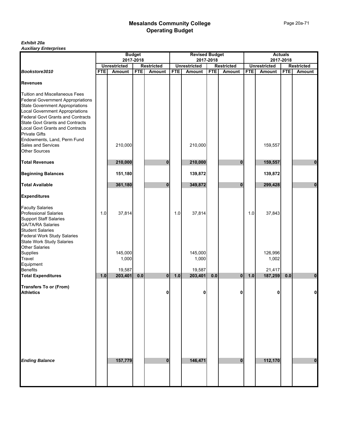*Exhibit 20a Auxiliary Enterprises*

|                                                                      | <b>Budget</b><br>2017-2018<br><b>Unrestricted</b><br><b>Restricted</b> |               |            |                | <b>Revised Budget</b><br>2017-2018 |                                      |            |                   |            |                     | <b>Actuals</b> |                   |  |
|----------------------------------------------------------------------|------------------------------------------------------------------------|---------------|------------|----------------|------------------------------------|--------------------------------------|------------|-------------------|------------|---------------------|----------------|-------------------|--|
|                                                                      |                                                                        |               |            |                |                                    |                                      |            |                   |            |                     | 2017-2018      |                   |  |
| Bookstore3010                                                        |                                                                        | <b>Amount</b> | <b>FTE</b> |                | <b>FTE</b>                         | <b>Unrestricted</b><br><b>Amount</b> | <b>FTE</b> | <b>Restricted</b> |            | <b>Unrestricted</b> |                | <b>Restricted</b> |  |
|                                                                      | <b>FTE</b>                                                             |               |            | <b>Amount</b>  |                                    |                                      |            | Amount            | <b>FTE</b> | <b>Amount</b>       | <b>FTE</b>     | Amount            |  |
| <b>Revenues</b>                                                      |                                                                        |               |            |                |                                    |                                      |            |                   |            |                     |                |                   |  |
| Tuition and Miscellaneous Fees                                       |                                                                        |               |            |                |                                    |                                      |            |                   |            |                     |                |                   |  |
| <b>Federal Government Appropriations</b>                             |                                                                        |               |            |                |                                    |                                      |            |                   |            |                     |                |                   |  |
| <b>State Government Appropriations</b>                               |                                                                        |               |            |                |                                    |                                      |            |                   |            |                     |                |                   |  |
| Local Government Appropriations<br>Federal Govt Grants and Contracts |                                                                        |               |            |                |                                    |                                      |            |                   |            |                     |                |                   |  |
|                                                                      |                                                                        |               |            |                |                                    |                                      |            |                   |            |                     |                |                   |  |
| <b>State Govt Grants and Contracts</b>                               |                                                                        |               |            |                |                                    |                                      |            |                   |            |                     |                |                   |  |
| Local Govt Grants and Contracts                                      |                                                                        |               |            |                |                                    |                                      |            |                   |            |                     |                |                   |  |
| <b>Private Gifts</b><br>Endowments, Land, Perm Fund                  |                                                                        |               |            |                |                                    |                                      |            |                   |            |                     |                |                   |  |
| Sales and Services                                                   |                                                                        | 210,000       |            |                |                                    | 210,000                              |            |                   |            | 159,557             |                |                   |  |
| <b>Other Sources</b>                                                 |                                                                        |               |            |                |                                    |                                      |            |                   |            |                     |                |                   |  |
|                                                                      |                                                                        |               |            |                |                                    |                                      |            |                   |            |                     |                |                   |  |
| <b>Total Revenues</b>                                                |                                                                        | 210,000       |            | 0              |                                    | 210,000                              |            | 0                 |            | 159,557             |                | 0                 |  |
| <b>Beginning Balances</b>                                            |                                                                        | 151,180       |            |                |                                    | 139,872                              |            |                   |            | 139,872             |                |                   |  |
| <b>Total Available</b>                                               |                                                                        | 361,180       |            | $\bf{0}$       |                                    | 349,872                              |            | $\bf{0}$          |            | 299,428             |                | $\bf{0}$          |  |
| <b>Expenditures</b>                                                  |                                                                        |               |            |                |                                    |                                      |            |                   |            |                     |                |                   |  |
|                                                                      |                                                                        |               |            |                |                                    |                                      |            |                   |            |                     |                |                   |  |
| <b>Faculty Salaries<br/>Professional Salaries</b>                    | 1.0                                                                    | 37,814        |            |                | 1.0                                | 37,814                               |            |                   | 1.0        | 37,843              |                |                   |  |
| <b>Support Staff Salaries</b>                                        |                                                                        |               |            |                |                                    |                                      |            |                   |            |                     |                |                   |  |
| GA/TA/RA Salaries<br>Student Salaries                                |                                                                        |               |            |                |                                    |                                      |            |                   |            |                     |                |                   |  |
|                                                                      |                                                                        |               |            |                |                                    |                                      |            |                   |            |                     |                |                   |  |
| Federal Work Study Salaries                                          |                                                                        |               |            |                |                                    |                                      |            |                   |            |                     |                |                   |  |
| <b>State Work Study Salaries</b>                                     |                                                                        |               |            |                |                                    |                                      |            |                   |            |                     |                |                   |  |
| Other Salaries<br>Supplies                                           |                                                                        | 145,000       |            |                |                                    | 145,000                              |            |                   |            | 126,996             |                |                   |  |
| Travel                                                               |                                                                        | 1,000         |            |                |                                    | 1,000                                |            |                   |            | 1,002               |                |                   |  |
| Equipment                                                            |                                                                        |               |            |                |                                    |                                      |            |                   |            |                     |                |                   |  |
| Benefits                                                             |                                                                        | 19,587        |            |                |                                    | 19,587                               |            |                   |            | 21,417              |                |                   |  |
| <b>Total Expenditures</b>                                            | 1.0                                                                    | 203,401       | $0.0\,$    | $\overline{0}$ | 1.0                                | 203,401                              | 0.0        | $\mathbf{0}$      | $1.0$      | 187,259             | 0.0            | 0                 |  |
|                                                                      |                                                                        |               |            |                |                                    |                                      |            |                   |            |                     |                |                   |  |
| <b>Transfers To or (From)</b><br><b>Athletics</b>                    |                                                                        |               |            | 0              |                                    | 0                                    |            | 0                 |            | n                   |                | 0                 |  |
|                                                                      |                                                                        |               |            |                |                                    |                                      |            |                   |            |                     |                |                   |  |
|                                                                      |                                                                        |               |            |                |                                    |                                      |            |                   |            |                     |                |                   |  |
|                                                                      |                                                                        |               |            |                |                                    |                                      |            |                   |            |                     |                |                   |  |
|                                                                      |                                                                        |               |            |                |                                    |                                      |            |                   |            |                     |                |                   |  |
|                                                                      |                                                                        |               |            |                |                                    |                                      |            |                   |            |                     |                |                   |  |
|                                                                      |                                                                        |               |            |                |                                    |                                      |            |                   |            |                     |                |                   |  |
|                                                                      |                                                                        |               |            |                |                                    |                                      |            |                   |            |                     |                |                   |  |
|                                                                      |                                                                        |               |            |                |                                    |                                      |            |                   |            |                     |                |                   |  |
| <b>Ending Balance</b>                                                |                                                                        | 157,779       |            | $\mathbf 0$    |                                    | 146,471                              |            | $\bf{0}$          |            | 112,170             |                | $\bf{0}$          |  |
|                                                                      |                                                                        |               |            |                |                                    |                                      |            |                   |            |                     |                |                   |  |
|                                                                      |                                                                        |               |            |                |                                    |                                      |            |                   |            |                     |                |                   |  |
|                                                                      |                                                                        |               |            |                |                                    |                                      |            |                   |            |                     |                |                   |  |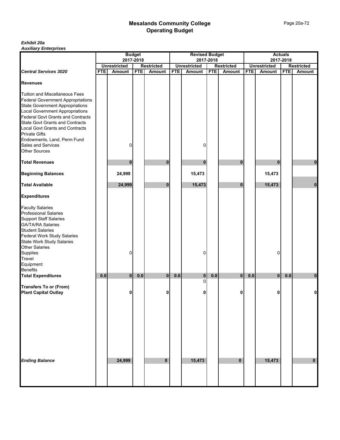#### *Exhibit 20a Auxiliary Enterprises*

|                                          |            |                     | <b>Budget</b> |                   |            | <b>Revised Budget</b> |            |                   |            |                     | <b>Actuals</b> |                   |
|------------------------------------------|------------|---------------------|---------------|-------------------|------------|-----------------------|------------|-------------------|------------|---------------------|----------------|-------------------|
|                                          |            |                     | 2017-2018     |                   |            |                       | 2017-2018  |                   |            | 2017-2018           |                |                   |
|                                          |            | <b>Unrestricted</b> |               | <b>Restricted</b> |            | <b>Unrestricted</b>   |            | <b>Restricted</b> |            | <b>Unrestricted</b> |                | <b>Restricted</b> |
| <b>Central Services 3020</b>             | <b>FTE</b> | <b>Amount</b>       | <b>FTE</b>    | <b>Amount</b>     | <b>FTE</b> | Amount                | <b>FTE</b> | <b>Amount</b>     | <b>FTE</b> | Amount              | <b>FTE</b>     | Amount            |
| <b>Revenues</b>                          |            |                     |               |                   |            |                       |            |                   |            |                     |                |                   |
| <b>Tuition and Miscellaneous Fees</b>    |            |                     |               |                   |            |                       |            |                   |            |                     |                |                   |
| <b>Federal Government Appropriations</b> |            |                     |               |                   |            |                       |            |                   |            |                     |                |                   |
| <b>State Government Appropriations</b>   |            |                     |               |                   |            |                       |            |                   |            |                     |                |                   |
| <b>Local Government Appropriations</b>   |            |                     |               |                   |            |                       |            |                   |            |                     |                |                   |
| <b>Federal Govt Grants and Contracts</b> |            |                     |               |                   |            |                       |            |                   |            |                     |                |                   |
| <b>State Govt Grants and Contracts</b>   |            |                     |               |                   |            |                       |            |                   |            |                     |                |                   |
| Local Govt Grants and Contracts          |            |                     |               |                   |            |                       |            |                   |            |                     |                |                   |
| <b>Private Gifts</b>                     |            |                     |               |                   |            |                       |            |                   |            |                     |                |                   |
| Endowments, Land, Perm Fund              |            |                     |               |                   |            |                       |            |                   |            |                     |                |                   |
| Sales and Services                       |            | 0                   |               |                   |            | 0                     |            |                   |            |                     |                |                   |
| <b>Other Sources</b>                     |            |                     |               |                   |            |                       |            |                   |            |                     |                |                   |
|                                          |            |                     |               |                   |            |                       |            |                   |            |                     |                |                   |
| <b>Total Revenues</b>                    |            | 0                   |               | O                 |            |                       |            |                   |            | $\bf{0}$            |                |                   |
|                                          |            |                     |               |                   |            | 0                     |            | 0                 |            |                     |                | 0                 |
| <b>Beginning Balances</b>                |            | 24,999              |               |                   |            | 15,473                |            |                   |            | 15,473              |                |                   |
| <b>Total Available</b>                   |            | 24,999              |               | $\bf{0}$          |            | 15,473                |            | $\bf{0}$          |            | 15,473              |                | $\bf{0}$          |
| <b>Expenditures</b>                      |            |                     |               |                   |            |                       |            |                   |            |                     |                |                   |
| <b>Faculty Salaries</b>                  |            |                     |               |                   |            |                       |            |                   |            |                     |                |                   |
| <b>Professional Salaries</b>             |            |                     |               |                   |            |                       |            |                   |            |                     |                |                   |
| <b>Support Staff Salaries</b>            |            |                     |               |                   |            |                       |            |                   |            |                     |                |                   |
| <b>GA/TA/RA Salaries</b>                 |            |                     |               |                   |            |                       |            |                   |            |                     |                |                   |
|                                          |            |                     |               |                   |            |                       |            |                   |            |                     |                |                   |
| <b>Student Salaries</b>                  |            |                     |               |                   |            |                       |            |                   |            |                     |                |                   |
| <b>Federal Work Study Salaries</b>       |            |                     |               |                   |            |                       |            |                   |            |                     |                |                   |
| <b>State Work Study Salaries</b>         |            |                     |               |                   |            |                       |            |                   |            |                     |                |                   |
| <b>Other Salaries</b>                    |            |                     |               |                   |            |                       |            |                   |            |                     |                |                   |
| Supplies                                 |            | 0                   |               |                   |            | 0                     |            |                   |            | 0                   |                |                   |
| Travel                                   |            |                     |               |                   |            |                       |            |                   |            |                     |                |                   |
| Equipment                                |            |                     |               |                   |            |                       |            |                   |            |                     |                |                   |
| <b>Benefits</b>                          |            |                     |               |                   |            |                       |            |                   |            |                     |                |                   |
| <b>Total Expenditures</b>                | 0.0        | 0                   | 0.0           | $\mathbf 0$       | 0.0        | 0                     | 0.0        | $\bf{0}$          | 0.0        | 0                   | 0.0            | 0                 |
|                                          |            |                     |               |                   |            | $\mathbf 0$           |            |                   |            |                     |                |                   |
| <b>Transfers To or (From)</b>            |            |                     |               |                   |            |                       |            |                   |            |                     |                |                   |
| <b>Plant Capital Outlay</b>              |            | 0                   |               | 0                 |            | 0                     |            | 0                 |            |                     |                |                   |
|                                          |            |                     |               |                   |            |                       |            |                   |            |                     |                |                   |
|                                          |            |                     |               |                   |            |                       |            |                   |            |                     |                |                   |
|                                          |            |                     |               |                   |            |                       |            |                   |            |                     |                |                   |
|                                          |            |                     |               |                   |            |                       |            |                   |            |                     |                |                   |
|                                          |            |                     |               |                   |            |                       |            |                   |            |                     |                |                   |
|                                          |            |                     |               |                   |            |                       |            |                   |            |                     |                |                   |
|                                          |            |                     |               |                   |            |                       |            |                   |            |                     |                |                   |
|                                          |            |                     |               |                   |            |                       |            |                   |            |                     |                |                   |
|                                          |            |                     |               |                   |            |                       |            |                   |            |                     |                |                   |
|                                          |            |                     |               |                   |            |                       |            |                   |            |                     |                |                   |
|                                          |            |                     |               |                   |            |                       |            |                   |            |                     |                |                   |
| <b>Ending Balance</b>                    |            | 24,999              |               | $\mathbf{0}$      |            | 15,473                |            | $\mathbf 0$       |            | 15,473              |                | $\mathbf 0$       |
|                                          |            |                     |               |                   |            |                       |            |                   |            |                     |                |                   |
|                                          |            |                     |               |                   |            |                       |            |                   |            |                     |                |                   |
|                                          |            |                     |               |                   |            |                       |            |                   |            |                     |                |                   |
|                                          |            |                     |               |                   |            |                       |            |                   |            |                     |                |                   |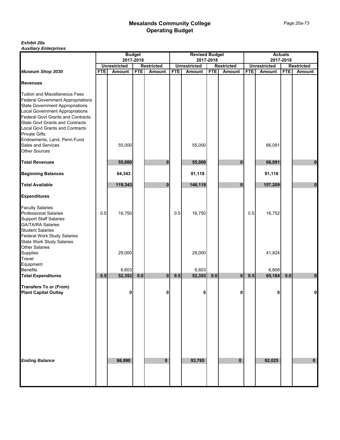#### *Exhibit 20a Auxiliary Enterprises*

|                                          |            |                                      | <b>Budget</b> |                                    |            | <b>Revised Budget</b>         |            |                                    |            |                               | <b>Actuals</b> |                                    |
|------------------------------------------|------------|--------------------------------------|---------------|------------------------------------|------------|-------------------------------|------------|------------------------------------|------------|-------------------------------|----------------|------------------------------------|
|                                          |            | 2017-2018                            |               |                                    |            |                               | 2017-2018  |                                    |            |                               | 2017-2018      |                                    |
| Museum Shop 3030                         | <b>FTE</b> | <b>Unrestricted</b><br><b>Amount</b> | <b>FTE</b>    | <b>Restricted</b><br><b>Amount</b> | <b>FTE</b> | <b>Unrestricted</b><br>Amount | <b>FTE</b> | <b>Restricted</b><br><b>Amount</b> | <b>FTE</b> | <b>Unrestricted</b><br>Amount | <b>FTE</b>     | <b>Restricted</b><br><b>Amount</b> |
|                                          |            |                                      |               |                                    |            |                               |            |                                    |            |                               |                |                                    |
| <b>Revenues</b>                          |            |                                      |               |                                    |            |                               |            |                                    |            |                               |                |                                    |
| <b>Tuition and Miscellaneous Fees</b>    |            |                                      |               |                                    |            |                               |            |                                    |            |                               |                |                                    |
| <b>Federal Government Appropriations</b> |            |                                      |               |                                    |            |                               |            |                                    |            |                               |                |                                    |
| <b>State Government Appropriations</b>   |            |                                      |               |                                    |            |                               |            |                                    |            |                               |                |                                    |
| <b>Local Government Appropriations</b>   |            |                                      |               |                                    |            |                               |            |                                    |            |                               |                |                                    |
| <b>Federal Govt Grants and Contracts</b> |            |                                      |               |                                    |            |                               |            |                                    |            |                               |                |                                    |
| <b>State Govt Grants and Contracts</b>   |            |                                      |               |                                    |            |                               |            |                                    |            |                               |                |                                    |
| <b>Local Govt Grants and Contracts</b>   |            |                                      |               |                                    |            |                               |            |                                    |            |                               |                |                                    |
| <b>Private Gifts</b>                     |            |                                      |               |                                    |            |                               |            |                                    |            |                               |                |                                    |
| Endowments, Land, Perm Fund              |            |                                      |               |                                    |            |                               |            |                                    |            |                               |                |                                    |
| Sales and Services                       |            | 55,000                               |               |                                    |            | 55,000                        |            |                                    |            | 66,091                        |                |                                    |
| <b>Other Sources</b>                     |            |                                      |               |                                    |            |                               |            |                                    |            |                               |                |                                    |
| <b>Total Revenues</b>                    |            | 55,000                               |               | 0                                  |            | 55,000                        |            | $\bf{0}$                           |            | 66,091                        |                | $\mathbf{0}$                       |
| <b>Beginning Balances</b>                |            | 64,343                               |               |                                    |            | 91,118                        |            |                                    |            | 91,118                        |                |                                    |
| <b>Total Available</b>                   |            | 119,343                              |               | 0                                  |            | 146,118                       |            | $\bf{0}$                           |            | 157,209                       |                | $\bf{0}$                           |
|                                          |            |                                      |               |                                    |            |                               |            |                                    |            |                               |                |                                    |
| <b>Expenditures</b>                      |            |                                      |               |                                    |            |                               |            |                                    |            |                               |                |                                    |
| <b>Faculty Salaries</b>                  |            |                                      |               |                                    |            |                               |            |                                    |            |                               |                |                                    |
| <b>Professional Salaries</b>             | 0.5        | 16,750                               |               |                                    | 0.5        | 16,750                        |            |                                    | 0.5        | 16,752                        |                |                                    |
| <b>Support Staff Salaries</b>            |            |                                      |               |                                    |            |                               |            |                                    |            |                               |                |                                    |
| <b>GA/TA/RA Salaries</b>                 |            |                                      |               |                                    |            |                               |            |                                    |            |                               |                |                                    |
| <b>Student Salaries</b>                  |            |                                      |               |                                    |            |                               |            |                                    |            |                               |                |                                    |
| Federal Work Study Salaries              |            |                                      |               |                                    |            |                               |            |                                    |            |                               |                |                                    |
| <b>State Work Study Salaries</b>         |            |                                      |               |                                    |            |                               |            |                                    |            |                               |                |                                    |
| <b>Other Salaries</b>                    |            |                                      |               |                                    |            |                               |            |                                    |            |                               |                |                                    |
| Supplies                                 |            | 29,000                               |               |                                    |            | 29,000                        |            |                                    |            | 41,824                        |                |                                    |
| Travel                                   |            |                                      |               |                                    |            |                               |            |                                    |            |                               |                |                                    |
| Equipment                                |            |                                      |               |                                    |            |                               |            |                                    |            |                               |                |                                    |
| <b>Benefits</b>                          |            | 6,603                                |               |                                    |            | 6,603                         |            |                                    |            | 6,608                         |                |                                    |
| <b>Total Expenditures</b>                | 0.5        | 52,353                               | $0.0\,$       | 0                                  | 0.5        | 52,353                        | 0.0        | $\bf{0}$                           | 0.5        | 65,184                        | 0.0            | $\boldsymbol{0}$                   |
| <b>Transfers To or (From)</b>            |            |                                      |               |                                    |            |                               |            |                                    |            |                               |                |                                    |
| <b>Plant Capital Outlay</b>              |            | 0                                    |               | 0                                  |            | 0                             |            | 0                                  |            | 0                             |                | $\mathbf 0$                        |
|                                          |            |                                      |               |                                    |            |                               |            |                                    |            |                               |                |                                    |
|                                          |            |                                      |               |                                    |            |                               |            |                                    |            |                               |                |                                    |
|                                          |            |                                      |               |                                    |            |                               |            |                                    |            |                               |                |                                    |
|                                          |            |                                      |               |                                    |            |                               |            |                                    |            |                               |                |                                    |
|                                          |            |                                      |               |                                    |            |                               |            |                                    |            |                               |                |                                    |
|                                          |            |                                      |               |                                    |            |                               |            |                                    |            |                               |                |                                    |
|                                          |            |                                      |               |                                    |            |                               |            |                                    |            |                               |                |                                    |
|                                          |            |                                      |               |                                    |            |                               |            |                                    |            |                               |                |                                    |
| <b>Ending Balance</b>                    |            | 66,990                               |               | $\bf{0}$                           |            | 93,765                        |            | 0                                  |            | 92,025                        |                | $\bf{0}$                           |
|                                          |            |                                      |               |                                    |            |                               |            |                                    |            |                               |                |                                    |
|                                          |            |                                      |               |                                    |            |                               |            |                                    |            |                               |                |                                    |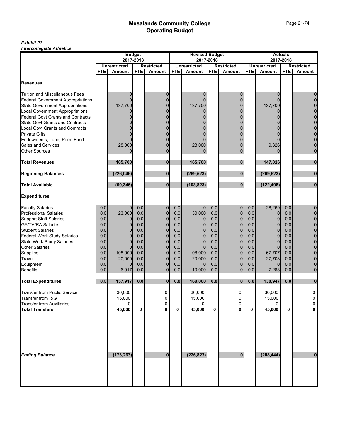#### *Exhibit 21 Intercollegiate Athletics*

|                                          |            |                                      | <b>Budget</b> |                                    |                                                       | <b>Revised Budget</b> |            |               |            | <b>Actuals</b>                |            |                                    |
|------------------------------------------|------------|--------------------------------------|---------------|------------------------------------|-------------------------------------------------------|-----------------------|------------|---------------|------------|-------------------------------|------------|------------------------------------|
|                                          |            | 2017-2018                            |               |                                    | 2017-2018<br><b>Unrestricted</b><br><b>Restricted</b> |                       |            |               | 2017-2018  |                               |            |                                    |
|                                          | <b>FTE</b> | <b>Unrestricted</b><br><b>Amount</b> | <b>FTE</b>    | <b>Restricted</b><br><b>Amount</b> | <b>FTE</b>                                            | Amount                | <b>FTE</b> | <b>Amount</b> | <b>FTE</b> | <b>Unrestricted</b><br>Amount | <b>FTE</b> | <b>Restricted</b><br><b>Amount</b> |
|                                          |            |                                      |               |                                    |                                                       |                       |            |               |            |                               |            |                                    |
| <b>Revenues</b>                          |            |                                      |               |                                    |                                                       |                       |            |               |            |                               |            |                                    |
| <b>Tuition and Miscellaneous Fees</b>    |            | 0                                    |               | 0                                  |                                                       | $\Omega$              |            | 0             |            | 0                             |            | 0                                  |
| <b>Federal Government Appropriations</b> |            | ŋ                                    |               | $\overline{0}$                     |                                                       |                       |            | $\Omega$      |            | $\Omega$                      |            | $\mathbf 0$                        |
| <b>State Government Appropriations</b>   |            | 137,700                              |               | $\Omega$                           |                                                       | 137,700               |            | $\Omega$      |            | 137,700                       |            | $\overline{0}$                     |
| <b>Local Government Appropriations</b>   |            | O                                    |               | 0                                  |                                                       | 0                     |            | $\Omega$      |            | 0                             |            | $\mathbf 0$                        |
| <b>Federal Govt Grants and Contracts</b> |            |                                      |               | $\Omega$                           |                                                       |                       |            | $\Omega$      |            |                               |            | $\mathbf 0$                        |
| <b>State Govt Grants and Contracts</b>   |            |                                      |               |                                    |                                                       |                       |            |               |            |                               |            | $\mathbf 0$                        |
| Local Govt Grants and Contracts          |            |                                      |               | 0                                  |                                                       |                       |            | $\Omega$      |            |                               |            | $\mathbf 0$                        |
| <b>Private Gifts</b>                     |            |                                      |               |                                    |                                                       |                       |            |               |            |                               |            | $\mathbf 0$                        |
| Endowments, Land, Perm Fund              |            |                                      |               | $\Omega$                           |                                                       |                       |            | $\Omega$      |            |                               |            | $\mathbf 0$                        |
| Sales and Services                       |            | 28,000                               |               | $\Omega$                           |                                                       | 28,000                |            | $\Omega$      |            | 9,326                         |            | $\mathbf 0$                        |
| <b>Other Sources</b>                     |            | 0                                    |               | $\Omega$                           |                                                       | 0                     |            | $\Omega$      |            | 0                             |            | $\mathbf 0$                        |
| <b>Total Revenues</b>                    |            | 165,700                              |               | 0                                  |                                                       | 165,700               |            | $\bf{0}$      |            | 147,026                       |            | 0                                  |
| <b>Beginning Balances</b>                |            | (226, 046)                           |               | $\bf{0}$                           |                                                       | (269, 523)            |            | $\bf{0}$      |            | (269, 523)                    |            | $\bf{0}$                           |
| <b>Total Available</b>                   |            | (60, 346)                            |               | $\bf{0}$                           |                                                       | (103, 823)            |            | $\bf{0}$      |            | (122, 498)                    |            | $\mathbf{0}$                       |
| <b>Expenditures</b>                      |            |                                      |               |                                    |                                                       |                       |            |               |            |                               |            |                                    |
| <b>Faculty Salaries</b>                  | 0.0        | $\mathbf{0}$                         | 0.0           | 0                                  | 0.0                                                   | $\mathbf 0$           | 0.0        | $\mathbf 0$   | 0.0        | 28,269                        | 0.0        | 0                                  |
| <b>Professional Salaries</b>             | 0.0        | 23,000                               | 0.0           | $\pmb{0}$                          | 0.0                                                   | 30,000                | 0.0        | $\mathbf 0$   | 0.0        | $\mathbf{0}$                  | 0.0        | $\mathbf 0$                        |
| <b>Support Staff Salaries</b>            | 0.0        | 0                                    | 0.0           | $\overline{0}$                     | 0.0                                                   | 0                     | 0.0        | $\mathbf 0$   | 0.0        | $\overline{0}$                | 0.0        | $\mathbf{0}$                       |
| <b>GA/TA/RA Salaries</b>                 | 0.0        | $\overline{0}$                       | 0.0           | $\mathbf 0$                        | 0.0                                                   | 0                     | 0.0        | $\mathbf 0$   | 0.0        | $\overline{0}$                | 0.0        | $\mathbf 0$                        |
| <b>Student Salaries</b>                  | 0.0        | $\Omega$                             | 0.0           | $\overline{0}$                     | 0.0                                                   | $\Omega$              | 0.0        | $\mathbf 0$   | 0.0        | 0                             | 0.0        | $\mathbf 0$                        |
| <b>Federal Work Study Salaries</b>       | 0.0        | $\Omega$                             | 0.0           | $\overline{0}$                     | 0.0                                                   | 0                     | 0.0        | $\Omega$      | 0.0        | $\Omega$                      | 0.0        | $\mathbf 0$                        |
| <b>State Work Study Salaries</b>         | 0.0        | $\overline{0}$                       | 0.0           | $\mathbf 0$                        | 0.0                                                   | $\mathbf 0$           | 0.0        | $\mathbf{0}$  | 0.0        | $\overline{0}$                | 0.0        | $\mathbf 0$                        |
| <b>Other Salaries</b>                    | 0.0        | $\Omega$                             | 0.0           | $\overline{0}$                     | 0.0                                                   | $\Omega$              | 0.0        | $\mathbf 0$   | 0.0        | $\Omega$                      | 0.0        | $\mathbf 0$                        |
| Supplies                                 | 0.0        | 108,000                              | 0.0           | $\overline{0}$                     | 0.0                                                   | 108,000               | 0.0        | $\mathbf 0$   | 0.0        | 67,707                        | 0.0        | $\mathbf 0$                        |
| Travel                                   | 0.0        | 20,000                               | 0.0           | $\mathbf 0$                        | 0.0                                                   | 20,000                | 0.0        | $\mathbf{0}$  | 0.0        | 27,703                        | 0.0        | $\mathbf{0}$                       |
| Equipment                                | 0.0        | $\Omega$                             | 0.0           | $\mathbf 0$                        | 0.0                                                   | $\Omega$              | 0.0        | $\mathbf 0$   | 0.0        | 0                             | 0.0        | $\pmb{0}$                          |
| <b>Benefits</b>                          | 0.0        | 6,917                                | 0.0           | $\pmb{0}$                          | 0.0                                                   | 10,000                | 0.0        | $\mathbf{0}$  | 0.0        | 7,268                         | 0.0        | $\mathbf 0$                        |
| <b>Total Expenditures</b>                | 0.0        | 157,917                              | $0.0\,$       | 0                                  | 0.0                                                   | 168,000               | 0.0        | $\bf{0}$      | $0.0\,$    | 130,947                       | 0.0        | $\bf{0}$                           |
| <b>Transfer from Public Service</b>      |            | 30,000                               |               | 0                                  |                                                       | 30.000                |            | 0             |            | 30,000                        |            | 0                                  |
| Transfer from I&G                        |            | 15,000                               |               | $\mathbf 0$                        |                                                       | 15,000                |            | 0             |            | 15,000                        |            | $\pmb{0}$                          |
| <b>Transfer from Auxiliaries</b>         |            | 0                                    |               | 0                                  |                                                       | 0                     |            | 0             |            | 0                             |            | 0                                  |
| <b>Total Transfers</b>                   |            | 45,000                               | 0             | $\mathbf 0$                        | 0                                                     | 45,000                | 0          | 0             | 0          | 45,000                        | 0          | 0                                  |
| <b>Ending Balance</b>                    |            | (173, 263)                           |               | $\bf{0}$                           |                                                       | (226, 823)            |            | $\bf{0}$      |            | (208, 444)                    |            | $\bf{0}$                           |
|                                          |            |                                      |               |                                    |                                                       |                       |            |               |            |                               |            |                                    |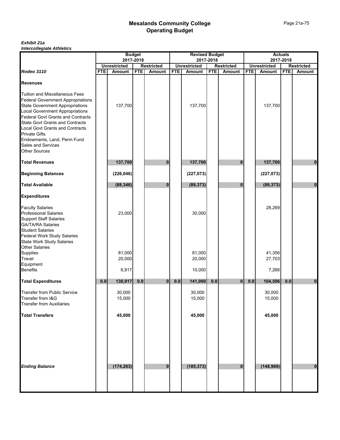#### *Exhibit 21a Intercollegiate Athletics*

|                                                                                    | <b>Budget</b> |                                      |            | <b>Revised Budget</b>              |            |                               |            | <b>Actuals</b>                     |            |                               |            |                             |
|------------------------------------------------------------------------------------|---------------|--------------------------------------|------------|------------------------------------|------------|-------------------------------|------------|------------------------------------|------------|-------------------------------|------------|-----------------------------|
|                                                                                    |               | 2017-2018                            |            |                                    |            |                               | 2017-2018  |                                    |            | 2017-2018                     |            |                             |
| <b>Rodeo 3110</b>                                                                  | <b>FTE</b>    | <b>Unrestricted</b><br><b>Amount</b> | <b>FTE</b> | <b>Restricted</b><br><b>Amount</b> | <b>FTE</b> | <b>Unrestricted</b><br>Amount | <b>FTE</b> | <b>Restricted</b><br><b>Amount</b> | <b>FTE</b> | <b>Unrestricted</b><br>Amount | <b>FTE</b> | <b>Restricted</b><br>Amount |
|                                                                                    |               |                                      |            |                                    |            |                               |            |                                    |            |                               |            |                             |
| <b>Revenues</b>                                                                    |               |                                      |            |                                    |            |                               |            |                                    |            |                               |            |                             |
| <b>Tuition and Miscellaneous Fees</b>                                              |               |                                      |            |                                    |            |                               |            |                                    |            |                               |            |                             |
| <b>Federal Government Appropriations</b>                                           |               |                                      |            |                                    |            |                               |            |                                    |            |                               |            |                             |
| <b>State Government Appropriations</b>                                             |               | 137,700                              |            |                                    |            | 137,700                       |            |                                    |            | 137,700                       |            |                             |
| <b>Local Government Appropriations</b><br><b>Federal Govt Grants and Contracts</b> |               |                                      |            |                                    |            |                               |            |                                    |            |                               |            |                             |
| <b>State Govt Grants and Contracts</b>                                             |               |                                      |            |                                    |            |                               |            |                                    |            |                               |            |                             |
| <b>Local Govt Grants and Contracts</b>                                             |               |                                      |            |                                    |            |                               |            |                                    |            |                               |            |                             |
| <b>Private Gifts</b>                                                               |               |                                      |            |                                    |            |                               |            |                                    |            |                               |            |                             |
| Endowments, Land, Perm Fund                                                        |               |                                      |            |                                    |            |                               |            |                                    |            |                               |            |                             |
| <b>Sales and Services</b>                                                          |               |                                      |            |                                    |            |                               |            |                                    |            |                               |            |                             |
| <b>Other Sources</b>                                                               |               |                                      |            |                                    |            |                               |            |                                    |            |                               |            |                             |
| <b>Total Revenues</b>                                                              |               | 137,700                              |            | 0                                  |            | 137,700                       |            | $\bf{0}$                           |            | 137,700                       |            | 0                           |
| <b>Beginning Balances</b>                                                          |               | (226, 046)                           |            |                                    |            | (227, 073)                    |            |                                    |            | (227, 073)                    |            |                             |
| <b>Total Available</b>                                                             |               | (88, 346)                            |            | $\bf{0}$                           |            | (89, 373)                     |            | $\bf{0}$                           |            | (89, 373)                     |            | $\bf{0}$                    |
| <b>Expenditures</b>                                                                |               |                                      |            |                                    |            |                               |            |                                    |            |                               |            |                             |
| <b>Faculty Salaries</b>                                                            |               |                                      |            |                                    |            |                               |            |                                    |            | 28,269                        |            |                             |
| <b>Professional Salaries</b>                                                       |               | 23,000                               |            |                                    |            | 30,000                        |            |                                    |            |                               |            |                             |
| <b>Support Staff Salaries</b>                                                      |               |                                      |            |                                    |            |                               |            |                                    |            |                               |            |                             |
| <b>GA/TA/RA Salaries</b>                                                           |               |                                      |            |                                    |            |                               |            |                                    |            |                               |            |                             |
| <b>Student Salaries</b>                                                            |               |                                      |            |                                    |            |                               |            |                                    |            |                               |            |                             |
| <b>Federal Work Study Salaries</b>                                                 |               |                                      |            |                                    |            |                               |            |                                    |            |                               |            |                             |
| <b>State Work Study Salaries</b>                                                   |               |                                      |            |                                    |            |                               |            |                                    |            |                               |            |                             |
| <b>Other Salaries</b><br>Supplies                                                  |               | 81,000                               |            |                                    |            | 81,000                        |            |                                    |            | 41,356                        |            |                             |
| Travel                                                                             |               | 20,000                               |            |                                    |            | 20,000                        |            |                                    |            | 27,703                        |            |                             |
| Equipment                                                                          |               |                                      |            |                                    |            |                               |            |                                    |            |                               |            |                             |
| <b>Benefits</b>                                                                    |               | 6,917                                |            |                                    |            | 10,000                        |            |                                    |            | 7,268                         |            |                             |
| <b>Total Expenditures</b>                                                          | 0.0           | 130,917                              | $0.0\,$    | $\mathbf{0}$                       | 0.0        | 141,000                       | $0.0\,$    | $\overline{0}$                     | $0.0\,$    | 104,596                       | 0.0        | $\bf{0}$                    |
| <b>Transfer from Public Service</b>                                                |               | 30,000                               |            |                                    |            | 30,000                        |            |                                    |            | 30,000                        |            |                             |
| Transfer from I&G                                                                  |               | 15,000                               |            |                                    |            | 15,000                        |            |                                    |            | 15,000                        |            |                             |
| <b>Transfer from Auxiliaries</b>                                                   |               |                                      |            |                                    |            |                               |            |                                    |            |                               |            |                             |
| <b>Total Transfers</b>                                                             |               | 45,000                               |            |                                    |            | 45,000                        |            |                                    |            | 45,000                        |            |                             |
|                                                                                    |               |                                      |            |                                    |            |                               |            |                                    |            |                               |            |                             |
| <b>Ending Balance</b>                                                              |               | (174, 263)                           |            | $\bf{0}$                           |            | (185, 373)                    |            | $\bf{0}$                           |            | (148, 969)                    |            | $\bf{0}$                    |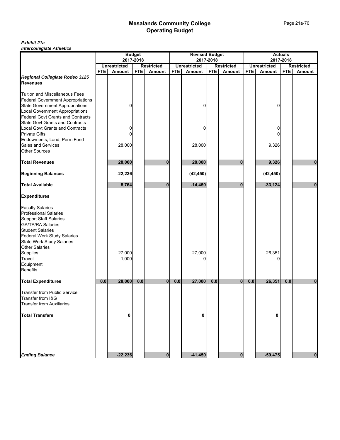#### *Exhibit 21a Intercollegiate Athletics*

|                                                                                                                                                                                                                                             | <b>Budget</b> |                     |            |                   | <b>Revised Budget</b> |                     |            |                   | <b>Actuals</b> |                     |            |                   |
|---------------------------------------------------------------------------------------------------------------------------------------------------------------------------------------------------------------------------------------------|---------------|---------------------|------------|-------------------|-----------------------|---------------------|------------|-------------------|----------------|---------------------|------------|-------------------|
|                                                                                                                                                                                                                                             |               |                     | 2017-2018  |                   |                       |                     | 2017-2018  |                   |                |                     | 2017-2018  |                   |
|                                                                                                                                                                                                                                             |               | <b>Unrestricted</b> |            | <b>Restricted</b> |                       | <b>Unrestricted</b> |            | <b>Restricted</b> |                | <b>Unrestricted</b> |            | <b>Restricted</b> |
|                                                                                                                                                                                                                                             | <b>FTE</b>    | <b>Amount</b>       | <b>FTE</b> | Amount            | <b>FTE</b>            | <b>Amount</b>       | <b>FTE</b> | <b>Amount</b>     | <b>FTE</b>     | <b>Amount</b>       | <b>FTE</b> | Amount            |
| Regional Collegiate Rodeo 3125<br><b>Revenues</b>                                                                                                                                                                                           |               |                     |            |                   |                       |                     |            |                   |                |                     |            |                   |
| <b>Tuition and Miscellaneous Fees</b><br><b>Federal Government Appropriations</b><br><b>State Government Appropriations</b><br><b>Local Government Appropriations</b>                                                                       |               | 0                   |            |                   |                       | 0                   |            |                   |                | 0                   |            |                   |
| <b>Federal Govt Grants and Contracts</b><br><b>State Govt Grants and Contracts</b><br><b>Local Govt Grants and Contracts</b><br><b>Private Gifts</b><br>Endowments, Land, Perm Fund                                                         |               | 0<br>0              |            |                   |                       | 0                   |            |                   |                | 0<br>0              |            |                   |
| <b>Sales and Services</b><br><b>Other Sources</b>                                                                                                                                                                                           |               | 28,000              |            |                   |                       | 28,000              |            |                   |                | 9,326               |            |                   |
| <b>Total Revenues</b>                                                                                                                                                                                                                       |               | 28,000              |            | 0                 |                       | 28,000              |            | 0                 |                | 9,326               |            | 0                 |
| <b>Beginning Balances</b>                                                                                                                                                                                                                   |               | $-22,236$           |            |                   |                       | (42, 450)           |            |                   |                | (42, 450)           |            |                   |
| <b>Total Available</b>                                                                                                                                                                                                                      |               | 5,764               |            | ŋ                 |                       | $-14,450$           |            | n                 |                | $-33,124$           |            | $\bf{0}$          |
| <b>Expenditures</b>                                                                                                                                                                                                                         |               |                     |            |                   |                       |                     |            |                   |                |                     |            |                   |
| <b>Faculty Salaries</b><br><b>Professional Salaries</b><br><b>Support Staff Salaries</b><br><b>GA/TA/RA Salaries</b><br><b>Student Salaries</b><br>Federal Work Study Salaries<br><b>State Work Study Salaries</b><br><b>Other Salaries</b> |               |                     |            |                   |                       |                     |            |                   |                |                     |            |                   |
| <b>Supplies</b><br>Travel<br>Equipment<br><b>Benefits</b>                                                                                                                                                                                   |               | 27,000<br>1,000     |            |                   |                       | 27,000              |            |                   |                | 26,351<br>n         |            |                   |
| <b>Total Expenditures</b>                                                                                                                                                                                                                   | 0.0           | 28,000              | $0.0$      | $\bf{0}$          | 0.0                   | 27,000              | 0.0        | 0                 | 0.0            | 26,351              | 0.0        | 0                 |
| <b>Transfer from Public Service</b><br>Transfer from I&G<br><b>Transfer from Auxiliaries</b>                                                                                                                                                |               |                     |            |                   |                       |                     |            |                   |                |                     |            |                   |
| <b>Total Transfers</b>                                                                                                                                                                                                                      |               | 0                   |            |                   |                       | 0                   |            |                   |                | 0                   |            |                   |
| <b>Ending Balance</b>                                                                                                                                                                                                                       |               | $-22,236$           |            | 0                 |                       | $-41,450$           |            | $\bf{0}$          |                | $-59,475$           |            | $\bf{0}$          |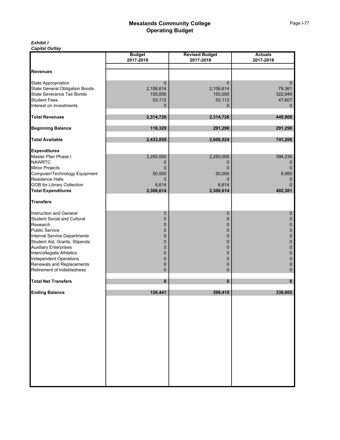#### *Exhibit I Capital Outlay*

|                                       | <b>Budget</b> | <b>Revised Budget</b> | <b>Actuals</b> |
|---------------------------------------|---------------|-----------------------|----------------|
|                                       | 2017-2018     | 2017-2018             | 2017-2018      |
| <b>Revenues</b>                       |               |                       |                |
|                                       |               |                       |                |
| <b>State Appropriation</b>            | 0             | 0                     | $\mathbf 0$    |
| <b>State General Obligation Bonds</b> | 2,106,614     | 2,106,614             | 79,361         |
| State Severance Tax Bonds             | 155,000       | 155,000               | 322,940        |
| <b>Student Fees</b>                   | 53,112        | 53,112                | 47,607         |
| Interest on Investments               | 0             | 0                     | $\mathbf{0}$   |
|                                       |               |                       |                |
| <b>Total Revenues</b>                 | 2,314,726     | 2,314,726             | 449,908        |
| <b>Beginning Balance</b>              | 118,329       | 291,298               | 291,298        |
|                                       |               |                       |                |
| <b>Total Available</b>                | 2,433,055     | 2,606,024             | 741,206        |
| <b>Expenditures</b>                   |               |                       |                |
| Master Plan Phase I                   | 2,250,000     | 2,250,000             | 394,236        |
| <b>NAWRTC</b>                         | 0             | 0                     | 0              |
| <b>Minor Projects</b>                 | $\Omega$      | $\Omega$              | $\mathbf{0}$   |
| Computer/Technology Equipment         | 50,000        | 50,000                | 8,065          |
| Residence Halls                       | 0             | 0                     | 0              |
| <b>GOB for Library Collection</b>     | 6,614         | 6,614                 |                |
| <b>Total Expenditures</b>             | 2,306,614     | 2,306,614             | 402,301        |
|                                       |               |                       |                |
| <b>Transfers</b>                      |               |                       |                |
| Instruction and General               | 0             | $\mathbf 0$           | 0              |
| <b>Student Social and Cultural</b>    | $\mathbf 0$   | 0                     | 0              |
| Research                              | $\mathbf 0$   | 0                     | 0              |
| <b>Public Service</b>                 | $\mathbf 0$   | 0                     | 0              |
| <b>Internal Service Departments</b>   | $\mathbf 0$   | 0                     | 0              |
| Student Aid, Grants, Stipends         | $\mathbf 0$   | 0                     | 0              |
| <b>Auxiliary Enterprises</b>          | $\mathbf 0$   | 0                     | 0              |
| Intercollegiate Athletics             | $\mathbf 0$   | 0                     | $\bf{0}$       |
| <b>Independent Operations</b>         | $\mathbf 0$   | $\mathbf 0$           | 0              |
| Renewals and Replacements             | 0             | 0                     | 0              |
| Retirement of Indebtedness            | 0             | 0                     | $\pmb{0}$      |
| <b>Total Net Transfers</b>            | $\bf{0}$      | $\mathbf{0}$          | 0              |
|                                       |               |                       |                |
| <b>Ending Balance</b>                 | 126,441       | 299,410               | 338,905        |
|                                       |               |                       |                |
|                                       |               |                       |                |
|                                       |               |                       |                |
|                                       |               |                       |                |
|                                       |               |                       |                |
|                                       |               |                       |                |
|                                       |               |                       |                |
|                                       |               |                       |                |
|                                       |               |                       |                |
|                                       |               |                       |                |
|                                       |               |                       |                |
|                                       |               |                       |                |
|                                       |               |                       |                |
|                                       |               |                       |                |
|                                       |               |                       |                |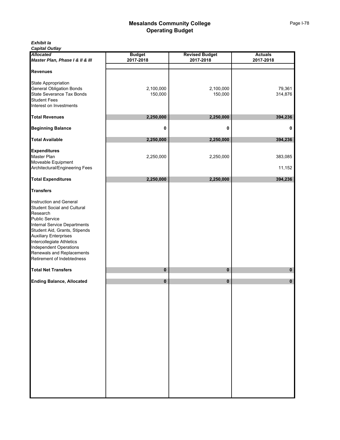*Capital Outlay*

| <b>Allocated</b><br>Master Plan, Phase I & II & III                                                                                                                                                                                                                                                             | <b>Budget</b><br>2017-2018 | <b>Revised Budget</b><br>2017-2018 | <b>Actuals</b><br>2017-2018 |
|-----------------------------------------------------------------------------------------------------------------------------------------------------------------------------------------------------------------------------------------------------------------------------------------------------------------|----------------------------|------------------------------------|-----------------------------|
| <b>Revenues</b>                                                                                                                                                                                                                                                                                                 |                            |                                    |                             |
| State Appropriation<br>General Obligation Bonds<br>State Severance Tax Bonds<br><b>Student Fees</b><br>Interest on Investments                                                                                                                                                                                  | 2,100,000<br>150,000       | 2,100,000<br>150,000               | 79,361<br>314,876           |
| <b>Total Revenues</b>                                                                                                                                                                                                                                                                                           | 2,250,000                  | 2,250,000                          | 394,236                     |
| <b>Beginning Balance</b>                                                                                                                                                                                                                                                                                        | 0                          | 0                                  | 0                           |
| <b>Total Available</b>                                                                                                                                                                                                                                                                                          | 2,250,000                  | 2,250,000                          | 394,236                     |
| <b>Expenditures</b><br>Master Plan<br>Moveable Equipment<br>Architectural/Engineering Fees                                                                                                                                                                                                                      | 2,250,000                  | 2,250,000                          | 383,085<br>11,152           |
| <b>Total Expenditures</b>                                                                                                                                                                                                                                                                                       | 2,250,000                  | 2,250,000                          | 394,236                     |
| <b>Transfers</b>                                                                                                                                                                                                                                                                                                |                            |                                    |                             |
| Instruction and General<br><b>Student Social and Cultural</b><br>Research<br>Public Service<br>Internal Service Departments<br>Student Aid, Grants, Stipends<br><b>Auxiliary Enterprises<br/>Intercollegiate Athletics</b><br>Independent Operations<br>Renewals and Replacements<br>Retirement of Indebtedness |                            |                                    |                             |
| <b>Total Net Transfers</b>                                                                                                                                                                                                                                                                                      | 0                          | 0                                  | 0                           |
| <b>Ending Balance, Allocated</b>                                                                                                                                                                                                                                                                                | 0                          | $\pmb{0}$                          | 0                           |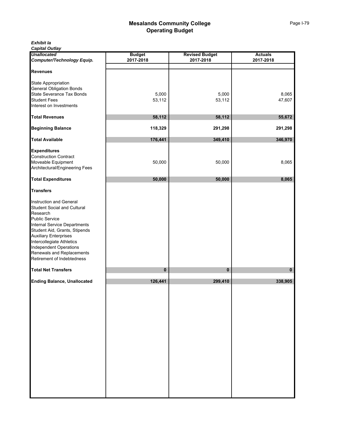| Exhibit la |  |
|------------|--|
|------------|--|

*Capital Outlay*

| <b>Unallocated</b><br>Computer/Technology Equip.                                                                                                                                                                                                                                                                | <b>Budget</b><br>2017-2018 | <b>Revised Budget</b><br>2017-2018 | <b>Actuals</b><br>2017-2018 |
|-----------------------------------------------------------------------------------------------------------------------------------------------------------------------------------------------------------------------------------------------------------------------------------------------------------------|----------------------------|------------------------------------|-----------------------------|
| <b>Revenues</b>                                                                                                                                                                                                                                                                                                 |                            |                                    |                             |
| State Appropriation<br>General Obligation<br><b>General Obligation Bonds</b><br>State Severance Tax Bonds<br><b>Student Fees</b><br>Interest on Investments                                                                                                                                                     | 5,000<br>53,112            | 5,000<br>53,112                    | 8,065<br>47,607             |
| <b>Total Revenues</b>                                                                                                                                                                                                                                                                                           | 58,112                     | 58,112                             | 55,672                      |
| <b>Beginning Balance</b>                                                                                                                                                                                                                                                                                        | 118,329                    | 291,298                            | 291,298                     |
| <b>Total Available</b>                                                                                                                                                                                                                                                                                          | 176,441                    | 349,410                            | 346,970                     |
| <b>Expenditures</b><br><b>Construction Contract</b><br>Moveable Equipment<br>Architectural/Engineering Fees                                                                                                                                                                                                     | 50,000                     | 50,000                             | 8,065                       |
| <b>Total Expenditures</b>                                                                                                                                                                                                                                                                                       | 50,000                     | 50,000                             | 8,065                       |
| <b>Transfers</b>                                                                                                                                                                                                                                                                                                |                            |                                    |                             |
| Instruction and General<br><b>Student Social and Cultural</b><br>Research<br>Public Service<br>Internal Service Departments<br>Student Aid, Grants, Stipends<br><b>Auxiliary Enterprises<br/>Intercollegiate Athletics</b><br>Independent Operations<br>Renewals and Replacements<br>Retirement of Indebtedness |                            |                                    |                             |
| <b>Total Net Transfers</b>                                                                                                                                                                                                                                                                                      | $\pmb{0}$                  | 0                                  | 0                           |
| <b>Ending Balance, Unallocated</b>                                                                                                                                                                                                                                                                              | 126,441                    | 299,410                            | 338,905                     |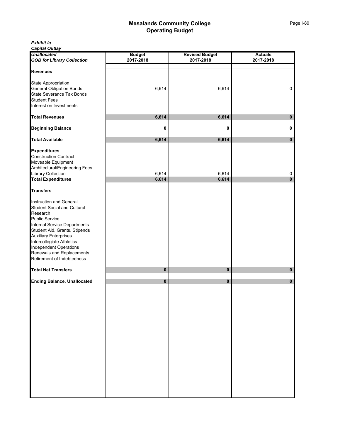*Exhibit Ia*

*Capital Outlay*

| <b>Unallocated</b>                 | <b>Budget</b> | <b>Revised Budget</b> | <b>Actuals</b> |
|------------------------------------|---------------|-----------------------|----------------|
| <b>GOB for Library Collection</b>  | 2017-2018     | 2017-2018             | 2017-2018      |
|                                    |               |                       |                |
| <b>Revenues</b>                    |               |                       |                |
|                                    |               |                       |                |
| State Appropriation                |               |                       |                |
| <b>General Obligation Bonds</b>    | 6,614         | 6,614                 | 0              |
| State Severance Tax Bonds          |               |                       |                |
| <b>Student Fees</b>                |               |                       |                |
| Interest on Investments            |               |                       |                |
|                                    |               |                       |                |
| <b>Total Revenues</b>              | 6,614         | 6,614                 | 0              |
|                                    |               |                       |                |
| <b>Beginning Balance</b>           | 0             | 0                     | 0              |
|                                    |               |                       |                |
| <b>Total Available</b>             | 6,614         | 6,614                 | $\mathbf 0$    |
|                                    |               |                       |                |
| <b>Expenditures</b>                |               |                       |                |
| <b>Construction Contract</b>       |               |                       |                |
| Moveable Equipment                 |               |                       |                |
| Architectural/Engineering Fees     |               |                       |                |
| <b>Library Collection</b>          | 6,614         | 6,614                 | 0              |
| <b>Total Expenditures</b>          | 6,614         | 6,614                 | $\bf{0}$       |
|                                    |               |                       |                |
| <b>Transfers</b>                   |               |                       |                |
|                                    |               |                       |                |
| Instruction and General            |               |                       |                |
| <b>Student Social and Cultural</b> |               |                       |                |
| Research                           |               |                       |                |
| <b>Public Service</b>              |               |                       |                |
| Internal Service Departments       |               |                       |                |
| Student Aid, Grants, Stipends      |               |                       |                |
| <b>Auxiliary Enterprises</b>       |               |                       |                |
| Intercollegiate Athletics          |               |                       |                |
| <b>Independent Operations</b>      |               |                       |                |
| Renewals and Replacements          |               |                       |                |
| Retirement of Indebtedness         |               |                       |                |
|                                    |               |                       |                |
| <b>Total Net Transfers</b>         | $\pmb{0}$     | $\pmb{0}$             | 0              |
| <b>Ending Balance, Unallocated</b> | $\pmb{0}$     | $\pmb{0}$             | $\bf{0}$       |
|                                    |               |                       |                |
|                                    |               |                       |                |
|                                    |               |                       |                |
|                                    |               |                       |                |
|                                    |               |                       |                |
|                                    |               |                       |                |
|                                    |               |                       |                |
|                                    |               |                       |                |
|                                    |               |                       |                |
|                                    |               |                       |                |
|                                    |               |                       |                |
|                                    |               |                       |                |
|                                    |               |                       |                |
|                                    |               |                       |                |
|                                    |               |                       |                |
|                                    |               |                       |                |
|                                    |               |                       |                |
|                                    |               |                       |                |
|                                    |               |                       |                |
|                                    |               |                       |                |
|                                    |               |                       |                |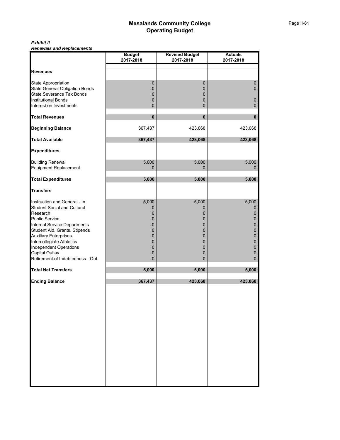#### *Exhibit II Renewals and Replacements*

|                                                                                                                                                                                                                                                                                                                              | <b>Budget</b><br>2017-2018                                        | <b>Revised Budget</b><br>2017-2018                                   | <b>Actuals</b><br>2017-2018                                                                                                 |
|------------------------------------------------------------------------------------------------------------------------------------------------------------------------------------------------------------------------------------------------------------------------------------------------------------------------------|-------------------------------------------------------------------|----------------------------------------------------------------------|-----------------------------------------------------------------------------------------------------------------------------|
|                                                                                                                                                                                                                                                                                                                              |                                                                   |                                                                      |                                                                                                                             |
| <b>Revenues</b>                                                                                                                                                                                                                                                                                                              |                                                                   |                                                                      |                                                                                                                             |
| State Appropriation<br><b>State General Obligation Bonds</b><br>State Severance Tax Bonds<br><b>Institutional Bonds</b>                                                                                                                                                                                                      | $\pmb{0}$<br>0<br>0<br>0                                          | $\pmb{0}$<br>$\mathbf 0$<br>$\pmb{0}$<br>0                           | $\pmb{0}$<br>0<br>$\pmb{0}$                                                                                                 |
| Interest on Investments                                                                                                                                                                                                                                                                                                      | 0                                                                 | 0                                                                    | 0                                                                                                                           |
| <b>Total Revenues</b>                                                                                                                                                                                                                                                                                                        | $\pmb{0}$                                                         | $\pmb{0}$                                                            | $\pmb{0}$                                                                                                                   |
| <b>Beginning Balance</b>                                                                                                                                                                                                                                                                                                     | 367,437                                                           | 423,068                                                              | 423,068                                                                                                                     |
| <b>Total Available</b>                                                                                                                                                                                                                                                                                                       | 367,437                                                           | 423,068                                                              | 423,068                                                                                                                     |
| <b>Expenditures</b>                                                                                                                                                                                                                                                                                                          |                                                                   |                                                                      |                                                                                                                             |
| <b>Building Renewal</b><br>Equipment Replacement                                                                                                                                                                                                                                                                             | 5,000<br>0                                                        | 5,000<br>$\Omega$                                                    | 5,000<br>$\Omega$                                                                                                           |
| <b>Total Expenditures</b>                                                                                                                                                                                                                                                                                                    | 5,000                                                             | 5,000                                                                | 5,000                                                                                                                       |
| <b>Transfers</b>                                                                                                                                                                                                                                                                                                             |                                                                   |                                                                      |                                                                                                                             |
| Instruction and General - In<br><b>Student Social and Cultural</b><br>Research<br><b>Public Service</b><br>Internal Service Departments<br>Student Aid, Grants, Stipends<br><b>Auxiliary Enterprises</b><br>Intercollegiate Athletics<br><b>Independent Operations</b><br>Capital Outlay<br>Retirement of Indebtedness - Out | 5,000<br>0<br>0<br>0<br>0<br>0<br>$\mathbf 0$<br>0<br>0<br>0<br>0 | 5,000<br>0<br>0<br>0<br>0<br>0<br>0<br>0<br>0<br>0<br>$\overline{0}$ | 5,000<br>0<br>$\pmb{0}$<br>$\pmb{0}$<br>$\pmb{0}$<br>$\pmb{0}$<br>$\mathbf 0$<br>$\pmb{0}$<br>$\pmb{0}$<br>0<br>$\mathbf 0$ |
| <b>Total Net Transfers</b>                                                                                                                                                                                                                                                                                                   | 5,000                                                             | 5,000                                                                | 5,000                                                                                                                       |
| <b>Ending Balance</b>                                                                                                                                                                                                                                                                                                        | 367,437                                                           | 423,068                                                              | 423,068                                                                                                                     |
|                                                                                                                                                                                                                                                                                                                              |                                                                   |                                                                      |                                                                                                                             |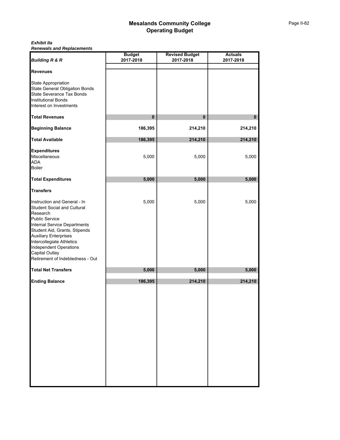#### *Exhibit IIa Renewals and Replacements*

| <b>Building R &amp; R</b>                                                                                                                                                                                                                                                                                                    | <b>Budget</b><br>2017-2018 | <b>Revised Budget</b><br>2017-2018 | <b>Actuals</b><br>2017-2018 |
|------------------------------------------------------------------------------------------------------------------------------------------------------------------------------------------------------------------------------------------------------------------------------------------------------------------------------|----------------------------|------------------------------------|-----------------------------|
| <b>Revenues</b>                                                                                                                                                                                                                                                                                                              |                            |                                    |                             |
| State Appropriation<br><b>State General Obligation Bonds</b><br>State Severance Tax Bonds<br><b>Institutional Bonds</b><br>Interest on Investments                                                                                                                                                                           |                            |                                    |                             |
| <b>Total Revenues</b>                                                                                                                                                                                                                                                                                                        | $\bf{0}$                   | $\bf{0}$                           | $\mathbf{0}$                |
| <b>Beginning Balance</b>                                                                                                                                                                                                                                                                                                     | 186,395                    | 214,210                            | 214,210                     |
| <b>Total Available</b>                                                                                                                                                                                                                                                                                                       | 186,395                    | 214,210                            | 214,210                     |
| <b>Expenditures</b><br>Miscellaneous<br><b>ADA</b><br><b>Boiler</b>                                                                                                                                                                                                                                                          | 5,000                      | 5,000                              | 5,000                       |
| <b>Total Expenditures</b>                                                                                                                                                                                                                                                                                                    | 5,000                      | 5,000                              | 5,000                       |
| <b>Transfers</b>                                                                                                                                                                                                                                                                                                             |                            |                                    |                             |
| Instruction and General - In<br><b>Student Social and Cultural</b><br>Research<br><b>Public Service</b><br>Internal Service Departments<br>Student Aid, Grants, Stipends<br><b>Auxiliary Enterprises</b><br>Intercollegiate Athletics<br><b>Independent Operations</b><br>Capital Outlay<br>Retirement of Indebtedness - Out | 5,000                      | 5,000                              | 5,000                       |
| <b>Total Net Transfers</b>                                                                                                                                                                                                                                                                                                   | 5,000                      | 5,000                              | 5,000                       |
| <b>Ending Balance</b>                                                                                                                                                                                                                                                                                                        | 186,395                    | 214,210                            | 214,210                     |
|                                                                                                                                                                                                                                                                                                                              |                            |                                    |                             |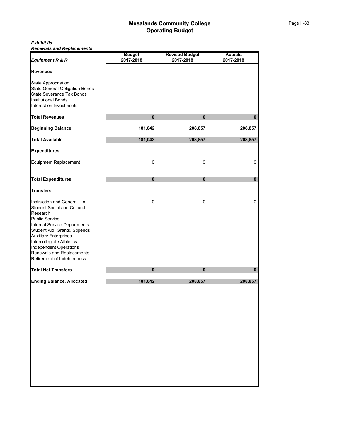#### *Exhibit IIa Renewals and Replacements*

| Equipment R & R                                                                                                                                                                                                                                                                                                                   | <b>Budget</b><br>2017-2018 | <b>Revised Budget</b><br>2017-2018 | <b>Actuals</b><br>2017-2018 |
|-----------------------------------------------------------------------------------------------------------------------------------------------------------------------------------------------------------------------------------------------------------------------------------------------------------------------------------|----------------------------|------------------------------------|-----------------------------|
| <b>Revenues</b>                                                                                                                                                                                                                                                                                                                   |                            |                                    |                             |
| State Appropriation<br><b>State General Obligation Bonds</b><br>State Severance Tax Bonds<br><b>Institutional Bonds</b><br>Interest on Investments                                                                                                                                                                                |                            |                                    |                             |
| <b>Total Revenues</b>                                                                                                                                                                                                                                                                                                             | $\pmb{0}$                  | $\bf{0}$                           | $\mathbf 0$                 |
| <b>Beginning Balance</b>                                                                                                                                                                                                                                                                                                          | 181,042                    | 208,857                            | 208,857                     |
| <b>Total Available</b>                                                                                                                                                                                                                                                                                                            | 181,042                    | 208,857                            | 208,857                     |
| <b>Expenditures</b>                                                                                                                                                                                                                                                                                                               |                            |                                    |                             |
| Equipment Replacement                                                                                                                                                                                                                                                                                                             | 0                          | 0                                  | 0                           |
| <b>Total Expenditures</b>                                                                                                                                                                                                                                                                                                         | $\bf{0}$                   | 0                                  | $\bf{0}$                    |
| <b>Transfers</b>                                                                                                                                                                                                                                                                                                                  |                            |                                    |                             |
| Instruction and General - In<br><b>Student Social and Cultural</b><br>Research<br><b>Public Service</b><br>Internal Service Departments<br>Student Aid, Grants, Stipends<br><b>Auxiliary Enterprises</b><br>Intercollegiate Athletics<br><b>Independent Operations</b><br>Renewals and Replacements<br>Retirement of Indebtedness | $\mathbf 0$                | 0                                  | 0                           |
| <b>Total Net Transfers</b>                                                                                                                                                                                                                                                                                                        | $\pmb{0}$                  | $\mathbf 0$                        | $\mathbf{0}$                |
| <b>Ending Balance, Allocated</b>                                                                                                                                                                                                                                                                                                  | 181,042                    | 208,857                            | 208,857                     |
|                                                                                                                                                                                                                                                                                                                                   |                            |                                    |                             |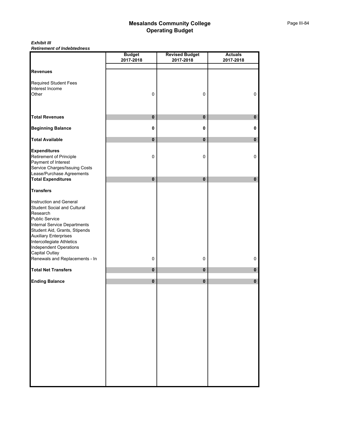*Exhibit III Retirement of Indebtedness*

|                                                               | <b>Budget</b> | <b>Revised Budget</b> | <b>Actuals</b> |
|---------------------------------------------------------------|---------------|-----------------------|----------------|
|                                                               | 2017-2018     | 2017-2018             | 2017-2018      |
| <b>Revenues</b>                                               |               |                       |                |
|                                                               |               |                       |                |
| <b>Required Student Fees</b><br>Interest Income               |               |                       |                |
| Other                                                         | $\pmb{0}$     | $\mathbf 0$           | 0              |
|                                                               |               |                       |                |
|                                                               |               |                       |                |
| <b>Total Revenues</b>                                         | $\pmb{0}$     | $\pmb{0}$             | $\pmb{0}$      |
| <b>Beginning Balance</b>                                      | 0             | 0                     | 0              |
| <b>Total Available</b>                                        | $\mathbf 0$   | $\pmb{0}$             | $\pmb{0}$      |
| <b>Expenditures</b>                                           |               |                       |                |
| Retirement of Principle                                       | $\pmb{0}$     | $\pmb{0}$             | 0              |
| Payment of Interest                                           |               |                       |                |
| Service Charges/Issuing Costs                                 |               |                       |                |
| Lease/Purchase Agreements                                     | $\mathbf 0$   | $\pmb{0}$             |                |
| <b>Total Expenditures</b>                                     |               |                       | 0              |
| <b>Transfers</b>                                              |               |                       |                |
| Instruction and General                                       |               |                       |                |
| <b>Student Social and Cultural</b>                            |               |                       |                |
| Research                                                      |               |                       |                |
| <b>Public Service</b>                                         |               |                       |                |
| Internal Service Departments<br>Student Aid, Grants, Stipends |               |                       |                |
| <b>Auxiliary Enterprises</b>                                  |               |                       |                |
| Intercollegiate Athletics                                     |               |                       |                |
| <b>Independent Operations</b>                                 |               |                       |                |
| Capital Outlay                                                |               |                       |                |
| Renewals and Replacements - In                                | 0             | $\pmb{0}$             | 0              |
| <b>Total Net Transfers</b>                                    | $\mathbf 0$   | $\pmb{0}$             | $\pmb{0}$      |
| <b>Ending Balance</b>                                         | $\pmb{0}$     | $\bf{0}$              | $\bf{0}$       |
|                                                               |               |                       |                |
|                                                               |               |                       |                |
|                                                               |               |                       |                |
|                                                               |               |                       |                |
|                                                               |               |                       |                |
|                                                               |               |                       |                |
|                                                               |               |                       |                |
|                                                               |               |                       |                |
|                                                               |               |                       |                |
|                                                               |               |                       |                |
|                                                               |               |                       |                |
|                                                               |               |                       |                |
|                                                               |               |                       |                |
|                                                               |               |                       |                |
|                                                               |               |                       |                |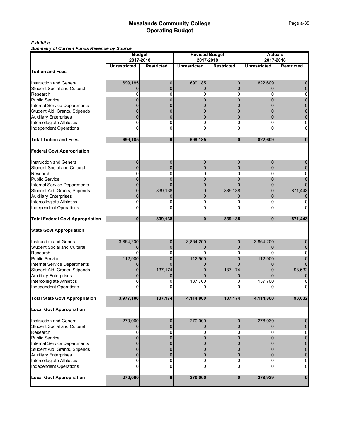#### *Exhibit a*

*Summary of Current Funds Revenue by Source*

| Summary or Current Funds Revenue by Source | <b>Budget</b>       |                   |                                    |                   |                     | <b>Actuals</b>    |  |  |
|--------------------------------------------|---------------------|-------------------|------------------------------------|-------------------|---------------------|-------------------|--|--|
|                                            | 2017-2018           |                   | <b>Revised Budget</b><br>2017-2018 |                   | 2017-2018           |                   |  |  |
|                                            | <b>Unrestricted</b> | <b>Restricted</b> | <b>Unrestricted</b>                |                   | <b>Unrestricted</b> |                   |  |  |
|                                            |                     |                   |                                    | <b>Restricted</b> |                     | <b>Restricted</b> |  |  |
| <b>Tuition and Fees</b>                    |                     |                   |                                    |                   |                     |                   |  |  |
|                                            |                     |                   |                                    |                   |                     |                   |  |  |
| Instruction and General                    | 699,185             | 0                 | 699,185                            | $\mathbf 0$       | 822,609             |                   |  |  |
| <b>Student Social and Cultural</b>         | $\Omega$            | 0                 | $\Omega$                           | $\Omega$          | $\Omega$            |                   |  |  |
| Research                                   | O                   | 0                 | 0                                  | 0                 | $\Omega$            |                   |  |  |
| Public Service                             |                     |                   |                                    |                   |                     |                   |  |  |
| Internal Service Departments               |                     |                   |                                    |                   |                     |                   |  |  |
| Student Aid, Grants, Stipends              |                     |                   |                                    |                   |                     |                   |  |  |
| <b>Auxiliary Enterprises</b>               |                     |                   |                                    |                   |                     |                   |  |  |
| Intercollegiate Athletics                  | 0                   | 0                 | 0                                  | 0                 | 0                   |                   |  |  |
| <b>Independent Operations</b>              |                     |                   |                                    | 0                 |                     |                   |  |  |
| <b>Total Tuition and Fees</b>              | 699,185             | $\bf{0}$          | 699,185                            | $\bf{0}$          | 822,609             | $\bf{0}$          |  |  |
| <b>Federal Govt Appropriation</b>          |                     |                   |                                    |                   |                     |                   |  |  |
| <b>Instruction and General</b>             | 0                   | 0                 | 0                                  | 0                 | 0                   |                   |  |  |
| <b>Student Social and Cultural</b>         | $\Omega$            | 0                 | $\Omega$                           | 0                 | $\Omega$            |                   |  |  |
|                                            | 0                   | 0                 | 0                                  | 0                 | 0                   |                   |  |  |
| Research                                   |                     |                   |                                    |                   |                     |                   |  |  |
| <b>Public Service</b>                      |                     | 0                 | 0                                  | 0                 | 0                   |                   |  |  |
| Internal Service Departments               |                     |                   |                                    |                   |                     |                   |  |  |
| Student Aid, Grants, Stipends              |                     | 839,138           |                                    | 839,138           |                     | 871,443           |  |  |
| <b>Auxiliary Enterprises</b>               |                     |                   | 0                                  | 0                 | $\Omega$            |                   |  |  |
| Intercollegiate Athletics                  |                     |                   | 0                                  |                   | 0                   |                   |  |  |
| <b>Independent Operations</b>              |                     |                   |                                    |                   |                     |                   |  |  |
| <b>Total Federal Govt Appropriation</b>    | 0                   | 839,138           | $\bf{0}$                           | 839,138           | $\bf{0}$            | 871,443           |  |  |
| <b>State Govt Appropriation</b>            |                     |                   |                                    |                   |                     |                   |  |  |
| <b>Instruction and General</b>             | 3,864,200           | 0                 | 3,864,200                          | 0                 | 3,864,200           |                   |  |  |
| <b>Student Social and Cultural</b>         | 0                   | 0                 | $\Omega$                           | 0                 |                     |                   |  |  |
| Research                                   | 0                   | 0                 | 0                                  | 0                 | 0                   |                   |  |  |
| <b>Public Service</b>                      | 112,900             |                   | 112,900                            |                   | 112,900             |                   |  |  |
| <b>Internal Service Departments</b>        |                     |                   |                                    |                   |                     |                   |  |  |
| Student Aid, Grants, Stipends              |                     | 137,174           |                                    | 137,174           |                     | 93,632            |  |  |
| <b>Auxiliary Enterprises</b>               |                     |                   |                                    | 0                 |                     |                   |  |  |
| Intercollegiate Athletics                  |                     |                   |                                    |                   |                     |                   |  |  |
|                                            |                     |                   | 137,700                            | 0                 | 137,700             |                   |  |  |
| <b>Independent Operations</b>              |                     |                   |                                    |                   |                     |                   |  |  |
| <b>Total State Govt Appropriation</b>      | 3,977,100           | 137,174           | 4,114,800                          | 137,174           | 4,114,800           | 93,632            |  |  |
| <b>Local Govt Appropriation</b>            |                     |                   |                                    |                   |                     |                   |  |  |
| <b>Instruction and General</b>             | 270,000             | 0                 | 270,000                            | $\mathbf{0}$      | 278,939             |                   |  |  |
| <b>Student Social and Cultural</b>         | $\Omega$            | $\Omega$          |                                    | 0                 |                     |                   |  |  |
| Research                                   | 0                   | 0                 | 0                                  | 0                 | 0                   | 0                 |  |  |
| <b>Public Service</b>                      |                     |                   |                                    |                   |                     |                   |  |  |
| <b>Internal Service Departments</b>        |                     |                   |                                    |                   |                     |                   |  |  |
| Student Aid, Grants, Stipends              | 0                   |                   | 0                                  | 0                 |                     |                   |  |  |
| <b>Auxiliary Enterprises</b>               | 0                   |                   | $\Omega$                           | $\Omega$          |                     |                   |  |  |
| Intercollegiate Athletics                  | 0                   |                   |                                    | 0                 | ŋ                   |                   |  |  |
| <b>Independent Operations</b>              | 0                   |                   |                                    | 0                 |                     |                   |  |  |
|                                            |                     |                   |                                    |                   |                     |                   |  |  |
| <b>Local Govt Appropriation</b>            | 270,000             | 0                 | 270,000                            | $\mathbf{0}$      | 278,939             | $\bf{0}$          |  |  |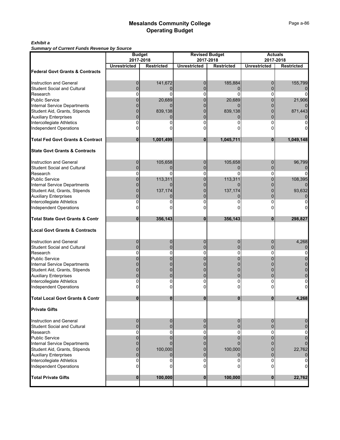### *Exhibit a*

*Summary of Current Funds Revenue by Source*

|                                                           | Summary or Current runds Revenue by Source<br><b>Budget</b> |                   |                     |                                    | <b>Actuals</b>      |                   |  |  |
|-----------------------------------------------------------|-------------------------------------------------------------|-------------------|---------------------|------------------------------------|---------------------|-------------------|--|--|
|                                                           | 2017-2018                                                   |                   |                     | <b>Revised Budget</b><br>2017-2018 | 2017-2018           |                   |  |  |
|                                                           | <b>Unrestricted</b>                                         | <b>Restricted</b> | <b>Unrestricted</b> | <b>Restricted</b>                  | <b>Unrestricted</b> | <b>Restricted</b> |  |  |
| <b>Federal Govt Grants &amp; Contracts</b>                |                                                             |                   |                     |                                    |                     |                   |  |  |
|                                                           |                                                             |                   |                     |                                    |                     |                   |  |  |
| Instruction and General                                   | 0                                                           | 141,672           | $\mathbf 0$         | 185,884                            | 0                   | 155,799           |  |  |
| <b>Student Social and Cultural</b>                        | $\Omega$                                                    | 0                 | 0                   |                                    | $\Omega$            |                   |  |  |
| Research                                                  | O                                                           | ŋ                 | 0                   | n                                  | $\Omega$            |                   |  |  |
| <b>Public Service</b>                                     |                                                             | 20,689            | 0                   | 20,689                             | O                   | 21,906            |  |  |
| Internal Service Departments                              |                                                             |                   |                     |                                    |                     |                   |  |  |
| Student Aid, Grants, Stipends                             |                                                             | 839,138           |                     | 839,138                            |                     | 871,443           |  |  |
| <b>Auxiliary Enterprises</b><br>Intercollegiate Athletics | O                                                           |                   | 0                   |                                    | 0                   |                   |  |  |
| <b>Independent Operations</b>                             |                                                             |                   |                     |                                    |                     |                   |  |  |
|                                                           |                                                             |                   |                     |                                    |                     |                   |  |  |
| <b>Total Fed Govt Grants &amp; Contract</b>               | $\bf{0}$                                                    | 1,001,499         | $\bf{0}$            | 1,045,711                          | $\bf{0}$            | 1,049,148         |  |  |
|                                                           |                                                             |                   |                     |                                    |                     |                   |  |  |
| <b>State Govt Grants &amp; Contracts</b>                  |                                                             |                   |                     |                                    |                     |                   |  |  |
|                                                           |                                                             |                   |                     |                                    |                     |                   |  |  |
| Instruction and General                                   | 0                                                           | 105,658           | 0                   | 105,658                            | 0                   | 96,799            |  |  |
| <b>Student Social and Cultural</b>                        | $\Omega$                                                    | 0                 | 0                   | $\Omega$                           | $\Omega$            |                   |  |  |
| Research                                                  | 0                                                           | O                 | 0                   | O                                  | 0                   |                   |  |  |
| <b>Public Service</b>                                     | 0                                                           | 113,311           | 0                   | 113,311                            | 0                   | 108,395           |  |  |
| Internal Service Departments                              |                                                             |                   |                     |                                    |                     |                   |  |  |
| Student Aid, Grants, Stipends                             |                                                             | 137,174           |                     | 137,174                            |                     | 93,632            |  |  |
| <b>Auxiliary Enterprises</b>                              |                                                             |                   | 0                   |                                    |                     |                   |  |  |
| Intercollegiate Athletics<br>Independent Operations       |                                                             |                   | 0<br>n              |                                    | 0                   |                   |  |  |
|                                                           |                                                             |                   |                     |                                    |                     |                   |  |  |
| <b>Total State Govt Grants &amp; Contr</b>                | $\bf{0}$                                                    | 356,143           | 0                   | 356,143                            | $\bf{0}$            | 298,827           |  |  |
|                                                           |                                                             |                   |                     |                                    |                     |                   |  |  |
| <b>Local Govt Grants &amp; Contracts</b>                  |                                                             |                   |                     |                                    |                     |                   |  |  |
| <b>Instruction and General</b>                            | 0                                                           | 0                 | 0                   | O                                  | 0                   | 4,268             |  |  |
| <b>Student Social and Cultural</b>                        | 0                                                           |                   | 0                   |                                    | 0                   |                   |  |  |
| Research                                                  | 0                                                           | 0                 | 0                   | 0                                  | 0                   |                   |  |  |
| <b>Public Service</b>                                     |                                                             |                   |                     |                                    |                     |                   |  |  |
| <b>Internal Service Departments</b>                       |                                                             |                   |                     |                                    |                     |                   |  |  |
| Student Aid, Grants, Stipends                             |                                                             |                   |                     |                                    |                     |                   |  |  |
| <b>Auxiliary Enterprises</b>                              |                                                             |                   | 0                   |                                    |                     |                   |  |  |
| Intercollegiate Athletics                                 |                                                             |                   |                     | 0                                  |                     |                   |  |  |
| <b>Independent Operations</b>                             |                                                             |                   |                     |                                    |                     |                   |  |  |
| <b>Total Local Govt Grants &amp; Contr</b>                |                                                             |                   |                     |                                    |                     | 4 268             |  |  |
| <b>Private Gifts</b>                                      |                                                             |                   |                     |                                    |                     |                   |  |  |
|                                                           |                                                             |                   |                     |                                    |                     |                   |  |  |
| Instruction and General                                   | 0                                                           | 0                 | $\mathbf 0$         | $\mathbf 0$                        | 0                   |                   |  |  |
| <b>Student Social and Cultural</b>                        | $\Omega$                                                    |                   | 0                   | 0                                  | $\Omega$            |                   |  |  |
| Research                                                  | 0                                                           | 0                 | 0                   | 0                                  | 0                   |                   |  |  |
| <b>Public Service</b>                                     | 0                                                           |                   |                     |                                    |                     |                   |  |  |
| <b>Internal Service Departments</b>                       |                                                             |                   |                     |                                    |                     |                   |  |  |
| Student Aid, Grants, Stipends                             | 0                                                           | 100,000           | 0                   | 100,000                            | 0                   | 22,762            |  |  |
| <b>Auxiliary Enterprises</b>                              | $\mathbf 0$                                                 |                   | 0                   |                                    | $\Omega$            |                   |  |  |
| Intercollegiate Athletics                                 | 0                                                           |                   | 0                   | 0                                  | $\Omega$            |                   |  |  |
| <b>Independent Operations</b>                             | 0                                                           |                   | 0                   | 0                                  | 0                   |                   |  |  |
| <b>Total Private Gifts</b>                                | $\mathbf 0$                                                 | 100,000           | $\bf{0}$            | 100,000                            | 0                   | 22,762            |  |  |
|                                                           |                                                             |                   |                     |                                    |                     |                   |  |  |
|                                                           |                                                             |                   |                     |                                    |                     |                   |  |  |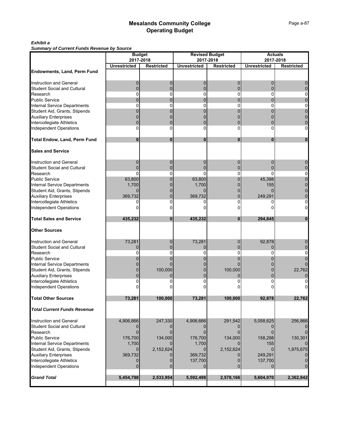### *Exhibit a*

*Summary of Current Funds Revenue by Source*

|                                                               | <b>Budget</b>       |                                |                     | <b>Revised Budget</b>          | <b>Actuals</b><br>2017-2018 |                   |  |  |
|---------------------------------------------------------------|---------------------|--------------------------------|---------------------|--------------------------------|-----------------------------|-------------------|--|--|
|                                                               | <b>Unrestricted</b> | 2017-2018<br><b>Restricted</b> | <b>Unrestricted</b> | 2017-2018<br><b>Restricted</b> | <b>Unrestricted</b>         | <b>Restricted</b> |  |  |
| <b>Endowments, Land, Perm Fund</b>                            |                     |                                |                     |                                |                             |                   |  |  |
|                                                               |                     |                                |                     |                                |                             |                   |  |  |
| Instruction and General                                       | 0                   | 0                              | 0                   | 0                              | 0                           |                   |  |  |
| <b>Student Social and Cultural</b>                            | $\mathbf 0$         | $\Omega$                       | $\mathbf 0$         | 0                              | 0                           |                   |  |  |
| Research                                                      | $\Omega$            | $\mathbf{0}$                   | $\mathbf{0}$        | 0                              | 0                           | 0                 |  |  |
| <b>Public Service</b>                                         | $\Omega$            | $\Omega$                       | $\Omega$            | 0                              | $\Omega$                    | 0                 |  |  |
| Internal Service Departments<br>Student Aid, Grants, Stipends | 0                   | 0                              | 0                   | 0                              | 0                           | 0                 |  |  |
|                                                               | 0                   | 0                              | 0                   |                                |                             |                   |  |  |
| <b>Auxiliary Enterprises</b>                                  | 0                   |                                | 0                   |                                |                             |                   |  |  |
| Intercollegiate Athletics                                     | $\Omega$            | $\Omega$                       | $\Omega$            | 0                              | 0                           | 0                 |  |  |
| <b>Independent Operations</b>                                 | $\Omega$            | $\Omega$                       | $\mathbf{0}$        | 0                              | 0                           | $\overline{0}$    |  |  |
| <b>Total Endow, Land, Perm Fund</b>                           | 0                   | 0                              | 0                   | 0                              | 0                           | 0                 |  |  |
| <b>Sales and Service</b>                                      |                     |                                |                     |                                |                             |                   |  |  |
| Instruction and General                                       | 0                   | 0                              | 0                   | 0                              | 0                           | 0                 |  |  |
| <b>Student Social and Cultural</b>                            | $\Omega$            | $\mathbf{0}$                   | $\Omega$            | 0                              | 0                           | 0                 |  |  |
| Research                                                      | $\Omega$            | $\Omega$                       | $\Omega$            | 0                              | 0                           | 0                 |  |  |
| <b>Public Service</b>                                         | 63,800              | $\mathbf{0}$                   | 63,800              | 0                              | 45,398                      | $\overline{0}$    |  |  |
| Internal Service Departments                                  | 1,700               | 0                              | 1,700               |                                | 155                         |                   |  |  |
| Student Aid, Grants, Stipends                                 | $\Omega$            | 0                              | $\Omega$            |                                |                             |                   |  |  |
| <b>Auxiliary Enterprises</b>                                  | 369,732             | 0                              | 369,732             |                                | 249,291                     |                   |  |  |
| Intercollegiate Athletics                                     | 0                   | 0                              | 0                   | 0                              | 0                           | 0                 |  |  |
| Independent Operations                                        | O                   | n                              |                     | 0                              |                             | 0                 |  |  |
| <b>Total Sales and Service</b>                                | 435,232             | $\bf{0}$                       | 435,232             | $\bf{0}$                       | 294,845                     | $\mathbf{0}$      |  |  |
| <b>Other Sources</b>                                          |                     |                                |                     |                                |                             |                   |  |  |
| Instruction and General                                       | 73,281              | 0                              | 73,281              | 0                              | 92,878                      |                   |  |  |
| <b>Student Social and Cultural</b>                            | $\Omega$            | $\Omega$                       | 0                   | 0                              | 0                           |                   |  |  |
| Research                                                      | 0                   | 0                              | 0                   | 0                              | 0                           | 0                 |  |  |
| <b>Public Service</b>                                         |                     | 0                              | O                   | 0                              |                             |                   |  |  |
| Internal Service Departments                                  |                     | $\Omega$                       |                     |                                |                             |                   |  |  |
| Student Aid, Grants, Stipends                                 | 0                   | 100,000                        | 0                   | 100,000                        |                             | 22,762            |  |  |
| <b>Auxiliary Enterprises</b>                                  | 0                   | $\Omega$                       | 0                   | 0                              | 0                           |                   |  |  |
| Intercollegiate Athletics                                     |                     |                                | 0                   |                                | 0                           |                   |  |  |
| <b>Independent Operations</b>                                 |                     |                                |                     |                                |                             |                   |  |  |
| <b>Total Other Sources</b>                                    | 73,281              | 100,000                        | 73,281              | 100,000                        | 92,878                      | 22,762            |  |  |
| <b>Total Current Funds Revenue</b>                            |                     |                                |                     |                                |                             |                   |  |  |
| Instruction and General                                       | 4,906,666           | 247,330                        | 4,906,666           | 291,542                        | 5,058,625                   | 256,866           |  |  |
| Student Social and Cultural                                   |                     |                                |                     |                                |                             |                   |  |  |
| Research                                                      | $\Omega$            |                                | $\Omega$            | 0                              | $\Omega$                    |                   |  |  |
| <b>Public Service</b>                                         | 176,700             | 134,000                        | 176,700             | 134,000                        | 158,298                     | 130,301           |  |  |
| Internal Service Departments                                  | 1,700               |                                | 1,700               |                                | 155                         |                   |  |  |
| Student Aid, Grants, Stipends                                 | $\Omega$            | 2,152,624                      | $\Omega$            | 2,152,624                      | <sup>0</sup>                | 1,975,675         |  |  |
| <b>Auxiliary Enterprises</b>                                  | 369,732             |                                | 369,732             |                                | 249,291                     |                   |  |  |
| Intercollegiate Athletics                                     | $\Omega$            |                                | 137,700             |                                | 137,700                     |                   |  |  |
| <b>Independent Operations</b>                                 | $\Omega$            | <sup>0</sup>                   |                     |                                |                             |                   |  |  |
| <b>Grand Total</b>                                            | 5,454,798           | 2,533,954                      | 5,592,498           | 2,578,166                      | 5,604,070                   | 2,362,842         |  |  |
|                                                               |                     |                                |                     |                                |                             |                   |  |  |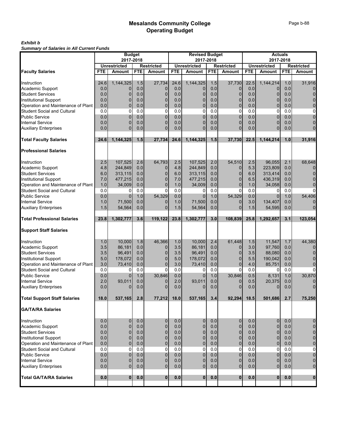#### *Exhibit b Summary of Salaries in All Current Funds*

|                                     | <b>Budget</b> |                                      |            | <b>Revised Budget</b>              |            |                                      |            | <b>Actuals</b>              |            |                               |            |                             |
|-------------------------------------|---------------|--------------------------------------|------------|------------------------------------|------------|--------------------------------------|------------|-----------------------------|------------|-------------------------------|------------|-----------------------------|
|                                     |               | 2017-2018                            |            |                                    |            | 2017-2018                            |            |                             |            | 2017-2018                     |            |                             |
| <b>Faculty Salaries</b>             | <b>FTE</b>    | <b>Unrestricted</b><br><b>Amount</b> | <b>FTE</b> | <b>Restricted</b><br><b>Amount</b> | <b>FTE</b> | <b>Unrestricted</b><br><b>Amount</b> | <b>FTE</b> | Restricted<br><b>Amount</b> | <b>FTE</b> | <b>Unrestricted</b><br>Amount | <b>FTE</b> | <b>Restricted</b><br>Amount |
|                                     |               |                                      |            |                                    |            |                                      |            |                             |            |                               |            |                             |
| Instruction                         | 24.6          | 1,144,325                            | 1.5        | 27,734                             | 24.6       | 1,144,325                            | 1.5        | 37,730                      | 22.5       | 1,144,214                     | 1.0        | 31,916                      |
| Academic Support                    | 0.0           |                                      | 0.0        | 0                                  | 0.0        | 0                                    | 0.0        | 0                           | 0.0        | 0                             | 0.0        | 0                           |
| <b>Student Services</b>             | 0.0           | $\mathbf 0$                          | 0.0        | 0                                  | 0.0        | 0                                    | 0.0        | 0                           | 0.0        | 0                             | 0.0        | $\overline{0}$              |
| <b>Institutional Support</b>        | 0.0           | $\Omega$                             | 0.0        | 0                                  | 0.0        | 0                                    | 0.0        | $\overline{0}$              | 0.0        | $\overline{0}$                | 0.0        | $\overline{0}$              |
| Operation and Maintenance of Plant  | 0.0           | $\Omega$                             | 0.0        | 0                                  | 0.0        | 0                                    | 0.0        | $\overline{0}$              | 0.0        | $\overline{0}$                | 0.0        | $\overline{0}$              |
| <b>Student Social and Cultural</b>  | 0.0           | $\overline{0}$                       | 0.0        | 0                                  | 0.0        | 0                                    | 0.0        | $\mathbf 0$                 | 0.0        | $\mathbf 0$                   | 0.0        | 0                           |
| <b>Public Service</b>               | 0.0           | $\Omega$                             | 0.0        | $\Omega$                           | 0.0        | $\Omega$                             | 0.0        | 0                           | 0.0        | $\overline{0}$                | 0.0        | $\overline{0}$              |
|                                     | 0.0           | $\Omega$                             | 0.0        | $\Omega$                           | 0.0        | $\Omega$                             |            | $\overline{0}$              |            | $\overline{0}$                | 0.0        |                             |
| <b>Internal Service</b>             |               |                                      |            | $\Omega$                           |            |                                      | 0.0        | $\Omega$                    | 0.0        | $\overline{0}$                |            | 0<br>$\overline{0}$         |
| <b>Auxiliary Enterprises</b>        | 0.0           | $\Omega$                             | 0.0        |                                    | 0.0        | $\Omega$                             | 0.0        |                             | 0.0        |                               | 0.0        |                             |
| <b>Total Faculty Salaries</b>       | 24.6          | 1,144,325                            | 1.5        | 27,734                             | 24.6       | 1,144,325                            | 1.5        | 37,730                      | 22.5       | 1,144,214                     | 1.0        | 31,916                      |
| <b>Professional Salaries</b>        |               |                                      |            |                                    |            |                                      |            |                             |            |                               |            |                             |
| Instruction                         | 2.5           | 107,525                              | 2.6        | 64,793                             | 2.5        | 107,525                              | 2.0        | 54,510                      | 2.5        | 96,055                        | 2.1        | 68,648                      |
| Academic Support                    | 4.8           | 244,849                              | 0.0        | 0                                  | 4.8        | 244,849                              | 0.0        | $\mathbf{0}$                | 5.3        | 223,809                       | 0.0        | 0                           |
| <b>Student Services</b>             | 6.0           | 313,115                              | 0.0        | $\Omega$                           | 6.0        | 313,115                              | 0.0        | $\mathbf{0}$                | 6.0        | 313,414                       | 0.0        | $\overline{0}$              |
| <b>Institutional Support</b>        | 7.0           | 477,215                              | 0.0        | 0                                  | 7.0        | 477,215                              | 0.0        | $\overline{0}$              | 6.5        | 436,319                       | 0.0        | 0                           |
| Operation and Maintenance of Plant  | 1.0           | 34,009                               | 0.0        | $\overline{0}$                     | 1.0        | 34,009                               | 0.0        | $\overline{0}$              | 1.0        | 34,058                        | 0.0        | $\overline{0}$              |
| <b>Student Social and Cultural</b>  | 0.0           | 0                                    | 0.0        | 0                                  | 0.0        | $\Omega$                             | 0.0        | $\Omega$                    | 0.0        | 0                             | 0.0        | $\overline{0}$              |
| <b>Public Service</b>               | 0.0           | $\Omega$                             | 1.0        | 54,329                             | 0.0        | $\Omega$                             | 1.0        | 54,329                      | 0.0        | $\overline{0}$                | 1.0        | 54,406                      |
| <b>Internal Service</b>             | 1.0           | 71,500                               | 0.0        | 0                                  | 1.0        | 71,500                               | 0.0        | $\Omega$                    | 3.0        | 134,407                       | 0.0        | 0                           |
| <b>Auxiliary Enterprises</b>        | 1.5           | 54,564                               | 0.0        | $\Omega$                           | 1.5        | 54,564                               | 0.0        | $\overline{0}$              | 1.5        | 54,595                        | 0.0        | $\overline{0}$              |
|                                     |               |                                      |            |                                    |            |                                      |            |                             |            |                               |            |                             |
| <b>Total Professional Salaries</b>  | 23.8          | 1,302,777                            | 3.6        | 119,122                            | 23.8       | 1,302,777                            | 3.0        | 108,839                     | 25.8       | 1,292,657                     | 3.1        | 123,054                     |
| <b>Support Staff Salaries</b>       |               |                                      |            |                                    |            |                                      |            |                             |            |                               |            |                             |
| Instruction                         | 1.0           | 10,000                               | 1.8        | 46,366                             | 1.0        | 10,000                               | 2.4        | 61,448                      | 1.5        | 11,547                        | 1.7        | 44,380                      |
| Academic Support                    | 3.5           | 86,181                               | 0.0        | 0                                  | 3.5        | 86,181                               | 0.0        | 0                           | 3.0        | 97,760                        | 0.0        | 0                           |
| <b>Student Services</b>             | 3.5           | 96,491                               | 0.0        | 0                                  | 3.5        | 96,491                               | 0.0        | 0                           | 3.5        | 88,080                        | 0.0        | $\overline{0}$              |
| <b>Institutional Support</b>        | 5.0           | 178,072                              | 0.0        | $\mathbf{0}$                       | 5.0        | 178,072                              | 0.0        | $\overline{0}$              | 5.5        | 190,042                       | 0.0        | $\overline{0}$              |
| Operation and Maintenance of Plant  | 3.0           | 73,410                               | 0.0        | 0                                  | 3.0        | 73,410                               | 0.0        | $\overline{0}$              | 4.0        | 85,751                        | 0.0        | $\overline{0}$              |
| <b>Student Social and Cultural</b>  | 0.0           | 0                                    | 0.0        | 0                                  | 0.0        | 0                                    | 0.0        | $\Omega$                    | 0.0        | $\Omega$                      | 0.0        | 0                           |
| <b>Public Service</b>               | 0.0           | $\Omega$                             | 1.0        | 30,846                             | 0.0        | $\Omega$                             | 1.0        | 30,846                      | 0.5        | 8,131                         | 1.0        | 30,870                      |
| <b>Internal Service</b>             | 2.0           | 93,011                               | 0.0        | 0                                  | 2.0        | 93,011                               | 0.0        | $\mathbf{0}$                | 0.5        | 20,375                        | 0.0        | 0                           |
| <b>Auxiliary Enterprises</b>        | 0.0           | <sup>0</sup>                         | 0.0        | $\Omega$                           | 0.0        | 0                                    | 0.0        | 0                           | 0.0        | 0                             | 0.0        | $\overline{0}$              |
| <b>Total Support Staff Salaries</b> | 18.0          | 537,165                              | 2.8        | 77,212                             | 18.0       | 537,165                              | 3.4        | 92,294                      | 18.5       | 501,686                       | 2.7        | 75,250                      |
| <b>GA/TA/RA Salaries</b>            |               |                                      |            |                                    |            |                                      |            |                             |            |                               |            |                             |
| Instruction                         | 0.0           | $\mathbf{0}$                         | 0.0        | 0                                  | 0.0        | 0                                    | 0.0        | $\mathbf 0$                 | 0.0        | $\mathbf 0$                   | 0.0        |                             |
| Academic Support                    | 0.0           | $\Omega$                             | 0.0        | $\overline{0}$                     | 0.0        | $\overline{0}$                       | 0.0        | $\overline{0}$              | 0.0        | $\mathbf 0$                   | 0.0        | 0<br>$\mathbf 0$            |
| <b>Student Services</b>             | 0.0           | $\Omega$                             | 0.0        | $\mathbf{0}$                       | 0.0        |                                      | 0.0        | $\overline{0}$              | 0.0        | $\mathbf 0$                   | 0.0        |                             |
|                                     |               |                                      |            |                                    |            | 0                                    |            |                             |            |                               |            | $\mathbf 0$                 |
| <b>Institutional Support</b>        | 0.0           | $\overline{0}$                       | 0.0        | 0                                  | 0.0        | 0                                    | 0.0        | $\overline{0}$              | 0.0        | $\overline{0}$                | 0.0        | $\mathbf 0$                 |
| Operation and Maintenance of Plant  | 0.0           | $\Omega$                             | 0.0        | $\mathbf{0}$                       | 0.0        | $\mathbf{0}$                         | 0.0        | $\overline{0}$              | 0.0        | $\pmb{0}$                     | 0.0        | $\mathbf 0$                 |
| Student Social and Cultural         | 0.0           | $\Omega$                             | 0.0        | $\Omega$                           | 0.0        | $\Omega$                             | 0.0        | 0                           | 0.0        | $\mathbf{0}$                  | 0.0        | 0                           |
| <b>Public Service</b>               | 0.0           | $\overline{0}$                       | 0.0        | $\mathbf{0}$                       | 0.0        | $\mathbf{0}$                         | 0.0        | $\overline{0}$              | 0.0        | $\overline{0}$                | 0.0        | $\overline{0}$              |
| <b>Internal Service</b>             | 0.0           | $\overline{0}$                       | 0.0        | 0                                  | 0.0        | 0                                    | 0.0        | $\mathbf{0}$                | 0.0        | $\mathbf 0$                   | 0.0        | $\overline{0}$              |
| <b>Auxiliary Enterprises</b>        | 0.0           | $\Omega$                             | 0.0        | $\mathbf{0}$                       | 0.0        | $\overline{0}$                       | 0.0        | $\overline{0}$              | 0.0        | $\overline{0}$                | 0.0        | $\overline{0}$              |
| <b>Total GA/TA/RA Salaries</b>      | 0.0           | $\mathbf{0}$                         | 0.0        | $\mathbf{0}$                       | 0.0        | $\mathbf{0}$                         | 0.0        | $\mathbf{0}$                | 0.0        | $\mathbf{0}$                  | 0.0        | $\mathbf{0}$                |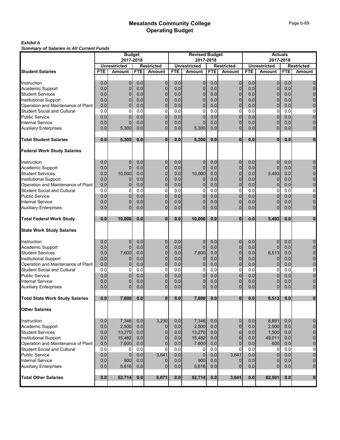#### *Exhibit b Summary of Salaries in All Current Funds*

|                                        |            | <b>Budget</b>       |            |                   |            | <b>Revised Budget</b> |                  |                   |            | <b>Actuals</b>      |            |                   |
|----------------------------------------|------------|---------------------|------------|-------------------|------------|-----------------------|------------------|-------------------|------------|---------------------|------------|-------------------|
|                                        |            | 2017-2018           |            |                   |            | 2017-2018             |                  |                   |            | 2017-2018           |            |                   |
|                                        |            | <b>Unrestricted</b> |            | <b>Restricted</b> |            | <b>Unrestricted</b>   |                  | <b>Restricted</b> |            | <b>Unrestricted</b> |            | <b>Restricted</b> |
| <b>Student Salaries</b>                | <b>FTE</b> | <b>Amount</b>       | <b>FTE</b> | <b>Amount</b>     | <b>FTE</b> | <b>Amount</b>         | <b>FTE</b>       | Amount            | <b>FTE</b> | Amount              | <b>FTE</b> | Amount            |
|                                        |            |                     |            |                   |            |                       |                  |                   |            |                     |            |                   |
| Instruction                            | 0.0        | $\mathbf{0}$        | 0.0        | $\mathbf 0$       | 0.0        | $\mathbf{0}$          | 0.0              | $\mathbf 0$       | 0.0        | $\overline{0}$      | 0.0        | $\overline{0}$    |
| Academic Support                       | 0.0        | $\mathbf 0$         | 0.0        | 0                 | 0.0        | 0                     | 0.0              | $\overline{0}$    | 0.0        | $\overline{0}$      | 0.0        | 0                 |
| <b>Student Services</b>                | 0.0        | $\mathbf{0}$        | 0.0        | 0                 | 0.0        | 0                     | 0.0              | 0                 | 0.0        | 0                   | 0.0        | $\overline{0}$    |
| <b>Institutional Support</b>           | 0.0        | $\Omega$            | 0.0        | 0                 | 0.0        | $\Omega$              | 0.0              | $\mathbf{0}$      | 0.0        | $\mathbf 0$         | 0.0        | 0                 |
| Operation and Maintenance of Plant     | 0.0        | $\Omega$            | 0.0        | 0                 | 0.0        | $\Omega$              | 0.0              | $\Omega$          | 0.0        | $\overline{0}$      | 0.0        | 0                 |
| <b>Student Social and Cultural</b>     | 0.0        | $\Omega$            | 0.0        | 0                 | 0.0        | 0                     | 0.0              | $\mathbf 0$       | 0.0        | $\mathbf 0$         | 0.0        | $\overline{0}$    |
| <b>Public Service</b>                  | 0.0        | $\Omega$            | 0.0        | 0                 | 0.0        | 0                     | 0.0              | $\overline{0}$    | 0.0        | $\mathbf{0}$        | 0.0        | $\overline{0}$    |
| <b>Internal Service</b>                | 0.0        | $\Omega$            | 0.0        | $\mathbf 0$       | 0.0        | $\Omega$              | 0.0              | $\overline{0}$    | 0.0        | $\overline{0}$      | 0.0        | 0                 |
| <b>Auxiliary Enterprises</b>           | 0.0        | 5,300               | 0.0        | $\Omega$          | 0.0        | 5,300                 | 0.0              | $\Omega$          | 0.0        | $\overline{0}$      | 0.0        | $\overline{0}$    |
| <b>Total Student Salaries</b>          | 0.0        | 5,300               | 0.0        | $\bf{0}$          | 0.0        | 5,300                 | 0.0              | $\bf{0}$          | 0.0        | $\mathbf{0}$        | 0.0        | $\mathbf{0}$      |
| <b>Federal Work Study Salaries</b>     |            |                     |            |                   |            |                       |                  |                   |            |                     |            |                   |
| Instruction                            | 0.0        | $\Omega$            | 0.0        | $\mathbf 0$       | 0.0        | 0                     | 0.0              | $\mathbf{0}$      | 0.0        | $\mathbf 0$         | 0.0        | 0                 |
| Academic Support                       | 0.0        | $\Omega$            | 0.0        | $\mathbf{0}$      | 0.0        | $\mathbf{0}$          | 0.0              | $\overline{0}$    | 0.0        | $\overline{0}$      | 0.0        | $\overline{0}$    |
| <b>Student Services</b>                | 0.0        | 10,000              | 0.0        | $\mathbf 0$       | 0.0        | 10,000                | 0.0              | $\overline{0}$    | 0.0        | 5,493               | 0.0        | $\overline{0}$    |
| <b>Institutional Support</b>           | 0.0        |                     | 0.0        | $\mathbf 0$       | 0.0        | 0                     | 0.0              | $\overline{0}$    | 0.0        | 0                   | 0.0        | $\overline{0}$    |
| Operation and Maintenance of Plant     | 0.0        | $\overline{0}$      | 0.0        | $\mathbf{0}$      | 0.0        | $\mathbf{0}$          | 0.0              | $\overline{0}$    | 0.0        | $\mathbf 0$         | 0.0        | $\mathbf 0$       |
| <b>Student Social and Cultural</b>     | 0.0        | $\overline{0}$      | 0.0        | 0                 | 0.0        | 0                     | 0.0              | 0                 | 0.0        | $\mathbf 0$         | 0.0        | 0                 |
| <b>Public Service</b>                  | 0.0        | $\Omega$            | 0.0        | $\overline{0}$    | 0.0        | $\Omega$              | 0.0              | $\overline{0}$    | 0.0        | $\overline{0}$      | 0.0        | $\overline{0}$    |
| <b>Internal Service</b>                | 0.0        | $\mathbf 0$         | 0.0        | 0                 | 0.0        | 0                     | 0.0              | $\overline{0}$    | 0.0        | $\overline{0}$      | 0.0        | 0                 |
|                                        | 0.0        | $\Omega$            | 0.0        | $\Omega$          | 0.0        | $\Omega$              | 0.0              | $\overline{0}$    | 0.0        | $\overline{0}$      | 0.0        | $\overline{0}$    |
| <b>Auxiliary Enterprises</b>           |            |                     |            |                   |            |                       |                  |                   |            |                     |            |                   |
| <b>Total Federal Work Study</b>        | 0.0        | 10,000              | 0.0        | $\bf{0}$          | 0.0        | 10,000                | 0.0              | $\bf{0}$          | 0.0        | 5,493               | 0.0        | $\mathbf 0$       |
| <b>State Work Study Salaries</b>       |            |                     |            |                   |            |                       |                  |                   |            |                     |            |                   |
|                                        |            |                     |            |                   |            |                       |                  |                   |            |                     |            |                   |
| Instruction                            | 0.0        | $\mathbf{0}$        | 0.0        | 0                 | 0.0        | 0                     | 0.0              | $\mathbf{0}$      | 0.0        | 0                   | 0.0        | 0                 |
| Academic Support                       | 0.0        | $\Omega$            | 0.0        | 0                 | 0.0        | $\Omega$              | 0.0              | $\mathbf{0}$      | 0.0        | 0                   | 0.0        | $\mathbf 0$       |
| <b>Student Services</b>                | 0.0        | 7,600               | 0.0        | 0                 | 0.0        | 7,600                 | 0.0              | $\overline{0}$    | 0.0        | 6,513               | 0.0        | $\overline{0}$    |
| <b>Institutional Support</b>           | 0.0        | $\Omega$            | 0.0        | $\overline{0}$    | 0.0        | 0                     | 0.0              | $\overline{0}$    | 0.0        | $\mathbf 0$         | 0.0        | $\mathbf 0$       |
| Operation and Maintenance of Plant     | 0.0        | $\overline{0}$      | 0.0        | $\overline{0}$    | 0.0        | 0                     | 0.0              | $\overline{0}$    | 0.0        | 0                   | 0.0        | $\mathbf 0$       |
| <b>Student Social and Cultural</b>     | 0.0        | $\Omega$            | 0.0        | $\Omega$          | 0.0        | 0                     | 0.0              | 0                 | 0.0        | $\mathbf 0$         | 0.0        | 0                 |
| <b>Public Service</b>                  | 0.0        | $\mathbf 0$         | 0.0        | $\mathbf 0$       | 0.0        | 0                     | 0.0              | $\Omega$          | 0.0        | $\overline{0}$      | 0.0        | $\mathbf 0$       |
| <b>Internal Service</b>                | 0.0        | $\mathbf{0}$        | 0.0        | 0                 | 0.0        | 0                     | 0.0              | $\mathbf{0}$      | 0.0        | $\overline{0}$      | 0.0        | $\mathbf 0$       |
| <b>Auxiliary Enterprises</b>           | 0.0        | $\Omega$            | 0.0        | $\mathbf 0$       | 0.0        | $\Omega$              | 0.0              | $\Omega$          | 0.0        | $\overline{0}$      | 0.0        | $\overline{0}$    |
| <b>Total State Work Study Salaries</b> | 0.0        | 7,600               | 0.0        | $\mathbf{0}$      | 0.0        | 7,600                 | 0.0              | $\mathbf{0}$      | 0.0        | 6,513               | 0.0        | $\mathbf{0}$      |
| <b>Other Salaries</b>                  |            |                     |            |                   |            |                       |                  |                   |            |                     |            |                   |
| Instruction                            | 0.0        | 7.346               | 0.0        | 3,230             | 0.0        | 7,346                 | 0.0              | $\mathbf 0$       | 0.0        | 8,891               | 0.0        | $\overline{0}$    |
| Academic Support                       | 0.0        | 2,500               | 0.0        | 0                 | 0.0        | 2,500                 | 0.0              | $\overline{0}$    | 0.0        | 2,500               | 0.0        | $\mathbf 0$       |
| <b>Student Services</b>                | 0.0        | 13,270              | 0.0        | $\mathbf 0$       | 0.0        | 13,270                | 0.0              | $\overline{0}$    | 0.0        | 1,500               | 0.0        | $\mathbf 0$       |
| <b>Institutional Support</b>           | 0.0        | 15,482              | 0.0        | $\overline{0}$    | 0.0        | 15,482                | 0.0              | $\overline{0}$    | 0.0        | 49,011              | 0.0        | $\mathbf 0$       |
| Operation and Maintenance of Plant     | 0.0        | 7,600               | 0.0        | 0                 | 0.0        | 7,600                 | 0.0              | $\overline{0}$    | 0.0        | 600                 | 0.0        | $\bf{0}$          |
| <b>Student Social and Cultural</b>     | 0.0        | $\Omega$            | 0.0        | $\Omega$          | 0.0        | 0                     | 0.0 <sub>l</sub> | 0                 | 0.0        | $\Omega$            | 0.0        | $\overline{0}$    |
| <b>Public Service</b>                  | 0.0        | $\overline{0}$      | 0.0        | 3,641             | 0.0        | $\mathbf{0}$          | 0.0              | 3,641             | 0.0        | $\overline{0}$      | 0.0        | $\mathbf 0$       |
| <b>Internal Service</b>                | 0.0        | 900                 | 0.0        | 0                 | 0.0        | 900                   | 0.0              | $\mathbf{0}$      | 0.0        | 0                   | 0.0        | $\mathbf 0$       |
| <b>Auxiliary Enterprises</b>           | 0.0        | 5,616               | 0.0        | $\Omega$          | 0.0        | 5,616                 | 0.0              | $\Omega$          | 0.0        | $\overline{0}$      | 0.0        | $\overline{0}$    |
|                                        |            |                     |            |                   |            |                       |                  |                   |            |                     |            |                   |
| <b>Total Other Salaries</b>            | 0.0        | 52,714              | 0.0        | 6,871             | 0.0        | 52,714                | 0.0              | 3,641             | 0.0        | 62,501              | 0.0        | $\overline{0}$    |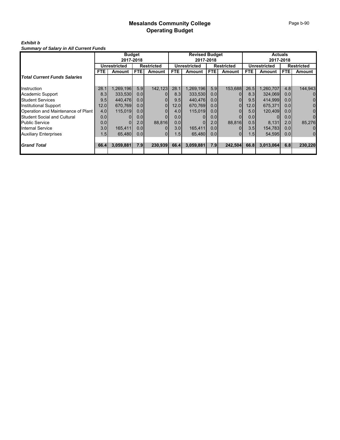# *Exhibit b*

| <b>Summary of Salary in All Current Funds</b> |
|-----------------------------------------------|
|-----------------------------------------------|

|                                     | <b>Budget</b>    |              |                  | <b>Revised Budget</b> |                  |              |                  | <b>Actuals</b>    |            |                     |                  |                   |
|-------------------------------------|------------------|--------------|------------------|-----------------------|------------------|--------------|------------------|-------------------|------------|---------------------|------------------|-------------------|
|                                     | 2017-2018        |              |                  | 2017-2018             |                  |              |                  | 2017-2018         |            |                     |                  |                   |
|                                     |                  | Unrestricted |                  | <b>Restricted</b>     |                  | Unrestricted |                  | <b>Restricted</b> |            | <b>Unrestricted</b> |                  | <b>Restricted</b> |
|                                     | FTE.             | Amount       | FTE.             | <b>Amount</b>         | <b>FTE</b>       | Amount       | FTE.             | Amount            | <b>FTE</b> | Amount              | FTE.             | Amount            |
| <b>Total Current Funds Salaries</b> |                  |              |                  |                       |                  |              |                  |                   |            |                     |                  |                   |
| Instruction                         | 28.1             | 1,269,196    | 5.9              | 142,123               | 28.1             | 1,269,196    | 5.9              | 153,688           | 26.5       | 1,260,707           | 4.8              | 144,943           |
| Academic Support                    | 8.3              | 333,530      | 0.0 <sub>l</sub> |                       | 8.3              | 333,530      | 0.0              |                   | 8.3        | 324.069             | 0.0 <sub>l</sub> | $\overline{0}$    |
| <b>Student Services</b>             | 9.5              | 440.476      | 0.0              |                       | 9.5              | 440,476      | 0.0              |                   | 9.5        | 414,999             | 0.0 <sub>l</sub> | $\overline{0}$    |
| Institutional Support               | 12.0             | 670.769      | 0.0 <sub>l</sub> | $\Omega$              | 12.0             | 670.769      | 0.0              | 0                 | 12.0       | 675.371             | 0.0 <sub>l</sub> | $\overline{0}$    |
| Operation and Maintenance of Plant  | 4.0              | 115,019      | 0.0 <sub>l</sub> |                       | 4.0              | 115,019      | 0.0              |                   | 5.0        | 120,409             | 0.0 <sub>l</sub> | $\overline{0}$    |
| <b>Student Social and Cultural</b>  | 0.0              |              | 0.0              |                       | 0.0              |              | 0.0              |                   | 0.0        |                     | 0.0              | $\Omega$          |
| <b>Public Service</b>               | 0.0 <sub>l</sub> |              | 2.0              | 88.816                | 0.0 <sub>l</sub> |              | 2.0              | 88.816            | 0.5        | 8,131               | 2.0              | 85.276            |
| <b>Internal Service</b>             | 3.0              | 165,411      | 0.0              |                       | 3.0              | 165,411      | 0.0              |                   | 3.5        | 154,783             | 0.0              | $\overline{0}$    |
| <b>Auxiliary Enterprises</b>        | 1.5              | 65.480       | 0.0 <sub>l</sub> | 01                    | 1.5              | 65.480       | 0.0 <sub>l</sub> |                   | 1.5        | 54,595              | 0.0 <sub>l</sub> | $\overline{0}$    |
| <b>Grand Total</b>                  | 66.4             | 3,059,881    | 7.9              | 230,939               | 66.4             | 3,059,881    | 7.9              | 242,504           | 66.8       | 3,013,064           | 6.8              | 230,220           |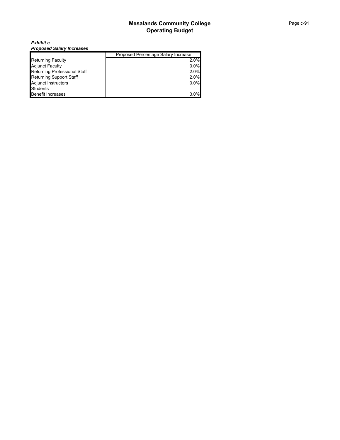*Exhibit c Proposed Salary Increases*

|                                     | Proposed Percentage Salary Increase |
|-------------------------------------|-------------------------------------|
| <b>Returning Faculty</b>            | 2.0%                                |
| <b>Adjunct Faculty</b>              | $0.0\%$                             |
| <b>Returning Professional Staff</b> | 2.0%                                |
| <b>Returning Support Staff</b>      | 2.0%                                |
| <b>Adjunct Instructors</b>          | $0.0\%$                             |
| <b>Students</b>                     |                                     |
| <b>Benefit Increases</b>            | 3.0%                                |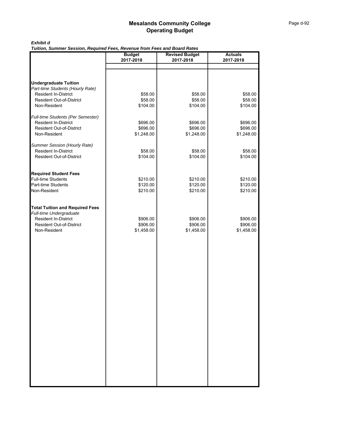#### *Exhibit d*

*Tuition, Summer Session, Required Fees, Revenue from Fees and Board Rates*

|                                                                | <b>Budget</b>       | <b>Revised Budget</b> | <b>Actuals</b>      |
|----------------------------------------------------------------|---------------------|-----------------------|---------------------|
|                                                                | 2017-2018           | 2017-2018             | 2017-2018           |
|                                                                |                     |                       |                     |
|                                                                |                     |                       |                     |
| <b>Undergraduate Tuition</b>                                   |                     |                       |                     |
| Part-time Students (Hourly Rate)                               |                     |                       |                     |
| <b>Resident In-District</b>                                    | \$58.00             | \$58.00               | \$58.00             |
| <b>Resident Out-of-District</b>                                | \$58.00             | \$58.00               | \$58.00             |
| Non-Resident                                                   | \$104.00            | \$104.00              | \$104.00            |
|                                                                |                     |                       |                     |
| Full-time Students (Per Semester)                              |                     |                       |                     |
| <b>Resident In-District</b>                                    | \$696.00            | \$696.00              | \$696.00            |
| <b>Resident Out-of-District</b>                                | \$696.00            | \$696.00              | \$696.00            |
| Non-Resident                                                   | \$1,248.00          | \$1,248.00            | \$1,248.00          |
|                                                                |                     |                       |                     |
| Summer Session (Hourly Rate)                                   |                     |                       |                     |
| <b>Resident In-District</b><br><b>Resident Out-of-District</b> | \$58.00<br>\$104.00 | \$58.00<br>\$104.00   | \$58.00<br>\$104.00 |
|                                                                |                     |                       |                     |
|                                                                |                     |                       |                     |
| <b>Required Student Fees</b>                                   |                     |                       |                     |
| <b>Full-time Students</b>                                      | \$210.00            | \$210.00              | \$210.00            |
| Part-time Students                                             | \$120.00            | \$120.00              | \$120.00            |
| Non-Resident                                                   | \$210.00            | \$210.00              | \$210.00            |
|                                                                |                     |                       |                     |
|                                                                |                     |                       |                     |
| <b>Total Tuition and Required Fees</b>                         |                     |                       |                     |
| Full-time Undergraduate                                        |                     |                       |                     |
| Resident In-District                                           | \$906.00            | \$906.00              | \$906.00            |
| <b>Resident Out-of-District</b>                                | \$906.00            | \$906.00              | \$906.00            |
| Non-Resident                                                   | \$1,458.00          | \$1,458.00            | \$1,458.00          |
|                                                                |                     |                       |                     |
|                                                                |                     |                       |                     |
|                                                                |                     |                       |                     |
|                                                                |                     |                       |                     |
|                                                                |                     |                       |                     |
|                                                                |                     |                       |                     |
|                                                                |                     |                       |                     |
|                                                                |                     |                       |                     |
|                                                                |                     |                       |                     |
|                                                                |                     |                       |                     |
|                                                                |                     |                       |                     |
|                                                                |                     |                       |                     |
|                                                                |                     |                       |                     |
|                                                                |                     |                       |                     |
|                                                                |                     |                       |                     |
|                                                                |                     |                       |                     |
|                                                                |                     |                       |                     |
|                                                                |                     |                       |                     |
|                                                                |                     |                       |                     |
|                                                                |                     |                       |                     |
|                                                                |                     |                       |                     |
|                                                                |                     |                       |                     |
|                                                                |                     |                       |                     |
|                                                                |                     |                       |                     |
|                                                                |                     |                       |                     |